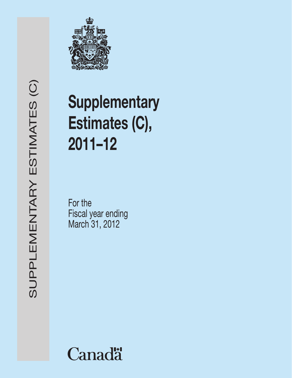

# **Supplementary** Estimates (C), 2011–12

For the Fiscal year ending March 31, 2012

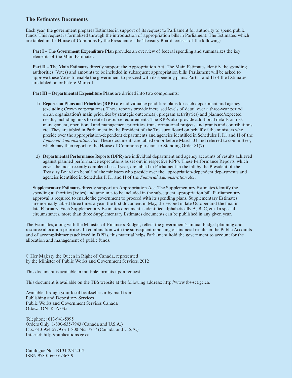## **The Estimates Documents**

Each year, the government prepares Estimates in support of its request to Parliament for authority to spend public funds. This request is formalized through the introduction of appropriation bills in Parliament. The Estimates, which are tabled in the House of Commons by the President of the Treasury Board, consist of the following:

**Part I – The Government Expenditure Plan** provides an overview of federal spending and summarizes the key elements of the Main Estimates.

**Part II – The Main Estimates** directly support the Appropriation Act. The Main Estimates identify the spending authorities (Votes) and amounts to be included in subsequent appropriation bills. Parliament will be asked to approve these Votes to enable the government to proceed with its spending plans. Parts I and II of the Estimates are tabled on or before March 1.

**Part III – Departmental Expenditure Plans** are divided into two components:

- 1) **Reports on Plans and Priorities (RPP)** are individual expenditure plans for each department and agency (excluding Crown corporations). These reports provide increased levels of detail over a three-year period on an organization's main priorities by strategic outcome(s), program activity(ies) and planned/expected results, including links to related resource requirements. The RPPs also provide additional details on risk management, operational and management priorities, transformational projects and grants and contributions, etc. They are tabled in Parliament by the President of the Treasury Board on behalf of the ministers who preside over the appropriation-dependent departments and agencies identified in Schedules I, I.1 and II of the *Financial Administration Act*. These documents are tabled on or before March 31 and referred to committees, which may then report to the House of Commons pursuant to Standing Order 81(7).
- 2) **Departmental Performance Reports (DPR)** are individual department and agency accounts of results achieved against planned performance expectations as set out in respective RPPs. These Performance Reports, which cover the most recently completed fiscal year, are tabled in Parliament in the fall by the President of the Treasury Board on behalf of the ministers who preside over the appropriation-dependent departments and agencies identified in Schedules I, I.1 and II of the *Financial Administration Act*.

**Supplementary Estimates** directly support an Appropriation Act. The Supplementary Estimates identify the spending authorities (Votes) and amounts to be included in the subsequent appropriation bill. Parliamentary approval is required to enable the government to proceed with its spending plans. Supplementary Estimates are normally tabled three times a year, the first document in May, the second in late October and the final in late February. Each Supplementary Estimates document is identified alphabetically A, B, C, etc. In special circumstances, more than three Supplementary Estimates documents can be published in any given year.

The Estimates, along with the Minister of Finance's Budget, reflect the government's annual budget planning and resource allocation priorities. In combination with the subsequent reporting of financial results in the Public Accounts and of accomplishments achieved in DPRs, this material helps Parliament hold the government to account for the allocation and management of public funds.

© Her Majesty the Queen in Right of Canada, represented by the Minister of Public Works and Government Services, 2012

This document is available in multiple formats upon request.

This document is available on the TBS website at the following address: http://www.tbs-sct.gc.ca.

Available through your local bookseller or by mail from Publishing and Depository Services Public Works and Government Services Canada Ottawa ON KIA 0S5

Telephone: 613-941-5995 Orders Only: 1-800-635-7943 (Canada and U.S.A.) Fax: 613-954-5779 or 1-800-565-7757 (Canada and U.S.A.) Internet: http://publications.gc.ca

Catalogue No.: BT31-2/3-2012 ISBN 978-0-660-67363-9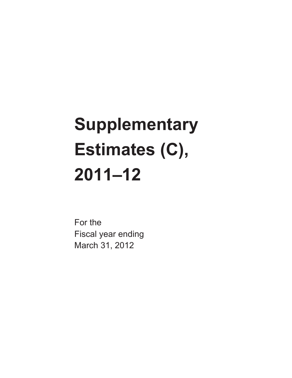# **Supplementary Estimates (C), 2011–12**

For the Fiscal year ending March 31, 2012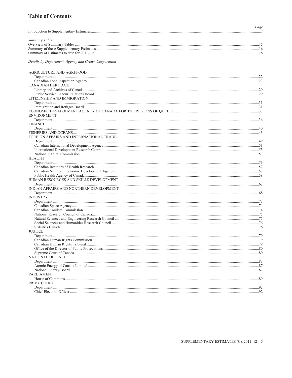## **Table of Contents**

| Summary Tables                                       |  |
|------------------------------------------------------|--|
|                                                      |  |
|                                                      |  |
|                                                      |  |
| Details by Department, Agency and Crown Corporation  |  |
| AGRICULTURE AND AGRI-FOOD                            |  |
|                                                      |  |
|                                                      |  |
| <b>CANADIAN HERITAGE</b>                             |  |
|                                                      |  |
|                                                      |  |
| CITIZENSHIP AND IMMIGRATION                          |  |
| $\textbf{Department}\textbf{\textit{31}}\textbf{31}$ |  |
|                                                      |  |
| <b>ENVIRONMENT</b>                                   |  |
|                                                      |  |
| <b>FINANCE</b>                                       |  |
|                                                      |  |
|                                                      |  |
| FOREIGN AFFAIRS AND INTERNATIONAL TRADE              |  |
|                                                      |  |
|                                                      |  |
|                                                      |  |
| <b>HEALTH</b>                                        |  |
|                                                      |  |
|                                                      |  |
|                                                      |  |
|                                                      |  |
| HUMAN RESOURCES AND SKILLS DEVELOPMENT               |  |
|                                                      |  |
| INDIAN AFFAIRS AND NORTHERN DEVELOPMENT              |  |
|                                                      |  |
| <b>INDUSTRY</b>                                      |  |
|                                                      |  |
|                                                      |  |
|                                                      |  |
|                                                      |  |
|                                                      |  |
|                                                      |  |
| <b>JUSTICE</b>                                       |  |
|                                                      |  |
|                                                      |  |
|                                                      |  |
|                                                      |  |
|                                                      |  |
| NATIONAL DEFENCE                                     |  |
|                                                      |  |
|                                                      |  |
| PARLIAMENT                                           |  |
|                                                      |  |
| PRIVY COUNCIL                                        |  |
|                                                      |  |
|                                                      |  |

Page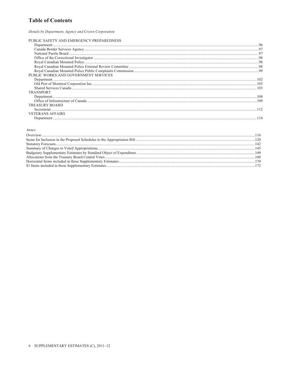## **Table of Contents**

Details by Department, Agency and Crown Corporation

| PUBLIC SAFETY AND EMERGENCY PREPAREDNESS |  |
|------------------------------------------|--|
|                                          |  |
|                                          |  |
|                                          |  |
|                                          |  |
|                                          |  |
|                                          |  |
|                                          |  |
| PUBLIC WORKS AND GOVERNMENT SERVICES     |  |
|                                          |  |
|                                          |  |
|                                          |  |
| <b>TRANSPORT</b>                         |  |
|                                          |  |
|                                          |  |
| TREASURY BOARD                           |  |
|                                          |  |
| <b>VETERANS AFFAIRS</b>                  |  |
|                                          |  |
|                                          |  |

## Annex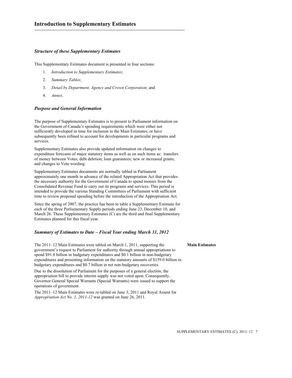## *Structure of these Supplementary Estimates*

This Supplementary Estimates document is presented in four sections:

- 1. *Introduction to Supplementary Estimates*;
- 2. *Summary Tables*;
- 3. *Detail by Department, Agency and Crown Corporation*; and
- 4. *Annex*.

<span id="page-6-0"></span>l

#### *Purpose and General Information*

The purpose of Supplementary Estimates is to present to Parliament information on the Government of Canada's spending requirements which were either not sufficiently developed in time for inclusion in the Main Estimates, or have subsequently been refined to account for developments in particular programs and services.

Supplementary Estimates also provide updated information on changes to expenditure forecasts of major statutory items as well as on such items as: transfers of money between Votes; debt deletion; loan guarantees; new or increased grants; and changes to Vote wording.

Supplementary Estimates documents are normally tabled in Parliament approximately one month in advance of the related Appropriation Act that provides the necessary authority for the Government of Canada to spend monies from the Consolidated Revenue Fund to carry out its programs and services. This period is intended to provide the various Standing Committees of Parliament with sufficient time to review proposed spending before the introduction of the Appropriation Act.

Since the spring of 2007, the practice has been to table a Supplementary Estimate for each of the three Parliamentary Supply periods ending June 23, December 10, and March 26. These Supplementary Estimates (C) are the third and final Supplementary Estimates planned for this fiscal year.

#### *Summary of Estimates to Date – Fiscal Year ending March 31, 2012*

The 2011–12 Main Estimates were tabled on March 1, 2011, supporting the government's request to Parliament for authority through annual appropriations to spend \$91.8 billion in budgetary expenditures and \$0.1 billion in non-budgetary expenditures and presenting information on the statutory amounts of \$159.0 billion in budgetary expenditures and \$0.7 billion in net non-budgetary recoveries.

Due to the dissolution of Parliament for the purposes of a general election, the appropriation bill to provide interim supply was not voted upon. Consequently, Governor General Special Warrants (Special Warrants) were issued to support the operations of government.

The 2011–12 Main Estimates were re-tabled on June 3, 2011 and Royal Assent for *Appropriation Act No. 1, 2011-12* was granted on June 26, 2011.

#### **Main Estimates**

SUPPLEMENTARY ESTIMATES (C), 2011–12 7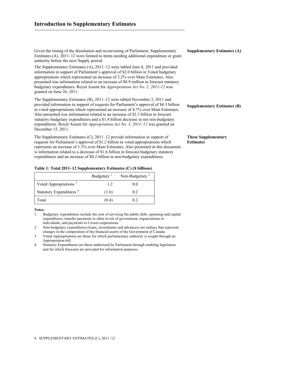Given the timing of the dissolution and reconvening of Parliament, Supplementary Estimates (A), 2011–12 were limited to items needing additional expenditure or grant authority before the next Supply period.

The Supplementary Estimates (A), 2011–12 were tabled June 8, 2011 and provided information in support of Parliament's approval of \$2.0 billion in Voted budgetary appropriations which represented an increase of 2.2% over Main Estimates. Also presented was information related to an increase of \$0.9 million in forecast statutory budgetary expenditures. Royal Assent for *Appropriation Act No. 2, 2011-12* was granted on June 26, 2011.

The Supplementary Estimates (B), 2011–12 were tabled November 3, 2011 and provided information in support of requests for Parliament's approval of \$4.3 billion in voted appropriations which represented an increase of 4.7% over Main Estimates. Also presented was information related to an increase of \$2.3 billion in forecast statutory budgetary expenditures and a \$1.4 billion decrease in net non-budgetary expenditures. Royal Assent for *Appropriation Act No. 3, 2011–12* was granted on December 15, 2011.

The Supplementary Estimates (C), 2011–12 provide information in support of requests for Parliament's approval of \$1.2 billion in voted appropriations which represents an increase of 1.3% over Main Estimates. Also presented in this document is information related to a decrease of \$1.6 billion in forecast budgetary statutory expenditures and an increase of \$0.2 billion in non-budgetary expenditures.

#### **Table 1: Total 2011–12 Supplementary Estimates (C) (\$ billions)**

|                                     | Budgetary <sup>1</sup> | Non-Budgetary <sup>2</sup> |
|-------------------------------------|------------------------|----------------------------|
| Voted Appropriations <sup>3</sup>   | 12                     | ( )  ()                    |
| Statutory Expenditures <sup>4</sup> | (1.6)                  | 02                         |
| Total                               | (0.4)                  |                            |

**Notes:** 

l

1. Budgetary expenditures include the cost of servicing the public debt; operating and capital expenditures; transfer payments to other levels of government, organizations or individuals; and payments to Crown corporations.

2. Non-budgetary expenditures (loans, investments and advances) are outlays that represent changes in the composition of the financial assets of the Government of Canada.

- 3. Voted Appropriations are those for which parliamentary authority is sought through an Appropriation bill.
- 4. Statutory Expenditures are those authorized by Parliament through enabling legislation and for which forecasts are provided for information purposes.

#### **Supplementary Estimates (A)**

**Supplementary Estimates (B)** 

#### **These Supplementary Estimates**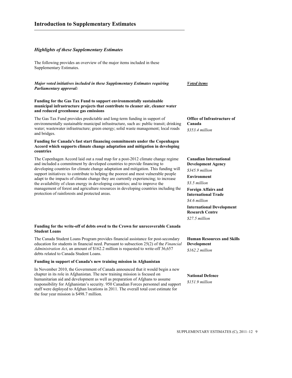## *Highlights of these Supplementary Estimates*

l

The following provides an overview of the major items included in these Supplementary Estimates.

## *Major voted initiatives included in these Supplementary Estimates requiring Parliamentary approval:*

## **Funding for the Gas Tax Fund to support environmentally sustainable municipal infrastructure projects that contribute to cleaner air, cleaner water and reduced greenhouse gas emissions**

The Gas Tax Fund provides predictable and long-term funding in support of environmentally sustainable municipal infrastructure, such as: public transit; drinking water; wastewater infrastructure; green energy; solid waste management; local roads and bridges.

## **Funding for Canada's fast start financing commitments under the Copenhagen Accord which supports climate change adaptation and mitigation in developing countries**

The Copenhagen Accord laid out a road map for a post-2012 climate change regime and included a commitment by developed countries to provide financing to developing countries for climate change adaptation and mitigation. This funding will support initiatives: to contribute to helping the poorest and most vulnerable people adapt to the impacts of climate change they are currently experiencing; to increase the availability of clean energy in developing countries; and to improve the management of forest and agriculture resources in developing countries including the protection of rainforests and protected areas.

#### **Funding for the write-off of debts owed to the Crown for unrecoverable Canada Student Loans**

The Canada Student Loans Program provides financial assistance for post-secondary education for students in financial need. Pursuant to subsection 25(2) of the *Financial Administration Act*, an amount of \$162.2 million is requested to write-off 36,657 debts related to Canada Student Loans.

#### **Funding in support of Canada's new training mission in Afghanistan**

In November 2010, the Government of Canada announced that it would begin a new chapter in its role in Afghanistan. The new training mission is focused on humanitarian aid and development as well as preparation of Afghans to assume responsibility for Afghanistan's security. 950 Canadian Forces personnel and support staff were deployed to Afghan locations in 2011. The overall total cost estimate for the four year mission is \$498.7 million.

*Voted items*

**Office of Infrastructure of Canada**  *\$353.4 million* 

#### **Canadian International Development Agency**

*\$345.9 million* 

**Environment** 

*\$3.5 million* 

**Foreign Affairs and International Trade** 

*\$4.6 million* 

**International Development Research Centre**  *\$27.5 million*

**Human Resources and Skills Development**  *\$162.2 million*

**National Defence** 

*\$151.9 million* 

SUPPLEMENTARY ESTIMATES (C), 2011–12 9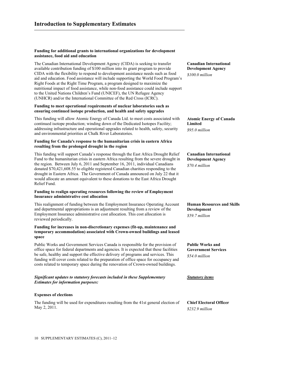#### **Funding for additional grants to international organizations for development assistance, food aid and education**

The Canadian International Development Agency (CIDA) is seeking to transfer available contribution funding of \$100 million into its grant program to provide CIDA with the flexibility to respond to development assistance needs such as food aid and education. Food assistance will include supporting the World Food Program's Right Foods at the Right Time Program, a program designed to maximize the nutritional impact of food assistance, while non-food assistance could include support to the United Nations Children's Fund (UNICEF), the UN Refugee Agency (UNHCR) and/or the International Committee of the Red Cross (ICRC).

#### **Funding to meet operational requirements of nuclear laboratories such as ensuring continued isotope production, and health and safety upgrades**

This funding will allow Atomic Energy of Canada Ltd. to meet costs associated with continued isotope production; winding down of the Dedicated Isotopes Facility; addressing infrastructure and operational upgrades related to health, safety, security and environmental priorities at Chalk River Laboratories.

#### **Funding for Canada's response to the humanitarian crisis in eastern Africa resulting from the prolonged drought in the region**

This funding will support Canada's response through the East Africa Drought Relief Fund to the humanitarian crisis in eastern Africa resulting from the severe drought in the region. Between July 6, 2011 and September 16, 2011, individual Canadians donated \$70,421,608.55 to eligible registered Canadian charities responding to the drought in Eastern Africa. The Government of Canada announced on July 22 that it would allocate an amount equivalent to these donations to the East Africa Drought Relief Fund.

#### **Funding to realign operating resources following the review of Employment Insurance administrative cost allocation**

This realignment of funding between the Employment Insurance Operating Account and departmental appropriations is an adjustment resulting from a review of the Employment Insurance administrative cost allocation. This cost allocation is reviewed periodically.

#### **Funding for increases in non-discretionary expenses (fit-up, maintenance and temporary accommodation) associated with Crown-owned buildings and leased space**

Public Works and Government Services Canada is responsible for the provision of office space for federal departments and agencies. It is expected that these facilities be safe, healthy and support the effective delivery of programs and services. This funding will cover costs related to the preparation of office space for occupancy and costs related to temporary space during the renovation of Crown-owned buildings.

#### *Significant updates to statutory forecasts included in these Supplementary Estimates for information purposes:*

#### **Expenses of elections**

The funding will be used for expenditures resulting from the 41st general election of May 2, 2011.

**Canadian International Development Agency**  *\$100.0 million*

**Atomic Energy of Canada Limited**  *\$95.0 million* 

## **Canadian International Development Agency**

*\$70.4 million* 

**Human Resources and Skills Development**  *\$59.7 million* 

**Public Works and Government Services**  *\$54.0 million* 

*Statutory items*

**Chief Electoral Officer**  *\$232.9 million*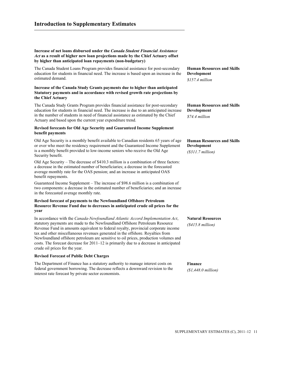## **Increase of net loans disbursed under the** *Canada Student Financial Assistance Act* **as a result of higher new loan projections made by the Chief Actuary offset by higher than anticipated loan repayments (non-budgetary)**

The Canada Student Loans Program provides financial assistance for post-secondary education for students in financial need. The increase is based upon an increase in the estimated demand.

#### **Increase of the Canada Study Grants payments due to higher than anticipated Statutory payments and in accordance with revised growth rate projections by the Chief Actuary**

The Canada Study Grants Program provides financial assistance for post-secondary education for students in financial need. The increase is due to an anticipated increase in the number of students in need of financial assistance as estimated by the Chief Actuary and based upon the current year expenditure trend.

### **Revised forecasts for Old Age Security and Guaranteed Income Supplement benefit payments**

Old Age Security is a monthly benefit available to Canadian residents 65 years of age or over who meet the residency requirement and the Guaranteed Income Supplement is a monthly benefit provided to low-income seniors who receive the Old Age Security benefit.

Old Age Security – The decrease of \$410.3 million is a combination of three factors: a decrease in the estimated number of beneficiaries; a decrease in the forecasted average monthly rate for the OAS pension; and an increase in anticipated OAS benefit repayments.

Guaranteed Income Supplement – The increase of \$98.6 million is a combination of two components: a decrease in the estimated number of beneficiaries; and an increase in the forecasted average monthly rate.

## **Revised forecast of payments to the Newfoundland Offshore Petroleum Resource Revenue Fund due to decreases in anticipated crude oil prices for the year**

In accordance with the *Canada-Newfoundland Atlantic Accord Implementation Act*, statutory payments are made to the Newfoundland Offshore Petroleum Resource Revenue Fund in amounts equivalent to federal royalty, provincial corporate income tax and other miscellaneous revenues generated in the offshore. Royalties from Newfoundland offshore petroleum are sensitive to oil prices, production volumes and costs. The forecast decrease for 2011–12 is primarily due to a decrease in anticipated crude oil prices for the year.

#### **Revised Forecast of Public Debt Charges**

The Department of Finance has a statutory authority to manage interest costs on federal government borrowing. The decrease reflects a downward revision to the interest rate forecast by private sector economists.

**Human Resources and Skills Development**  *\$157.4 million* 

**Human Resources and Skills Development**  *\$74.4 million* 

## **Human Resources and Skills Development**

*(\$311.7 million)* 

**Natural Resources** 

*(\$415.8 million)* 

**Finance** 

*(\$1,448.0 million)* 

SUPPLEMENTARY ESTIMATES (C), 2011–12 11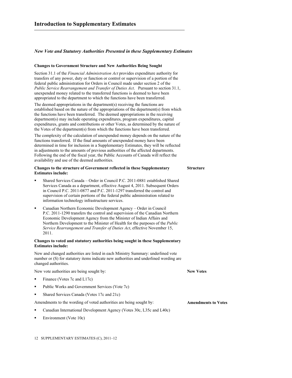## *New Vote and Statutory Authorities Presented in these Supplementary Estimates*

#### **Changes to Government Structure and New Authorities Being Sought**

Section 31.1 of the *Financial Administration Act* provides expenditure authority for transfers of any power, duty or function or control or supervision of a portion of the federal public administration for Orders in Council made under section 2 of the *Public Service Rearrangement and Transfer of Duties Act*. Pursuant to section 31.1, unexpended money related to the transferred functions is deemed to have been appropriated to the department to which the functions have been transferred.

The deemed appropriations in the department(s) receiving the functions are established based on the nature of the appropriations of the department(s) from which the functions have been transferred. The deemed appropriations in the receiving department(s) may include operating expenditures, program expenditures, capital expenditures, grants and contributions or other Votes, as determined by the nature of the Votes of the department(s) from which the functions have been transferred.

The complexity of the calculation of unexpended money depends on the nature of the functions transferred. If the final amounts of unexpended money have been determined in time for inclusion in a Supplementary Estimates, they will be reflected in adjustments to the amounts of previous authorities of the affected departments. Following the end of the fiscal year, the Public Accounts of Canada will reflect the availability and use of the deemed authorities.

#### **Changes to the structure of Government reflected in these Supplementary Estimates include: Structure**

- Shared Services Canada Order in Council P.C. 2011-0881 established Shared Services Canada as a department, effective August 4, 2011. Subsequent Orders in Council P.C. 2011-0877 and P.C. 2011-1297 transferred the control and supervision of certain portions of the federal public administration related to information technology infrastructure services.
- Canadian Northern Economic Development Agency Order in Council P.C. 2011-1290 transfers the control and supervision of the Canadian Northern Economic Development Agency from the Minister of Indian Affairs and Northern Development to the Minister of Health for the purposes of the *Public Service Rearrangement and Transfer of Duties Act*, effective November 15, 2011.

## **Changes to voted and statutory authorities being sought in these Supplementary Estimates include:**

New and changed authorities are listed in each Ministry Summary: underlined vote number or (S) for statutory items indicate new authorities and underlined wording are changed authorities.

|    | New vote authorities are being sought by:                            | <b>New Votes</b>           |
|----|----------------------------------------------------------------------|----------------------------|
| ٠  | Finance (Votes 7c and L17c)                                          |                            |
| ٠  | Public Works and Government Services (Vote 7c)                       |                            |
| ٠  | Shared Services Canada (Votes 17c and 21c)                           |                            |
|    | Amendments to the wording of voted authorities are being sought by:  | <b>Amendments to Votes</b> |
| ٠  | Canadian International Development Agency (Votes 30c, L35c and L40c) |                            |
| п. | Environment (Vote 10c)                                               |                            |
|    |                                                                      |                            |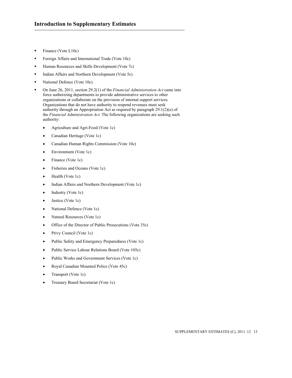Finance (Vote L10c)

l

- Foreign Affairs and International Trade (Vote 10c)
- Human Resources and Skills Development (Vote 7c)
- Indian Affairs and Northern Development (Vote 5c)
- National Defence (Vote 10c)
- On June 26, 2011, section 29.2(1) of the *Financial Administration Act* came into force authorizing departments to provide administrative services to other organizations or collaborate on the provision of internal support services. Organizations that do not have authority to respend revenues must seek authority through an Appropriation Act as required by paragraph 29.1(2)(*a*) of the *Financial Administration Act*. The following organizations are seeking such authority:
	- Agriculture and Agri-Food (Vote 1c)
	- Canadian Heritage (Vote 1c)
	- Canadian Human Rights Commission (Vote 10c)
	- Environment (Vote 1c)
	- Finance (Vote 1c)
	- Fisheries and Oceans (Vote 1c)
	- Health (Vote 1c)
	- Indian Affairs and Northern Development (Vote 1c)
	- Industry (Vote 1c)
	- Justice (Vote 1c)
	- National Defence (Vote 1c)
	- Natural Resources (Vote 1c)
	- Office of the Director of Public Prosecutions (Vote 35c)
	- Privy Council (Vote 1c)
	- Public Safety and Emergency Preparedness (Vote 1c)
	- Public Service Labour Relations Board (Vote 105c)
	- Public Works and Government Services (Vote 1c)
	- Royal Canadian Mounted Police (Vote 45c)
	- Transport (Vote 1c)
	- Treasury Board Secretariat (Vote 1c)

SUPPLEMENTARY ESTIMATES (C), 2011–12 13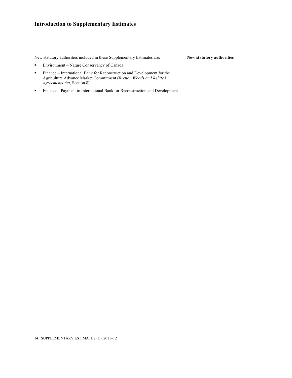New statutory authorities included in these Supplementary Estimates are: **New statutory authorities** 

Environment – Nature Conservancy of Canada

l

- Finance International Bank for Reconstruction and Development for the Agriculture Advance Market Commitment (*Bretton Woods and Related Agreements Act*, Section 8)
- Finance Payment to International Bank for Reconstruction and Development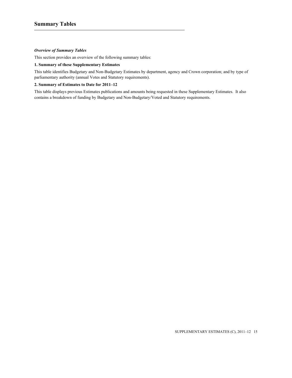## <span id="page-14-0"></span>*Overview of Summary Tables*

This section provides an overview of the following summary tables:

## **1. Summary of these Supplementary Estimates**

This table identifies Budgetary and Non-Budgetary Estimates by department, agency and Crown corporation; and by type of parliamentary authority (annual Votes and Statutory requirements).

## **2. Summary of Estimates to Date for 2011–12**

This table displays previous Estimates publications and amounts being requested in these Supplementary Estimates. It also contains a breakdown of funding by Budgetary and Non-Budgetary/Voted and Statutory requirements.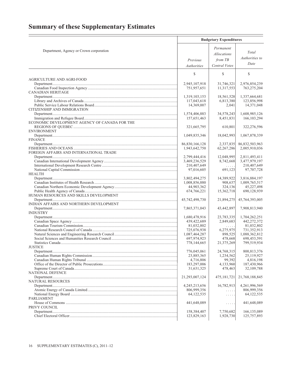## <span id="page-15-0"></span>**Summary of these Supplementary Estimates**

|                                               |                            | <b>Budgetary Expenditures</b>              |                              |
|-----------------------------------------------|----------------------------|--------------------------------------------|------------------------------|
| Department, Agency or Crown corporation       | Previous                   | Permanent<br><b>Allocations</b><br>from TB | Total<br>Authorities to      |
|                                               | <b>Authorities</b>         | Central Votes                              | Date                         |
|                                               | \$                         | S                                          | \$                           |
| AGRICULTURE AND AGRI-FOOD                     |                            |                                            |                              |
|                                               | 2,945,107,918              | 31,746,321                                 | 2,976,854,239                |
|                                               | 751,957,651                | 11,317,553                                 | 763,275,204                  |
| <b>CANADIAN HERITAGE</b>                      |                            |                                            |                              |
|                                               | 1,319,103,153              | 18,561,528                                 | 1,337,664,681                |
|                                               | 117,043,618<br>14,369,007  | 6,813,380<br>2,041                         | 123,856,998<br>14,371,048    |
| CITIZENSHIP AND IMMIGRATION                   |                            |                                            |                              |
|                                               | 1,574,406,883              | 34,578,243                                 | 1,608,985,126                |
|                                               | 157,651,463                | 8,451,831                                  | 166, 103, 294                |
| ECONOMIC DEVELOPMENT AGENCY OF CANADA FOR THE |                            |                                            |                              |
|                                               | 321,665,795                | 610,801                                    | 322,276,596                  |
| <b>ENVIRONMENT</b>                            |                            |                                            |                              |
| <b>FINANCE</b>                                | 1,049,835,346              | 18,042,993                                 | 1,067,878,339                |
|                                               | 86,830,166,128             | 2,337,835                                  | 86,832,503,963               |
|                                               | 1,943,642,750              | 62,267,286                                 | 2,005,910,036                |
| FOREIGN AFFAIRS AND INTERNATIONAL TRADE       |                            |                                            |                              |
|                                               | 2,799,444,416              | 12,048,995                                 | 2,811,493,411                |
|                                               | 3,469,236,529              | 8,742,668                                  | 3,477,979,197                |
|                                               | 210,407,649                |                                            | 210,407,649                  |
| <b>HEALTH</b>                                 | 97,016,605                 | 691,123                                    | 97,707,728                   |
|                                               | 3,802,494,275              | 14,389,922                                 | 3,816,884,197                |
|                                               | 1,008,856,880              | 908,637                                    | 1,009,765,517                |
|                                               | 44,903,362                 | 324,136                                    | 45,227,498                   |
|                                               | 674,766,221                | 15,362,718                                 | 690,128,939                  |
| HUMAN RESOURCES AND SKILLS DEVELOPMENT        |                            |                                            |                              |
|                                               | 45,742,498,730             | 21,894,275                                 | 45,764,393,005               |
| INDIAN AFFAIRS AND NORTHERN DEVELOPMENT       | 7,865,371,043              | 43,442,897                                 | 7,908,813,940                |
| <b>INDUSTRY</b>                               |                            |                                            |                              |
|                                               | 1,680,478,916              | 23,783,335                                 | 1,704,262,251                |
|                                               | 439, 422, 689              | 2,849,683                                  | 442,272,372                  |
|                                               | 81,032,802                 |                                            | 81,032,802                   |
|                                               | 725,076,938                | 6,275,975                                  | 731,352,913                  |
|                                               | 1,087,464,287              | 898,525                                    | 1,088,362,812<br>698,453,591 |
|                                               | 697,974,923<br>778,144,665 | 478,668<br>21,375,269                      | 799,519,934                  |
| <b>JUSTICE</b>                                |                            |                                            |                              |
|                                               | 776,045,061                | 24,768,315                                 | 800, 813, 376                |
|                                               | 23,885,365                 | 1,234,562                                  | 25, 119, 927                 |
|                                               | 4,716,806                  | 99,392                                     | 4,816,198                    |
|                                               | 183,297,006                | 4,133,960                                  | 187,430,966                  |
| NATIONAL DEFENCE                              | 31,631,325                 | 478,463                                    | 32, 109, 788                 |
|                                               | 21,293,007,124             | 475, 181, 721                              | 21,768,188,845               |
| NATURAL RESOURCES                             |                            |                                            |                              |
|                                               | 4, 245, 213, 656           | 16,782,913                                 | 4,261,996,569                |
|                                               | 806,999,356                | $\cdots$                                   | 806,999,356                  |
|                                               | 64, 122, 535               | .                                          | 64, 122, 535                 |
| PARLIAMENT                                    |                            |                                            |                              |
| PRIVY COUNCIL                                 | 441,648,089                | .                                          | 441,648,089                  |
|                                               | 158,384,407                | 7,750,682                                  | 166, 135, 089                |
|                                               | 123,829,163                | 1,928,730                                  | 125,757,893                  |
|                                               |                            |                                            |                              |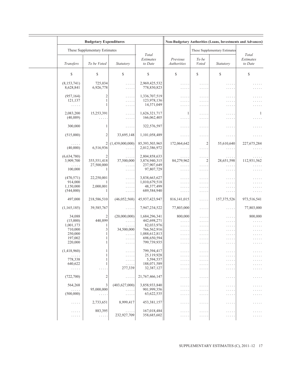| <b>Budgetary Expenditures</b>               |                   |                                                    |                                |                            |                                                | Non-Budgetary Authorities (Loans, Investments and Advances) |                                             |
|---------------------------------------------|-------------------|----------------------------------------------------|--------------------------------|----------------------------|------------------------------------------------|-------------------------------------------------------------|---------------------------------------------|
| These Supplementary Estimates               |                   |                                                    |                                |                            | These Supplementary Estimates                  |                                                             |                                             |
| Transfers                                   | To be Voted       | Statutory                                          | Total<br>Estimates<br>to Date  | Previous<br>Authorities    | To be<br>Voted                                 | Statutory                                                   | Total<br>Estimates<br>to Date               |
| \$                                          | \$                | \$                                                 | \$                             | \$                         | \$                                             | \$                                                          | \$                                          |
| (8, 153, 741)                               | 725,034           | $\sim$ $\sim$ $\sim$ $\sim$ $\sim$                 | 2,969,425,532                  | .                          | $\ldots$                                       | $\alpha$ , $\alpha$ , $\alpha$ , $\alpha$                   | .                                           |
| 8,628,841                                   | 6,926,778         | $\sim$ $\sim$ $\sim$ $\sim$ $\sim$                 | 778,830,823                    | .                          | .                                              | .                                                           |                                             |
| (957, 164)                                  | 2                 | $\sim$ $\sim$ $\sim$ $\sim$ $\sim$                 | 1,336,707,519                  | .                          | .                                              | .                                                           |                                             |
| 121,137<br>$\alpha$ is a second .           | $\mathbf{1}$<br>1 | .<br>.                                             | 123,978,136<br>14,371,049      | .<br>.                     | .<br>.                                         | 1.1.1.1<br>1.1.1.1                                          |                                             |
| 2,083,200                                   | 15,253,391        | .                                                  | 1,626,321,717                  | -1                         | .                                              | .                                                           | 1                                           |
| (40, 889)                                   | .                 | $\cdots$                                           | 166,062,405                    | .                          | .                                              | 1.1.1.1                                                     | .                                           |
| 300,000                                     | 1                 | $\alpha$ is a second .                             | 322,576,597                    | .                          | $\ldots$                                       | .                                                           | .                                           |
| (515,000)                                   | 2                 | 33,695,148                                         | 1,101,058,489                  | $\ldots$                   | .                                              | $\cdots$                                                    | $\mathbb{Z}^2$ . The set of $\mathbb{Z}^2$  |
| $\mathbb{Z}^2$ . The set of $\mathbb{Z}^2$  | 2                 | (1,439,000,000)                                    | 85,393,503,965                 | 172,064,642                | 2                                              | 55,610,640                                                  | 227, 675, 284                               |
| (40,000)                                    | 6,516,936         | .                                                  | 2,012,386,972                  | .                          | .                                              | $\alpha$ , $\alpha$ , $\alpha$                              | .                                           |
| (6,634,780)<br>3,909,700                    | 2<br>355,551,418  | .<br>37,500,000                                    | 2,804,858,633<br>3,874,940,315 | $\cdots$<br>84,279,962     | .<br>2                                         | $\alpha$ , $\alpha$ , $\alpha$ , $\alpha$<br>28,651,598     | $\cdots$<br>112,931,562                     |
| .<br>100,000                                | 27,500,000<br>1   | $\ldots$<br>$\ldots$                               | 237,907,649<br>97,807,729      | .<br>$\cdots$              | .<br>.                                         | $\ldots$<br>.                                               | $\mathbb{Z}^2$ . The set of $\mathbb{Z}^2$  |
| (470, 571)                                  | 22,250,001        | $\ldots$                                           | 3,838,663,627                  | .                          | 1.1.1.1                                        | $\alpha$ , $\alpha$ , $\alpha$                              |                                             |
| 914,000<br>1,150,000                        | 2,000,001         | $\ldots$                                           | 1,010,679,518<br>48, 377, 499  | .                          | .                                              | .                                                           |                                             |
| (544,000)                                   | 1                 | .<br>$\ldots$                                      | 689,584,940                    | $\cdots$<br>$\cdots\cdots$ | $\alpha$ , $\alpha$ , $\alpha$ , $\alpha$<br>. | .<br>$\ldots$                                               | .<br>$\cdots$                               |
| 497,000                                     | 218,586,510       | (46,052,568)                                       | 45,937,423,947                 | 816, 141, 015              | .                                              | 157, 375, 526                                               | 973,516,541                                 |
| (1,165,185)                                 | 39,585,767        | $\cdots$                                           | 7,947,234,522                  | 77,803,000                 | .                                              | $\ldots$                                                    | 77,803,000                                  |
| 34,088<br>(15,000)                          | 2<br>440,899      | (20,000,000)                                       | 1,684,296,341<br>442,698,271   | 800,000                    | .                                              | $\alpha$ , $\alpha$ , $\alpha$                              | 800,000                                     |
| 1,001,173                                   |                   | $\ldots$<br>$\ldots$                               | 82,033,976                     | $\cdots$<br>.              | .<br>.                                         | 1.1.1.1<br>1.1.1.1                                          | $\mathbb{Z}^n$ . In the $\mathbb{Z}^n$<br>. |
| 710,000                                     | 3                 | 34,500,000                                         | 766,562,916                    | .                          | .                                              | .                                                           |                                             |
| 250,000<br>197,002                          |                   | .                                                  | 1,088,612,813<br>698,650,594   | .                          | .                                              | .                                                           |                                             |
| 220,000                                     |                   | .<br>1.1.1.1                                       | 799,739,935                    | $\cdots$<br>.              | .<br>.                                         | .<br>.                                                      | .                                           |
|                                             |                   |                                                    |                                |                            |                                                |                                                             |                                             |
| (1,418,960)                                 |                   | $\cdots$                                           | 799,394,417<br>25,119,928      | $\cdots\cdots$             | $\sim$ $\sim$ $\sim$ $\sim$ $\sim$             | $\sim$ $\sim$ $\sim$ $\sim$ $\sim$                          | .                                           |
| .<br>778,338                                | 1                 | $\cdots$<br>$\cdots$                               | 5,594,537                      | .<br>.                     | .<br>.                                         | .<br>.                                                      | .                                           |
| 640,622                                     | 1                 | $\cdots$                                           | 188,071,589                    | .                          | .                                              | $\cdots\cdots\cdots$                                        |                                             |
| $\ldots$                                    | $\cdots$          | 277,339                                            | 32,387,127                     | .                          | $\cdots\cdots\cdots$                           | .                                                           | .                                           |
| (722,700)                                   | 2                 | $\ldots$                                           | 21,767,466,147                 | $\cdots\cdots\cdots$       | .                                              | $\sim$ $\sim$ $\sim$ $\sim$ $\sim$                          | .                                           |
| 564,268                                     | 3                 | (403, 627, 000)                                    | 3,858,933,840                  | .                          | .                                              | $\cdots\cdots\cdots$                                        | .                                           |
| $\alpha$ , $\alpha$ , $\alpha$<br>(500,000) | 95,000,000<br>.   | $\ldots$<br>$\mathbb{Z}^2$ . In the $\mathbb{Z}^2$ | 901,999,356<br>63, 622, 535    | .<br>.                     | $\cdots\cdots\cdots$<br>$\cdots$               | $\cdots\cdots\cdots$<br>.                                   | .<br>.                                      |
| $\cdots$                                    | 2,733,651         | 8,999,417                                          | 453,381,157                    | .                          | .                                              | $\cdots\cdots\cdots$                                        | $\cdots\cdots\cdots$                        |
| $\cdots$                                    | 883,395           | .                                                  | 167,018,484                    | .                          | $\cdots\cdots\cdots$                           | $\cdots\cdots\cdots$                                        | .                                           |
| $\cdots$                                    | $\ldots$          | 232,927,709                                        | 358,685,602                    | .                          | $\cdots\cdots\cdots$                           | $\cdots\cdots\cdots$                                        | .                                           |
|                                             |                   |                                                    |                                |                            |                                                |                                                             |                                             |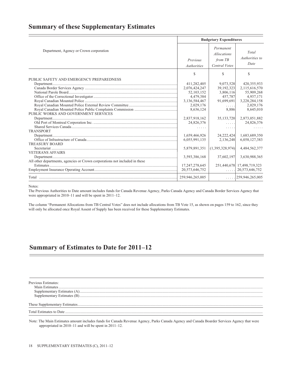## <span id="page-17-0"></span>**Summary of these Supplementary Estimates**

|                                                                                                                               | <b>Budgetary Expenditures</b>                                                                                                                                                                   |                                                                                                                                                            |                                                                                                                                                                                                 |  |
|-------------------------------------------------------------------------------------------------------------------------------|-------------------------------------------------------------------------------------------------------------------------------------------------------------------------------------------------|------------------------------------------------------------------------------------------------------------------------------------------------------------|-------------------------------------------------------------------------------------------------------------------------------------------------------------------------------------------------|--|
| Department, Agency or Crown corporation                                                                                       | Previous<br>Authorities                                                                                                                                                                         | Permanent<br><b>Allocations</b><br>from TB<br>Central Votes                                                                                                | Total<br>Authorities to<br>Date                                                                                                                                                                 |  |
|                                                                                                                               | \$.                                                                                                                                                                                             | S                                                                                                                                                          | \$                                                                                                                                                                                              |  |
| PUBLIC SAFETY AND EMERGENCY PREPAREDNESS<br>PUBLIC WORKS AND GOVERNMENT SERVICES<br><b>TRANSPORT</b><br><b>TREASURY BOARD</b> | 411,282,405<br>2,076,424,247<br>52,103,152<br>4,479,384<br>3,136,584,467<br>2,029,176<br>8,636,124<br>2,837,918,162<br>24,826,376<br>1.1.1.1<br>1,659,466,926<br>6,055,991,135<br>5,879,891,351 | 9,073,528<br>39,192,323<br>3,806,116<br>457,787<br>91,699,691<br>. <br>8.886<br>35, 133, 720<br>. 1<br>. 1<br>24, 222, 424<br>2,136,248<br>(1,395,328,974) | 420,355,933<br>2,115,616,570<br>55,909,268<br>4,937,171<br>3,228,284,158<br>2,029,176<br>8,645,010<br>2,873,051,882<br>24,826,376<br>1.1.1.1<br>1,683,689,350<br>6,058,127,383<br>4,484,562,377 |  |
| <b>VETERANS AFFAIRS</b>                                                                                                       | 3,593,386,168                                                                                                                                                                                   | 37,602,197                                                                                                                                                 | 3,630,988,365                                                                                                                                                                                   |  |
| All other departments, agencies or Crown corporations not included in these                                                   | 17,247,278,645<br>20,573,646,752                                                                                                                                                                |                                                                                                                                                            | 251,440,678 17,498,719,323<br>$\ldots$ . 20,573,646,752                                                                                                                                         |  |
|                                                                                                                               | 259,946,265,005                                                                                                                                                                                 |                                                                                                                                                            | $\ldots$ . 259,946,265,005                                                                                                                                                                      |  |

Notes:

The Previous Authorities to Date amount includes funds for Canada Revenue Agency, Parks Canada Agency and Canada Border Services Agency that were appropriated in 2010–11 and will be spent in 2011–12.

The column "Permanent Allocations from TB Central Votes" does not include allocations from TB Vote 15, as shown on pages 159 to 162, since they will only be allocated once Royal Assent of Supply has been received for these Supplementary Estimates.

## **Summary of Estimates to Date for 2011–12**

| Previous Estimates: |
|---------------------|
|                     |
|                     |
|                     |
|                     |
|                     |

Note: The Main Estimates amount includes funds for Canada Revenue Agency, Parks Canada Agency and Canada Boarder Services Agency that were appropriated in 2010–11 and will be spent in 2011–12.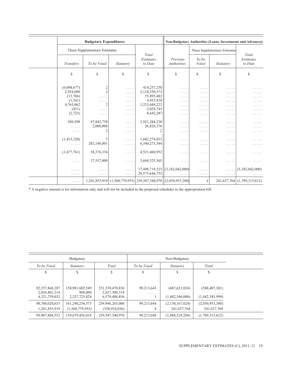| <b>Budgetary Expenditures</b>                   |                              |                           |                                                                 |                                |                                  |                               | Non-Budgetary Authorities (Loans, Investments and Advances) |
|-------------------------------------------------|------------------------------|---------------------------|-----------------------------------------------------------------|--------------------------------|----------------------------------|-------------------------------|-------------------------------------------------------------|
| These Supplementary Estimates                   |                              |                           | Total                                                           |                                |                                  | These Supplementary Estimates | Total                                                       |
| Transfers                                       | To be Voted                  | Statutory                 | Estimates<br>to Date                                            | Previous<br><b>Authorities</b> | To be<br>Voted                   | Statutory                     | <b>Estimates</b><br>to Date                                 |
| S                                               | \$                           | \$                        | S                                                               | S                              | <sup>\$</sup>                    | S                             | \$                                                          |
| (6,098,677)<br>2,934,000<br>(13,786)<br>(1,341) | $\frac{2}{2}$<br>.<br>.      | $\ldots$ .<br>.<br>.<br>. | 414,257,258<br>2,118,550,572<br>55,895,482<br>4,935,830         | .<br>$\cdots$<br>.<br>.        | .<br>.<br>.<br>.                 | .<br>.<br>.<br>.              |                                                             |
| 4,765,062<br>(431)<br>(2,723)                   | 2<br>.<br>.                  | .<br>.<br>.               | 3,233,049,222<br>2,028,745<br>8,642,287                         | .<br>.<br>.                    | $\cdots$<br>$\cdots$<br>$\cdots$ | .<br>.<br>.                   | .<br>.                                                      |
| 389,598<br>.<br>.                               | 47,842,758<br>2,000,000<br>2 | .<br>.<br>.               | 2,921,284,238<br>26,826,376<br>2                                | .<br>.<br>.                    | .<br>$\cdots$<br>$\cdots$        | .<br>.<br>.                   | .<br>.                                                      |
| (1,415,320)<br>.                                | 3<br>282,146,001             | .<br>.                    | 1,682,274,033<br>6,340,273,384                                  | .<br>.                         | $\cdots$<br>$\cdots$             | .<br>.                        |                                                             |
| (1,477,761)<br>.                                | 38,376,336<br>37,537,000     | .<br>.                    | 4,521,460,952<br>3,668,525,365                                  | .<br>$\cdots$                  | .<br>.                           | .<br>.                        | .<br>.                                                      |
| .<br>.                                          | .<br>.                       | .<br>$\ldots$ .           | $17,498,719,323$ (3,182,042,000)<br>20,573,646,752              |                                | .<br>.                           | .<br>$\cdots$                 | (3,182,042,000)                                             |
| .                                               |                              |                           | $1,201,855,919$ (1,560,779,955) 259,587,340,970 (2,030,953,380) |                                | $\overline{4}$                   |                               | 241,637,764 (1,789,315,612)                                 |

\* A negative amount is for information only and will not be included in the proposed schedules to the appropriation bill.

|                                                     | Budgetary                                   |                                                   |                 | Non-Budgetary                           |                                         |  |
|-----------------------------------------------------|---------------------------------------------|---------------------------------------------------|-----------------|-----------------------------------------|-----------------------------------------|--|
| To be Voted                                         | Statutory                                   | Total                                             | To be Voted     | Statutory                               | Total                                   |  |
| \$                                                  | \$                                          | \$                                                | \$              | ъ                                       | S                                       |  |
|                                                     |                                             |                                                   |                 |                                         |                                         |  |
| 92, 357, 868, 287<br>2,026,401,314<br>4,321,759,032 | 158,981,602,549<br>908,000<br>2,257,725,824 | 251,339,470,836<br>2,027,309,314<br>6,579,484,856 | 99,213,643<br>. | (687, 621, 024)<br>.<br>(1,442,546,000) | (588, 407, 381)<br>.<br>(1,442,545,999) |  |
| 98,706,028,633                                      | 161,240,236,373                             | 259,946,265,006                                   | 99,213,644      | (2,130,167,024)                         | (2,030,953,380)                         |  |
| 1,201,855,919                                       | (1, 560, 779, 955)                          | (358, 924, 036)                                   | 4               | 241,637,764                             | 241,637,768                             |  |
| 99,907,884,552                                      | 159,679,456,418                             | 259,587,340,970                                   | 99,213,648      | (1,888,529,260)                         | (1,789,315,612)                         |  |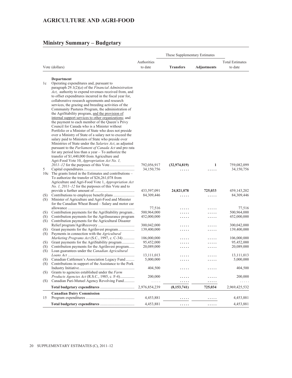|  | <b>Ministry Summary - Budgetary</b> |  |
|--|-------------------------------------|--|
|--|-------------------------------------|--|

|     |                                                                                             |                            | These Supplementary Estimates |                    |                        |  |
|-----|---------------------------------------------------------------------------------------------|----------------------------|-------------------------------|--------------------|------------------------|--|
|     |                                                                                             | Authorities                |                               |                    | <b>Total Estimates</b> |  |
|     | Vote (dollars)                                                                              | to date                    | <b>Transfers</b>              | <b>Adjustments</b> | to date                |  |
|     |                                                                                             |                            |                               |                    |                        |  |
| 1c  | Department<br>Operating expenditures and, pursuant to                                       |                            |                               |                    |                        |  |
|     | paragraph $29.1(2)(a)$ of the <i>Financial Administration</i>                               |                            |                               |                    |                        |  |
|     | Act, authority to expend revenues received from, and                                        |                            |                               |                    |                        |  |
|     | to offset expenditures incurred in the fiscal year for,                                     |                            |                               |                    |                        |  |
|     | collaborative research agreements and research                                              |                            |                               |                    |                        |  |
|     | services, the grazing and breeding activities of the                                        |                            |                               |                    |                        |  |
|     | Community Pastures Program, the administration of                                           |                            |                               |                    |                        |  |
|     | the AgriStability program, and the provision of                                             |                            |                               |                    |                        |  |
|     | internal support services to other organizations; and                                       |                            |                               |                    |                        |  |
|     | the payment to each member of the Queen's Privy                                             |                            |                               |                    |                        |  |
|     | Council for Canada who is a Minister without                                                |                            |                               |                    |                        |  |
|     | Portfolio or a Minister of State who does not preside                                       |                            |                               |                    |                        |  |
|     | over a Ministry of State of a salary not to exceed the                                      |                            |                               |                    |                        |  |
|     | salary paid to Ministers of State who preside over                                          |                            |                               |                    |                        |  |
|     | Ministries of State under the <i>Salaries Act</i> , as adjusted                             |                            |                               |                    |                        |  |
|     | pursuant to the Parliament of Canada Act and pro rata                                       |                            |                               |                    |                        |  |
|     | for any period less than a year $-$ To authorize the                                        |                            |                               |                    |                        |  |
|     | transfer of \$1,440,000 from Agriculture and<br>Agri-Food Vote 10, Appropriation Act No. 1, |                            |                               |                    |                        |  |
|     |                                                                                             | 792,056,917                | (32, 974, 819)                | 1                  | 759,082,099            |  |
| 5   |                                                                                             | 34,150,756                 | .                             | .                  | 34,150,756             |  |
|     | 10c The grants listed in the Estimates and contributions –                                  |                            |                               |                    |                        |  |
|     | To authorize the transfer of \$26,261,078 from                                              |                            |                               |                    |                        |  |
|     | Agriculture and Agri-Food Vote 1, Appropriation Act                                         |                            |                               |                    |                        |  |
|     | No. 1, 2011–12 for the purposes of this Vote and to                                         |                            |                               |                    |                        |  |
|     |                                                                                             | 433,597,091                | 24,821,078                    | 725,033            | 459, 143, 202          |  |
| (S) |                                                                                             | 84,309,446                 | .                             | .                  | 84,309,446             |  |
| (S) | Minister of Agriculture and Agri-Food and Minister                                          |                            |                               |                    |                        |  |
|     | for the Canadian Wheat Board - Salary and motor car                                         |                            |                               |                    |                        |  |
|     |                                                                                             | 77,516                     |                               |                    | 77,516                 |  |
| (S) | Contribution payments for the AgriStability program                                         | 500,964,000                | .                             |                    | 500,964,000            |  |
| (S) | Contribution payments for the AgriInsurance program                                         | 452,000,000                | .                             | .                  | 452,000,000            |  |
| (S) | Contribution payments for the Agricultural Disaster                                         |                            |                               |                    | 300,042,000            |  |
| (S) | Grant payments for the AgriInvest program                                                   | 300,042,000<br>139,400,000 | .<br>.                        | .                  | 139,400,000            |  |
| (S) | Payments in connection with the Agricultural                                                |                            |                               | .                  |                        |  |
|     | Marketing Programs Act (S.C., 1997, c. C-34)                                                | 106,000,000                | .                             |                    | 106,000,000            |  |
| (S) | Grant payments for the AgriStability program                                                | 95,452,000                 | .                             | .                  | 95,452,000             |  |
| (S) | Contribution payments for the AgriInvest program                                            | 20,089,000                 | .                             | .                  | 20,089,000             |  |
| (S) | Loan guarantees under the Canadian Agricultural                                             |                            |                               |                    |                        |  |
|     |                                                                                             | 13,111,013                 |                               |                    | 13, 111, 013           |  |
| (S) | Canadian Cattlemen's Association Legacy Fund                                                | 5,000,000                  | .                             | .                  | 5,000,000              |  |
|     | (S) Contributions in support of the Assistance to the Pork                                  |                            |                               |                    |                        |  |
|     |                                                                                             | 404,500                    |                               |                    | 404,500                |  |
| (S) | Grants to agencies established under the Farm                                               |                            |                               |                    |                        |  |
|     | Products Agencies Act (R.S.C., 1985, c. F-4)                                                | 200,000                    |                               | .                  | 200,000                |  |
| (S) | Canadian Pari-Mutuel Agency Revolving Fund                                                  | .                          | .                             | .                  |                        |  |
|     |                                                                                             | 2,976,854,239              | (8, 153, 741)                 | 725,034            | 2,969,425,532          |  |
|     | <b>Canadian Dairy Commission</b>                                                            |                            |                               |                    |                        |  |
| 15  |                                                                                             | 4,453,881                  |                               | .                  | 4,453,881              |  |
|     |                                                                                             | 4,453,881                  | .                             | .                  | 4,453,881              |  |
|     |                                                                                             |                            |                               |                    |                        |  |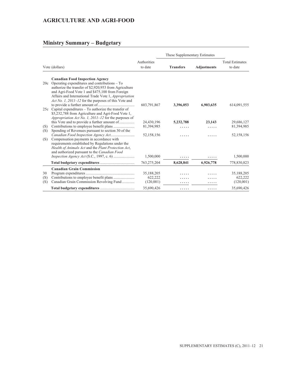## **AGRICULTURE AND AGRI-FOOD**

|            |                                                                                                               |                        | These Supplementary Estimates |                    |                                   |
|------------|---------------------------------------------------------------------------------------------------------------|------------------------|-------------------------------|--------------------|-----------------------------------|
|            | Vote (dollars)                                                                                                | Authorities<br>to date | <b>Transfers</b>              | <b>Adjustments</b> | <b>Total Estimates</b><br>to date |
|            | <b>Canadian Food Inspection Agency</b>                                                                        |                        |                               |                    |                                   |
| 20c        | Operating expenditures and contributions $-$ To<br>authorize the transfer of \$2,920,953 from Agriculture     |                        |                               |                    |                                   |
|            | and Agri-Food Vote 1 and \$475,100 from Foreign                                                               |                        |                               |                    |                                   |
|            | Affairs and International Trade Vote 1, Appropriation<br>Act No. 1, 2011–12 for the purposes of this Vote and |                        |                               |                    |                                   |
|            |                                                                                                               | 603,791,867            | 3,396,053                     | 6,903,635          | 614,091,555                       |
| 25c        | Capital expenditures $-$ To authorize the transfer of                                                         |                        |                               |                    |                                   |
|            | \$5,232,788 from Agriculture and Agri-Food Vote 1,                                                            |                        |                               |                    |                                   |
|            | Appropriation Act No. 1, 2011–12 for the purposes of                                                          |                        |                               |                    |                                   |
|            | this Vote and to provide a further amount of                                                                  | 24,430,196             | 5,232,788                     | 23,143             | 29,686,127                        |
| (S)<br>(S) | Contributions to employee benefit plans<br>Spending of Revenues pursuant to section 30 of the                 | 81,394,985             |                               |                    | 81,394,985                        |
|            |                                                                                                               | 52,158,156             |                               |                    | 52,158,156                        |
| (S)        | Compensation payments in accordance with                                                                      |                        |                               |                    |                                   |
|            | requirements established by Regulations under the                                                             |                        |                               |                    |                                   |
|            | Health of Animals Act and the Plant Protection Act,                                                           |                        |                               |                    |                                   |
|            | and authorized pursuant to the Canadian Food                                                                  |                        |                               |                    |                                   |
|            |                                                                                                               | 1,500,000              | .                             |                    | 1,500,000                         |
|            |                                                                                                               | 763,275,204            | 8,628,841                     | 6,926,778          | 778,830,823                       |
|            | <b>Canadian Grain Commission</b>                                                                              |                        |                               |                    |                                   |
| 30         |                                                                                                               | 35,188,205             |                               |                    | 35,188,205                        |
| (S)        | Contributions to employee benefit plans                                                                       | 622,222                |                               |                    | 622,222                           |
| (S)        | Canadian Grain Commission Revolving Fund                                                                      | (120,001)              | .                             | .                  | (120,001)                         |
|            |                                                                                                               | 35,690,426             | .                             | .                  | 35,690,426                        |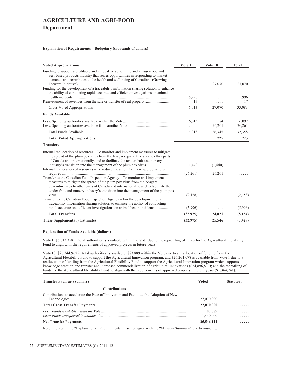## <span id="page-21-0"></span>**AGRICULTURE AND AGRI-FOOD Department**

#### **Explanation of Requirements – Budgetary (thousands of dollars)**

| <b>Voted Appropriations</b>                                                                                                                                                                                                                                                                                                                | Vote 1    | Vote 10      | <b>Total</b>    |
|--------------------------------------------------------------------------------------------------------------------------------------------------------------------------------------------------------------------------------------------------------------------------------------------------------------------------------------------|-----------|--------------|-----------------|
| Funding to support a profitable and innovative agriculture and an agri-food and<br>agri-based products industry that seizes opportunities in responding to market<br>demands and contributes to the health and well-being of Canadians (Growing)                                                                                           |           | 27,070       | 27,070          |
| Funding for the development of a traceability information sharing solution to enhance<br>the ability of conducting rapid, accurate and efficient investigations on animal                                                                                                                                                                  | 5,996     |              | 5,996           |
|                                                                                                                                                                                                                                                                                                                                            | 17        | .<br>.       | 17              |
| Gross Voted Appropriations                                                                                                                                                                                                                                                                                                                 | 6,013     | 27,070       | 33,083          |
| <b>Funds Available</b>                                                                                                                                                                                                                                                                                                                     |           |              |                 |
|                                                                                                                                                                                                                                                                                                                                            | 6,013     | 84<br>26,261 | 6.097<br>26,261 |
| <b>Total Funds Available</b>                                                                                                                                                                                                                                                                                                               | 6,013     | 26,345       | 32,358          |
| <b>Total Voted Appropriations</b>                                                                                                                                                                                                                                                                                                          | .         | 725          | 725             |
| <b>Transfers</b>                                                                                                                                                                                                                                                                                                                           |           |              |                 |
| Internal reallocation of resources – To monitor and implement measures to mitigate<br>the spread of the plum pox virus from the Niagara quarantine area to other parts<br>of Canada and internationally, and to facilitate the tender fruit and nursery<br>Internal reallocation of resources – To reduce the amount of new appropriations | 1,440     | (1,440)      |                 |
| Transfer to the Canadian Food Inspection Agency – To monitor and implement<br>measures to mitigate the spread of the plum pox virus from the Niagara<br>quarantine area to other parts of Canada and internationally, and to facilitate the<br>tender fruit and nursery industry's transition into the management of the plum pox          | (26, 261) | 26,261       |                 |
| Transfer to the Canadian Food Inspection Agency – For the development of a<br>traceability information sharing solution to enhance the ability of conducting                                                                                                                                                                               | (2,158)   |              | (2,158)         |
| rapid, accurate and efficient investigations on animal health incidents                                                                                                                                                                                                                                                                    | (5,996)   | .            | (5,996)         |
| <b>Total Transfers</b>                                                                                                                                                                                                                                                                                                                     | (32, 975) | 24,821       | (8, 154)        |
| <b>These Supplementary Estimates</b>                                                                                                                                                                                                                                                                                                       | (32, 975) | 25,546       | (7, 429)        |

#### **Explanation of Funds Available (dollars)**

**Vote 1**: \$6,013,358 in total authorities is available within the Vote due to the reprofiling of funds for the Agricultural Flexibility Fund to align with the requirements of approved projects in future years.

Vote 10: \$26,344,967 in total authorities is available: \$83,889 within the Vote due to a reallocation of funding from the Agricultural Flexibility Fund to support the Agricultural Innovation program; and \$26,261,078 is available from Vote 1 due to a reallocation of funding from the Agricultural Flexibility Fund to support the Agricultural Innovation program which supports knowledge creation and transfer and increased commercialization of agricultural innovations (\$24,896,837); and the reprofiling of funds for the Agricultural Flexibility Fund to align with the requirements of approved projects in future years (\$1,364,241).

| <b>Transfer Payments (dollars)</b>                                                    | Voted               | <b>Statutory</b> |
|---------------------------------------------------------------------------------------|---------------------|------------------|
| <b>Contributions</b>                                                                  |                     |                  |
| Contributions to accelerate the Pace of Innovation and Facilitate the Adoption of New | 27,070,000          | .                |
| <b>Total Gross Transfer Payments</b>                                                  | 27,070,000          | .                |
|                                                                                       | 83,889<br>1.440.000 | .<br>.           |
| <b>Net Transfer Payments</b>                                                          | 25,546,111          | .                |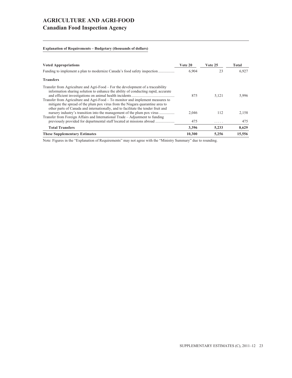## <span id="page-22-0"></span>**AGRICULTURE AND AGRI-FOOD Canadian Food Inspection Agency**

## **Explanation of Requirements – Budgetary (thousands of dollars)**

| <b>Voted Appropriations</b>                                                                                                                                                                                                                                                                                                                                                                                                  | Vote 20 | Vote 25 | Total  |
|------------------------------------------------------------------------------------------------------------------------------------------------------------------------------------------------------------------------------------------------------------------------------------------------------------------------------------------------------------------------------------------------------------------------------|---------|---------|--------|
|                                                                                                                                                                                                                                                                                                                                                                                                                              | 6.904   | 23      | 6.927  |
| <b>Transfers</b>                                                                                                                                                                                                                                                                                                                                                                                                             |         |         |        |
| Transfer from Agriculture and Agri-Food – For the development of a traceability<br>information sharing solution to enhance the ability of conducting rapid, accurate<br>Transfer from Agriculture and Agri-Food – To monitor and implement measures to<br>mitigate the spread of the plum pox virus from the Niagara quarantine area to<br>other parts of Canada and internationally, and to facilitate the tender fruit and | 875     | 5,121   | 5.996  |
| nursery industry's transition into the management of the plum pox virus                                                                                                                                                                                                                                                                                                                                                      | 2.046   | 112     | 2,158  |
| Transfer from Foreign Affairs and International Trade – Adjustment to funding<br>previously provided for departmental staff located at missions abroad                                                                                                                                                                                                                                                                       | 475     | .       | 475    |
| <b>Total Transfers</b>                                                                                                                                                                                                                                                                                                                                                                                                       | 3,396   | 5.233   | 8,629  |
| <b>These Supplementary Estimates</b>                                                                                                                                                                                                                                                                                                                                                                                         | 10,300  | 5.256   | 15,556 |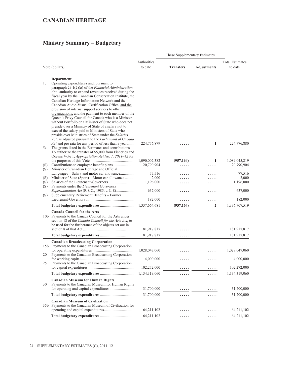|  | <b>Ministry Summary - Budgetary</b> |  |
|--|-------------------------------------|--|
|--|-------------------------------------|--|

|     | Vote (dollars)                                                                                                   | Authorities<br>to date | <b>Transfers</b> | <b>Adjustments</b> | <b>Total Estimates</b><br>to date |
|-----|------------------------------------------------------------------------------------------------------------------|------------------------|------------------|--------------------|-----------------------------------|
|     | Department                                                                                                       |                        |                  |                    |                                   |
| 1c  | Operating expenditures and, pursuant to                                                                          |                        |                  |                    |                                   |
|     | paragraph $29.1(2)(a)$ of the <i>Financial Administration</i>                                                    |                        |                  |                    |                                   |
|     | Act, authority to expend revenues received during the<br>fiscal year by the Canadian Conservation Institute, the |                        |                  |                    |                                   |
|     | Canadian Heritage Information Network and the                                                                    |                        |                  |                    |                                   |
|     | Canadian Audio-Visual Certification Office, and the                                                              |                        |                  |                    |                                   |
|     | provision of internal support services to other                                                                  |                        |                  |                    |                                   |
|     | organizations, and the payment to each member of the                                                             |                        |                  |                    |                                   |
|     | Queen's Privy Council for Canada who is a Minister                                                               |                        |                  |                    |                                   |
|     | without Portfolio or a Minister of State who does not                                                            |                        |                  |                    |                                   |
|     | preside over a Ministry of State of a salary not to<br>exceed the salary paid to Ministers of State who          |                        |                  |                    |                                   |
|     | preside over Ministries of State under the Salaries                                                              |                        |                  |                    |                                   |
|     | Act, as adjusted pursuant to the Parliament of Canada                                                            |                        |                  |                    |                                   |
|     | Act and pro rata for any period of less than a year                                                              | 224,776,879            |                  | 1                  | 224,776,880                       |
| 5c  | The grants listed in the Estimates and contributions -                                                           |                        |                  |                    |                                   |
|     | To authorize the transfer of \$5,000 from Fisheries and                                                          |                        |                  |                    |                                   |
|     | Oceans Vote 1, Appropriation Act No. 1, 2011-12 for                                                              | 1,090,002,382          | (957, 164)       | 1                  | 1,089,045,219                     |
| (S) |                                                                                                                  | 20,790,904             | .                |                    | 20,790,904                        |
| (S) | Minister of Canadian Heritage and Official                                                                       |                        |                  |                    |                                   |
|     | Languages – Salary and motor car allowance                                                                       | 77,516                 |                  |                    | 77,516                            |
| (S) | Minister of State (Sport) – Motor car allowance                                                                  | 2,000                  |                  |                    | 2,000                             |
| (S) |                                                                                                                  | 1,196,000              |                  |                    | 1,196,000                         |
| (S) | Payments under the Lieutenant Governors<br><i>Superannuation Act</i> (R.S.C., 1985, c. L-8)                      | 637,000                | .                | .                  | 637,000                           |
| (S) | Supplementary Retirement Benefits – Former                                                                       |                        |                  |                    |                                   |
|     |                                                                                                                  | 182,000                | .                | .                  | 182,000                           |
|     |                                                                                                                  | 1,337,664,681          | (957, 164)       | $\overline{2}$     | 1,336,707,519                     |
|     | <b>Canada Council for the Arts</b>                                                                               |                        |                  |                    |                                   |
|     | 10b Payments to the Canada Council for the Arts under                                                            |                        |                  |                    |                                   |
|     | section 18 of the Canada Council for the Arts Act, to                                                            |                        |                  |                    |                                   |
|     | be used for the furtherance of the objects set out in                                                            |                        |                  |                    |                                   |
|     |                                                                                                                  | 181,917,817            |                  |                    | 181,917,817                       |
|     |                                                                                                                  | 181,917,817            | .                | .                  | 181,917,817                       |
|     | <b>Canadian Broadcasting Corporation</b>                                                                         |                        |                  |                    |                                   |
|     | 15b Payments to the Canadian Broadcasting Corporation                                                            | 1,028,047,060          |                  |                    | 1,028,047,060                     |
| 20  | Payments to the Canadian Broadcasting Corporation                                                                |                        |                  |                    |                                   |
|     |                                                                                                                  | 4,000,000              | .                | .                  | 4,000,000                         |
| 25  | Payments to the Canadian Broadcasting Corporation                                                                |                        |                  |                    |                                   |
|     |                                                                                                                  | 102,272,000            | .                | .                  | 102,272,000                       |
|     |                                                                                                                  | 1,134,319,060          | .                | .                  | 1,134,319,060                     |
|     | <b>Canadian Museum for Human Rights</b>                                                                          |                        |                  |                    |                                   |
| 30  | Payments to the Canadian Museum for Human Rights                                                                 |                        |                  |                    |                                   |
|     |                                                                                                                  | 31,700,000             |                  |                    | 31,700,000                        |
|     |                                                                                                                  | 31,700,000             | .                | .                  | 31,700,000                        |
|     | <b>Canadian Museum of Civilization</b>                                                                           |                        |                  |                    |                                   |
|     | 35b Payments to the Canadian Museum of Civilization for                                                          |                        |                  |                    |                                   |
|     |                                                                                                                  | 64,211,102             | .                | .                  | 64,211,102                        |
|     |                                                                                                                  | 64,211,102             | .                | .                  | 64,211,102                        |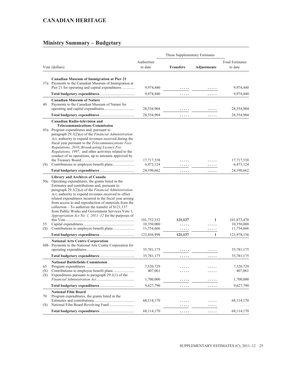|                  |                                                                                                                                                                                                                                                                                                                                                                                                                                                                                                                         |                                   | These Supplementary Estimates |                    |                                   |  |
|------------------|-------------------------------------------------------------------------------------------------------------------------------------------------------------------------------------------------------------------------------------------------------------------------------------------------------------------------------------------------------------------------------------------------------------------------------------------------------------------------------------------------------------------------|-----------------------------------|-------------------------------|--------------------|-----------------------------------|--|
|                  | Vote (dollars)                                                                                                                                                                                                                                                                                                                                                                                                                                                                                                          | Authorities<br>to date            | <b>Transfers</b>              | <b>Adjustments</b> | <b>Total Estimates</b><br>to date |  |
|                  | <b>Canadian Museum of Immigration at Pier 21</b><br>37a Payments to the Canadian Museum of Immigration at<br>Pier 21 for operating and capital expenditures                                                                                                                                                                                                                                                                                                                                                             | 9,974,440                         | .                             |                    | 9,974,440                         |  |
|                  |                                                                                                                                                                                                                                                                                                                                                                                                                                                                                                                         | 9,974,440                         | .                             | .                  | 9,974,440                         |  |
| 40               | <b>Canadian Museum of Nature</b><br>Payments to the Canadian Museum of Nature for                                                                                                                                                                                                                                                                                                                                                                                                                                       | 28,554,904                        |                               |                    | 28,554,904                        |  |
|                  |                                                                                                                                                                                                                                                                                                                                                                                                                                                                                                                         | 28,554,904                        | .                             | .                  | 28,554,904                        |  |
| (S)              | <b>Canadian Radio-television and</b><br><b>Telecommunications Commission</b><br>45a Program expenditures and, pursuant to<br>paragraph $29.1(2)(a)$ of the Financial Administration<br>Act, authority to expend revenues received during the<br>fiscal year pursuant to the Telecommunications Fees<br>Regulations, 2010, Broadcasting Licence Fee<br>Regulations, 1997, and other activities related to the<br>conduct of its operations, up to amounts approved by                                                    | 17,717,538<br>6,473,124           |                               |                    | 17,717,538<br>6,473,124           |  |
|                  |                                                                                                                                                                                                                                                                                                                                                                                                                                                                                                                         |                                   |                               |                    |                                   |  |
|                  | <b>Library and Archives of Canada</b>                                                                                                                                                                                                                                                                                                                                                                                                                                                                                   | 24,190,662                        | .                             | .                  | 24,190,662                        |  |
| 55               | 50c Operating expenditures, the grants listed in the<br>Estimates and contributions and, pursuant to<br>paragraph $29.1(2)(a)$ of the <i>Financial Administration</i><br>Act, authority to expend revenues received to offset<br>related expenditures incurred in the fiscal year arising<br>from access to and reproduction of materials from the<br>collection – To authorize the transfer of $$121,137$<br>from Public Works and Government Services Vote 1,<br>Appropriation Act No. 1, 2011-12 for the purposes of | 101,752,332<br>10,350,000         | 121,137<br>.                  | 1<br>.             | 101,873,470<br>10,350,000         |  |
| (S)              |                                                                                                                                                                                                                                                                                                                                                                                                                                                                                                                         | 11,754,666                        | .                             | .                  | 11,754,666                        |  |
|                  |                                                                                                                                                                                                                                                                                                                                                                                                                                                                                                                         | 123,856,998                       | 121,137                       | $\mathbf{1}$       | 123,978,136                       |  |
|                  | <b>National Arts Centre Corporation</b><br>60b Payments to the National Arts Centre Corporation for                                                                                                                                                                                                                                                                                                                                                                                                                     | 35,781,175                        |                               | .                  | 35,781,175                        |  |
|                  |                                                                                                                                                                                                                                                                                                                                                                                                                                                                                                                         | 35,781,175                        | .                             | .                  | 35,781,175                        |  |
| 65<br>(S)<br>(S) | <b>National Battlefields Commission</b><br>Contributions to employee benefit plans<br>Expenditures pursuant to paragraph $29.1(1)$ of the                                                                                                                                                                                                                                                                                                                                                                               | 7,520,729<br>407,061<br>1,700,000 | .                             | .                  | 7,520,729<br>407,061<br>1,700,000 |  |
|                  |                                                                                                                                                                                                                                                                                                                                                                                                                                                                                                                         | 9,627,790                         | .                             | .                  | 9,627,790                         |  |
|                  | <b>National Film Board</b>                                                                                                                                                                                                                                                                                                                                                                                                                                                                                              |                                   |                               |                    |                                   |  |
| 70<br>(S)        | Program expenditures, the grants listed in the                                                                                                                                                                                                                                                                                                                                                                                                                                                                          | 68,114,170                        | .                             |                    | 68,114,170                        |  |
|                  |                                                                                                                                                                                                                                                                                                                                                                                                                                                                                                                         | 68,114,170                        | .                             | .                  | 68,114,170                        |  |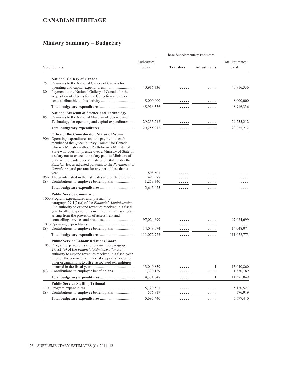|            |                                                                                                                                                                                                                                                                                                                                                                                                                                                                                                                                                                      |                                 | These Supplementary Estimates |                    |                                   |
|------------|----------------------------------------------------------------------------------------------------------------------------------------------------------------------------------------------------------------------------------------------------------------------------------------------------------------------------------------------------------------------------------------------------------------------------------------------------------------------------------------------------------------------------------------------------------------------|---------------------------------|-------------------------------|--------------------|-----------------------------------|
|            | Vote (dollars)                                                                                                                                                                                                                                                                                                                                                                                                                                                                                                                                                       | Authorities<br>to date          | <b>Transfers</b>              | <b>Adjustments</b> | <b>Total Estimates</b><br>to date |
| 75<br>80   | <b>National Gallery of Canada</b><br>Payments to the National Gallery of Canada for<br>Payment to the National Gallery of Canada for the<br>acquisition of objects for the Collection and other                                                                                                                                                                                                                                                                                                                                                                      | 40,916,336                      |                               |                    | 40,916,336                        |
|            |                                                                                                                                                                                                                                                                                                                                                                                                                                                                                                                                                                      | 8,000,000                       |                               |                    | 8,000,000                         |
|            |                                                                                                                                                                                                                                                                                                                                                                                                                                                                                                                                                                      | 48,916,336                      | .                             | .                  | 48,916,336                        |
| 85         | <b>National Museum of Science and Technology</b><br>Payments to the National Museum of Science and<br>Technology for operating and capital expenditures                                                                                                                                                                                                                                                                                                                                                                                                              | 29,255,212                      |                               |                    | 29,255,212                        |
|            |                                                                                                                                                                                                                                                                                                                                                                                                                                                                                                                                                                      | 29,255,212                      | .                             | .                  | 29,255,212                        |
| (S)        | Office of the Co-ordinator, Status of Women<br>90b Operating expenditures and the payment to each<br>member of the Queen's Privy Council for Canada<br>who is a Minister without Portfolio or a Minister of<br>State who does not preside over a Ministry of State of<br>a salary not to exceed the salary paid to Ministers of<br>State who preside over Ministries of State under the<br>Salaries Act, as adjusted pursuant to the Parliament of<br>Canada Act and pro rata for any period less than a<br>95b The grants listed in the Estimates and contributions | 898,507<br>493,578<br>1,253,340 | .                             |                    | $\cdots$                          |
|            |                                                                                                                                                                                                                                                                                                                                                                                                                                                                                                                                                                      | 2,645,425                       | .                             | .<br>.             | .                                 |
|            | <b>Public Service Commission</b><br>100b Program expenditures and, pursuant to<br>paragraph $29.1(2)(a)$ of the Financial Administration<br>Act, authority to expend revenues received in a fiscal<br>year to offset expenditures incurred in that fiscal year<br>arising from the provision of assessment and                                                                                                                                                                                                                                                       | 97,024,699<br>.<br>14,048,074   | .                             | .                  | 97,024,699<br>14,048,074          |
|            |                                                                                                                                                                                                                                                                                                                                                                                                                                                                                                                                                                      | 111,072,773                     | .                             | .                  | 111,072,773                       |
| (S)        | <b>Public Service Labour Relations Board</b><br>105c Program expenditures and, pursuant to paragraph<br>$29.1(2)(a)$ of the Financial Administration Act,<br>authority to expend revenues received in a fiscal year<br>through the provision of internal support services to<br>other organizations to offset associated expenditures                                                                                                                                                                                                                                | 13,040,859<br>1,330,189         | .<br>.                        | 1<br>.             | 13,040,860<br>1,330,189           |
|            |                                                                                                                                                                                                                                                                                                                                                                                                                                                                                                                                                                      | 14,371,048                      | .                             | 1                  | 14,371,049                        |
| 110<br>(S) | <b>Public Service Staffing Tribunal</b><br>Contributions to employee benefit plans                                                                                                                                                                                                                                                                                                                                                                                                                                                                                   | 5,120,521<br>576,919            | .<br>.                        | .<br>.             | 5,120,521<br>576,919              |
|            |                                                                                                                                                                                                                                                                                                                                                                                                                                                                                                                                                                      | 5,697,440                       | .                             | .                  | 5,697,440                         |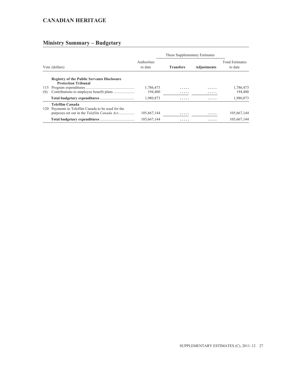|            | Vote (dollars)                                                                                                          | Authorities<br>to date | <b>Transfers</b> | <b>Adjustments</b> | <b>Total Estimates</b><br>to date |
|------------|-------------------------------------------------------------------------------------------------------------------------|------------------------|------------------|--------------------|-----------------------------------|
|            | <b>Registry of the Public Servants Disclosure</b><br><b>Protection Tribunal</b>                                         |                        |                  |                    |                                   |
| 115<br>(S) |                                                                                                                         | 1,786,473<br>194.400   | .<br>.           | .<br>.             | 1,786,473<br>194,400              |
|            |                                                                                                                         | 1,980,873              | .                | .                  | 1,980,873                         |
| 120        | Telefilm Canada<br>Payments to Telefilm Canada to be used for the<br>purposes set out in the <i>Telefilm Canada Act</i> | 105,667,144            | .                | .                  | 105,667,144                       |
|            |                                                                                                                         | 105,667,144            | .                | .                  | 105,667,144                       |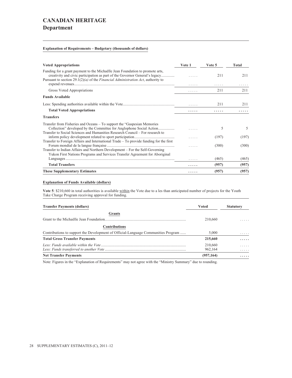## **Department**

## **Explanation of Requirements – Budgetary (thousands of dollars)**

| <b>Voted Appropriations</b>                                                                                                                                                                                                                                       | Vote 1  | Vote 5 | Total |
|-------------------------------------------------------------------------------------------------------------------------------------------------------------------------------------------------------------------------------------------------------------------|---------|--------|-------|
| Funding for a grant payment to the Michaelle Jean Foundation to promote arts,<br>creativity and civic participation as part of the Governor General's legacy<br>Pursuant to section 29.1(2)( <i>a</i> ) of the <i>Financial Administration Act</i> , authority to |         | 211    | 211   |
|                                                                                                                                                                                                                                                                   | .       |        |       |
| Gross Voted Appropriations                                                                                                                                                                                                                                        | .       | 211    | 211   |
| <b>Funds Available</b>                                                                                                                                                                                                                                            |         |        |       |
|                                                                                                                                                                                                                                                                   | .       | 211    | 211   |
| <b>Total Voted Appropriations</b>                                                                                                                                                                                                                                 | .       |        |       |
| <b>Transfers</b>                                                                                                                                                                                                                                                  |         |        |       |
| Transfer from Fisheries and Oceans – To support the "Gaspesian Memories"<br>Transfer to Social Sciences and Humanities Research Council – For research to                                                                                                         |         | 5      | 5     |
| Transfer to Foreign Affairs and International Trade – To provide funding for the first                                                                                                                                                                            | 1.1.1.1 | (197)  | (197) |
| Transfer to Indian Affairs and Northern Development – For the Self-Governing<br>Yukon First Nations Programs and Services Transfer Agreement for Aboriginal                                                                                                       | 1.1.1.1 | (300)  | (300) |
|                                                                                                                                                                                                                                                                   |         | (465)  | (465) |
| <b>Total Transfers</b>                                                                                                                                                                                                                                            |         | (957)  | (957) |
| <b>These Supplementary Estimates</b>                                                                                                                                                                                                                              |         | (957)  | (957) |

#### **Explanation of Funds Available (dollars)**

**Vote 5**: \$210,660 in total authorities is available within the Vote due to a les than anticipated number of projects for the Youth Take Charge Program receiving approval for funding.

| <b>Transfer Payments (dollars)</b>                                                | Voted      | <b>Statutory</b> |
|-----------------------------------------------------------------------------------|------------|------------------|
| <b>Grants</b>                                                                     |            |                  |
|                                                                                   | 210,660    | .                |
| <b>Contributions</b>                                                              |            |                  |
| Contributions to support the Development of Official-Language Communities Program | 5.000      | .                |
| <b>Total Gross Transfer Payments</b>                                              | 215,660    | .                |
|                                                                                   | 210,660    | .                |
|                                                                                   | 962.164    | .                |
| <b>Net Transfer Payments</b>                                                      | (957, 164) | .                |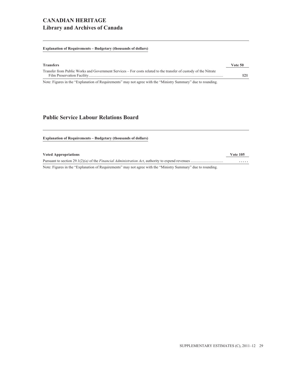## <span id="page-28-0"></span>**CANADIAN HERITAGE Library and Archives of Canada**

## **Explanation of Requirements – Budgetary (thousands of dollars)**

Note: Figures in the "Explanation of Requirements" may not agree with the "Ministry Summary" due to rounding.

## **Public Service Labour Relations Board**

**Explanation of Requirements – Budgetary (thousands of dollars)**

| <b>Voted Appropriations</b> | <b>Vote 105</b> |
|-----------------------------|-----------------|
|                             | .               |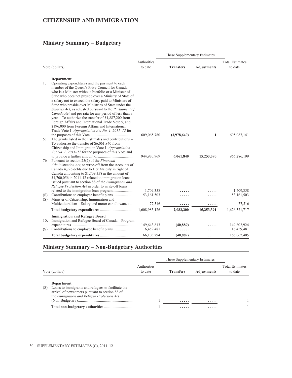## **CITIZENSHIP AND IMMIGRATION**

|  | <b>Ministry Summary - Budgetary</b> |  |
|--|-------------------------------------|--|
|--|-------------------------------------|--|

|            |                                                                                                                                                                                                                                                                                                                                                                                                                                                                                                                                                                                                                              |                           | These Supplementary Estimates |                    |                                   |
|------------|------------------------------------------------------------------------------------------------------------------------------------------------------------------------------------------------------------------------------------------------------------------------------------------------------------------------------------------------------------------------------------------------------------------------------------------------------------------------------------------------------------------------------------------------------------------------------------------------------------------------------|---------------------------|-------------------------------|--------------------|-----------------------------------|
|            | Vote (dollars)                                                                                                                                                                                                                                                                                                                                                                                                                                                                                                                                                                                                               | Authorities<br>to date    | <b>Transfers</b>              | <b>Adjustments</b> | <b>Total Estimates</b><br>to date |
|            | Department                                                                                                                                                                                                                                                                                                                                                                                                                                                                                                                                                                                                                   |                           |                               |                    |                                   |
| 1c         | Operating expenditures and the payment to each<br>member of the Queen's Privy Council for Canada<br>who is a Minister without Portfolio or a Minister of<br>State who does not preside over a Ministry of State of<br>a salary not to exceed the salary paid to Ministers of<br>State who preside over Ministries of State under the<br>Salaries Act, as adjusted pursuant to the Parliament of<br>Canada Act and pro rata for any period of less than a<br>year – To authorize the transfer of $$1,887,200$ from<br>Foreign Affairs and International Trade Vote 5, and<br>\$196,000 from Foreign Affairs and International |                           |                               |                    |                                   |
|            | Trade Vote 1, <i>Appropriation Act No. 1, 2011-12</i> for                                                                                                                                                                                                                                                                                                                                                                                                                                                                                                                                                                    |                           |                               |                    |                                   |
| 5c         | The grants listed in the Estimates and contributions –<br>To authorize the transfer of \$6,061,840 from<br>Citizenship and Immigration Vote 1, Appropriation<br>Act No. 1, 2011–12 for the purposes of this Vote and                                                                                                                                                                                                                                                                                                                                                                                                         | 609,065,780               | (3,978,640)                   | 1                  | 605,087,141                       |
| 7b         | Pursuant to section 25(2) of the Financial<br>Administration Act, to write-off from the Accounts of<br>Canada 4,726 debts due to Her Majesty in right of<br>Canada amounting to \$1,709,358 in the amount of<br>$$1,700,056$ in 2011-12 related to immigration loans<br>issued pursuant to section 88 of the Immigration and<br>Refugee Protection Act in order to write-off loans                                                                                                                                                                                                                                           | 944,970,969               | 6,061,840                     | 15,253,390         | 966,286,199                       |
|            |                                                                                                                                                                                                                                                                                                                                                                                                                                                                                                                                                                                                                              | 1,709,358                 |                               |                    | 1,709,358                         |
| (S)<br>(S) | Minister of Citizenship, Immigration and                                                                                                                                                                                                                                                                                                                                                                                                                                                                                                                                                                                     | 53,161,503                |                               |                    | 53,161,503                        |
|            | Multiculturalism – Salary and motor car allowance                                                                                                                                                                                                                                                                                                                                                                                                                                                                                                                                                                            | 77,516                    | .                             | .                  | 77,516                            |
|            |                                                                                                                                                                                                                                                                                                                                                                                                                                                                                                                                                                                                                              | 1,608,985,126             | 2,083,200                     | 15,253,391         | 1,626,321,717                     |
|            | <b>Immigration and Refugee Board</b>                                                                                                                                                                                                                                                                                                                                                                                                                                                                                                                                                                                         |                           |                               |                    |                                   |
| (S)        | 10c Immigration and Refugee Board of Canada – Program                                                                                                                                                                                                                                                                                                                                                                                                                                                                                                                                                                        | 149,643,813<br>16,459,481 | (40, 889)<br>.                |                    | 149,602,924<br>16,459,481         |
|            |                                                                                                                                                                                                                                                                                                                                                                                                                                                                                                                                                                                                                              | 166, 103, 294             | (40, 889)                     | .                  | 166,062,405                       |

## **Ministry Summary – Non-Budgetary Authorities**

| Vote (dollars) |                                                                                                                                                                  |                        | These Supplementary Estimates |                  |                    |                                   |
|----------------|------------------------------------------------------------------------------------------------------------------------------------------------------------------|------------------------|-------------------------------|------------------|--------------------|-----------------------------------|
|                |                                                                                                                                                                  | Authorities<br>to date |                               | <b>Transfers</b> | <b>Adjustments</b> | <b>Total Estimates</b><br>to date |
| (S)            | Department<br>Loans to immigrants and refugees to facilitate the<br>arrival of newcomers pursuant to section 88 of<br>the Immigration and Refugee Protection Act |                        |                               | .                | .                  |                                   |
|                |                                                                                                                                                                  |                        |                               | .                | .                  |                                   |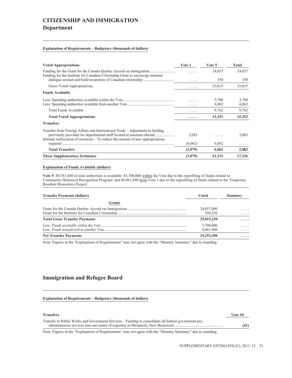## <span id="page-30-0"></span>**CITIZENSHIP AND IMMIGRATION Department**

#### **Explanation of Requirements – Budgetary (thousands of dollars)**

| <b>Voted Appropriations</b>                                                                                                                                                                                                               | Vote 1  | Vote 5 | Total  |
|-------------------------------------------------------------------------------------------------------------------------------------------------------------------------------------------------------------------------------------------|---------|--------|--------|
| Funding for the Grant for the Canada-Quebec Accord on immigration<br>Funding for the Institute for Canadian Citizenship Grant to encourage national                                                                                       |         | 24,657 | 24,657 |
|                                                                                                                                                                                                                                           | .       | 358    | 358    |
| Gross Voted Appropriations                                                                                                                                                                                                                | .       | 25,015 | 25,015 |
| <b>Funds Available</b>                                                                                                                                                                                                                    |         |        |        |
|                                                                                                                                                                                                                                           |         | 3,700  | 3,700  |
|                                                                                                                                                                                                                                           |         | 6,062  | 6,062  |
| Total Funds Available                                                                                                                                                                                                                     | .       | 9,762  | 9,762  |
| <b>Total Voted Appropriations</b>                                                                                                                                                                                                         | .       | 15,253 | 15,253 |
| <b>Transfers</b>                                                                                                                                                                                                                          |         |        |        |
| Transfer from Foreign Affairs and International Trade – Adjustment to funding<br>previously provided for departmental staff located at missions abroad<br>Internal reallocation of resources – To reduce the amount of new appropriations | 2,083   | .      | 2,083  |
|                                                                                                                                                                                                                                           | (6,062) | 6,062  | .      |
| <b>Total Transfers</b>                                                                                                                                                                                                                    | (3,979) | 6,062  | 2,083  |
| <b>These Supplementary Estimates</b>                                                                                                                                                                                                      | (3,979) | 21,315 | 17,336 |

## **Explanation of Funds Available (dollars)**

Vote 5: \$9,761,840 in total authorities is available: \$3,700,000 within the Vote due to the reprofiling of funds related to Community Historical Recognition Program; and \$6,061,840 from Vote 1 due to the reprofiling of funds related to the Temporary Resident Biometrics Project.

| <b>Transfer Payments (dollars)</b>   | Voted      | <b>Statutory</b> |
|--------------------------------------|------------|------------------|
| Grants                               |            |                  |
|                                      | 24,657,000 | .                |
|                                      | 358.230    | .                |
| <b>Total Gross Transfer Payments</b> | 25,015,230 | .                |
|                                      | 3,700,000  | .                |
|                                      | 6,061,840  | .                |
| <b>Net Transfer Payments</b>         | 15,253,390 | .                |

Note: Figures in the "Explanation of Requirements" may not agree with the "Ministry Summary" due to rounding.

## **Immigration and Refugee Board**

#### **Explanation of Requirements – Budgetary (thousands of dollars)**

| (41) |
|------|
|      |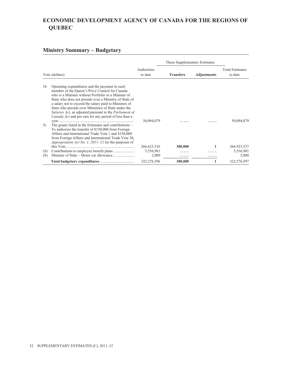## **ECONOMIC DEVELOPMENT AGENCY OF CANADA FOR THE REGIONS OF QUEBEC**

| Vote (dollars) |                                                                                                                                                                                                                                                                                                                                                                                                                                                                 |                        | These Supplementary Estimates |                    |                                   |
|----------------|-----------------------------------------------------------------------------------------------------------------------------------------------------------------------------------------------------------------------------------------------------------------------------------------------------------------------------------------------------------------------------------------------------------------------------------------------------------------|------------------------|-------------------------------|--------------------|-----------------------------------|
|                |                                                                                                                                                                                                                                                                                                                                                                                                                                                                 | Authorities<br>to date | <b>Transfers</b>              | <b>Adjustments</b> | <b>Total Estimates</b><br>to date |
| 1 <sub>b</sub> | Operating expenditures and the payment to each<br>member of the Queen's Privy Council for Canada<br>who is a Minister without Portfolio or a Minister of<br>State who does not preside over a Ministry of State of<br>a salary not to exceed the salary paid to Ministers of<br>State who preside over Ministries of State under the<br>Salaries Act, as adjusted pursuant to the Parliament of<br><i>Canada Act</i> and pro rata for any period of less than a |                        |                               |                    |                                   |
| 5c             | The grants listed in the Estimates and contributions –<br>To authorize the transfer of \$150,000 from Foreign<br>Affairs and International Trade Vote 1 and \$150,000<br>from Foreign Affairs and International Trade Vote 30,<br><i>Appropriation Act No. 1, 2011–12</i> for the purposes of                                                                                                                                                                   | 50,094,079             |                               |                    | 50,094,079                        |
|                |                                                                                                                                                                                                                                                                                                                                                                                                                                                                 | 266, 623, 536          | 300,000                       | 1                  | 266,923,537                       |
| (S)            |                                                                                                                                                                                                                                                                                                                                                                                                                                                                 | 5,556,981              |                               |                    | 5,556,981                         |
| (S)            |                                                                                                                                                                                                                                                                                                                                                                                                                                                                 | 2,000                  | .                             |                    | 2,000                             |
|                |                                                                                                                                                                                                                                                                                                                                                                                                                                                                 | 322,276,596            | 300,000                       |                    | 322,576,597                       |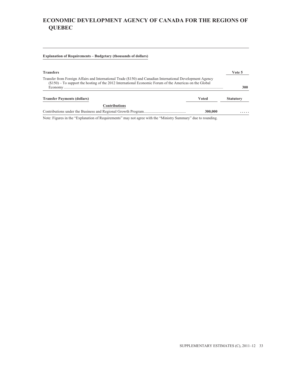## <span id="page-32-1"></span><span id="page-32-0"></span>**ECONOMIC DEVELOPMENT AGENCY OF CANADA FOR THE REGIONS OF QUEBEC**

## **Explanation of Requirements – Budgetary (thousands of dollars)**

| <b>Transfers</b>                                                                                                                                                                                                        |         |                  |  |  |
|-------------------------------------------------------------------------------------------------------------------------------------------------------------------------------------------------------------------------|---------|------------------|--|--|
| Transfer from Foreign Affairs and International Trade (\$150) and Canadian International Development Agency<br>$($150)$ – To support the hosting of the 2012 International Economic Forum of the Americas on the Global |         |                  |  |  |
|                                                                                                                                                                                                                         |         | 300              |  |  |
|                                                                                                                                                                                                                         | Voted   | <b>Statutory</b> |  |  |
| <b>Transfer Payments (dollars)</b>                                                                                                                                                                                      |         |                  |  |  |
| <b>Contributions</b>                                                                                                                                                                                                    |         |                  |  |  |
|                                                                                                                                                                                                                         | 300,000 | .                |  |  |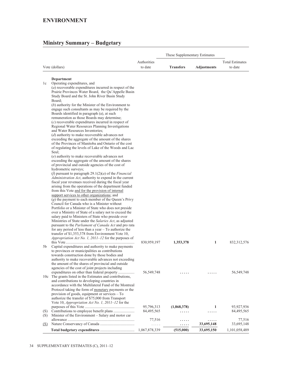|     |                                                                                                               |                        | These Supplementary Estimates |                    |                                   |
|-----|---------------------------------------------------------------------------------------------------------------|------------------------|-------------------------------|--------------------|-----------------------------------|
|     | Vote (dollars)                                                                                                | Authorities<br>to date | <b>Transfers</b>              | <b>Adjustments</b> | <b>Total Estimates</b><br>to date |
|     | Department                                                                                                    |                        |                               |                    |                                   |
| 1c  | Operating expenditures, and                                                                                   |                        |                               |                    |                                   |
|     | (a) recoverable expenditures incurred in respect of the                                                       |                        |                               |                    |                                   |
|     | Prairie Provinces Water Board, the Qu'Appelle Basin                                                           |                        |                               |                    |                                   |
|     | Study Board and the St. John River Basin Study                                                                |                        |                               |                    |                                   |
|     | Board:                                                                                                        |                        |                               |                    |                                   |
|     | $(b)$ authority for the Minister of the Environment to                                                        |                        |                               |                    |                                   |
|     | engage such consultants as may be required by the                                                             |                        |                               |                    |                                   |
|     | Boards identified in paragraph (a), at such                                                                   |                        |                               |                    |                                   |
|     | remuneration as those Boards may determine;                                                                   |                        |                               |                    |                                   |
|     | $(c)$ recoverable expenditures incurred in respect of                                                         |                        |                               |                    |                                   |
|     | Regional Water Resources Planning Investigations                                                              |                        |                               |                    |                                   |
|     | and Water Resources Inventories;                                                                              |                        |                               |                    |                                   |
|     | (d) authority to make recoverable advances not                                                                |                        |                               |                    |                                   |
|     | exceeding the aggregate of the amount of the shares                                                           |                        |                               |                    |                                   |
|     | of the Provinces of Manitoba and Ontario of the cost<br>of regulating the levels of Lake of the Woods and Lac |                        |                               |                    |                                   |
|     | Seul:                                                                                                         |                        |                               |                    |                                   |
|     | (e) authority to make recoverable advances not                                                                |                        |                               |                    |                                   |
|     | exceeding the aggregate of the amount of the shares                                                           |                        |                               |                    |                                   |
|     | of provincial and outside agencies of the cost of                                                             |                        |                               |                    |                                   |
|     | hydrometric surveys;                                                                                          |                        |                               |                    |                                   |
|     | ( <i>f</i> ) pursuant to paragraph 29.1(2)( <i>a</i> ) of the <i>Financial</i>                                |                        |                               |                    |                                   |
|     | Administration Act, authority to expend in the current                                                        |                        |                               |                    |                                   |
|     | fiscal year revenues received during the fiscal year                                                          |                        |                               |                    |                                   |
|     | arising from the operations of the department funded                                                          |                        |                               |                    |                                   |
|     | from this Vote and for the provision of internal                                                              |                        |                               |                    |                                   |
|     | support services to other organizations; and                                                                  |                        |                               |                    |                                   |
|     | $(g)$ the payment to each member of the Queen's Privy                                                         |                        |                               |                    |                                   |
|     | Council for Canada who is a Minister without                                                                  |                        |                               |                    |                                   |
|     | Portfolio or a Minister of State who does not preside                                                         |                        |                               |                    |                                   |
|     | over a Ministry of State of a salary not to exceed the                                                        |                        |                               |                    |                                   |
|     | salary paid to Ministers of State who preside over                                                            |                        |                               |                    |                                   |
|     | Ministries of State under the Salaries Act, as adjusted                                                       |                        |                               |                    |                                   |
|     | pursuant to the Parliament of Canada Act and pro rata                                                         |                        |                               |                    |                                   |
|     | for any period of less than a year $-$ To authorize the                                                       |                        |                               |                    |                                   |
|     | transfer of \$1,353,378 from Environment Vote 10,                                                             |                        |                               |                    |                                   |
|     | Appropriation Act No. 1, 2011–12 for the purposes of                                                          |                        |                               |                    |                                   |
| 5b  | Capital expenditures and authority to make payments                                                           | 830,959,197            | 1,353,378                     | 1                  | 832, 312, 576                     |
|     | to provinces or municipalities as contributions                                                               |                        |                               |                    |                                   |
|     | towards construction done by those bodies and                                                                 |                        |                               |                    |                                   |
|     | authority to make recoverable advances not exceeding                                                          |                        |                               |                    |                                   |
|     | the amount of the shares of provincial and outside                                                            |                        |                               |                    |                                   |
|     | agencies of the cost of joint projects including                                                              |                        |                               |                    |                                   |
|     | expenditures on other than federal property                                                                   | 56, 549, 748           |                               |                    | 56, 549, 748                      |
|     | 10c The grants listed in the Estimates and contributions,                                                     |                        |                               |                    |                                   |
|     | and contributions to developing countries in                                                                  |                        |                               |                    |                                   |
|     | accordance with the Multilateral Fund of the Montreal                                                         |                        |                               |                    |                                   |
|     | Protocol taking the form of monetary payments or the                                                          |                        |                               |                    |                                   |
|     | provision of goods, equipment or services – To                                                                |                        |                               |                    |                                   |
|     | authorize the transfer of \$75,000 from Transport                                                             |                        |                               |                    |                                   |
|     | Vote 10, Appropriation Act No. 1, 2011-12 for the                                                             |                        |                               |                    |                                   |
|     |                                                                                                               | 95,796,313             | (1,868,378)                   | 1                  | 93,927,936                        |
| (S) |                                                                                                               | 84,495,565             | .                             | .                  | 84,495,565                        |
| (S) | Minister of the Environment - Salary and motor car                                                            |                        |                               |                    |                                   |
|     |                                                                                                               | 77,516                 |                               | .                  | 77,516                            |
| (S) |                                                                                                               | $\cdots$               | .                             | 33,695,148         | 33,695,148                        |
|     |                                                                                                               | 1,067,878,339          | (515,000)                     | 33,695,150         | 1,101,058,489                     |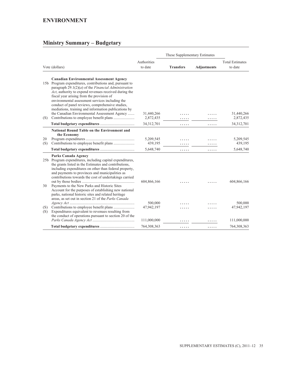## <span id="page-34-0"></span>**ENVIRONMENT**

|           |                                                                                                                                                                                                                                                                                                                                                                                                                                                                                                   |                        | These Supplementary Estimates |                    |                                   |
|-----------|---------------------------------------------------------------------------------------------------------------------------------------------------------------------------------------------------------------------------------------------------------------------------------------------------------------------------------------------------------------------------------------------------------------------------------------------------------------------------------------------------|------------------------|-------------------------------|--------------------|-----------------------------------|
|           | Vote (dollars)                                                                                                                                                                                                                                                                                                                                                                                                                                                                                    | Authorities<br>to date | <b>Transfers</b>              | <b>Adjustments</b> | <b>Total Estimates</b><br>to date |
|           | <b>Canadian Environmental Assessment Agency</b><br>15b Program expenditures, contributions and, pursuant to<br>paragraph $29.1(2)(a)$ of the <i>Financial Administration</i><br>Act, authority to expend revenues received during the<br>fiscal year arising from the provision of<br>environmental assessment services including the<br>conduct of panel reviews, comprehensive studies,<br>mediations, training and information publications by<br>the Canadian Environmental Assessment Agency | 31,440,266             |                               |                    | 31,440,266                        |
| (S)       |                                                                                                                                                                                                                                                                                                                                                                                                                                                                                                   | 2,872,435              | .                             | .                  | 2,872,435                         |
|           |                                                                                                                                                                                                                                                                                                                                                                                                                                                                                                   | 34,312,701             | .                             | .                  | 34, 312, 701                      |
| 20<br>(S) | <b>National Round Table on the Environment and</b><br>the Economy<br>Contributions to employee benefit plans                                                                                                                                                                                                                                                                                                                                                                                      | 5,209,545<br>439,195   |                               |                    | 5,209,545<br>439,195              |
|           |                                                                                                                                                                                                                                                                                                                                                                                                                                                                                                   | 5,648,740              | .                             | .                  | 5,648,740                         |
|           | Parks Canada Agency<br>25b Program expenditures, including capital expenditures,<br>the grants listed in the Estimates and contributions,<br>including expenditures on other than federal property,<br>and payments to provinces and municipalities as<br>contributions towards the cost of undertakings carried                                                                                                                                                                                  | 604,866,166            |                               |                    | 604,866,166                       |
| 30        | Payments to the New Parks and Historic Sites<br>Account for the purposes of establishing new national<br>parks, national historic sites and related heritage<br>areas, as set out in section 21 of the Parks Canada                                                                                                                                                                                                                                                                               |                        |                               |                    |                                   |
| (S)       |                                                                                                                                                                                                                                                                                                                                                                                                                                                                                                   | 500,000<br>47,942,197  |                               |                    | 500,000<br>47,942,197             |
| (S)       | Expenditures equivalent to revenues resulting from<br>the conduct of operations pursuant to section 20 of the                                                                                                                                                                                                                                                                                                                                                                                     |                        |                               |                    |                                   |
|           |                                                                                                                                                                                                                                                                                                                                                                                                                                                                                                   | 111,000,000            |                               |                    | 111,000,000                       |
|           |                                                                                                                                                                                                                                                                                                                                                                                                                                                                                                   | 764,308,363            | .                             | .                  | 764,308,363                       |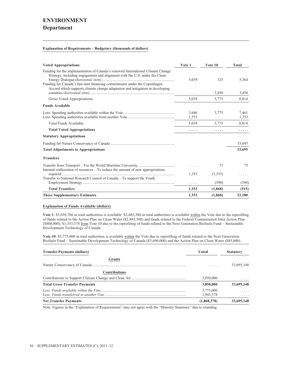## <span id="page-35-0"></span>**ENVIRONMENT**

## **Department**

#### **Explanation of Requirements – Budgetary (thousands of dollars)**

| <b>Voted Appropriations</b>                                                                                                                                                                                                                                                                                                 | Vote 1         | Vote 10    | <b>Total</b>   |
|-----------------------------------------------------------------------------------------------------------------------------------------------------------------------------------------------------------------------------------------------------------------------------------------------------------------------------|----------------|------------|----------------|
| Funding for the implementation of Canada's renewed International Climate Change<br>Strategy, including engagement and alignment with the U.S. under the Clean<br>Funding for Canada's fast start financing commitments under the Copenhagen<br>Accord which supports climate change adaptation and mitigation in developing | 5,039          | 325        | 5,364          |
|                                                                                                                                                                                                                                                                                                                             | .              | 3,450      | 3,450          |
| Gross Voted Appropriations                                                                                                                                                                                                                                                                                                  | 5.039          | 3,775      | 8,814          |
| <b>Funds Available</b>                                                                                                                                                                                                                                                                                                      |                |            |                |
|                                                                                                                                                                                                                                                                                                                             | 3,686<br>1,353 | 3,775<br>. | 7,461<br>1,353 |
| Total Funds Available                                                                                                                                                                                                                                                                                                       | 5,039          | 3.775      | 8,814          |
| <b>Total Voted Appropriations</b>                                                                                                                                                                                                                                                                                           | .              | .          | .              |
| <b>Statutory Appropriations</b>                                                                                                                                                                                                                                                                                             |                |            |                |
|                                                                                                                                                                                                                                                                                                                             |                |            | 33,695         |
| <b>Total Adjustments to Appropriations</b>                                                                                                                                                                                                                                                                                  |                |            | 33,695         |
| <b>Transfers</b>                                                                                                                                                                                                                                                                                                            |                |            |                |
| Internal reallocation of resources – To reduce the amount of new appropriations                                                                                                                                                                                                                                             |                | 75         | 75             |
| Transfer to National Research Council of Canada – To support the Youth                                                                                                                                                                                                                                                      | 1,353          | (1,353)    |                |
|                                                                                                                                                                                                                                                                                                                             | .              | (590)      | (590)          |
| <b>Total Transfers</b>                                                                                                                                                                                                                                                                                                      | 1,353          | (1, 868)   | (515)          |
| <b>These Supplementary Estimates</b>                                                                                                                                                                                                                                                                                        | 1,353          | (1, 868)   | 33,180         |

#### **Explanation of Funds Available (dollars)**

Vote 1: \$5,038,766 in total authorities is available: \$3,685,388 in total authorities is available within the Vote due to the reprofiling of funds related to the Action Plan on Clean Water (\$2,885,388) and funds related to the Federal Contaminated Sites Action Plan (\$800,000); \$1,353,378 from Vote 10 due to the reprofiling of funds related to the Next Generation Biofuels Fund – Sustainable Development Technology of Canada.

**Vote 10**: \$3,775,000 in total authorities is available within the Vote due to reprofiling of funds related to the Next Generation Biofuels Fund – Sustainable Development Technology of Canada (\$3,690,000) and the Action Plan on Clean Water (\$85,000).

| <b>Transfer Payments (dollars)</b>   | Voted                  | <b>Statutory</b> |
|--------------------------------------|------------------------|------------------|
| <b>Grants</b>                        |                        |                  |
|                                      | .                      | 33,695,148       |
| <b>Contributions</b>                 |                        |                  |
|                                      | 3,850,000              | .                |
| <b>Total Gross Transfer Payments</b> | 3,850,000              | 33,695,148       |
|                                      | 3,775,000<br>1,943,378 | .<br>.           |
| <b>Net Transfer Payments</b>         | (1,868,378)            | 33,695,148       |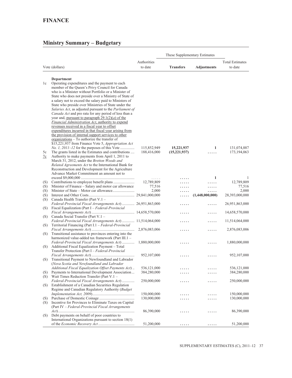|                |                                                                                                                                                                                                                                                                                                                                                                                                                                                                                                                                                                                                                                                                                                                                                                                                                                                                                                                                                                                                                                                                                                                                                                                     |                            | These Supplementary Estimates |                    |                                   |
|----------------|-------------------------------------------------------------------------------------------------------------------------------------------------------------------------------------------------------------------------------------------------------------------------------------------------------------------------------------------------------------------------------------------------------------------------------------------------------------------------------------------------------------------------------------------------------------------------------------------------------------------------------------------------------------------------------------------------------------------------------------------------------------------------------------------------------------------------------------------------------------------------------------------------------------------------------------------------------------------------------------------------------------------------------------------------------------------------------------------------------------------------------------------------------------------------------------|----------------------------|-------------------------------|--------------------|-----------------------------------|
|                | Vote (dollars)                                                                                                                                                                                                                                                                                                                                                                                                                                                                                                                                                                                                                                                                                                                                                                                                                                                                                                                                                                                                                                                                                                                                                                      | Authorities<br>to date     | <b>Transfers</b>              | <b>Adjustments</b> | <b>Total Estimates</b><br>to date |
| 1c<br>5c<br>7c | Department<br>Operating expenditures and the payment to each<br>member of the Queen's Privy Council for Canada<br>who is a Minister without Portfolio or a Minister of<br>State who does not preside over a Ministry of State of<br>a salary not to exceed the salary paid to Ministers of<br>State who preside over Ministries of State under the<br>Salaries Act, as adjusted pursuant to the Parliament of<br>Canada Act and pro rata for any period of less than a<br>year and, pursuant to paragraph $29.1(2)(a)$ of the<br>Financial Administration Act, authority to expend<br>revenues received in a fiscal year to offset<br>expenditures incurred in that fiscal year arising from<br>the provision of internal support services to other<br>organizations – To authorize the transfer of<br>\$15,221,937 from Finance Vote 5, Appropriation Act<br>No. 1, 2011–12 for the purposes of this Vote<br>The grants listed in the Estimates and contributions<br>Authority to make payments from April 1, 2011 to<br>March 31, 2012, under the Bretton Woods and<br>Related Agreements Act to the International Bank for<br>Reconstruction and Development for the Agriculture | 115,852,949<br>188,416,000 | 15,221,937<br>(15, 221, 937)  | 1                  | 131,074,887<br>173, 194, 063      |
|                | Advance Market Commitment an amount not to                                                                                                                                                                                                                                                                                                                                                                                                                                                                                                                                                                                                                                                                                                                                                                                                                                                                                                                                                                                                                                                                                                                                          | .                          |                               | 1                  | 1                                 |
| (S)            |                                                                                                                                                                                                                                                                                                                                                                                                                                                                                                                                                                                                                                                                                                                                                                                                                                                                                                                                                                                                                                                                                                                                                                                     | 12,789,809                 |                               | .                  | 12,789,809                        |
| (S)            | Minister of Finance - Salary and motor car allowance                                                                                                                                                                                                                                                                                                                                                                                                                                                                                                                                                                                                                                                                                                                                                                                                                                                                                                                                                                                                                                                                                                                                | 77,516                     |                               | .                  | 77,516                            |
| (S)            |                                                                                                                                                                                                                                                                                                                                                                                                                                                                                                                                                                                                                                                                                                                                                                                                                                                                                                                                                                                                                                                                                                                                                                                     | 2,000                      |                               | .                  | 2,000                             |
| (S)            |                                                                                                                                                                                                                                                                                                                                                                                                                                                                                                                                                                                                                                                                                                                                                                                                                                                                                                                                                                                                                                                                                                                                                                                     |                            |                               | (1,448,000,000)    | 28,393,000,000                    |
| (S)            | Canada Health Transfer (Part V.1 -                                                                                                                                                                                                                                                                                                                                                                                                                                                                                                                                                                                                                                                                                                                                                                                                                                                                                                                                                                                                                                                                                                                                                  |                            |                               |                    |                                   |
| (S)            | Federal-Provincial Fiscal Arrangements Act)  26,951,863,000<br>Fiscal Equalization (Part I - Federal-Provincial                                                                                                                                                                                                                                                                                                                                                                                                                                                                                                                                                                                                                                                                                                                                                                                                                                                                                                                                                                                                                                                                     |                            |                               | .                  | 26,951,863,000                    |
|                | Canada Social Transfer (Part V.1 -                                                                                                                                                                                                                                                                                                                                                                                                                                                                                                                                                                                                                                                                                                                                                                                                                                                                                                                                                                                                                                                                                                                                                  |                            |                               | .                  | 14,658,570,000                    |
| (S)            | Federal-Provincial Fiscal Arrangements Act)  11,514,064,000                                                                                                                                                                                                                                                                                                                                                                                                                                                                                                                                                                                                                                                                                                                                                                                                                                                                                                                                                                                                                                                                                                                         |                            |                               | .                  | 11,514,064,000                    |
| (S)            | Territorial Financing (Part I.1 - Federal-Provincial                                                                                                                                                                                                                                                                                                                                                                                                                                                                                                                                                                                                                                                                                                                                                                                                                                                                                                                                                                                                                                                                                                                                |                            |                               |                    |                                   |
|                |                                                                                                                                                                                                                                                                                                                                                                                                                                                                                                                                                                                                                                                                                                                                                                                                                                                                                                                                                                                                                                                                                                                                                                                     | 2,876,083,006              |                               | .                  | 2,876,083,006                     |
| (S)            | Transitional assistance to provinces entering into the                                                                                                                                                                                                                                                                                                                                                                                                                                                                                                                                                                                                                                                                                                                                                                                                                                                                                                                                                                                                                                                                                                                              |                            |                               |                    |                                   |
|                | harmonized value-added tax framework (Part III.1 -                                                                                                                                                                                                                                                                                                                                                                                                                                                                                                                                                                                                                                                                                                                                                                                                                                                                                                                                                                                                                                                                                                                                  |                            |                               |                    |                                   |
|                | Federal-Provincial Fiscal Arrangements Act)                                                                                                                                                                                                                                                                                                                                                                                                                                                                                                                                                                                                                                                                                                                                                                                                                                                                                                                                                                                                                                                                                                                                         | 1,880,000,000              |                               | .                  | 1,880,000,000                     |
| (S)            | Additional Fiscal Equalization Payment - Total<br>Transfer Protection (Part I – Federal-Provincial                                                                                                                                                                                                                                                                                                                                                                                                                                                                                                                                                                                                                                                                                                                                                                                                                                                                                                                                                                                                                                                                                  |                            |                               |                    |                                   |
|                |                                                                                                                                                                                                                                                                                                                                                                                                                                                                                                                                                                                                                                                                                                                                                                                                                                                                                                                                                                                                                                                                                                                                                                                     | 952,107,000                |                               |                    | 952,107,000                       |
| (S)            | Transitional Payment to Newfoundland and Labrador                                                                                                                                                                                                                                                                                                                                                                                                                                                                                                                                                                                                                                                                                                                                                                                                                                                                                                                                                                                                                                                                                                                                   |                            |                               |                    |                                   |
|                | (Nova Scotia and Newfoundland and Labrador                                                                                                                                                                                                                                                                                                                                                                                                                                                                                                                                                                                                                                                                                                                                                                                                                                                                                                                                                                                                                                                                                                                                          |                            |                               |                    |                                   |
|                | Additional Fiscal Equalization Offset Payments Act)                                                                                                                                                                                                                                                                                                                                                                                                                                                                                                                                                                                                                                                                                                                                                                                                                                                                                                                                                                                                                                                                                                                                 | 536,121,000                |                               |                    | 536,121,000                       |
| (S)            | Payments to International Development Association                                                                                                                                                                                                                                                                                                                                                                                                                                                                                                                                                                                                                                                                                                                                                                                                                                                                                                                                                                                                                                                                                                                                   | 384,280,000                |                               |                    | 384,280,000                       |
| (S)            | Wait Times Reduction Transfer (Part V.1 -                                                                                                                                                                                                                                                                                                                                                                                                                                                                                                                                                                                                                                                                                                                                                                                                                                                                                                                                                                                                                                                                                                                                           |                            |                               |                    |                                   |
| (S)            | Federal-Provincial Fiscal Arrangements Act)<br>Establishment of a Canadian Securities Regulation                                                                                                                                                                                                                                                                                                                                                                                                                                                                                                                                                                                                                                                                                                                                                                                                                                                                                                                                                                                                                                                                                    | 250,000,000                | .                             | .                  | 250,000,000                       |
|                | Regime and Canadian Regulatory Authority (Budget                                                                                                                                                                                                                                                                                                                                                                                                                                                                                                                                                                                                                                                                                                                                                                                                                                                                                                                                                                                                                                                                                                                                    |                            |                               |                    |                                   |
|                |                                                                                                                                                                                                                                                                                                                                                                                                                                                                                                                                                                                                                                                                                                                                                                                                                                                                                                                                                                                                                                                                                                                                                                                     | 150,000,000                |                               |                    | 150,000,000                       |
| (S)            |                                                                                                                                                                                                                                                                                                                                                                                                                                                                                                                                                                                                                                                                                                                                                                                                                                                                                                                                                                                                                                                                                                                                                                                     | 130,000,000                |                               |                    | 130,000,000                       |
| (S)            | Incentive for Provinces to Eliminate Taxes on Capital                                                                                                                                                                                                                                                                                                                                                                                                                                                                                                                                                                                                                                                                                                                                                                                                                                                                                                                                                                                                                                                                                                                               |                            |                               |                    |                                   |
|                | (Part IV - Federal-Provincial Fiscal Arrangements                                                                                                                                                                                                                                                                                                                                                                                                                                                                                                                                                                                                                                                                                                                                                                                                                                                                                                                                                                                                                                                                                                                                   |                            |                               |                    |                                   |
|                |                                                                                                                                                                                                                                                                                                                                                                                                                                                                                                                                                                                                                                                                                                                                                                                                                                                                                                                                                                                                                                                                                                                                                                                     | 86,390,000                 |                               |                    | 86,390,000                        |
| (S)            | Debt payments on behalf of poor countries to                                                                                                                                                                                                                                                                                                                                                                                                                                                                                                                                                                                                                                                                                                                                                                                                                                                                                                                                                                                                                                                                                                                                        |                            |                               |                    |                                   |
|                | International Organizations pursuant to section $18(1)$                                                                                                                                                                                                                                                                                                                                                                                                                                                                                                                                                                                                                                                                                                                                                                                                                                                                                                                                                                                                                                                                                                                             | 51,200,000                 |                               |                    | 51,200,000                        |
|                |                                                                                                                                                                                                                                                                                                                                                                                                                                                                                                                                                                                                                                                                                                                                                                                                                                                                                                                                                                                                                                                                                                                                                                                     |                            |                               |                    |                                   |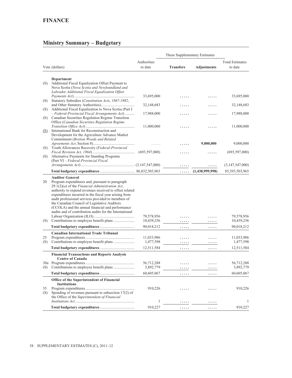|           |                                                                                                                                                                                                                                                                                                                                                                                                                                               |                         | These Supplementary Estimates |                    |                         |
|-----------|-----------------------------------------------------------------------------------------------------------------------------------------------------------------------------------------------------------------------------------------------------------------------------------------------------------------------------------------------------------------------------------------------------------------------------------------------|-------------------------|-------------------------------|--------------------|-------------------------|
|           |                                                                                                                                                                                                                                                                                                                                                                                                                                               | Authorities             |                               |                    | <b>Total Estimates</b>  |
|           | Vote (dollars)                                                                                                                                                                                                                                                                                                                                                                                                                                | to date                 | <b>Transfers</b>              | <b>Adjustments</b> | to date                 |
|           | Department                                                                                                                                                                                                                                                                                                                                                                                                                                    |                         |                               |                    |                         |
| (S)       | Additional Fiscal Equalization Offset Payment to<br>Nova Scotia (Nova Scotia and Newfoundland and                                                                                                                                                                                                                                                                                                                                             |                         |                               |                    |                         |
|           | Labrador Additional Fiscal Equalization Offset                                                                                                                                                                                                                                                                                                                                                                                                |                         |                               |                    |                         |
| (S)       | Statutory Subsidies (Constitution Acts, 1867-1982,                                                                                                                                                                                                                                                                                                                                                                                            | 33,695,000              |                               |                    | 33,695,000              |
| (S)       | Additional Fiscal Equalization to Nova Scotia (Part I)                                                                                                                                                                                                                                                                                                                                                                                        | 32,148,683              |                               |                    | 32,148,683              |
| (S)       | - Federal-Provincial Fiscal Arrangements Act)<br>Canadian Securities Regulation Regime Transition                                                                                                                                                                                                                                                                                                                                             | 17,988,000              |                               |                    | 17,988,000              |
|           | Office (Canadian Securities Regulation Regime                                                                                                                                                                                                                                                                                                                                                                                                 | 11,000,000              |                               |                    | 11,000,000              |
| (S)       | International Bank for Reconstruction and<br>Development for the Agriculture Advance Market                                                                                                                                                                                                                                                                                                                                                   |                         |                               |                    |                         |
|           | Commitment (Bretton Woods and Related                                                                                                                                                                                                                                                                                                                                                                                                         |                         |                               | 9,000,000          | 9,000,000               |
|           | (S) Youth Allowances Recovery (Federal-Provincial                                                                                                                                                                                                                                                                                                                                                                                             |                         |                               |                    |                         |
| (S)       | Alternative Payments for Standing Programs                                                                                                                                                                                                                                                                                                                                                                                                    | (693, 597, 000)         |                               |                    | (693, 597, 000)         |
|           | (Part VI - Federal-Provincial Fiscal                                                                                                                                                                                                                                                                                                                                                                                                          |                         |                               |                    |                         |
|           |                                                                                                                                                                                                                                                                                                                                                                                                                                               |                         | .                             | .                  | (3,147,547,000)         |
|           | <b>Auditor General</b>                                                                                                                                                                                                                                                                                                                                                                                                                        |                         | .                             | (1,438,999,998)    | 85,393,503,965          |
| 20        | Program expenditures and, pursuant to paragraph<br>$29.1(2)(a)$ of the Financial Administration Act,<br>authority to expend revenues received to offset related<br>expenditures incurred in the fiscal year arising from<br>audit professional services provided to members of<br>the Canadian Council of Legislative Auditors<br>(CCOLA) and the annual financial and performance<br>audits and of contribution audits for the International | 79,578,956              |                               |                    | 79,578,956              |
| (S)       |                                                                                                                                                                                                                                                                                                                                                                                                                                               | 10,439,256              | .                             | .                  | 10,439,256              |
|           |                                                                                                                                                                                                                                                                                                                                                                                                                                               | 90,018,212              | .                             | .                  | 90,018,212              |
|           | <b>Canadian International Trade Tribunal</b>                                                                                                                                                                                                                                                                                                                                                                                                  |                         |                               |                    |                         |
| 25        |                                                                                                                                                                                                                                                                                                                                                                                                                                               | 11,033,986              |                               |                    | 11,033,986              |
| (S)       |                                                                                                                                                                                                                                                                                                                                                                                                                                               | 1,477,598               |                               |                    | 1,477,598               |
|           |                                                                                                                                                                                                                                                                                                                                                                                                                                               | 12,511,584              | .                             | .                  | 12,511,584              |
|           | <b>Financial Transactions and Reports Analysis</b><br><b>Centre of Canada</b>                                                                                                                                                                                                                                                                                                                                                                 |                         |                               |                    |                         |
|           |                                                                                                                                                                                                                                                                                                                                                                                                                                               | 56,712,288<br>3,892,779 |                               |                    | 56,712,288<br>3,892,779 |
|           |                                                                                                                                                                                                                                                                                                                                                                                                                                               | 60,605,067              | .                             | .                  | 60,605,067              |
|           | Office of the Superintendent of Financial                                                                                                                                                                                                                                                                                                                                                                                                     |                         |                               |                    |                         |
| 35<br>(S) | <b>Institutions</b><br>Spending of revenues pursuant to subsection $17(2)$ of<br>the Office of the Superintendent of Financial                                                                                                                                                                                                                                                                                                                | 910,226                 |                               | .                  | 910,226                 |
|           |                                                                                                                                                                                                                                                                                                                                                                                                                                               | $\mathbf{1}$            |                               |                    | 1                       |
|           |                                                                                                                                                                                                                                                                                                                                                                                                                                               | 910,227                 | .                             | .                  | 910,227                 |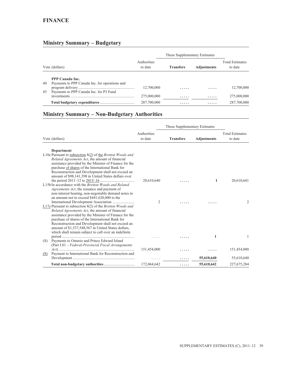|    |                                                |                        | These Supplementary Estimates |                    |                                   |
|----|------------------------------------------------|------------------------|-------------------------------|--------------------|-----------------------------------|
|    | Vote (dollars)                                 | Authorities<br>to date | <b>Transfers</b>              | <b>Adjustments</b> | <b>Total Estimates</b><br>to date |
|    | PPP Canada Inc.                                |                        |                               |                    |                                   |
| 40 | Payments to PPP Canada Inc. for operations and | 12,700,000             | .                             | .                  | 12,700,000                        |
| 45 | Payments to PPP Canada Inc. for P3 Fund        | 275,000,000            | .                             | .                  | 275,000,000                       |
|    |                                                | 287,700,000            | .                             | .                  | 287,700,000                       |

## **Ministry Summary – Non-Budgetary Authorities**

|                                                                                                                                                                                                                                                                                                                                                                                                  |                        | These Supplementary Estimates |                    |                                   |
|--------------------------------------------------------------------------------------------------------------------------------------------------------------------------------------------------------------------------------------------------------------------------------------------------------------------------------------------------------------------------------------------------|------------------------|-------------------------------|--------------------|-----------------------------------|
| Vote (dollars)                                                                                                                                                                                                                                                                                                                                                                                   | Authorities<br>to date | <b>Transfers</b>              | <b>Adjustments</b> | <b>Total Estimates</b><br>to date |
|                                                                                                                                                                                                                                                                                                                                                                                                  |                        |                               |                    |                                   |
| Department<br>L10c Pursuant to subsection 8(2) of the Bretton Woods and                                                                                                                                                                                                                                                                                                                          |                        |                               |                    |                                   |
| Related Agreements Act, the amount of financial<br>assistance provided by the Minister of Finance for the<br>purchase of shares of the International Bank for<br>Reconstruction and Development shall not exceed an<br>amount of \$98,141,398 in United States dollars over                                                                                                                      |                        |                               |                    |                                   |
| L15b In accordance with the <i>Bretton Woods and Related</i>                                                                                                                                                                                                                                                                                                                                     | 20,610,640             |                               | 1                  | 20,610,641                        |
| <i>Agreements Act</i> , the issuance and payment of<br>non-interest bearing, non-negotiable demand notes in<br>an amount not to exceed \$441,620,000 to the                                                                                                                                                                                                                                      |                        |                               |                    |                                   |
|                                                                                                                                                                                                                                                                                                                                                                                                  | $\overline{2}$         |                               |                    | 2                                 |
| L17c Pursuant to subsection 8(2) of the Bretton Woods and<br>Related Agreements Act, the amount of financial<br>assistance provided by the Minister of Finance for the<br>purchase of shares of the International Bank for<br>Reconstruction and Development shall not exceed an<br>amount of \$1,537,548,567 in United States dollars,<br>which shall remain subject to call over an indefinite |                        |                               |                    |                                   |
|                                                                                                                                                                                                                                                                                                                                                                                                  |                        |                               | 1                  | 1                                 |
| Payments to Ontario and Prince Edward Island<br>(S)<br>(Part I.01 – Federal-Provincial Fiscal Arrangements                                                                                                                                                                                                                                                                                       | 151,454,000            |                               |                    | 151,454,000                       |
| Payment to International Bank for Reconstruction and<br>(S)                                                                                                                                                                                                                                                                                                                                      |                        |                               |                    |                                   |
|                                                                                                                                                                                                                                                                                                                                                                                                  |                        |                               | 55,610,640         | 55,610,640                        |
|                                                                                                                                                                                                                                                                                                                                                                                                  | 172,064,642            | .                             | 55,610,642         | 227, 675, 284                     |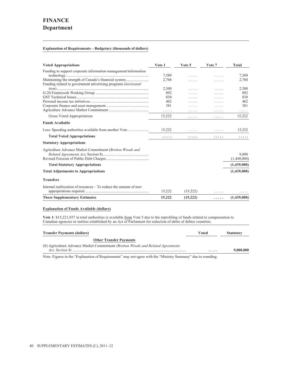## **FINANCE Department**

#### **Explanation of Requirements – Budgetary (thousands of dollars)**

| <b>Voted Appropriations</b>                                      | Vote 1     | Vote 5    | Vote 7 | Total       |
|------------------------------------------------------------------|------------|-----------|--------|-------------|
| Funding to support corporate information management/information  |            |           |        |             |
|                                                                  | 7,589      | .         |        | 7,589       |
|                                                                  | 2,768      |           |        | 2,768       |
| Funding related to government advertising programs (horizontal   |            |           |        |             |
|                                                                  | 2,300      | .         | .      | 2,300       |
|                                                                  | 892        | .         | .      | 892         |
|                                                                  | 830<br>462 | .         | .      | 830         |
|                                                                  | 381        | .         | .      | 462<br>381  |
|                                                                  |            | .         | .      |             |
|                                                                  | .          | .         | .      | .           |
| Gross Voted Appropriations                                       | 15,222     | .         | .      | 15,222      |
| <b>Funds Available</b>                                           |            |           |        |             |
|                                                                  | 15,222     | .         | .      | 15,222      |
| <b>Total Voted Appropriations</b>                                | .          | .         | .      | .           |
| <b>Statutory Appropriations</b>                                  |            |           |        |             |
| Agriculture Advance Market Commitment (Bretton Woods and         |            |           |        |             |
|                                                                  |            |           |        | 9,000       |
|                                                                  |            |           |        | (1,448,000) |
| <b>Total Statutory Appropriations</b>                            |            |           |        | (1,439,000) |
| <b>Total Adjustments to Appropriations</b>                       |            |           |        | (1,439,000) |
| <b>Transfers</b>                                                 |            |           |        |             |
| Internal reallocation of resources – To reduce the amount of new |            |           |        |             |
|                                                                  | 15,222     | (15,222)  | .      | .           |
| <b>These Supplementary Estimates</b>                             | 15,222     | (15, 222) | .      | (1,439,000) |
|                                                                  |            |           |        |             |
| <b>Explanation of Funds Available (dollars)</b>                  |            |           |        |             |

**Vote 1**: \$15,221,937 in total authorities is available from Vote 5 due to the reprofiling of funds related to compensation to Canadian agencies or entities established by an Act of Parliament for reduction of debts of debtor countries.

| <b>Transfer Payments (dollars)</b>                                                                           | Voted | <b>Statutory</b> |
|--------------------------------------------------------------------------------------------------------------|-------|------------------|
| <b>Other Transfer Payments</b>                                                                               |       |                  |
| (S) Agriculture Advance Market Commitment <i>(Bretton Woods and Related Agreements</i>                       |       |                  |
|                                                                                                              | .     | 9,000,000        |
| Note: Eigenschu the "Evalenction of Deguinements" more not gones with the "Minister Cummon", due to nounding |       |                  |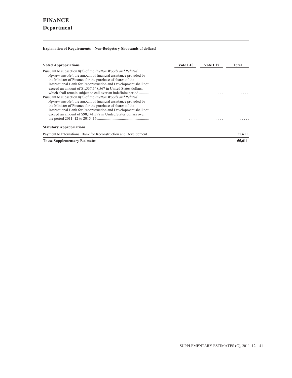# **FINANCE Department**

**Explanation of Requirements – Non-Budgetary (thousands of dollars)**

| <b>Voted Appropriations</b>                                                                                                                                                                                                                                                                                                                                                                                                                                                                                                                                                                                                                                                                                                                                       | Vote L10 | Vote L17 | Total  |
|-------------------------------------------------------------------------------------------------------------------------------------------------------------------------------------------------------------------------------------------------------------------------------------------------------------------------------------------------------------------------------------------------------------------------------------------------------------------------------------------------------------------------------------------------------------------------------------------------------------------------------------------------------------------------------------------------------------------------------------------------------------------|----------|----------|--------|
| Pursuant to subsection 8(2) of the <i>Bretton Woods and Related</i><br><i>Agreements Act</i> , the amount of financial assistance provided by<br>the Minister of Finance for the purchase of shares of the<br>International Bank for Reconstruction and Development shall not<br>exceed an amount of \$1,537,548,567 in United States dollars,<br>which shall remain subject to call over an indefinite period<br>Pursuant to subsection 8(2) of the <i>Bretton Woods and Related</i><br><i>Agreements Act</i> , the amount of financial assistance provided by<br>the Minister of Finance for the purchase of shares of the<br>International Bank for Reconstruction and Development shall not<br>exceed an amount of \$98,141,398 in United States dollars over | .        |          |        |
| <b>Statutory Appropriations</b>                                                                                                                                                                                                                                                                                                                                                                                                                                                                                                                                                                                                                                                                                                                                   |          |          |        |
| Payment to International Bank for Reconstruction and Development.                                                                                                                                                                                                                                                                                                                                                                                                                                                                                                                                                                                                                                                                                                 |          |          | 55,611 |
| <b>These Supplementary Estimates</b>                                                                                                                                                                                                                                                                                                                                                                                                                                                                                                                                                                                                                                                                                                                              |          |          | 55,611 |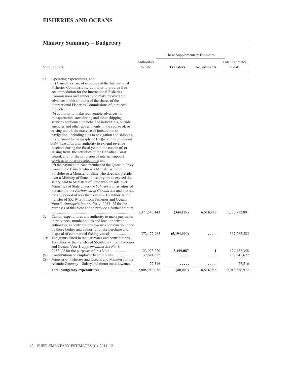### **FISHERIES AND OCEANS**

|     |                                                                                                              |               | These Supplementary Estimates |                    |                        |
|-----|--------------------------------------------------------------------------------------------------------------|---------------|-------------------------------|--------------------|------------------------|
|     |                                                                                                              | Authorities   |                               |                    | <b>Total Estimates</b> |
|     | Vote (dollars)                                                                                               | to date       | <b>Transfers</b>              | <b>Adjustments</b> | to date                |
|     |                                                                                                              |               |                               |                    |                        |
| 1c  | Operating expenditures, and                                                                                  |               |                               |                    |                        |
|     | $(a)$ Canada's share of expenses of the International                                                        |               |                               |                    |                        |
|     | Fisheries Commissions, authority to provide free<br>accommodation for the International Fisheries            |               |                               |                    |                        |
|     | Commissions and authority to make recoverable                                                                |               |                               |                    |                        |
|     | advances in the amounts of the shares of the                                                                 |               |                               |                    |                        |
|     | International Fisheries Commissions of joint cost                                                            |               |                               |                    |                        |
|     | projects;                                                                                                    |               |                               |                    |                        |
|     | $(b)$ authority to make recoverable advances for                                                             |               |                               |                    |                        |
|     | transportation, stevedoring and other shipping                                                               |               |                               |                    |                        |
|     | services performed on behalf of individuals, outside                                                         |               |                               |                    |                        |
|     | agencies and other governments in the course of, or                                                          |               |                               |                    |                        |
|     | arising out of, the exercise of jurisdiction in                                                              |               |                               |                    |                        |
|     | navigation, including aids to navigation and shipping;                                                       |               |                               |                    |                        |
|     | (c) pursuant to paragraph $29.1(2)(a)$ of the <i>Financial</i>                                               |               |                               |                    |                        |
|     | Administration Act, authority to expend revenue                                                              |               |                               |                    |                        |
|     | received during the fiscal year in the course of, or                                                         |               |                               |                    |                        |
|     | arising from, the activities of the Canadian Coast                                                           |               |                               |                    |                        |
|     | Guard, and for the provision of internal support                                                             |               |                               |                    |                        |
|     | services to other organizations; and<br>(d) the payment to each member of the Queen's Privy                  |               |                               |                    |                        |
|     | Council for Canada who is a Minister without                                                                 |               |                               |                    |                        |
|     | Portfolio or a Minister of State who does not preside                                                        |               |                               |                    |                        |
|     | over a Ministry of State of a salary not to exceed the                                                       |               |                               |                    |                        |
|     | salary paid to Ministers of State who preside over                                                           |               |                               |                    |                        |
|     | Ministries of State under the Salaries Act, as adjusted                                                      |               |                               |                    |                        |
|     | pursuant to the <i>Parliament of Canada Act</i> and pro rata                                                 |               |                               |                    |                        |
|     | for any period of less than a year $-$ To authorize the                                                      |               |                               |                    |                        |
|     | transfer of \$5,194,900 from Fisheries and Oceans                                                            |               |                               |                    |                        |
|     | Vote 5, <i>Appropriation Act No. 1, 2011–12</i> for the                                                      |               |                               |                    |                        |
|     | purposes of this Vote and to provide a further amount                                                        |               |                               |                    |                        |
|     |                                                                                                              | 1,371,540,143 | (344, 187)                    | 6,516,935          | 1,377,712,891          |
| 5c  | Capital expenditures and authority to make payments                                                          |               |                               |                    |                        |
|     | to provinces, municipalities and local or private                                                            |               |                               |                    |                        |
|     | authorities as contributions towards construction done<br>by those bodies and authority for the purchase and |               |                               |                    |                        |
|     |                                                                                                              | 372,477,485   | (5,194,900)                   |                    | 367,282,585            |
|     | 10c The grants listed in the Estimates and contributions –                                                   |               |                               |                    |                        |
|     | To authorize the transfer of \$5,499,087 from Fisheries                                                      |               |                               |                    |                        |
|     | and Oceans Vote 1, Appropriation Act No. 1,                                                                  |               |                               |                    |                        |
|     |                                                                                                              | 123,973,270   | 5,499,087                     | 1                  | 129,472,358            |
| (S) |                                                                                                              | 137,841,622   |                               | .                  | 137,841,622            |
| (S) | Minister of Fisheries and Oceans and Minister for the                                                        |               |                               |                    |                        |
|     | Atlantic Gateway – Salary and motor car allowance                                                            | 77,516        | .                             | .                  | 77,516                 |
|     |                                                                                                              | 2,005,910,036 | (40,000)                      | 6,516,936          | 2,012,386,972          |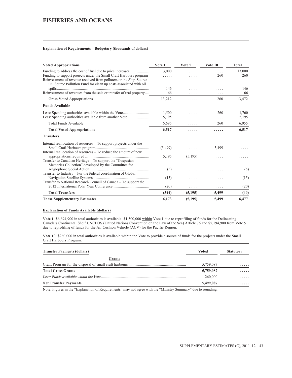### **FISHERIES AND OCEANS**

#### **Explanation of Requirements – Budgetary (thousands of dollars)**

| <b>Voted Appropriations</b>                                                                                                            | Vote 1  | Vote 5   | Vote 10 | Total  |
|----------------------------------------------------------------------------------------------------------------------------------------|---------|----------|---------|--------|
| Funding to address the cost of fuel due to price increases                                                                             | 13,000  |          | .       | 13,000 |
| Funding to support projects under the Small Craft Harbours program                                                                     |         | .        | 260     | 260    |
| Reinvestment of revenue received from polluters or the Ship-Source<br>Oil Source Pollution Fund for clean up costs associated with oil |         |          |         |        |
|                                                                                                                                        | 146     | .        | .       | 146    |
| Reinvestment of revenues from the sale or transfer of real property                                                                    | 66      | .        | .       | 66     |
| Gross Voted Appropriations                                                                                                             | 13,212  | .        | 260     | 13,472 |
| <b>Funds Available</b>                                                                                                                 |         |          |         |        |
|                                                                                                                                        | 1,500   | .        | 260     | 1.760  |
|                                                                                                                                        | 5,195   | .        | .       | 5,195  |
| Total Funds Available                                                                                                                  | 6,695   | .        | 260     | 6,955  |
| <b>Total Voted Appropriations</b>                                                                                                      | 6,517   | .        | .       | 6,517  |
| <b>Transfers</b>                                                                                                                       |         |          |         |        |
| Internal reallocation of resources – To support projects under the                                                                     |         |          |         |        |
|                                                                                                                                        | (5,499) | .        | 5,499   |        |
| Internal reallocation of resources - To reduce the amount of new                                                                       |         |          |         |        |
|                                                                                                                                        | 5,195   | (5,195)  |         |        |
| Transfer to Canadian Heritage - To support the "Gaspesian                                                                              |         |          |         |        |
| Memories Collection" developed by the Committee for                                                                                    |         |          |         |        |
|                                                                                                                                        | (5)     |          |         | (5)    |
| Transfer to Industry – For the federal coordination of Global                                                                          |         |          |         |        |
| Transfer to National Research Council of Canada – To support the                                                                       | (15)    | .        | .       | (15)   |
|                                                                                                                                        | (20)    |          |         | (20)   |
|                                                                                                                                        |         | .        | .       |        |
| <b>Total Transfers</b>                                                                                                                 | (344)   | (5, 195) | 5,499   | (40)   |
| <b>These Supplementary Estimates</b>                                                                                                   | 6,173   | (5, 195) | 5,499   | 6,477  |

#### **Explanation of Funds Available (dollars)**

**Vote 1**: \$6,694,900 in total authorities is available: \$1,500,000 within Vote 1 due to reprofiling of funds for the Delineating Canada's Continental Shelf UNCLOS (United Nations Convention on the Law of the Sea) Article 76 and \$5,194,900 from Vote 5 due to reprofiling of funds for the Air Cushion Vehicle (ACV) for the Pacific Region.

Vote 10: \$260,000 in total authorities is available within the Vote to provide a source of funds for the projects under the Small Craft Harbours Program.

| <b>Transfer Payments (dollars)</b> | Voted     | <b>Statutory</b> |
|------------------------------------|-----------|------------------|
| Grants                             |           |                  |
|                                    | 5.759,087 | .                |
| <b>Total Gross Grants</b>          | 5,759,087 | .                |
|                                    | 260,000   | .                |
| <b>Net Transfer Payments</b>       | 5,499,087 | .                |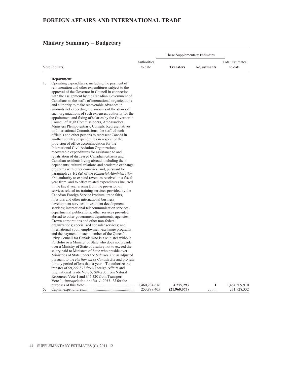|  | <b>Ministry Summary - Budgetary</b> |  |
|--|-------------------------------------|--|
|--|-------------------------------------|--|

|                |             |                  | These Supplementary Estimates |                        |
|----------------|-------------|------------------|-------------------------------|------------------------|
|                | Authorities |                  |                               | <b>Total Estimates</b> |
| Vote (dollars) | to date     | <b>Transfers</b> | Adjustments                   | to date                |

#### **Department**

| 1c | Operating expenditures, including the payment of              |               |              |              |               |
|----|---------------------------------------------------------------|---------------|--------------|--------------|---------------|
|    | remuneration and other expenditures subject to the            |               |              |              |               |
|    | approval of the Governor in Council in connection             |               |              |              |               |
|    | with the assignment by the Canadian Government of             |               |              |              |               |
|    | Canadians to the staffs of international organizations        |               |              |              |               |
|    | and authority to make recoverable advances in                 |               |              |              |               |
|    | amounts not exceeding the amounts of the shares of            |               |              |              |               |
|    | such organizations of such expenses; authority for the        |               |              |              |               |
|    | appointment and fixing of salaries by the Governor in         |               |              |              |               |
|    | Council of High Commissioners, Ambassadors,                   |               |              |              |               |
|    | Ministers Plenipotentiary, Consuls, Representatives           |               |              |              |               |
|    | on International Commissions, the staff of such               |               |              |              |               |
|    | officials and other persons to represent Canada in            |               |              |              |               |
|    | another country; expenditures in respect of the               |               |              |              |               |
|    | provision of office accommodation for the                     |               |              |              |               |
|    | International Civil Aviation Organization;                    |               |              |              |               |
|    | recoverable expenditures for assistance to and                |               |              |              |               |
|    | repatriation of distressed Canadian citizens and              |               |              |              |               |
|    | Canadian residents living abroad, including their             |               |              |              |               |
|    | dependants; cultural relations and academic exchange          |               |              |              |               |
|    |                                                               |               |              |              |               |
|    | programs with other countries; and, pursuant to               |               |              |              |               |
|    | paragraph $29.1(2)(a)$ of the <i>Financial Administration</i> |               |              |              |               |
|    | Act, authority to expend revenues received in a fiscal        |               |              |              |               |
|    | year from, and to offset related expenditures incurred        |               |              |              |               |
|    | in the fiscal year arising from the provision of              |               |              |              |               |
|    | services related to: training services provided by the        |               |              |              |               |
|    | Canadian Foreign Service Institute; trade fairs,              |               |              |              |               |
|    | missions and other international business                     |               |              |              |               |
|    | development services; investment development                  |               |              |              |               |
|    | services; international telecommunication services;           |               |              |              |               |
|    | departmental publications; other services provided            |               |              |              |               |
|    | abroad to other government departments, agencies,             |               |              |              |               |
|    | Crown corporations and other non-federal                      |               |              |              |               |
|    | organizations; specialized consular services; and             |               |              |              |               |
|    | international youth employment exchange programs              |               |              |              |               |
|    | and the payment to each member of the Queen's                 |               |              |              |               |
|    | Privy Council for Canada who is a Minister without            |               |              |              |               |
|    | Portfolio or a Minister of State who does not preside         |               |              |              |               |
|    | over a Ministry of State of a salary not to exceed the        |               |              |              |               |
|    | salary paid to Ministers of State who preside over            |               |              |              |               |
|    | Ministries of State under the Salaries Act, as adjusted       |               |              |              |               |
|    | pursuant to the Parliament of Canada Act and pro rata         |               |              |              |               |
|    | for any period of less than a year $-$ To authorize the       |               |              |              |               |
|    | transfer of \$9,222,873 from Foreign Affairs and              |               |              |              |               |
|    | International Trade Vote 5, \$94,200 from Natural             |               |              |              |               |
|    | Resources Vote 1 and \$46,320 from Transport                  |               |              |              |               |
|    | Vote 1, <i>Appropriation Act No. 1, 2011–12</i> for the       |               |              |              |               |
|    |                                                               | 1,460,234,616 | 4,275,293    | $\mathbf{1}$ | 1,464,509,910 |
|    |                                                               |               |              |              |               |
| 5c |                                                               | 253,888,405   | (21,960,073) | .            | 231,928,332   |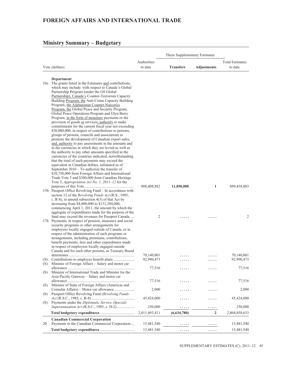|     |                                                                                                               |               | These Supplementary Estimates |                    |                        |
|-----|---------------------------------------------------------------------------------------------------------------|---------------|-------------------------------|--------------------|------------------------|
|     |                                                                                                               | Authorities   |                               |                    | <b>Total Estimates</b> |
|     | Vote (dollars)                                                                                                | to date       | <b>Transfers</b>              | <b>Adjustments</b> | to date                |
|     | Department                                                                                                    |               |                               |                    |                        |
|     | 10c The grants listed in the Estimates and contributions,                                                     |               |                               |                    |                        |
|     | which may include: with respect to Canada's Global                                                            |               |                               |                    |                        |
|     | Partnership Program (under the G8 Global                                                                      |               |                               |                    |                        |
|     | Partnership), Canada's Counter-Terrorism Capacity                                                             |               |                               |                    |                        |
|     | Building Program, the Anti-Crime Capacity Building                                                            |               |                               |                    |                        |
|     | Program, the Afghanistan Counter-Narcotics                                                                    |               |                               |                    |                        |
|     | Program, the Global Peace and Security Program,<br>Global Peace Operations Program and Glyn Berry             |               |                               |                    |                        |
|     | Program, in the form of monetary payments or the                                                              |               |                               |                    |                        |
|     | provision of goods or services; authority to make                                                             |               |                               |                    |                        |
|     | commitments for the current fiscal year not exceeding                                                         |               |                               |                    |                        |
|     | \$30,000,000, in respect of contributions to persons,                                                         |               |                               |                    |                        |
|     | groups of persons, councils and associations to                                                               |               |                               |                    |                        |
|     | promote the development of Canadian export sales;                                                             |               |                               |                    |                        |
|     | and, authority to pay assessments in the amounts and<br>in the currencies in which they are levied as well as |               |                               |                    |                        |
|     | the authority to pay other amounts specified in the                                                           |               |                               |                    |                        |
|     | currencies of the countries indicated, notwithstanding                                                        |               |                               |                    |                        |
|     | that the total of such payments may exceed the                                                                |               |                               |                    |                        |
|     | equivalent in Canadian dollars, estimated as of                                                               |               |                               |                    |                        |
|     | September $2010 - To$ authorize the transfer of                                                               |               |                               |                    |                        |
|     | \$10,750,000 from Foreign Affairs and International<br>Trade Vote 5 and \$300,000 from Canadian Heritage      |               |                               |                    |                        |
|     | Vote 5, <i>Appropriation Act No. 1, 2011–12</i> for the                                                       |               |                               |                    |                        |
|     |                                                                                                               | 888,408,882   | 11,050,000                    | 1                  | 899,458,883            |
|     | 15b Passport Office Revolving Fund - In accordance with                                                       |               |                               |                    |                        |
|     | section 12 of the <i>Revolving Funds Act</i> (R.S., 1985,                                                     |               |                               |                    |                        |
|     | c. R-8), to amend subsection $4(3)$ of that Act by                                                            |               |                               |                    |                        |
|     | increasing from \$4,000,000 to \$131,204,000,                                                                 |               |                               |                    |                        |
|     | commencing April 1, 2011, the amount by which the<br>aggregate of expenditures made for the purpose of the    |               |                               |                    |                        |
|     | fund may exceed the revenues for Passport Canada                                                              | 2             |                               |                    | 2                      |
|     | 17b Payments, in respect of pension, insurance and social                                                     |               |                               |                    |                        |
|     | security programs or other arrangements for                                                                   |               |                               |                    |                        |
|     | employees locally engaged outside of Canada, or in                                                            |               |                               |                    |                        |
|     | respect of the administration of such programs or                                                             |               |                               |                    |                        |
|     | arrangements, including premiums, contributions,                                                              |               |                               |                    |                        |
|     | benefit payments, fees and other expenditures made<br>in respect of employees locally engaged outside         |               |                               |                    |                        |
|     | Canada and for such other persons, as Treasury Board                                                          |               |                               |                    |                        |
|     |                                                                                                               | 70,140,001    |                               |                    | 70,140,001             |
| (S) |                                                                                                               | 92,990,473    | .                             | .                  | 92,990,473             |
| (S) | Minister of Foreign Affairs - Salary and motor car                                                            |               |                               |                    |                        |
|     | Minister of International Trade and Minister for the                                                          | 77,516        |                               |                    | 77,516                 |
| (S) | Asia-Pacific Gateway – Salary and motor car                                                                   |               |                               |                    |                        |
|     |                                                                                                               | 77,516        |                               |                    | 77,516                 |
| (S) | Minister of State of Foreign Affairs (Americas and                                                            |               |                               |                    |                        |
|     |                                                                                                               | 2,000         |                               |                    | 2,000                  |
| (S) | Passport Office Revolving Fund (Revolving Funds                                                               |               |                               |                    |                        |
| (S) | Payments under the Diplomatic Service (Special)                                                               | 45,424,000    |                               |                    | 45,424,000             |
|     | Superannuation Act (R.S.C., 1985, c. D-2)                                                                     | 250,000       | .                             |                    | 250,000                |
|     |                                                                                                               | 2,811,493,411 | (6,634,780)                   | $\overline{2}$     | 2,804,858,633          |
|     | <b>Canadian Commercial Corporation</b>                                                                        |               |                               |                    |                        |
| 20  | Payments to the Canadian Commercial Corporation                                                               | 15,481,540    |                               |                    | 15,481,540             |
|     |                                                                                                               | 15,481,540    |                               |                    | 15,481,540             |

### **Ministry Summary – Budgetary**

SUPPLEMENTARY ESTIMATES (C), 2011–12 45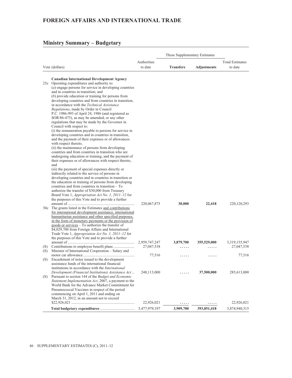|            |                                                                                                                                                                                                                                                                                                                                                                                                                                                                                                                                                                                                                                                                                                                                                                                                                                                        |               | These Supplementary Estimates |                    |                        |
|------------|--------------------------------------------------------------------------------------------------------------------------------------------------------------------------------------------------------------------------------------------------------------------------------------------------------------------------------------------------------------------------------------------------------------------------------------------------------------------------------------------------------------------------------------------------------------------------------------------------------------------------------------------------------------------------------------------------------------------------------------------------------------------------------------------------------------------------------------------------------|---------------|-------------------------------|--------------------|------------------------|
|            |                                                                                                                                                                                                                                                                                                                                                                                                                                                                                                                                                                                                                                                                                                                                                                                                                                                        | Authorities   |                               |                    | <b>Total Estimates</b> |
|            | Vote (dollars)                                                                                                                                                                                                                                                                                                                                                                                                                                                                                                                                                                                                                                                                                                                                                                                                                                         | to date       | <b>Transfers</b>              | <b>Adjustments</b> | to date                |
|            | <b>Canadian International Development Agency</b><br>25c Operating expenditures and authority to:<br>$(a)$ engage persons for service in developing countries<br>and in countries in transition; and<br>$(b)$ provide education or training for persons from<br>developing countries and from countries in transition,<br>in accordance with the Technical Assistance<br>Regulations, made by Order in Council<br>P.C. 1986-993 of April 24, 1986 (and registered as<br>SOR/86-475), as may be amended, or any other<br>regulations that may be made by the Governor in<br>Council with respect to:<br>(i) the remuneration payable to persons for service in<br>developing countries and in countries in transition,<br>and the payment of their expenses or of allowances<br>with respect thereto,<br>(ii) the maintenance of persons from developing |               |                               |                    |                        |
|            | countries and from countries in transition who are<br>undergoing education or training, and the payment of<br>their expenses or of allowances with respect thereto,<br>and<br>(iii) the payment of special expenses directly or<br>indirectly related to the service of persons in<br>developing countries and in countries in transition or<br>the education or training of persons from developing<br>countries and from countries in transition $-$ To<br>authorize the transfer of \$30,000 from Treasury<br>Board Vote 1, Appropriation Act No. 1, 2011-12 for                                                                                                                                                                                                                                                                                    |               |                               |                    |                        |
|            | the purposes of this Vote and to provide a further<br>30c The grants listed in the Estimates and contributions<br>for international development assistance, international<br>humanitarian assistance and other specified purposes,<br>in the form of monetary payments or the provision of<br>goods or services – To authorize the transfer of<br>\$4,029,700 from Foreign Affairs and International                                                                                                                                                                                                                                                                                                                                                                                                                                                   | 220,067,875   | 30,000                        | 22,418             | 220, 120, 293          |
|            | Trade Vote 1, Appropriation Act No. 1, 2011-12 for<br>the purposes of this Vote and to provide a further                                                                                                                                                                                                                                                                                                                                                                                                                                                                                                                                                                                                                                                                                                                                               |               |                               |                    |                        |
|            |                                                                                                                                                                                                                                                                                                                                                                                                                                                                                                                                                                                                                                                                                                                                                                                                                                                        | 2,959,747,247 | 3,879,700                     | 355,529,000        | 3,319,155,947          |
| (S)<br>(S) | Minister of International Cooperation – Salary and                                                                                                                                                                                                                                                                                                                                                                                                                                                                                                                                                                                                                                                                                                                                                                                                     | 27,047,538    | .                             | .                  | 27,047,538             |
| (S)        | Encashment of notes issued to the development<br>assistance funds of the international financial                                                                                                                                                                                                                                                                                                                                                                                                                                                                                                                                                                                                                                                                                                                                                       | 77,516        | .                             | .                  | 77,516                 |
| (S)        | institutions in accordance with the <i>International</i><br>Development (Financial Institutions) Assistance Act<br>Pursuant to section 144 of the Budget and Economic<br>Statement Implementation Act, 2007, a payment to the<br>World Bank for the Advance Market Commitment for<br>Pneumococcal Vaccines in respect of the period<br>commencing on April 1, 2011 and ending on<br>March 31, 2012, in an amount not to exceed                                                                                                                                                                                                                                                                                                                                                                                                                         | 248,113,000   |                               | 37,500,000         | 285,613,000            |
|            |                                                                                                                                                                                                                                                                                                                                                                                                                                                                                                                                                                                                                                                                                                                                                                                                                                                        | 22,926,021    |                               |                    | 22,926,021             |
|            |                                                                                                                                                                                                                                                                                                                                                                                                                                                                                                                                                                                                                                                                                                                                                                                                                                                        | 3,477,979,197 | 3,909,700                     | 393,051,418        | 3,874,940,315          |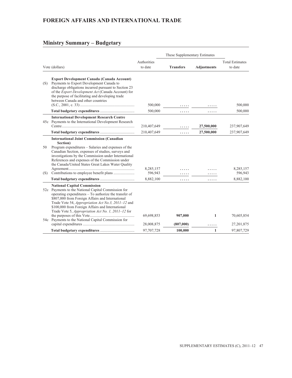|           |                                                                                                                                                                                                                                                                                                                                                                                                                               |                          |                      | These Supplementary Estimates |                                   |  |
|-----------|-------------------------------------------------------------------------------------------------------------------------------------------------------------------------------------------------------------------------------------------------------------------------------------------------------------------------------------------------------------------------------------------------------------------------------|--------------------------|----------------------|-------------------------------|-----------------------------------|--|
|           | Vote (dollars)                                                                                                                                                                                                                                                                                                                                                                                                                | Authorities<br>to date   | <b>Transfers</b>     | <b>Adjustments</b>            | <b>Total Estimates</b><br>to date |  |
| (S)       | <b>Export Development Canada (Canada Account)</b><br>Payments to Export Development Canada to<br>discharge obligations incurred pursuant to Section 23<br>of the Export Development Act (Canada Account) for<br>the purpose of facilitating and developing trade<br>between Canada and other countries                                                                                                                        | 500,000                  |                      |                               | 500,000                           |  |
|           |                                                                                                                                                                                                                                                                                                                                                                                                                               | 500,000                  | .                    | .                             | 500,000                           |  |
|           | <b>International Development Research Centre</b><br>45c Payments to the International Development Research                                                                                                                                                                                                                                                                                                                    | 210,407,649              |                      | 27,500,000                    | 237,907,649                       |  |
|           |                                                                                                                                                                                                                                                                                                                                                                                                                               | 210,407,649              | .                    | 27,500,000                    | 237,907,649                       |  |
| 50<br>(S) | <b>International Joint Commission (Canadian</b><br>Section)<br>Program expenditures – Salaries and expenses of the<br>Canadian Section, expenses of studies, surveys and<br>investigations by the Commission under International<br>References and expenses of the Commission under<br>the Canada/United States Great Lakes Water Quality                                                                                     | 8,285,157<br>596,943     | .                    |                               | 8,285,157<br>596,943              |  |
|           |                                                                                                                                                                                                                                                                                                                                                                                                                               | 8,882,100                | .                    | .                             | 8,882,100                         |  |
|           | <b>National Capital Commission</b><br>52c Payments to the National Capital Commission for<br>operating expenditures – To authorize the transfer of<br>\$807,000 from Foreign Affairs and International<br>Trade Vote 54, Appropriation Act No.3, 2011-12 and<br>\$100,000 from Foreign Affairs and International<br>Trade Vote 5, Appropriation Act No. 1, 2011-12 for<br>54c Payments to the National Capital Commission for | 69,698,853<br>28,008,875 | 907,000<br>(807,000) | 1<br>.                        | 70,605,854<br>27, 201, 875        |  |
|           |                                                                                                                                                                                                                                                                                                                                                                                                                               | 97,707,728               | 100,000              | 1                             | 97,807,729                        |  |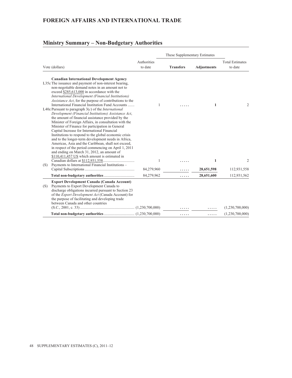|                                                                                                                                                                                                                                                                                                                                                                                                                                                                                                                                                                                                                                                                                                                                                                                                                                                                                                                                                               |                        |                  | These Supplementary Estimates |                                    |  |
|---------------------------------------------------------------------------------------------------------------------------------------------------------------------------------------------------------------------------------------------------------------------------------------------------------------------------------------------------------------------------------------------------------------------------------------------------------------------------------------------------------------------------------------------------------------------------------------------------------------------------------------------------------------------------------------------------------------------------------------------------------------------------------------------------------------------------------------------------------------------------------------------------------------------------------------------------------------|------------------------|------------------|-------------------------------|------------------------------------|--|
| Vote (dollars)                                                                                                                                                                                                                                                                                                                                                                                                                                                                                                                                                                                                                                                                                                                                                                                                                                                                                                                                                | Authorities<br>to date | <b>Transfers</b> | <b>Adjustments</b>            | <b>Total Estimates</b><br>to date  |  |
| <b>Canadian International Development Agency</b><br>L35c The issuance and payment of non-interest bearing,<br>non-negotiable demand notes in an amount not to<br>exceed \$285,613,000 in accordance with the<br>International Development (Financial Institutions)<br>Assistance Act, for the purpose of contributions to the<br>International Financial Institution Fund Accounts<br>L40c Pursuant to paragraph $3(c)$ of the <i>International</i><br>Development (Financial Institutions) Assistance Act,<br>the amount of financial assistance provided by the<br>Minister of Foreign Affairs, in consultation with the<br>Minister of Finance for participation in General<br>Capital Increase for International Financial<br>Institutions to respond to the global economic crisis<br>and to the longer-term development needs in Africa,<br>Americas, Asia and the Caribbean, shall not exceed,<br>in respect of the period commencing on April 1, 2011 | 1                      |                  | 1                             | $\overline{2}$                     |  |
| and ending on March 31, 2012, an amount of<br>\$110,411,457 US which amount is estimated in<br>Payments to International Financial Institutions -<br>(S)                                                                                                                                                                                                                                                                                                                                                                                                                                                                                                                                                                                                                                                                                                                                                                                                      | 1<br>84,279,960        | .                | $\mathbf{1}$<br>28,651,598    | $\overline{2}$<br>112,931,558      |  |
|                                                                                                                                                                                                                                                                                                                                                                                                                                                                                                                                                                                                                                                                                                                                                                                                                                                                                                                                                               | 84,279,962             | .                | 28,651,600                    | 112,931,562                        |  |
| <b>Export Development Canada (Canada Account)</b><br>(S)<br>Payments to Export Development Canada to<br>discharge obligations incurred pursuant to Section 23<br>of the <i>Export Development Act</i> (Canada Account) for<br>the purpose of facilitating and developing trade<br>between Canada and other countries                                                                                                                                                                                                                                                                                                                                                                                                                                                                                                                                                                                                                                          |                        |                  |                               | (1,230,700,000)<br>(1,230,700,000) |  |
|                                                                                                                                                                                                                                                                                                                                                                                                                                                                                                                                                                                                                                                                                                                                                                                                                                                                                                                                                               |                        | .                | .                             |                                    |  |

## **Ministry Summary – Non-Budgetary Authorities**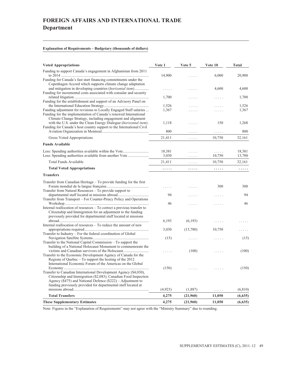# **FOREIGN AFFAIRS AND INTERNATIONAL TRADE Department**

### **Explanation of Requirements – Budgetary (thousands of dollars)**

| <b>Voted Appropriations</b>                                                                                                     | Vote 1          | Vote 5   | Vote 10     | Total            |
|---------------------------------------------------------------------------------------------------------------------------------|-----------------|----------|-------------|------------------|
| Funding to support Canada's engagement in Afghanistan from 2011                                                                 |                 |          |             |                  |
|                                                                                                                                 | 14,900          | .        | 6,000       | 20,900           |
| Funding for Canada's fast start financing commitments under the                                                                 |                 |          |             |                  |
| Copenhagen Accord which supports climate change adaptation<br>and mitigation in developing countries ( <i>horizontal item</i> ) | .               | .        | 4,600       | 4,600            |
| Funding for incremental costs associated with consular and security                                                             |                 |          |             |                  |
|                                                                                                                                 | 1,700           |          | .           | 1,700            |
| Funding for the establishment and support of an Advisory Panel on                                                               |                 |          |             |                  |
|                                                                                                                                 | 1,526           | .        | .           | 1,526            |
| Funding adjustment for revisions to Locally Engaged Staff salaries                                                              | 1,367           | .        | .           | 1,367            |
| Funding for the implementation of Canada's renewed International                                                                |                 |          |             |                  |
| Climate Change Strategy, including engagement and alignment<br>with the U.S. under the Clean Energy Dialogue (horizontal item). | 1,118           |          | 150         | 1,268            |
| Funding for Canada's host country support to the International Civil                                                            |                 | .        |             |                  |
|                                                                                                                                 | 800             | .        | .           | 800              |
| Gross Voted Appropriations                                                                                                      | 21,411          | $\ldots$ | 10,750      | 32,161           |
| <b>Funds Available</b>                                                                                                          |                 |          |             |                  |
|                                                                                                                                 |                 |          |             |                  |
| Less: Spending authorities available from another Vote                                                                          | 18,381<br>3,030 | .<br>.   | .<br>10,750 | 18,381<br>13,780 |
|                                                                                                                                 |                 |          |             |                  |
| Total Funds Available                                                                                                           | 21,411          | .        | 10,750      | 32,161           |
| <b>Total Voted Appropriations</b>                                                                                               | .               | .        | .           | .                |
| <b>Transfers</b>                                                                                                                |                 |          |             |                  |
| Transfer from Canadian Heritage – To provide funding for the first                                                              |                 |          |             |                  |
|                                                                                                                                 |                 |          | 300         | 300              |
| Transfer from Natural Resources – To provide support to                                                                         | 94              |          |             | 94               |
| Transfer from Transport – For Counter-Piracy Policy and Operations                                                              |                 | .        | .           |                  |
|                                                                                                                                 | 46              |          | $\ldots$ .  | 46               |
| Internal reallocation of resources – To correct a previous transfer to                                                          |                 |          |             |                  |
| Citizenship and Immigration for an adjustment to the funding                                                                    |                 |          |             |                  |
| previously provided for departmental staff located at missions                                                                  |                 |          |             |                  |
|                                                                                                                                 | 6,193           | (6,193)  | .           |                  |
| Internal reallocation of resources – To reduce the amount of new                                                                |                 |          |             |                  |
| Transfer to Industry – For the federal coordination of Global                                                                   | 3,030           | (13,780) | 10,750      |                  |
|                                                                                                                                 | (15)            | .        | .           | (15)             |
| Transfer to the National Capital Commission – To support the                                                                    |                 |          |             |                  |
| building of a National Holocaust Monument to commemorate the                                                                    |                 |          |             |                  |
| victims and Canadian survivors of the Holocaust                                                                                 | .               | (100)    | .           | (100)            |
| Transfer to the Economic Development Agency of Canada for the                                                                   |                 |          |             |                  |
| Regions of Quebec $-$ To support the hosting of the 2012                                                                        |                 |          |             |                  |
| International Economic Forum of the Americas on the Global                                                                      | (150)           |          |             | (150)            |
| Transfer to Canadian International Development Agency (\$4,030),                                                                |                 |          |             |                  |
| Citizenship and Immigration (\$2,083), Canadian Food Inspection                                                                 |                 |          |             |                  |
| Agency (\$475) and National Defence (\$222) – Adjustment to                                                                     |                 |          |             |                  |
| funding previously provided for departmental staff located at                                                                   |                 |          |             |                  |
|                                                                                                                                 | (4, 923)        | (1,887)  | .           | (6, 810)         |
| <b>Total Transfers</b>                                                                                                          | 4,275           | (21,960) | 11,050      | (6,635)          |
| <b>These Supplementary Estimates</b>                                                                                            | 4,275           | (21,960) | 11,050      | (6,635)          |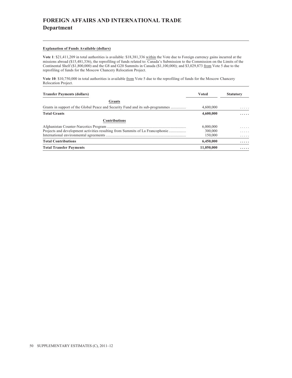## **FOREIGN AFFAIRS AND INTERNATIONAL TRADE Department**

#### **Explanation of Funds Available (dollars)**

**Vote 1**: \$21,411,209 in total authorities is available: \$18,381,336 within the Vote due to Foreign currency gains incurred at the missions abroad (\$15,481,336), the reprofiling of funds related to: Canada's Submission to the Commission on the Limits of the Continental Shelf  $(\$1,800,000)$  and the G8 and G20 Summits in Canada  $(\$1,100,000)$ ; and  $\$3,029,873$  from Vote 5 due to the reprofiling of funds for the Moscow Chancery Relocation Project.

Vote 10: \$10,750,000 in total authorities is available from Vote 5 due to the reprofiling of funds for the Moscow Chancery Relocation Project.

| <b>Transfer Payments (dollars)</b>                                             | <b>Voted</b> | <b>Statutory</b> |
|--------------------------------------------------------------------------------|--------------|------------------|
| <b>Grants</b>                                                                  |              |                  |
| Grants in support of the Global Peace and Security Fund and its sub-programmes | 4,600,000    | .                |
| <b>Total Grants</b>                                                            | 4,600,000    | .                |
| <b>Contributions</b>                                                           |              |                  |
|                                                                                | 6,000,000    | .                |
| Projects and development activities resulting from Summits of La Francophonie  | 300,000      | .                |
|                                                                                | 150,000      | .                |
| <b>Total Contributions</b>                                                     | 6,450,000    | .                |
| <b>Total Transfer Payments</b>                                                 | 11,050,000   | .                |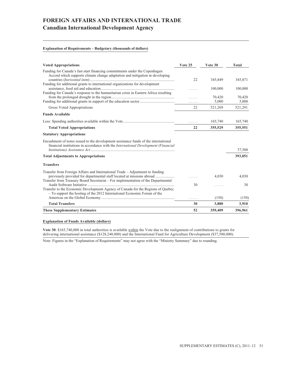# **FOREIGN AFFAIRS AND INTERNATIONAL TRADE Canadian International Development Agency**

#### **Explanation of Requirements – Budgetary (thousands of dollars)**

| <b>Voted Appropriations</b>                                                                                                                                                        | Vote 25 | Vote 30 | <b>Total</b> |
|------------------------------------------------------------------------------------------------------------------------------------------------------------------------------------|---------|---------|--------------|
| Funding for Canada's fast start financing commitments under the Copenhagen<br>Accord which supports climate change adaptation and mitigation in developing                         | 22      |         | 345,871      |
| Funding for additional grants to international organizations for development                                                                                                       |         | 345,849 |              |
|                                                                                                                                                                                    | .       | 100,000 | 100,000      |
| Funding for Canada's response to the humanitarian crisis in Eastern Africa resulting                                                                                               | .       | 70,420  | 70,420       |
| Funding for additional grants in support of the education sector                                                                                                                   |         | 5,000   | 5,000        |
| Gross Voted Appropriations                                                                                                                                                         | 22      | 521,269 | 521,291      |
| <b>Funds Available</b>                                                                                                                                                             |         |         |              |
|                                                                                                                                                                                    |         | 165,740 | 165,740      |
| <b>Total Voted Appropriations</b>                                                                                                                                                  | 22      | 355,529 | 355,551      |
| <b>Statutory Appropriations</b>                                                                                                                                                    |         |         |              |
| Encashment of notes issued to the development assistance funds of the international<br>financial institutions in accordance with the <i>International Development (Financial</i> ) |         |         |              |
|                                                                                                                                                                                    |         |         | 37,500       |
| <b>Total Adjustments to Appropriations</b>                                                                                                                                         |         |         | 393,051      |
| <b>Transfers</b>                                                                                                                                                                   |         |         |              |
| Transfer from Foreign Affairs and International Trade – Adjustment to funding<br>previously provided for departmental staff located at missions abroad                             |         | 4,030   | 4,030        |
| Transfer from Treasury Board Secretariat – For implementation of the Departmental<br>Transfer to the Economic Development Agency of Canada for the Regions of Quebec               | 30      | .       | 30           |
| - To support the hosting of the 2012 International Economic Forum of the                                                                                                           |         |         |              |
|                                                                                                                                                                                    | .       | (150)   | (150)        |
| <b>Total Transfers</b>                                                                                                                                                             | 30      | 3,880   | 3,910        |
| <b>These Supplementary Estimates</b>                                                                                                                                               | 52      | 359,409 | 396,961      |

#### **Explanation of Funds Available (dollars)**

**Vote 30**: \$165,740,000 in total authorities is available within the Vote due to the realignment of contributions to grants for delivering international assistance (\$128,240,000) and the International Fund for Agriculture Development (\$37,500,000).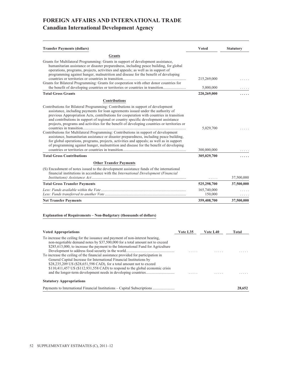# **FOREIGN AFFAIRS AND INTERNATIONAL TRADE Canadian International Development Agency**

| <b>Transfer Payments (dollars)</b>                                                                                                                                                                                                                                                                                                                                                                                                                                                                                                                                                                                                                                                                                                                                                                                           | <b>Voted</b>             | <b>Statutory</b> |
|------------------------------------------------------------------------------------------------------------------------------------------------------------------------------------------------------------------------------------------------------------------------------------------------------------------------------------------------------------------------------------------------------------------------------------------------------------------------------------------------------------------------------------------------------------------------------------------------------------------------------------------------------------------------------------------------------------------------------------------------------------------------------------------------------------------------------|--------------------------|------------------|
| Grants                                                                                                                                                                                                                                                                                                                                                                                                                                                                                                                                                                                                                                                                                                                                                                                                                       |                          |                  |
| Grants for Multilateral Programming: Grants in support of development assistance,<br>humanitarian assistance or disaster preparedness, including peace building, for global<br>operations, programs, projects, activities and appeals; as well as in support of<br>programming against hunger, malnutrition and disease for the benefit of developing                                                                                                                                                                                                                                                                                                                                                                                                                                                                        | 215,269,000              |                  |
| Grants for Bilateral Programming: Grants for cooperation with other donor countries for<br>the benefit of developing countries or territories or countries in transition                                                                                                                                                                                                                                                                                                                                                                                                                                                                                                                                                                                                                                                     | 5,000,000                |                  |
| <b>Total Gross Grants</b>                                                                                                                                                                                                                                                                                                                                                                                                                                                                                                                                                                                                                                                                                                                                                                                                    | 220,269,000              |                  |
| <b>Contributions</b>                                                                                                                                                                                                                                                                                                                                                                                                                                                                                                                                                                                                                                                                                                                                                                                                         |                          |                  |
| Contributions for Bilateral Programming: Contributions in support of development<br>assistance, including payments for loan agreements issued under the authority of<br>previous Appropriation Acts, contributions for cooperation with countries in transition<br>and contributions in support of regional or country specific development assistance<br>projects, programs and activities for the benefit of developing countries or territories or<br>Contributions for Multilateral Programming: Contributions in support of development<br>assistance, humanitarian assistance or disaster preparedness, including peace building,<br>for global operations, programs, projects, activities and appeals; as well as in support<br>of programming against hunger, malnutrition and disease for the benefit of developing | 5,029,700<br>300,000,000 |                  |
| <b>Total Gross Contributions</b>                                                                                                                                                                                                                                                                                                                                                                                                                                                                                                                                                                                                                                                                                                                                                                                             | 305,029,700              |                  |
| <b>Other Transfer Payments</b>                                                                                                                                                                                                                                                                                                                                                                                                                                                                                                                                                                                                                                                                                                                                                                                               |                          |                  |
| (S) Encashment of notes issued to the development assistance funds of the international<br>financial institutions in accordance with the <i>International Development (Financial</i> )                                                                                                                                                                                                                                                                                                                                                                                                                                                                                                                                                                                                                                       |                          | 37,500,000       |
| <b>Total Gross Transfer Payments</b>                                                                                                                                                                                                                                                                                                                                                                                                                                                                                                                                                                                                                                                                                                                                                                                         | 525,298,700              | 37,500,000       |
|                                                                                                                                                                                                                                                                                                                                                                                                                                                                                                                                                                                                                                                                                                                                                                                                                              | 165,740,000<br>150,000   | .                |
| <b>Net Transfer Payments</b>                                                                                                                                                                                                                                                                                                                                                                                                                                                                                                                                                                                                                                                                                                                                                                                                 | 359,408,700              | 37,500,000       |

### **Explanation of Requirements – Non-Budgetary (thousands of dollars)**

| <b>Voted Appropriations</b>                                                                                                                                                                                                                                                                                                                                                                                                                                                                                                                                                | <b>Vote L35</b> | Vote L40 | Total  |
|----------------------------------------------------------------------------------------------------------------------------------------------------------------------------------------------------------------------------------------------------------------------------------------------------------------------------------------------------------------------------------------------------------------------------------------------------------------------------------------------------------------------------------------------------------------------------|-----------------|----------|--------|
| To increase the ceiling for the issuance and payment of non-interest bearing,<br>non-negotiable demand notes by \$37,500,000 for a total amount not to exceed<br>\$285,613,000, to increase the payment to the International Fund for Agriculture<br>To increase the ceiling of the financial assistance provided for participation in<br>General Capital Increase for International Financial Institutions by<br>\$28,235,209 US (\$28,651,598 CAD), for a total amount not to exceed<br>$$110,411,457$ US ( $$112,931,558$ CAD) to respond to the global economic crisis |                 |          |        |
| <b>Statutory Appropriations</b>                                                                                                                                                                                                                                                                                                                                                                                                                                                                                                                                            |                 |          |        |
| Payments to International Financial Institutions – Capital Subscriptions                                                                                                                                                                                                                                                                                                                                                                                                                                                                                                   |                 |          | 28,652 |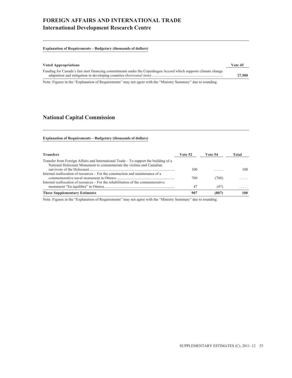# **FOREIGN AFFAIRS AND INTERNATIONAL TRADE International Development Research Centre**

#### **Explanation of Requirements – Budgetary (thousands of dollars)**

| 27,500 |
|--------|
|        |

Note: Figures in the "Explanation of Requirements" may not agree with the "Ministry Summary" due to rounding.

### **National Capital Commission**

#### **Explanation of Requirements – Budgetary (thousands of dollars)**

| <b>Transfers</b>                                                                                                                                              | <b>Vote 52</b> | Vote 54 | Total |
|---------------------------------------------------------------------------------------------------------------------------------------------------------------|----------------|---------|-------|
| Transfer from Foreign Affairs and International Trade $-$ To support the building of a<br>National Holocaust Monument to commemorate the victims and Canadian |                |         |       |
|                                                                                                                                                               | 100            |         | 100   |
| Internal reallocation of resources – For the construction and maintenance of a                                                                                | 760            | (760)   | .     |
| Internal reallocation of resources – For the rehabilitation of the commemorative                                                                              | 47             | (47)    | .     |
| <b>These Supplementary Estimates</b>                                                                                                                          | 907            | (807)   | 100   |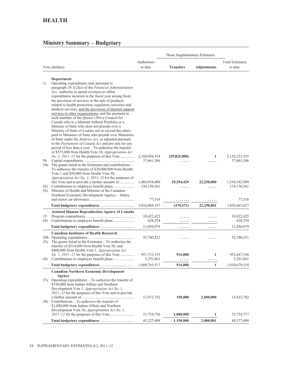|  | <b>Ministry Summary - Budgetary</b> |  |
|--|-------------------------------------|--|
|--|-------------------------------------|--|

|            |                                                                                                                                                                                                                                                                                                                                                                                                                                                                                                                                                                                                                                                                                                                                                                                                                                                                                                                    |                                        | These Supplementary Estimates |                    |                                   |
|------------|--------------------------------------------------------------------------------------------------------------------------------------------------------------------------------------------------------------------------------------------------------------------------------------------------------------------------------------------------------------------------------------------------------------------------------------------------------------------------------------------------------------------------------------------------------------------------------------------------------------------------------------------------------------------------------------------------------------------------------------------------------------------------------------------------------------------------------------------------------------------------------------------------------------------|----------------------------------------|-------------------------------|--------------------|-----------------------------------|
|            | Vote (dollars)                                                                                                                                                                                                                                                                                                                                                                                                                                                                                                                                                                                                                                                                                                                                                                                                                                                                                                     | Authorities<br>to date                 | <b>Transfers</b>              | <b>Adjustments</b> | <b>Total Estimates</b><br>to date |
| 1c         | Department<br>Operating expenditures and, pursuant to<br>paragraph $29.1(2)(a)$ of the Financial Administration<br>Act, authority to spend revenues to offset<br>expenditures incurred in the fiscal year arising from<br>the provision of services or the sale of products<br>related to health protection, regulatory activities and<br>medical services, and the provision of internal support<br>services to other organizations, and the payment to<br>each member of the Queen's Privy Council for<br>Canada who is a Minister without Portfolio or a<br>Minister of State who does not preside over a<br>Ministry of State of a salary not to exceed the salary<br>paid to Ministers of State who preside over Ministries<br>of State under the Salaries Act, as adjusted pursuant<br>to the <i>Parliament of Canada Act</i> and pro rata for any<br>period of less than a year – To authorize the transfer |                                        |                               |                    |                                   |
| 5b         | of \$575,000 from Health Vote 10, Appropriation Act<br>No. 1, 2011-12 for the purposes of this Vote<br>10c The grants listed in the Estimates and contributions –<br>To authorize the transfer of \$30,000,000 from Health<br>Vote 1 and \$50,000 from Health Vote 50,                                                                                                                                                                                                                                                                                                                                                                                                                                                                                                                                                                                                                                             | 2,160,056,334<br>37,661,306            | (29,825,000)                  | 1<br>.             | 2,130,231,335<br>37,661,306       |
| (S)<br>(S) | Appropriation Act No. 1, 2011–12 for the purposes of<br>this Vote and to provide a further amount of<br>Minister of Health and Minister of the Canadian<br>Northern Economic Development Agency – Salary                                                                                                                                                                                                                                                                                                                                                                                                                                                                                                                                                                                                                                                                                                           | 1,484,938,480<br>134,150,561<br>77,516 | 29,354,429                    | 22,250,000         | 1,536,542,909<br>134,150,561      |
|            |                                                                                                                                                                                                                                                                                                                                                                                                                                                                                                                                                                                                                                                                                                                                                                                                                                                                                                                    | 3,816,884,197                          | .<br>(470, 571)               | .<br>22,250,001    | 77,516<br>3,838,663,627           |
|            | <b>Assisted Human Reproduction Agency of Canada</b>                                                                                                                                                                                                                                                                                                                                                                                                                                                                                                                                                                                                                                                                                                                                                                                                                                                                |                                        |                               |                    |                                   |
| 15<br>(S)  |                                                                                                                                                                                                                                                                                                                                                                                                                                                                                                                                                                                                                                                                                                                                                                                                                                                                                                                    | 10,422,425<br>628,554                  | .<br>.                        | .                  | 10,422,425<br>628,554             |
|            |                                                                                                                                                                                                                                                                                                                                                                                                                                                                                                                                                                                                                                                                                                                                                                                                                                                                                                                    | 11,050,979                             | .                             | .                  | 11,050,979                        |
|            | <b>Canadian Institutes of Health Research</b><br>25c The grants listed in the Estimates – To authorize the<br>transfer of \$514,000 from Health Vote 50, and<br>\$400,000 from Health Vote 1, Appropriation Act                                                                                                                                                                                                                                                                                                                                                                                                                                                                                                                                                                                                                                                                                                    | 52,740,321                             | .                             |                    | 52,740,321                        |
| (S)        | <i>No. 1, 2011–12</i> for the purposes of this Vote                                                                                                                                                                                                                                                                                                                                                                                                                                                                                                                                                                                                                                                                                                                                                                                                                                                                | 951,733,335<br>5,291,861               | 914,000<br>.                  | 1<br>.             | 952,647,336<br>5,291,861          |
|            |                                                                                                                                                                                                                                                                                                                                                                                                                                                                                                                                                                                                                                                                                                                                                                                                                                                                                                                    | 1,009,765,517                          | 914,000                       | 1                  | 1,010,679,518                     |
|            | <b>Canadian Northern Economic Development</b><br>Agency<br>27c Operating expenditures – To authorize the transfer of<br>\$150,000 from Indian Affairs and Northern<br>Development Vote 1, Appropriation Act No. 1,<br>$2011 - 12$ for the purposes of this Vote and to provide<br>29c Contributions – To authorize the transfer of                                                                                                                                                                                                                                                                                                                                                                                                                                                                                                                                                                                 | 13,472,742                             | 150,000                       | 2,000,000          | 15,622,742                        |
|            | \$1,000,000 from Indian Affairs and Northern<br>Development Vote 10, Appropriation Act No. 1,                                                                                                                                                                                                                                                                                                                                                                                                                                                                                                                                                                                                                                                                                                                                                                                                                      |                                        |                               |                    |                                   |
|            |                                                                                                                                                                                                                                                                                                                                                                                                                                                                                                                                                                                                                                                                                                                                                                                                                                                                                                                    | 31,754,756<br>45,227,498               | 1,000,000<br>1,150,000        | 1<br>2,000,001     | 32,754,757<br>48, 377, 499        |
|            |                                                                                                                                                                                                                                                                                                                                                                                                                                                                                                                                                                                                                                                                                                                                                                                                                                                                                                                    |                                        |                               |                    |                                   |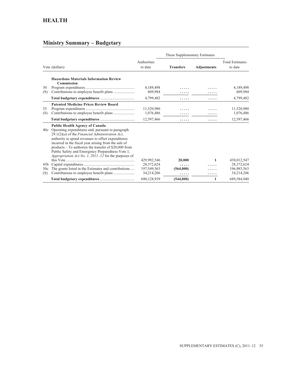|            |                                                                                                                                                                                                                                                                                                                                                                                                                                           |                           | These Supplementary Estimates |                    |                                   |
|------------|-------------------------------------------------------------------------------------------------------------------------------------------------------------------------------------------------------------------------------------------------------------------------------------------------------------------------------------------------------------------------------------------------------------------------------------------|---------------------------|-------------------------------|--------------------|-----------------------------------|
|            | Vote (dollars)                                                                                                                                                                                                                                                                                                                                                                                                                            | Authorities<br>to date    | <b>Transfers</b>              | <b>Adjustments</b> | <b>Total Estimates</b><br>to date |
|            | <b>Hazardous Materials Information Review</b><br>Commission                                                                                                                                                                                                                                                                                                                                                                               |                           |                               |                    |                                   |
| 30<br>(S)  |                                                                                                                                                                                                                                                                                                                                                                                                                                           | 4,189,498<br>609.984      | .                             | .                  | 4,189,498<br>609,984              |
|            |                                                                                                                                                                                                                                                                                                                                                                                                                                           | 4,799,482                 | .                             | .                  | 4,799,482                         |
| 35<br>(S)  | <b>Patented Medicine Prices Review Board</b>                                                                                                                                                                                                                                                                                                                                                                                              | 11,520,980<br>1,076,486   | .                             | .                  | 11,520,980<br>1,076,486           |
|            |                                                                                                                                                                                                                                                                                                                                                                                                                                           | 12,597,466                | .                             | .                  | 12,597,466                        |
| 40c        | <b>Public Health Agency of Canada</b><br>Operating expenditures and, pursuant to paragraph<br>$29.1(2)(a)$ of the Financial Administration Act,<br>authority to spend revenues to offset expenditures<br>incurred in the fiscal year arising from the sale of<br>products – To authorize the transfer of \$20,000 from<br>Public Safety and Emergency Preparedness Vote 1,<br><i>Appropriation Act No. 1, 2011–12</i> for the purposes of |                           |                               |                    |                                   |
| 45b        |                                                                                                                                                                                                                                                                                                                                                                                                                                           | 429,992,546<br>28,372,624 | 20,000<br>.                   | 1                  | 430,012,547<br>28,372,624         |
| 50c<br>(S) | The grants listed in the Estimates and contributions                                                                                                                                                                                                                                                                                                                                                                                      | 197,549,563<br>34,214,206 | (564,000)<br>.                | .                  | 196,985,563<br>34,214,206         |
|            |                                                                                                                                                                                                                                                                                                                                                                                                                                           | 690,128,939               | (544,000)                     | 1                  | 689,584,940                       |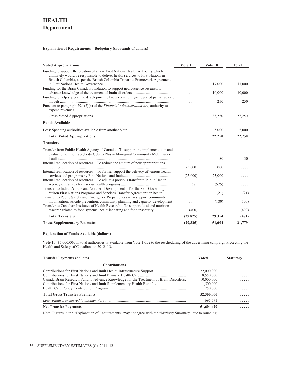#### **Explanation of Requirements – Budgetary (thousands of dollars)**

| <b>Voted Appropriations</b>                                                                                                                                                                                                                     | Vote 1       | Vote 10 | <b>Total</b> |
|-------------------------------------------------------------------------------------------------------------------------------------------------------------------------------------------------------------------------------------------------|--------------|---------|--------------|
| Funding to support the creation of a new First Nations Health Authority which<br>ultimately would be responsible to deliver health services to First Nations in<br>British Columbia, as per the British Columbia Tripartite Framework Agreement |              |         |              |
| Funding for the Brain Canada Foundation to support neuroscience research to                                                                                                                                                                     | .            | 17,000  | 17,000       |
|                                                                                                                                                                                                                                                 | 1.1.1.1      | 10,000  | 10,000       |
| Funding to help support the development of new community-integrated palliative care                                                                                                                                                             |              | 250     | 250          |
| Pursuant to paragraph $29.1(2)(a)$ of the <i>Financial Administration Act</i> , authority to                                                                                                                                                    | .<br>1.1.1.1 | .       | .            |
| Gross Voted Appropriations                                                                                                                                                                                                                      | .            | 27,250  | 27,250       |
| <b>Funds Available</b>                                                                                                                                                                                                                          |              |         |              |
|                                                                                                                                                                                                                                                 |              | 5,000   | 5,000        |
| <b>Total Voted Appropriations</b>                                                                                                                                                                                                               | .            | 22,250  | 22,250       |
| <b>Transfers</b>                                                                                                                                                                                                                                |              |         |              |
| Transfer from Public Health Agency of Canada – To support the implementation and<br>evaluation of the Everybody Gets to Play – Aboriginal Community Mobilization                                                                                |              |         |              |
| Internal reallocation of resources – To reduce the amount of new appropriations                                                                                                                                                                 | .            | 50      | 50           |
|                                                                                                                                                                                                                                                 | (5,000)      | 5,000   |              |
| Internal reallocation of resources – To further support the delivery of various health                                                                                                                                                          | (25,000)     | 25,000  |              |
| Internal reallocation of resources – To adjust a previous transfer to Public Health                                                                                                                                                             | 575          | (575)   |              |
| Transfer to Indian Affairs and Northern Development – For the Self-Governing                                                                                                                                                                    |              |         |              |
| Yukon First Nations Programs and Services Transfer Agreement on health<br>Transfer to Public Safety and Emergency Preparedness – To support community                                                                                           | .            | (21)    | (21)         |
| mobilization, suicide prevention, community planning and capacity development                                                                                                                                                                   | .            | (100)   | (100)        |
| Transfer to Canadian Institutes of Health Research – To support food and nutrition<br>research related to food systems, healthier eating and food insecurity                                                                                    | (400)        | .       | (400)        |
| <b>Total Transfers</b>                                                                                                                                                                                                                          | (29, 825)    | 29,354  | (471)        |
| <b>These Supplementary Estimates</b>                                                                                                                                                                                                            | (29, 825)    | 51,604  | 21,779       |

#### **Explanation of Funds Available (dollars)**

**Vote 10**: \$5,000,000 in total authorities is available from Vote 1 due to the rescheduling of the advertising campaign Protecting the Health and Safety of Canadians to 2012–13.

| <b>Transfer Payments (dollars)</b>                                                    | <b>Voted</b> | <b>Statutory</b> |
|---------------------------------------------------------------------------------------|--------------|------------------|
| <b>Contributions</b>                                                                  |              |                  |
|                                                                                       | 22,000,000   | .                |
|                                                                                       | 18,550,000   | .                |
| Canada Brain Research Fund to Advance Knowledge for the Treatment of Brain Disorders. | 10,000,000   | .                |
| Contributions for First Nations and Inuit Supplementary Health Benefits               | 1,500,000    | .                |
|                                                                                       | 250,000      | .                |
| <b>Total Gross Transfer Payments</b>                                                  | 52,300,000   | .                |
|                                                                                       | 695.571      | .                |
| <b>Net Transfer Payments</b>                                                          | 51,604,429   | .                |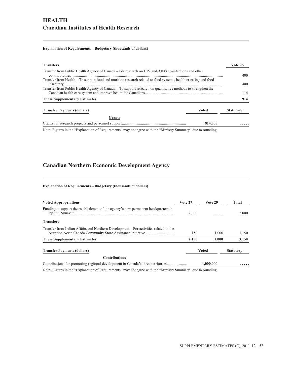### **HEALTH Canadian Institutes of Health Research**

### **Explanation of Requirements – Budgetary (thousands of dollars)**

| <b>Transfers</b>                                                                                                 |         | Vote 25          |  |  |
|------------------------------------------------------------------------------------------------------------------|---------|------------------|--|--|
| Transfer from Public Health Agency of Canada – For research on HIV and AIDS co-infections and other              |         | 400              |  |  |
| Transfer from Health – To support food and nutrition research related to food systems, healthier eating and food |         |                  |  |  |
| Transfer from Public Health Agency of Canada – To support research on quantitative methods to strengthen the     |         | 114              |  |  |
| <b>These Supplementary Estimates</b>                                                                             |         | 914              |  |  |
| <b>Transfer Payments (dollars)</b>                                                                               | Voted   | <b>Statutory</b> |  |  |
| <b>Grants</b>                                                                                                    |         |                  |  |  |
|                                                                                                                  | 914,000 | .                |  |  |
| Note: Figures in the "Explanation of Requirements" may not agree with the "Ministry Summary" due to rounding.    |         |                  |  |  |

### **Canadian Northern Economic Development Agency**

#### **Explanation of Requirements – Budgetary (thousands of dollars)**

| <b>Voted Appropriations</b>                                                           | Vote 27 | Vote 29   | Total            |
|---------------------------------------------------------------------------------------|---------|-----------|------------------|
| Funding to support the establishment of the agency's new permanent headquarters in    | 2.000   | .         | 2.000            |
| <b>Transfers</b>                                                                      |         |           |                  |
| Transfer from Indian Affairs and Northern Development – For activities related to the | 150     | 1.000     | 1,150            |
| <b>These Supplementary Estimates</b>                                                  | 2.150   | 1.000     | 3,150            |
| <b>Transfer Payments (dollars)</b>                                                    |         | Voted     | <b>Statutory</b> |
| <b>Contributions</b>                                                                  |         |           |                  |
| Contributions for promoting regional development in Canada's three territories        |         | 1.000.000 | .                |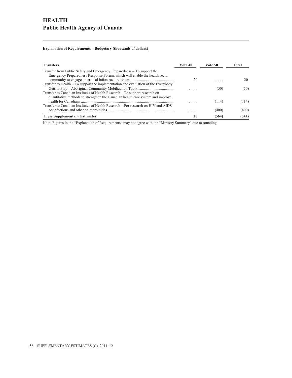## **HEALTH Public Health Agency of Canada**

### **Explanation of Requirements – Budgetary (thousands of dollars)**

| <b>Transfers</b>                                                                   | Vote 40 | Vote 50 | Total |
|------------------------------------------------------------------------------------|---------|---------|-------|
| Transfer from Public Safety and Emergency Preparedness – To support the            |         |         |       |
| Emergency Preparedness Response Forum, which will enable the health sector         |         |         |       |
|                                                                                    | 20      |         | 20    |
| Transfer to Health – To support the implementation and evaluation of the Everybody |         |         |       |
|                                                                                    |         | (50)    | (50)  |
| Transfer to Canadian Institutes of Health Research – To support research on        |         |         |       |
| quantitative methods to strengthen the Canadian health care system and improve     |         |         |       |
|                                                                                    |         | (114)   | (114) |
| Transfer to Canadian Institutes of Health Research – For research on HIV and AIDS  |         |         |       |
|                                                                                    | .       | (400)   | (400) |
| <b>These Supplementary Estimates</b>                                               | 20      | (564)   | (544) |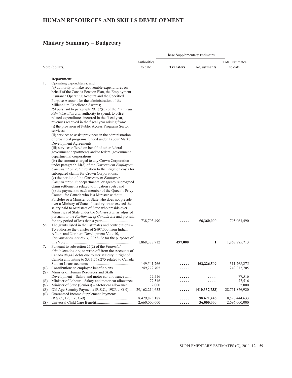### **HUMAN RESOURCES AND SKILLS DEVELOPMENT**

|  |  |  | <b>Ministry Summary – Budgetary</b> |
|--|--|--|-------------------------------------|
|--|--|--|-------------------------------------|

|            |                                                                                                             |               | These Supplementary Estimates |                    |                        |
|------------|-------------------------------------------------------------------------------------------------------------|---------------|-------------------------------|--------------------|------------------------|
|            |                                                                                                             | Authorities   |                               |                    | <b>Total Estimates</b> |
|            | Vote (dollars)                                                                                              | to date       | <b>Transfers</b>              | <b>Adjustments</b> | to date                |
|            |                                                                                                             |               |                               |                    |                        |
| 1c         | Department<br>Operating expenditures, and                                                                   |               |                               |                    |                        |
|            | $(a)$ authority to make recoverable expenditures on                                                         |               |                               |                    |                        |
|            | behalf of the Canada Pension Plan, the Employment                                                           |               |                               |                    |                        |
|            | Insurance Operating Account and the Specified                                                               |               |                               |                    |                        |
|            | Purpose Account for the administration of the                                                               |               |                               |                    |                        |
|            | Millennium Excellence Awards;                                                                               |               |                               |                    |                        |
|            | (b) pursuant to paragraph $29.1(2)(a)$ of the <i>Financial</i>                                              |               |                               |                    |                        |
|            | Administration Act, authority to spend, to offset                                                           |               |                               |                    |                        |
|            | related expenditures incurred in the fiscal year,                                                           |               |                               |                    |                        |
|            | revenues received in the fiscal year arising from:                                                          |               |                               |                    |                        |
|            | (i) the provision of Public Access Programs Sector                                                          |               |                               |                    |                        |
|            | services:                                                                                                   |               |                               |                    |                        |
|            | (ii) services to assist provinces in the administration                                                     |               |                               |                    |                        |
|            | of provincial programs funded under Labour Market<br>Development Agreements;                                |               |                               |                    |                        |
|            | (iii) services offered on behalf of other federal                                                           |               |                               |                    |                        |
|            | government departments and/or federal government                                                            |               |                               |                    |                        |
|            | departmental corporations;                                                                                  |               |                               |                    |                        |
|            | (iv) the amount charged to any Crown Corporation                                                            |               |                               |                    |                        |
|            | under paragraph $14(b)$ of the Government Employees                                                         |               |                               |                    |                        |
|            | Compensation Act in relation to the litigation costs for                                                    |               |                               |                    |                        |
|            | subrogated claims for Crown Corporations;                                                                   |               |                               |                    |                        |
|            | (v) the portion of the Government Employees                                                                 |               |                               |                    |                        |
|            | Compensation Act departmental or agency subrogated                                                          |               |                               |                    |                        |
|            | claim settlements related to litigation costs; and<br>$(c)$ the payment to each member of the Queen's Privy |               |                               |                    |                        |
|            | Council for Canada who is a Minister without                                                                |               |                               |                    |                        |
|            | Portfolio or a Minister of State who does not preside                                                       |               |                               |                    |                        |
|            | over a Ministry of State of a salary not to exceed the                                                      |               |                               |                    |                        |
|            | salary paid to Ministers of State who preside over                                                          |               |                               |                    |                        |
|            | Ministries of State under the Salaries Act, as adjusted                                                     |               |                               |                    |                        |
|            | pursuant to the Parliament of Canada Act and pro rata                                                       |               |                               |                    |                        |
|            |                                                                                                             | 738,703,490   | .                             | 56,360,000         | 795,063,490            |
| 5c         | The grants listed in the Estimates and contributions -                                                      |               |                               |                    |                        |
|            | To authorize the transfer of \$497,000 from Indian                                                          |               |                               |                    |                        |
|            | Affairs and Northern Development Vote 10,                                                                   |               |                               |                    |                        |
|            | Appropriation Act No. 1, 2011–12 for the purposes of                                                        | 1,868,388,712 | 497,000                       | 1                  | 1,868,885,713          |
| 7c         | Pursuant to subsection 25(2) of the <i>Financial</i>                                                        |               |                               |                    |                        |
|            | Administration Act, to write-off from the Accounts of                                                       |               |                               |                    |                        |
|            | Canada 98,448 debts due to Her Majesty in right of                                                          |               |                               |                    |                        |
|            | Canada amounting to \$311,768,275 related to Canada                                                         |               |                               |                    |                        |
|            |                                                                                                             | 149,541,766   | .                             | 162,226,509        | 311,768,275            |
| (S)        |                                                                                                             | 249,272,705   | .                             | .                  | 249,272,705            |
| (S)        | Minister of Human Resources and Skills                                                                      |               |                               |                    |                        |
|            | Development – Salary and motor car allowance                                                                | 77,516        |                               | .                  | 77,516                 |
| (S)        | Minister of Labour - Salary and motor car allowance.                                                        | 77,516        |                               | .                  | 77,516                 |
| (S)        | Minister of State (Seniors) – Motor car allowance                                                           | 2,000         | .                             | .                  | 2,000                  |
| (S)<br>(S) | Old Age Security Payments (R.S.C., 1985, c. O-9) 29,162,214,653<br>Guaranteed Income Supplement Payments    |               | .                             | (410, 337, 733)    | 28,751,876,920         |
|            |                                                                                                             | 8,429,823,187 | .                             | 98,621,446         | 8,528,444,633          |
| (S)        |                                                                                                             | 2,660,000,000 | .                             | 36,000,000         | 2,696,000,000          |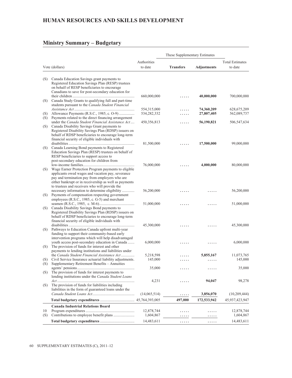### **HUMAN RESOURCES AND SKILLS DEVELOPMENT**

|            |                                                                                                                                                                                                                                                                        |                                |                                        | These Supplementary Estimates |                                   |
|------------|------------------------------------------------------------------------------------------------------------------------------------------------------------------------------------------------------------------------------------------------------------------------|--------------------------------|----------------------------------------|-------------------------------|-----------------------------------|
|            | Vote (dollars)                                                                                                                                                                                                                                                         | Authorities<br>to date         | <b>Transfers</b><br><b>Adjustments</b> |                               | <b>Total Estimates</b><br>to date |
| (S)        | Canada Education Savings grant payments to<br>Registered Education Savings Plan (RESP) trustees<br>on behalf of RESP beneficiaries to encourage<br>Canadians to save for post-secondary education for                                                                  | 660,000,000                    | .                                      | 40,000,000                    | 700,000,000                       |
| (S)        | Canada Study Grants to qualifying full and part-time<br>students pursuant to the Canada Student Financial                                                                                                                                                              |                                |                                        |                               |                                   |
|            |                                                                                                                                                                                                                                                                        | 554,315,000                    |                                        | 74,360,209                    | 628, 675, 209                     |
| (S)<br>(S) | Allowance Payments (R.S.C., 1985, c. O-9)<br>Payments related to the direct financing arrangement<br>under the Canada Student Financial Assistance Act                                                                                                                 | 534, 282, 332<br>450, 356, 813 |                                        | 27,807,405<br>56,190,821      | 562,089,737<br>506, 547, 634      |
| (S)        | Canada Disability Savings Grant payments to<br>Registered Disability Savings Plan (RDSP) issuers on<br>behalf of RDSP beneficiaries to encourage long-term<br>financial security of eligible individuals with                                                          |                                |                                        |                               |                                   |
| (S)        | Canada Learning Bond payments to Registered<br>Education Savings Plan (RESP) trustees on behalf of<br>RESP beneficiaries to support access to<br>post-secondary education for children from                                                                            | 81,500,000<br>76,000,000       |                                        | 17,500,000<br>4,000,000       | 99,000,000<br>80,000,000          |
| (S)        | Wage Earner Protection Program payments to eligible<br>applicants owed wages and vacation pay, severance<br>pay and termination pay from employers who are<br>either bankrupt or in receivership as well as payments<br>to trustees and receivers who will provide the |                                |                                        |                               |                                   |
| (S)        | necessary information to determine eligibility<br>Payments of compensation respecting government<br>employees (R.S.C., 1985, c. G-5) and merchant                                                                                                                      | 56,200,000                     |                                        |                               | 56,200,000                        |
| (S)        | Canada Disability Savings Bond payments to<br>Registered Disability Savings Plan (RDSP) issuers on<br>behalf of RDSP beneficiaries to encourage long-term<br>financial security of eligible individuals with                                                           | 51,000,000                     |                                        |                               | 51,000,000                        |
| (S)        | Pathways to Education Canada upfront multi-year<br>funding to support their community-based early<br>intervention programs which will help disadvantaged                                                                                                               | 45,300,000                     |                                        |                               | 45,300,000                        |
| (S)        | youth access post-secondary education in Canada<br>The provision of funds for interest and other<br>payments to lending institutions and liabilities under                                                                                                             | 6,000,000                      |                                        |                               | 6,000,000                         |
|            | the Canada Student Financial Assistance Act                                                                                                                                                                                                                            | 5,218,598                      |                                        | 5,855,167                     | 11,073,765                        |
| (S)        | Civil Service Insurance actuarial liability adjustments.                                                                                                                                                                                                               | 145,000                        | .                                      | .                             | 145,000                           |
|            | (S) Supplementary Retirement Benefits - Annuities                                                                                                                                                                                                                      | 35,000                         |                                        |                               | 35,000                            |
| (S)        | The provision of funds for interest payments to<br>lending institutions under the Canada Student Loans                                                                                                                                                                 | 4,231                          |                                        | 94,047                        | 98,278                            |
| (S)        | The provision of funds for liabilities including<br>liabilities in the form of guaranteed loans under the                                                                                                                                                              |                                |                                        |                               |                                   |
|            |                                                                                                                                                                                                                                                                        | (14,065,514)                   |                                        | 3,856,070                     | (10, 209, 444)                    |
|            |                                                                                                                                                                                                                                                                        |                                | 497,000                                | 172,533,942                   | 45,937,423,947                    |
|            | <b>Canada Industrial Relations Board</b>                                                                                                                                                                                                                               |                                |                                        |                               |                                   |
| 10<br>(S)  |                                                                                                                                                                                                                                                                        | 12,878,744<br>1,604,867        | .<br>.                                 | .                             | 12,878,744<br>1,604,867           |
|            |                                                                                                                                                                                                                                                                        | 14,483,611                     | .                                      | .                             | 14,483,611                        |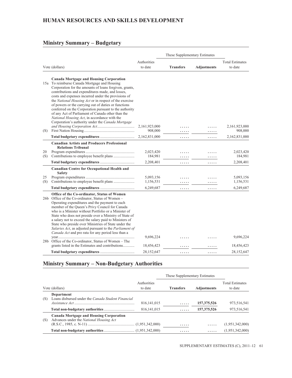### **HUMAN RESOURCES AND SKILLS DEVELOPMENT**

|           |                                                                                                                                                                                                                                                                                                                                                                                                                                                                                                                                                                                                                  |                        | These Supplementary Estimates |                    |                                   |
|-----------|------------------------------------------------------------------------------------------------------------------------------------------------------------------------------------------------------------------------------------------------------------------------------------------------------------------------------------------------------------------------------------------------------------------------------------------------------------------------------------------------------------------------------------------------------------------------------------------------------------------|------------------------|-------------------------------|--------------------|-----------------------------------|
|           | Vote (dollars)                                                                                                                                                                                                                                                                                                                                                                                                                                                                                                                                                                                                   | Authorities<br>to date | <b>Transfers</b>              | <b>Adjustments</b> | <b>Total Estimates</b><br>to date |
|           | <b>Canada Mortgage and Housing Corporation</b><br>15a To reimburse Canada Mortgage and Housing<br>Corporation for the amounts of loans forgiven, grants,<br>contributions and expenditures made, and losses,<br>costs and expenses incurred under the provisions of<br>the <i>National Housing Act</i> or in respect of the exercise<br>of powers or the carrying out of duties or functions<br>conferred on the Corporation pursuant to the authority<br>of any Act of Parliament of Canada other than the<br>National Housing Act, in accordance with the<br>Corporation's authority under the Canada Mortgage | 2,161,923,000          | .                             |                    | 2,161,923,000                     |
| (S)       |                                                                                                                                                                                                                                                                                                                                                                                                                                                                                                                                                                                                                  | 908,000                | .                             | .                  | 908,000                           |
|           |                                                                                                                                                                                                                                                                                                                                                                                                                                                                                                                                                                                                                  | 2,162,831,000          | .                             | .                  | 2,162,831,000                     |
|           | <b>Canadian Artists and Producers Professional</b><br><b>Relations Tribunal</b>                                                                                                                                                                                                                                                                                                                                                                                                                                                                                                                                  |                        |                               |                    |                                   |
| 20<br>(S) |                                                                                                                                                                                                                                                                                                                                                                                                                                                                                                                                                                                                                  | 2,023,420<br>184,981   |                               |                    | 2,023,420<br>184,981              |
|           |                                                                                                                                                                                                                                                                                                                                                                                                                                                                                                                                                                                                                  | 2,208,401              | .                             | .                  | 2,208,401                         |
|           | Canadian Centre for Occupational Health and<br><b>Safety</b>                                                                                                                                                                                                                                                                                                                                                                                                                                                                                                                                                     |                        |                               |                    |                                   |
| 25<br>(S) | Contributions to employee benefit plans                                                                                                                                                                                                                                                                                                                                                                                                                                                                                                                                                                          | 5,093,156<br>1,156,531 | .                             | .                  | 5,093,156<br>1,156,531            |
|           |                                                                                                                                                                                                                                                                                                                                                                                                                                                                                                                                                                                                                  | 6,249,687              | .                             | .                  | 6,249,687                         |
|           | Office of the Co-ordinator, Status of Women<br>26b Office of the Co-ordinator, Status of Women -<br>Operating expenditures and the payment to each<br>member of the Queen's Privy Council for Canada<br>who is a Minister without Portfolio or a Minister of<br>State who does not preside over a Ministry of State of<br>a salary not to exceed the salary paid to Ministers of<br>State who preside over Ministries of State under the<br>Salaries Act, as adjusted pursuant to the Parliament of<br>Canada Act and pro rata for any period less than a                                                        |                        |                               |                    |                                   |
|           | 28b Office of the Co-ordinator, Status of Women - The                                                                                                                                                                                                                                                                                                                                                                                                                                                                                                                                                            | 9,696,224              |                               |                    | 9,696,224                         |
|           | grants listed in the Estimates and contributions                                                                                                                                                                                                                                                                                                                                                                                                                                                                                                                                                                 | 18,456,423             |                               |                    | 18,456,423                        |
|           |                                                                                                                                                                                                                                                                                                                                                                                                                                                                                                                                                                                                                  | 28,152,647             | .                             | .                  | 28,152,647                        |

### **Ministry Summary – Budgetary**

## **Ministry Summary – Non-Budgetary Authorities**

|                |                                                                                           |                        | These Supplementary Estimates |                    |                                   |
|----------------|-------------------------------------------------------------------------------------------|------------------------|-------------------------------|--------------------|-----------------------------------|
| Vote (dollars) |                                                                                           | Authorities<br>to date | <b>Transfers</b>              | <b>Adjustments</b> | <b>Total Estimates</b><br>to date |
| (S)            | Department<br>Loans disbursed under the Canada Student Financial                          | 816, 141, 015          | .                             | 157, 375, 526      | 973,516,541                       |
|                |                                                                                           | 816, 141, 015          | .                             | 157, 375, 526      | 973,516,541                       |
| (S)            | <b>Canada Mortgage and Housing Corporation</b><br>Advances under the National Housing Act |                        | .                             | .                  | (1,951,342,000)                   |
|                |                                                                                           |                        | .                             | .                  | (1,951,342,000)                   |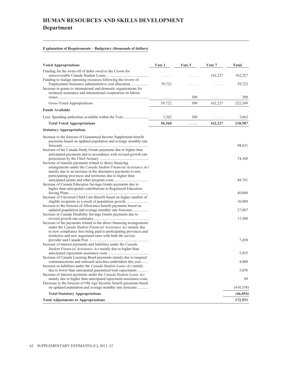# **HUMAN RESOURCES AND SKILLS DEVELOPMENT Department**

### **Explanation of Requirements – Budgetary (thousands of dollars)**

| Funding for the write-off of debts owed to the Crown for<br>162,227<br>162,227<br>Funding to realign operating resources following the review of<br>59,722<br>59,722<br>.<br>Increase in grants to international and domestic organizations for<br>technical assistance and international cooperation on labour<br>300<br>300<br>.<br>.<br>Gross Voted Appropriations<br>59,722<br>300<br>162,227<br>222,249<br><b>Funds Available</b><br>3,362<br>300<br>3,662<br>.<br>56,360<br>218,587<br><b>Total Voted Appropriations</b><br>162,227<br>.<br><b>Statutory Appropriations</b><br>Increase to the forecast of Guaranteed Income Supplement benefit<br>payments based on updated population and average monthly rate<br>98,621<br>Increase of the Canada Study Grants payments due to higher than<br>anticipated payments and in accordance with revised growth rate<br>74,360<br>Increase of transfer payments related to direct financing<br>arrangements under the Canada Student Financial Assistance Act<br>mainly due to an increase in the alternative payments to non<br>participating provinces and territories due to higher than<br>48,741<br>Increase of Canada Education Savings Grants payments due to<br>higher than anticipated contributions to Registered Education<br>40,000<br>Increase of Universal Child Care Benefit based on higher number of<br>36,000<br>Increase to the forecast of Allowance benefit payments based on<br>27,807<br>Increase in Canada Disability Savings Grants payments due to<br>17,500<br>Increase of the payments related to the direct financing arrangements<br>under the Canada Student Financial Assistance Act mainly due<br>to new compliance fees being paid to participating provinces and<br>territories and new negotiated rates with both the service<br>7,450<br>Increase of interest payments and liabilities under the Canada<br>Student Financial Assistance Act mainly due to higher than<br>5,855<br>Increase of Canada Learning Bond payments mainly due to targeted<br>communications and outreach activities undertaken this year<br>4,000<br>Increase in liabilities under the <i>Canada Student Loans Act</i> mainly<br>due to lower than anticipated guaranteed loan repayments<br>3,856<br>Increase of interest payments under the Canada Student Loans Act<br>mainly due to higher than anticipated repayment assistance costs.<br>94<br>Decrease to the forecast of Old Age Security benefit payments based<br>on updated population and average monthly rate forecasts<br><b>Total Statutory Appropriations</b><br><b>Total Adjustments to Appropriations</b><br>172,533 | <b>Voted Appropriations</b> | Vote 1 | Vote 5 | Vote 7 | Total      |
|--------------------------------------------------------------------------------------------------------------------------------------------------------------------------------------------------------------------------------------------------------------------------------------------------------------------------------------------------------------------------------------------------------------------------------------------------------------------------------------------------------------------------------------------------------------------------------------------------------------------------------------------------------------------------------------------------------------------------------------------------------------------------------------------------------------------------------------------------------------------------------------------------------------------------------------------------------------------------------------------------------------------------------------------------------------------------------------------------------------------------------------------------------------------------------------------------------------------------------------------------------------------------------------------------------------------------------------------------------------------------------------------------------------------------------------------------------------------------------------------------------------------------------------------------------------------------------------------------------------------------------------------------------------------------------------------------------------------------------------------------------------------------------------------------------------------------------------------------------------------------------------------------------------------------------------------------------------------------------------------------------------------------------------------------------------------------------------------------------------------------------------------------------------------------------------------------------------------------------------------------------------------------------------------------------------------------------------------------------------------------------------------------------------------------------------------------------------------------------------------------------------------------------------------------------------------------------------------------------------------------------------------------------|-----------------------------|--------|--------|--------|------------|
|                                                                                                                                                                                                                                                                                                                                                                                                                                                                                                                                                                                                                                                                                                                                                                                                                                                                                                                                                                                                                                                                                                                                                                                                                                                                                                                                                                                                                                                                                                                                                                                                                                                                                                                                                                                                                                                                                                                                                                                                                                                                                                                                                                                                                                                                                                                                                                                                                                                                                                                                                                                                                                                        |                             |        |        |        |            |
|                                                                                                                                                                                                                                                                                                                                                                                                                                                                                                                                                                                                                                                                                                                                                                                                                                                                                                                                                                                                                                                                                                                                                                                                                                                                                                                                                                                                                                                                                                                                                                                                                                                                                                                                                                                                                                                                                                                                                                                                                                                                                                                                                                                                                                                                                                                                                                                                                                                                                                                                                                                                                                                        |                             |        |        |        |            |
|                                                                                                                                                                                                                                                                                                                                                                                                                                                                                                                                                                                                                                                                                                                                                                                                                                                                                                                                                                                                                                                                                                                                                                                                                                                                                                                                                                                                                                                                                                                                                                                                                                                                                                                                                                                                                                                                                                                                                                                                                                                                                                                                                                                                                                                                                                                                                                                                                                                                                                                                                                                                                                                        |                             |        |        |        |            |
|                                                                                                                                                                                                                                                                                                                                                                                                                                                                                                                                                                                                                                                                                                                                                                                                                                                                                                                                                                                                                                                                                                                                                                                                                                                                                                                                                                                                                                                                                                                                                                                                                                                                                                                                                                                                                                                                                                                                                                                                                                                                                                                                                                                                                                                                                                                                                                                                                                                                                                                                                                                                                                                        |                             |        |        |        |            |
|                                                                                                                                                                                                                                                                                                                                                                                                                                                                                                                                                                                                                                                                                                                                                                                                                                                                                                                                                                                                                                                                                                                                                                                                                                                                                                                                                                                                                                                                                                                                                                                                                                                                                                                                                                                                                                                                                                                                                                                                                                                                                                                                                                                                                                                                                                                                                                                                                                                                                                                                                                                                                                                        |                             |        |        |        |            |
|                                                                                                                                                                                                                                                                                                                                                                                                                                                                                                                                                                                                                                                                                                                                                                                                                                                                                                                                                                                                                                                                                                                                                                                                                                                                                                                                                                                                                                                                                                                                                                                                                                                                                                                                                                                                                                                                                                                                                                                                                                                                                                                                                                                                                                                                                                                                                                                                                                                                                                                                                                                                                                                        |                             |        |        |        |            |
|                                                                                                                                                                                                                                                                                                                                                                                                                                                                                                                                                                                                                                                                                                                                                                                                                                                                                                                                                                                                                                                                                                                                                                                                                                                                                                                                                                                                                                                                                                                                                                                                                                                                                                                                                                                                                                                                                                                                                                                                                                                                                                                                                                                                                                                                                                                                                                                                                                                                                                                                                                                                                                                        |                             |        |        |        |            |
|                                                                                                                                                                                                                                                                                                                                                                                                                                                                                                                                                                                                                                                                                                                                                                                                                                                                                                                                                                                                                                                                                                                                                                                                                                                                                                                                                                                                                                                                                                                                                                                                                                                                                                                                                                                                                                                                                                                                                                                                                                                                                                                                                                                                                                                                                                                                                                                                                                                                                                                                                                                                                                                        |                             |        |        |        |            |
|                                                                                                                                                                                                                                                                                                                                                                                                                                                                                                                                                                                                                                                                                                                                                                                                                                                                                                                                                                                                                                                                                                                                                                                                                                                                                                                                                                                                                                                                                                                                                                                                                                                                                                                                                                                                                                                                                                                                                                                                                                                                                                                                                                                                                                                                                                                                                                                                                                                                                                                                                                                                                                                        |                             |        |        |        |            |
|                                                                                                                                                                                                                                                                                                                                                                                                                                                                                                                                                                                                                                                                                                                                                                                                                                                                                                                                                                                                                                                                                                                                                                                                                                                                                                                                                                                                                                                                                                                                                                                                                                                                                                                                                                                                                                                                                                                                                                                                                                                                                                                                                                                                                                                                                                                                                                                                                                                                                                                                                                                                                                                        |                             |        |        |        |            |
|                                                                                                                                                                                                                                                                                                                                                                                                                                                                                                                                                                                                                                                                                                                                                                                                                                                                                                                                                                                                                                                                                                                                                                                                                                                                                                                                                                                                                                                                                                                                                                                                                                                                                                                                                                                                                                                                                                                                                                                                                                                                                                                                                                                                                                                                                                                                                                                                                                                                                                                                                                                                                                                        |                             |        |        |        |            |
|                                                                                                                                                                                                                                                                                                                                                                                                                                                                                                                                                                                                                                                                                                                                                                                                                                                                                                                                                                                                                                                                                                                                                                                                                                                                                                                                                                                                                                                                                                                                                                                                                                                                                                                                                                                                                                                                                                                                                                                                                                                                                                                                                                                                                                                                                                                                                                                                                                                                                                                                                                                                                                                        |                             |        |        |        |            |
|                                                                                                                                                                                                                                                                                                                                                                                                                                                                                                                                                                                                                                                                                                                                                                                                                                                                                                                                                                                                                                                                                                                                                                                                                                                                                                                                                                                                                                                                                                                                                                                                                                                                                                                                                                                                                                                                                                                                                                                                                                                                                                                                                                                                                                                                                                                                                                                                                                                                                                                                                                                                                                                        |                             |        |        |        |            |
|                                                                                                                                                                                                                                                                                                                                                                                                                                                                                                                                                                                                                                                                                                                                                                                                                                                                                                                                                                                                                                                                                                                                                                                                                                                                                                                                                                                                                                                                                                                                                                                                                                                                                                                                                                                                                                                                                                                                                                                                                                                                                                                                                                                                                                                                                                                                                                                                                                                                                                                                                                                                                                                        |                             |        |        |        |            |
|                                                                                                                                                                                                                                                                                                                                                                                                                                                                                                                                                                                                                                                                                                                                                                                                                                                                                                                                                                                                                                                                                                                                                                                                                                                                                                                                                                                                                                                                                                                                                                                                                                                                                                                                                                                                                                                                                                                                                                                                                                                                                                                                                                                                                                                                                                                                                                                                                                                                                                                                                                                                                                                        |                             |        |        |        |            |
|                                                                                                                                                                                                                                                                                                                                                                                                                                                                                                                                                                                                                                                                                                                                                                                                                                                                                                                                                                                                                                                                                                                                                                                                                                                                                                                                                                                                                                                                                                                                                                                                                                                                                                                                                                                                                                                                                                                                                                                                                                                                                                                                                                                                                                                                                                                                                                                                                                                                                                                                                                                                                                                        |                             |        |        |        |            |
|                                                                                                                                                                                                                                                                                                                                                                                                                                                                                                                                                                                                                                                                                                                                                                                                                                                                                                                                                                                                                                                                                                                                                                                                                                                                                                                                                                                                                                                                                                                                                                                                                                                                                                                                                                                                                                                                                                                                                                                                                                                                                                                                                                                                                                                                                                                                                                                                                                                                                                                                                                                                                                                        |                             |        |        |        |            |
|                                                                                                                                                                                                                                                                                                                                                                                                                                                                                                                                                                                                                                                                                                                                                                                                                                                                                                                                                                                                                                                                                                                                                                                                                                                                                                                                                                                                                                                                                                                                                                                                                                                                                                                                                                                                                                                                                                                                                                                                                                                                                                                                                                                                                                                                                                                                                                                                                                                                                                                                                                                                                                                        |                             |        |        |        |            |
|                                                                                                                                                                                                                                                                                                                                                                                                                                                                                                                                                                                                                                                                                                                                                                                                                                                                                                                                                                                                                                                                                                                                                                                                                                                                                                                                                                                                                                                                                                                                                                                                                                                                                                                                                                                                                                                                                                                                                                                                                                                                                                                                                                                                                                                                                                                                                                                                                                                                                                                                                                                                                                                        |                             |        |        |        |            |
|                                                                                                                                                                                                                                                                                                                                                                                                                                                                                                                                                                                                                                                                                                                                                                                                                                                                                                                                                                                                                                                                                                                                                                                                                                                                                                                                                                                                                                                                                                                                                                                                                                                                                                                                                                                                                                                                                                                                                                                                                                                                                                                                                                                                                                                                                                                                                                                                                                                                                                                                                                                                                                                        |                             |        |        |        |            |
|                                                                                                                                                                                                                                                                                                                                                                                                                                                                                                                                                                                                                                                                                                                                                                                                                                                                                                                                                                                                                                                                                                                                                                                                                                                                                                                                                                                                                                                                                                                                                                                                                                                                                                                                                                                                                                                                                                                                                                                                                                                                                                                                                                                                                                                                                                                                                                                                                                                                                                                                                                                                                                                        |                             |        |        |        |            |
|                                                                                                                                                                                                                                                                                                                                                                                                                                                                                                                                                                                                                                                                                                                                                                                                                                                                                                                                                                                                                                                                                                                                                                                                                                                                                                                                                                                                                                                                                                                                                                                                                                                                                                                                                                                                                                                                                                                                                                                                                                                                                                                                                                                                                                                                                                                                                                                                                                                                                                                                                                                                                                                        |                             |        |        |        |            |
|                                                                                                                                                                                                                                                                                                                                                                                                                                                                                                                                                                                                                                                                                                                                                                                                                                                                                                                                                                                                                                                                                                                                                                                                                                                                                                                                                                                                                                                                                                                                                                                                                                                                                                                                                                                                                                                                                                                                                                                                                                                                                                                                                                                                                                                                                                                                                                                                                                                                                                                                                                                                                                                        |                             |        |        |        |            |
|                                                                                                                                                                                                                                                                                                                                                                                                                                                                                                                                                                                                                                                                                                                                                                                                                                                                                                                                                                                                                                                                                                                                                                                                                                                                                                                                                                                                                                                                                                                                                                                                                                                                                                                                                                                                                                                                                                                                                                                                                                                                                                                                                                                                                                                                                                                                                                                                                                                                                                                                                                                                                                                        |                             |        |        |        |            |
|                                                                                                                                                                                                                                                                                                                                                                                                                                                                                                                                                                                                                                                                                                                                                                                                                                                                                                                                                                                                                                                                                                                                                                                                                                                                                                                                                                                                                                                                                                                                                                                                                                                                                                                                                                                                                                                                                                                                                                                                                                                                                                                                                                                                                                                                                                                                                                                                                                                                                                                                                                                                                                                        |                             |        |        |        |            |
|                                                                                                                                                                                                                                                                                                                                                                                                                                                                                                                                                                                                                                                                                                                                                                                                                                                                                                                                                                                                                                                                                                                                                                                                                                                                                                                                                                                                                                                                                                                                                                                                                                                                                                                                                                                                                                                                                                                                                                                                                                                                                                                                                                                                                                                                                                                                                                                                                                                                                                                                                                                                                                                        |                             |        |        |        |            |
|                                                                                                                                                                                                                                                                                                                                                                                                                                                                                                                                                                                                                                                                                                                                                                                                                                                                                                                                                                                                                                                                                                                                                                                                                                                                                                                                                                                                                                                                                                                                                                                                                                                                                                                                                                                                                                                                                                                                                                                                                                                                                                                                                                                                                                                                                                                                                                                                                                                                                                                                                                                                                                                        |                             |        |        |        |            |
|                                                                                                                                                                                                                                                                                                                                                                                                                                                                                                                                                                                                                                                                                                                                                                                                                                                                                                                                                                                                                                                                                                                                                                                                                                                                                                                                                                                                                                                                                                                                                                                                                                                                                                                                                                                                                                                                                                                                                                                                                                                                                                                                                                                                                                                                                                                                                                                                                                                                                                                                                                                                                                                        |                             |        |        |        |            |
|                                                                                                                                                                                                                                                                                                                                                                                                                                                                                                                                                                                                                                                                                                                                                                                                                                                                                                                                                                                                                                                                                                                                                                                                                                                                                                                                                                                                                                                                                                                                                                                                                                                                                                                                                                                                                                                                                                                                                                                                                                                                                                                                                                                                                                                                                                                                                                                                                                                                                                                                                                                                                                                        |                             |        |        |        |            |
|                                                                                                                                                                                                                                                                                                                                                                                                                                                                                                                                                                                                                                                                                                                                                                                                                                                                                                                                                                                                                                                                                                                                                                                                                                                                                                                                                                                                                                                                                                                                                                                                                                                                                                                                                                                                                                                                                                                                                                                                                                                                                                                                                                                                                                                                                                                                                                                                                                                                                                                                                                                                                                                        |                             |        |        |        |            |
|                                                                                                                                                                                                                                                                                                                                                                                                                                                                                                                                                                                                                                                                                                                                                                                                                                                                                                                                                                                                                                                                                                                                                                                                                                                                                                                                                                                                                                                                                                                                                                                                                                                                                                                                                                                                                                                                                                                                                                                                                                                                                                                                                                                                                                                                                                                                                                                                                                                                                                                                                                                                                                                        |                             |        |        |        |            |
|                                                                                                                                                                                                                                                                                                                                                                                                                                                                                                                                                                                                                                                                                                                                                                                                                                                                                                                                                                                                                                                                                                                                                                                                                                                                                                                                                                                                                                                                                                                                                                                                                                                                                                                                                                                                                                                                                                                                                                                                                                                                                                                                                                                                                                                                                                                                                                                                                                                                                                                                                                                                                                                        |                             |        |        |        |            |
|                                                                                                                                                                                                                                                                                                                                                                                                                                                                                                                                                                                                                                                                                                                                                                                                                                                                                                                                                                                                                                                                                                                                                                                                                                                                                                                                                                                                                                                                                                                                                                                                                                                                                                                                                                                                                                                                                                                                                                                                                                                                                                                                                                                                                                                                                                                                                                                                                                                                                                                                                                                                                                                        |                             |        |        |        |            |
|                                                                                                                                                                                                                                                                                                                                                                                                                                                                                                                                                                                                                                                                                                                                                                                                                                                                                                                                                                                                                                                                                                                                                                                                                                                                                                                                                                                                                                                                                                                                                                                                                                                                                                                                                                                                                                                                                                                                                                                                                                                                                                                                                                                                                                                                                                                                                                                                                                                                                                                                                                                                                                                        |                             |        |        |        |            |
|                                                                                                                                                                                                                                                                                                                                                                                                                                                                                                                                                                                                                                                                                                                                                                                                                                                                                                                                                                                                                                                                                                                                                                                                                                                                                                                                                                                                                                                                                                                                                                                                                                                                                                                                                                                                                                                                                                                                                                                                                                                                                                                                                                                                                                                                                                                                                                                                                                                                                                                                                                                                                                                        |                             |        |        |        |            |
|                                                                                                                                                                                                                                                                                                                                                                                                                                                                                                                                                                                                                                                                                                                                                                                                                                                                                                                                                                                                                                                                                                                                                                                                                                                                                                                                                                                                                                                                                                                                                                                                                                                                                                                                                                                                                                                                                                                                                                                                                                                                                                                                                                                                                                                                                                                                                                                                                                                                                                                                                                                                                                                        |                             |        |        |        |            |
|                                                                                                                                                                                                                                                                                                                                                                                                                                                                                                                                                                                                                                                                                                                                                                                                                                                                                                                                                                                                                                                                                                                                                                                                                                                                                                                                                                                                                                                                                                                                                                                                                                                                                                                                                                                                                                                                                                                                                                                                                                                                                                                                                                                                                                                                                                                                                                                                                                                                                                                                                                                                                                                        |                             |        |        |        |            |
|                                                                                                                                                                                                                                                                                                                                                                                                                                                                                                                                                                                                                                                                                                                                                                                                                                                                                                                                                                                                                                                                                                                                                                                                                                                                                                                                                                                                                                                                                                                                                                                                                                                                                                                                                                                                                                                                                                                                                                                                                                                                                                                                                                                                                                                                                                                                                                                                                                                                                                                                                                                                                                                        |                             |        |        |        |            |
|                                                                                                                                                                                                                                                                                                                                                                                                                                                                                                                                                                                                                                                                                                                                                                                                                                                                                                                                                                                                                                                                                                                                                                                                                                                                                                                                                                                                                                                                                                                                                                                                                                                                                                                                                                                                                                                                                                                                                                                                                                                                                                                                                                                                                                                                                                                                                                                                                                                                                                                                                                                                                                                        |                             |        |        |        | (410, 338) |
|                                                                                                                                                                                                                                                                                                                                                                                                                                                                                                                                                                                                                                                                                                                                                                                                                                                                                                                                                                                                                                                                                                                                                                                                                                                                                                                                                                                                                                                                                                                                                                                                                                                                                                                                                                                                                                                                                                                                                                                                                                                                                                                                                                                                                                                                                                                                                                                                                                                                                                                                                                                                                                                        |                             |        |        |        | (46, 054)  |
|                                                                                                                                                                                                                                                                                                                                                                                                                                                                                                                                                                                                                                                                                                                                                                                                                                                                                                                                                                                                                                                                                                                                                                                                                                                                                                                                                                                                                                                                                                                                                                                                                                                                                                                                                                                                                                                                                                                                                                                                                                                                                                                                                                                                                                                                                                                                                                                                                                                                                                                                                                                                                                                        |                             |        |        |        |            |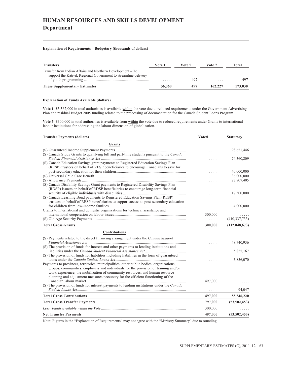## **HUMAN RESOURCES AND SKILLS DEVELOPMENT Department**

#### **Explanation of Requirements – Budgetary (thousands of dollars)**

| <b>Transfers</b>                                                                                                               | Vote 1 | Vote 5 | Vote 7  | Total   |
|--------------------------------------------------------------------------------------------------------------------------------|--------|--------|---------|---------|
| Transfer from Indian Affairs and Northern Development $-$ To<br>support the Kativik Regional Government to streamline delivery | .      | 497    | .       | 497     |
| <b>These Supplementary Estimates</b>                                                                                           | 56,360 | 497    | 162,227 | 173,030 |

#### **Explanation of Funds Available (dollars)**

**Vote 1**: \$3,362,000 in total authorities is available within the vote due to reduced requirements under the Government Advertising Plan and residual Budget 2005 funding related to the processing of documentation for the Canada Student Loans Program.

**Vote 5**: \$300,000 in total authorities is available from within the vote due to reduced requirements under Grants to international labour institutions for addressing the labour dimension of globalization.

| <b>Transfer Payments (dollars)</b>                                                               | <b>Voted</b>                              | <b>Statutory</b> |
|--------------------------------------------------------------------------------------------------|-------------------------------------------|------------------|
| Grants                                                                                           |                                           |                  |
|                                                                                                  | .                                         | 98,621,446       |
| (S) Canada Study Grants to qualifying full and part-time students pursuant to the <i>Canada</i>  |                                           |                  |
|                                                                                                  |                                           | 74,360,209       |
| (S) Canada Education Savings grant payments to Registered Education Savings Plan                 |                                           |                  |
| (RESP) trustees on behalf of RESP beneficiaries to encourage Canadians to save for               |                                           |                  |
|                                                                                                  |                                           | 40,000,000       |
|                                                                                                  |                                           | 36,000,000       |
|                                                                                                  | .                                         | 27,807,405       |
| (S) Canada Disability Savings Grant payments to Registered Disability Savings Plan               |                                           |                  |
| (RDSP) issuers on behalf of RDSP beneficiaries to encourage long-term financial                  |                                           |                  |
|                                                                                                  | .                                         | 17,500,000       |
| (S) Canada Learning Bond payments to Registered Education Savings Plan (RESP)                    |                                           |                  |
| trustees on behalf of RESP beneficiaries to support access to post-secondary education           |                                           | 4,000,000        |
| Grants to international and domestic organizations for technical assistance and                  |                                           |                  |
|                                                                                                  | 300,000                                   |                  |
|                                                                                                  | $\ldots$                                  | (410, 337, 733)  |
|                                                                                                  |                                           |                  |
| <b>Total Gross Grants</b>                                                                        | 300,000                                   | (112, 048, 673)  |
| <b>Contributions</b>                                                                             |                                           |                  |
| (S) Payments related to the direct financing arrangement under the <i>Canada Student</i>         |                                           |                  |
|                                                                                                  |                                           | 48,740,936       |
| (S) The provision of funds for interest and other payments to lending institutions and           |                                           |                  |
|                                                                                                  |                                           | 5,855,167        |
| (S) The provision of funds for liabilities including liabilities in the form of guaranteed       |                                           |                  |
|                                                                                                  | .                                         | 3,856,070        |
| Payments to provinces, territories, municipalities, other public bodies, organizations,          |                                           |                  |
| groups, communities, employers and individuals for the provision of training and/or              |                                           |                  |
| work experience, the mobilization of community resources, and human resource                     |                                           |                  |
| planning and adjustment measures necessary for the efficient functioning of the                  |                                           |                  |
|                                                                                                  | 497,000                                   |                  |
| (S) The provision of funds for interest payments to lending institutions under the <i>Canada</i> |                                           |                  |
|                                                                                                  | $\alpha$ , $\alpha$ , $\alpha$ , $\alpha$ | 94,047           |
| <b>Total Gross Contributions</b>                                                                 | 497,000                                   | 58,546,220       |
| <b>Total Gross Transfer Payments</b>                                                             | 797,000                                   | (53,502,453)     |
|                                                                                                  | 300,000                                   | .                |
| <b>Net Transfer Payments</b>                                                                     | 497,000                                   | (53,502,453)     |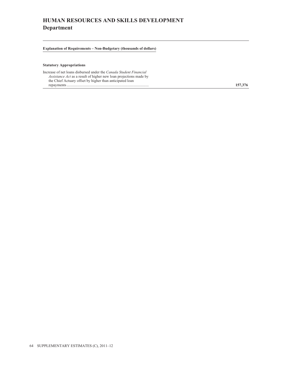## **HUMAN RESOURCES AND SKILLS DEVELOPMENT Department**

**Explanation of Requirements – Non-Budgetary (thousands of dollars)**

#### **Statutory Appropriations**

Increase of net loans disbursed under the *Canada Student Financial Assistance Act* as a result of higher new loan projections made by the Chief Actuary offset by higher than anticipated loan repayments ...................................................................................... **157,376**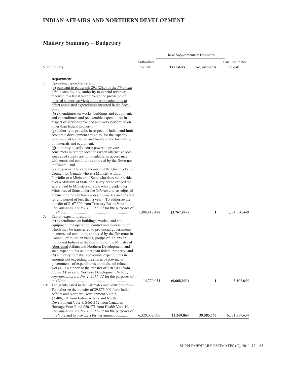### **INDIAN AFFAIRS AND NORTHERN DEVELOPMENT**

### **Ministry Summary – Budgetary**

|    |                                                                                                                                                                                                                        | These Supplementary Estimates |                  |                    |                        |
|----|------------------------------------------------------------------------------------------------------------------------------------------------------------------------------------------------------------------------|-------------------------------|------------------|--------------------|------------------------|
|    |                                                                                                                                                                                                                        | Authorities                   |                  |                    | <b>Total Estimates</b> |
|    | Vote (dollars)                                                                                                                                                                                                         | to date                       | <b>Transfers</b> | <b>Adjustments</b> | to date                |
| 1c | Department<br>Operating expenditures, and                                                                                                                                                                              |                               |                  |                    |                        |
|    | ( <i>a</i> ) pursuant to paragraph 29.1(2)( <i>a</i> ) of the <i>Financial</i>                                                                                                                                         |                               |                  |                    |                        |
|    | Administration Act, authority to expend revenues<br>received in a fiscal year through the provision of<br>internal support services to other organizations to<br>offset associated expenditures incurred in the fiscal |                               |                  |                    |                        |
|    | year;                                                                                                                                                                                                                  |                               |                  |                    |                        |
|    | $(\underline{b})$ expenditures on works, buildings and equipment;<br>and expenditures and recoverable expenditures in<br>respect of services provided and work performed on                                            |                               |                  |                    |                        |
|    | other than federal property;                                                                                                                                                                                           |                               |                  |                    |                        |
|    | $(c)$ authority to provide, in respect of Indian and Inuit<br>economic development activities, for the capacity<br>development for Indian and Inuit and the furnishing                                                 |                               |                  |                    |                        |
|    | of materials and equipment;                                                                                                                                                                                            |                               |                  |                    |                        |
|    | (d) authority to sell electric power to private<br>consumers in remote locations when alternative local                                                                                                                |                               |                  |                    |                        |
|    | sources of supply are not available, in accordance                                                                                                                                                                     |                               |                  |                    |                        |
|    | with terms and conditions approved by the Governor                                                                                                                                                                     |                               |                  |                    |                        |
|    | in Council; and<br>$(e)$ the payment to each member of the Queen's Privy                                                                                                                                               |                               |                  |                    |                        |
|    | Council for Canada who is a Minister without<br>Portfolio or a Minister of State who does not preside                                                                                                                  |                               |                  |                    |                        |
|    | over a Ministry of State of a salary not to exceed the                                                                                                                                                                 |                               |                  |                    |                        |
|    | salary paid to Ministers of State who preside over                                                                                                                                                                     |                               |                  |                    |                        |
|    | Ministries of State under the Salaries Act, as adjusted<br>pursuant to the Parliament of Canada Act and pro rata                                                                                                       |                               |                  |                    |                        |
|    | for any period of less than a year $-$ To authorize the                                                                                                                                                                |                               |                  |                    |                        |
|    | transfer of \$167,500 from Treasury Board Vote 1,                                                                                                                                                                      |                               |                  |                    |                        |
|    | Appropriation Act No. 1, $2011-12$ for the purposes of                                                                                                                                                                 |                               |                  |                    |                        |
| 5c | Capital expenditures, and                                                                                                                                                                                              | 1,388,417,488                 | (3,767,049)      | 1                  | 1,384,650,440          |
|    | $(a)$ expenditures on buildings, works, land and                                                                                                                                                                       |                               |                  |                    |                        |
|    | equipment, the operation, control and ownership of                                                                                                                                                                     |                               |                  |                    |                        |
|    | which may be transferred to provincial governments                                                                                                                                                                     |                               |                  |                    |                        |
|    | on terms and conditions approved by the Governor in<br>Council, or to Indian bands, groups of Indians or                                                                                                               |                               |                  |                    |                        |
|    | individual Indians at the discretion of the Minister of                                                                                                                                                                |                               |                  |                    |                        |
|    | Aboriginal Affairs and Northern Development, and                                                                                                                                                                       |                               |                  |                    |                        |
|    | such expenditures on other than federal property; and                                                                                                                                                                  |                               |                  |                    |                        |
|    | $(b)$ authority to make recoverable expenditures in<br>amounts not exceeding the shares of provincial                                                                                                                  |                               |                  |                    |                        |
|    | governments of expenditures on roads and related                                                                                                                                                                       |                               |                  |                    |                        |
|    | works $-$ To authorize the transfer of \$207,000 from                                                                                                                                                                  |                               |                  |                    |                        |
|    | Indian Affairs and Northern Development Vote 1,                                                                                                                                                                        |                               |                  |                    |                        |
|    | Appropriation Act No. 1, 2011-12 for the purposes of                                                                                                                                                                   | 14,770,054                    | (9,668,000)      | 1                  | 5,102,055              |
|    | 10c The grants listed in the Estimates and contributions –                                                                                                                                                             |                               |                  |                    |                        |
|    | To authorize the transfer of \$9,875,000 from Indian                                                                                                                                                                   |                               |                  |                    |                        |
|    | Affairs and Northern Development Vote 5,                                                                                                                                                                               |                               |                  |                    |                        |
|    | \$3,406,131 from Indian Affairs and Northern<br>Development Vote 1, \$465,162 from Canadian                                                                                                                            |                               |                  |                    |                        |
|    | Heritage Vote 5 and \$20,571 from Health Vote 10,                                                                                                                                                                      |                               |                  |                    |                        |
|    | Appropriation Act No. 1, $2011-12$ for the purposes of                                                                                                                                                                 |                               |                  |                    |                        |
|    | this Vote and to provide a further amount of                                                                                                                                                                           | 6,320,002,005                 | 12,269,864       | 39,585,765         | 6,371,857,634          |

<u> 1989 - Johann Barbara, martxa alemaniar a</u>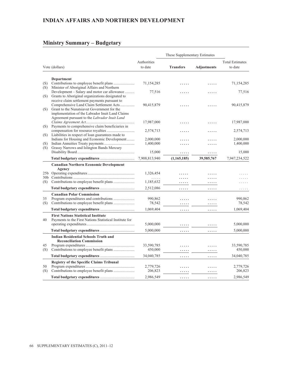### **INDIAN AFFAIRS AND NORTHERN DEVELOPMENT**

|            |                                                         |                | These Supplementary Estimates |                    |                        |  |
|------------|---------------------------------------------------------|----------------|-------------------------------|--------------------|------------------------|--|
|            |                                                         | Authorities    |                               |                    | <b>Total Estimates</b> |  |
|            | Vote (dollars)                                          | to date        | <b>Transfers</b>              | <b>Adjustments</b> | to date                |  |
|            |                                                         |                |                               |                    |                        |  |
| (S)        | Department                                              | 71,154,285     |                               |                    | 71,154,285             |  |
| (S)        | Minister of Aboriginal Affairs and Northern             |                | .                             |                    |                        |  |
|            | Development – Salary and motor car allowance            | 77,516         |                               | .                  | 77,516                 |  |
| (S)        | Grants to Aboriginal organizations designated to        |                |                               |                    |                        |  |
|            | receive claim settlement payments pursuant to           |                |                               |                    |                        |  |
|            | Comprehensive Land Claim Settlement Acts                | 90,415,879     | .                             | .                  | 90,415,879             |  |
| (S)        | Grant to the Nunatsiavut Government for the             |                |                               |                    |                        |  |
|            | implementation of the Labrador Inuit Land Claims        |                |                               |                    |                        |  |
|            | Agreement pursuant to the Labrador Inuit Land           |                |                               |                    |                        |  |
|            |                                                         | 17,987,000     | .                             | .                  | 17,987,000             |  |
| (S)        | Payments to comprehensive claim beneficiaries in        |                |                               |                    |                        |  |
|            |                                                         | 2,574,713      | .                             | .                  | 2,574,713              |  |
| (S)        | Liabilities in respect of loan guarantees made to       |                |                               |                    |                        |  |
|            | Indians for Housing and Economic Development            | 2,000,000      | .                             | .                  | 2,000,000              |  |
| (S)<br>(S) | Grassy Narrows and Islington Bands Mercury              | 1,400,000      |                               |                    | 1,400,000              |  |
|            |                                                         | 15,000         |                               |                    | 15,000                 |  |
|            |                                                         |                | .                             | .                  |                        |  |
|            |                                                         | 7,908,813,940  | (1, 165, 185)                 | 39,585,767         | 7,947,234,522          |  |
|            | <b>Canadian Northern Economic Development</b>           |                |                               |                    |                        |  |
|            | Agency                                                  |                |                               |                    |                        |  |
| 25b        |                                                         | 1,326,454      | .<br>.                        | .                  |                        |  |
| (S)        |                                                         | .<br>1,185,632 | .                             | .<br>.             |                        |  |
|            |                                                         |                |                               |                    |                        |  |
|            |                                                         | 2,512,086      | .                             | .                  | .                      |  |
|            | <b>Canadian Polar Commission</b>                        |                |                               |                    |                        |  |
| 35         |                                                         | 990,862        | .                             | .                  | 990,862                |  |
| (S)        |                                                         | 78,542         | .                             | .                  | 78,542                 |  |
|            |                                                         | 1,069,404      | .                             | .                  | 1,069,404              |  |
|            | <b>First Nations Statistical Institute</b>              |                |                               |                    |                        |  |
| 40         | Payments to the First Nations Statistical Institute for |                |                               |                    |                        |  |
|            |                                                         | 5,000,000      | .                             | .                  | 5,000,000              |  |
|            |                                                         | 5,000,000      | .                             | .                  | 5,000,000              |  |
|            | <b>Indian Residential Schools Truth and</b>             |                |                               |                    |                        |  |
|            | <b>Reconciliation Commission</b>                        |                |                               |                    |                        |  |
| 45         |                                                         | 33,590,785     |                               |                    | 33,590,785             |  |
| (S)        |                                                         | 450,000        | .                             | .                  | 450,000                |  |
|            |                                                         | 34,040,785     | .                             | .                  | 34,040,785             |  |
|            | Registry of the Specific Claims Tribunal                |                |                               |                    |                        |  |
| 50         |                                                         | 2,779,726      | .                             |                    | 2,779,726              |  |
| (S)        |                                                         | 206,823        | .                             |                    | 206,823                |  |
|            |                                                         | 2,986,549      |                               |                    | 2,986,549              |  |
|            |                                                         |                | .                             | .                  |                        |  |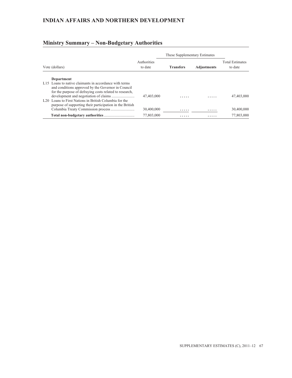# **INDIAN AFFAIRS AND NORTHERN DEVELOPMENT**

|  |  | <b>Ministry Summary - Non-Budgetary Authorities</b> |  |
|--|--|-----------------------------------------------------|--|
|--|--|-----------------------------------------------------|--|

|                |                                                                                                                                                                         |                        | These Supplementary Estimates |                    |                                   |
|----------------|-------------------------------------------------------------------------------------------------------------------------------------------------------------------------|------------------------|-------------------------------|--------------------|-----------------------------------|
| Vote (dollars) |                                                                                                                                                                         | Authorities<br>to date | <b>Transfers</b>              | <b>Adjustments</b> | <b>Total Estimates</b><br>to date |
|                | Department                                                                                                                                                              |                        |                               |                    |                                   |
|                | L15 Loans to native claimants in accordance with terms<br>and conditions approved by the Governor in Council<br>for the purpose of defraying costs related to research, |                        |                               |                    |                                   |
|                | L <sub>20</sub> Loans to First Nations in British Columbia for the<br>purpose of supporting their participation in the British                                          | 47,403,000             | .                             | .                  | 47,403,000                        |
|                |                                                                                                                                                                         | 30,400,000             | .                             | .                  | 30,400,000                        |
|                |                                                                                                                                                                         | 77,803,000             | .                             | .                  | 77,803,000                        |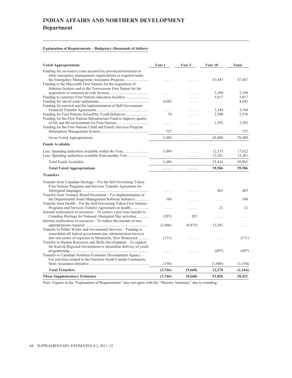# **INDIAN AFFAIRS AND NORTHERN DEVELOPMENT Department**

**Explanation of Requirements – Budgetary (thousands of dollars)**

| <b>Voted Appropriations</b>                                                                                                      | Vote 1                                 | Vote 5  | Vote 10 | <b>Total</b> |
|----------------------------------------------------------------------------------------------------------------------------------|----------------------------------------|---------|---------|--------------|
| Funding for on-reserve costs incurred by provincial/territorial or<br>other emergency management organizations as required under |                                        |         |         |              |
| Funding to the Maa-nulth First Nations for the acquisition of                                                                    |                                        | .       | 47,447  | 47,447       |
| fisheries licences and to the Tsawwassen First Nation for the                                                                    |                                        |         | 5,100   | 5,100        |
| Funding to construct First Nations education facilities                                                                          | .<br>.                                 |         | 5,017   | 5,017        |
|                                                                                                                                  | 4,692                                  |         | .       | 4,692        |
| Funding for renewal and the implementation of Self-Government                                                                    | .                                      |         | 3,344   | 3,344        |
| Funding for First Nations SchoolNet Youth Initiatives                                                                            | 70                                     | .       | 2,500   | 2,570        |
| Funding for the First Nations Infrastructure Fund to improve quality                                                             |                                        |         |         |              |
|                                                                                                                                  | .                                      | .       | 1,592   | 1,592        |
| Funding for the First Nations Child and Family Services Program                                                                  |                                        |         |         |              |
|                                                                                                                                  | 727                                    | .       | .       | 727          |
| Gross Voted Appropriations                                                                                                       | 5,489                                  | .       | 65,000  | 70,489       |
| <b>Funds Available</b>                                                                                                           |                                        |         |         |              |
|                                                                                                                                  | 5,489                                  |         | 12,133  | 17,622       |
| Less: Spending authorities available from another Vote                                                                           | .                                      | .<br>.  | 13,281  | 13,281       |
| Total Funds Available                                                                                                            | 5,489                                  | .       | 25,414  | 30,903       |
| <b>Total Voted Appropriations</b>                                                                                                | .                                      | .       | 39,586  | 39,586       |
| <b>Transfers</b>                                                                                                                 |                                        |         |         |              |
|                                                                                                                                  |                                        |         |         |              |
| Transfer from Canadian Heritage – For the Self-Governing Yukon<br>First Nations Programs and Services Transfer Agreement for     |                                        |         |         |              |
| Transfer from Treasury Board Secretariat - For implementation of                                                                 |                                        |         | 465     | 465          |
| the Departmental Audit Management Software Initiative<br>Transfer from Health – For the Self-Governing Yukon First Nations       | 168                                    | .       |         | 168          |
| Internal reallocation of resources – To correct a previous transfer to                                                           | $\mathbb{Z}^2$ . In the $\mathbb{Z}^2$ | .       | 21      | 21           |
| Canadian Heritage for National Aboriginal Day activities<br>Internal reallocation of resources – To reduce the amount of new     | (207)                                  | 207     | .       |              |
|                                                                                                                                  | (3,406)                                | (9,875) | 13,281  | .            |
| Transfer to Public Works and Government Services - Funding to                                                                    |                                        |         |         |              |
| consolidate all federal government pay administration services                                                                   |                                        |         |         |              |
| into one centre of expertise in Miramichi, New Brunswick                                                                         | (171)                                  |         | .       | (171)        |
| Transfer to Human Resources and Skills Development – To support                                                                  |                                        |         |         |              |
| the Kativik Regional Government to streamline delivery of youth                                                                  |                                        |         |         |              |
|                                                                                                                                  |                                        |         | (497)   | (497)        |
| Transfer to Canadian Northern Economic Development Agency -                                                                      |                                        |         |         |              |
| For activities related to the Nutrition North Canada Community                                                                   |                                        |         |         |              |
|                                                                                                                                  | (150)                                  | .       | (1,000) | (1,150)      |
| <b>Total Transfers</b>                                                                                                           | (3,766)                                | (9,668) | 12,270  | (1,164)      |
| <b>These Supplementary Estimates</b>                                                                                             | (3,766)                                | (9,668) | 51,856  | 38,422       |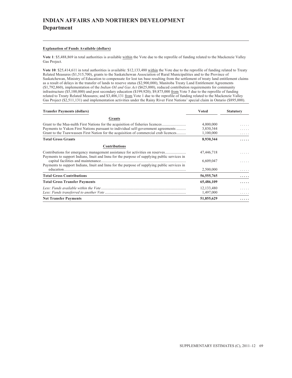## **INDIAN AFFAIRS AND NORTHERN DEVELOPMENT Department**

#### **Explanation of Funds Available (dollars)**

**Vote 1**: \$5,488,869 in total authorities is available within the Vote due to the reprofile of funding related to the Mackenzie Valley Gas Project.

**Vote 10**: \$25,414,611 in total authorities is available: \$12,133,480 within the Vote due to the reprofile of funding related to Treaty Related Measures (\$1,515,700), grants to the Saskatchewan Association of Rural Municipalities and to the Province of Saskatchewan, Ministry of Education to compensate for lost tax base resulting from the settlement of treaty land entitlement claims as a result of delays in the transfer of lands to reserve status (\$2,900,000), Manitoba Treaty Land Entitlement Agreements (\$1,792,860), implementation of the *Indian Oil and Gas Act* (\$625,000), reduced contribution requirements for community infrastructure ( $$5,100,000$ ) and post secondary education ( $$199,920$ );  $$9,875,000$  from Vote 5 due to the reprofile of funding related to Treaty Related Measures; and \$3,406,131 from Vote 1 due to the reprofile of funding related to the Mackenzie Valley Gas Project (\$2,511,131) and implementation activities under the Rainy River First Nations' special claim in Ontario (\$895,000).

| <b>Transfer Payments (dollars)</b>                                                                                                                                  | <b>Voted</b>              | <b>Statutory</b> |
|---------------------------------------------------------------------------------------------------------------------------------------------------------------------|---------------------------|------------------|
| <b>Grants</b>                                                                                                                                                       |                           |                  |
| Grant to the Maa-nulth First Nations for the acquisition of fisheries licences<br>Payments to Yukon First Nations pursuant to individual self-government agreements | 4,000,000<br>3,830,344    |                  |
| Grant to the Tsawwassen First Nation for the acquisition of commercial crab licences                                                                                | 1,100,000                 |                  |
| <b>Total Gross Grants</b>                                                                                                                                           | 8,930,344                 |                  |
| <b>Contributions</b>                                                                                                                                                |                           |                  |
| Contributions for emergency management assistance for activities on reserves                                                                                        | 47,446,718                |                  |
| Payments to support Indians, Inuit and Innu for the purpose of supplying public services in                                                                         | 6,609,047                 |                  |
| Payments to support Indians, Inuit and Innu for the purpose of supplying public services in<br>education                                                            | 2,500,000                 |                  |
| <b>Total Gross Contributions</b>                                                                                                                                    | 56, 555, 765              |                  |
| <b>Total Gross Transfer Payments</b>                                                                                                                                | 65,486,109                |                  |
|                                                                                                                                                                     | 12, 133, 480<br>1,497,000 |                  |
| <b>Net Transfer Payments</b>                                                                                                                                        | 51,855,629                |                  |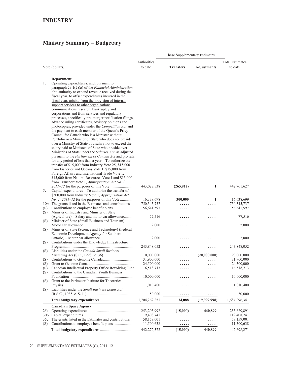|                 |                                                                                                                |                          | These Supplementary Estimates |                    |                                   |  |
|-----------------|----------------------------------------------------------------------------------------------------------------|--------------------------|-------------------------------|--------------------|-----------------------------------|--|
|                 | Vote (dollars)                                                                                                 | Authorities<br>to date   | <b>Transfers</b>              | <b>Adjustments</b> | <b>Total Estimates</b><br>to date |  |
|                 | Department                                                                                                     |                          |                               |                    |                                   |  |
| 1c              | Operating expenditures, and, pursuant to                                                                       |                          |                               |                    |                                   |  |
|                 | paragraph $29.1(2)(a)$ of the Financial Administration                                                         |                          |                               |                    |                                   |  |
|                 | Act, authority to expend revenue received during the                                                           |                          |                               |                    |                                   |  |
|                 | fiscal year, to offset expenditures incurred in the                                                            |                          |                               |                    |                                   |  |
|                 | fiscal year, arising from the provision of internal                                                            |                          |                               |                    |                                   |  |
|                 | support services to other organizations,                                                                       |                          |                               |                    |                                   |  |
|                 | communications research, bankruptcy and                                                                        |                          |                               |                    |                                   |  |
|                 | corporations and from services and regulatory                                                                  |                          |                               |                    |                                   |  |
|                 | processes, specifically pre-merger notification filings,<br>advance ruling certificates, advisory opinions and |                          |                               |                    |                                   |  |
|                 | photocopies, provided under the Competition Act and                                                            |                          |                               |                    |                                   |  |
|                 | the payment to each member of the Queen's Privy                                                                |                          |                               |                    |                                   |  |
|                 | Council for Canada who is a Minister without                                                                   |                          |                               |                    |                                   |  |
|                 | Portfolio or a Minister of State who does not preside                                                          |                          |                               |                    |                                   |  |
|                 | over a Ministry of State of a salary not to exceed the                                                         |                          |                               |                    |                                   |  |
|                 | salary paid to Ministers of State who preside over                                                             |                          |                               |                    |                                   |  |
|                 | Ministries of State under the Salaries Act, as adjusted                                                        |                          |                               |                    |                                   |  |
|                 | pursuant to the Parliament of Canada Act and pro rata                                                          |                          |                               |                    |                                   |  |
|                 | for any period of less than a year $-$ To authorize the                                                        |                          |                               |                    |                                   |  |
|                 | transfer of \$15,000 from Industry Vote 25, \$15,000                                                           |                          |                               |                    |                                   |  |
|                 | from Fisheries and Oceans Vote 1, \$15,000 from                                                                |                          |                               |                    |                                   |  |
|                 | Foreign Affairs and International Trade Vote 1,                                                                |                          |                               |                    |                                   |  |
|                 | \$15,000 from Natural Resources Vote 1 and \$15,000                                                            |                          |                               |                    |                                   |  |
|                 | from Transport Vote 1, Appropriation Act No. 1,                                                                |                          |                               |                    |                                   |  |
| 5c              | Capital expenditures – To authorize the transfer of                                                            | 443,027,538              | (265,912)                     | 1                  | 442,761,627                       |  |
|                 | \$300,000 from Industry Vote 1, Appropriation Act                                                              |                          |                               |                    |                                   |  |
|                 | $No. 1, 2011-12$ for the purposes of this Vote                                                                 | 16,338,698               | 300,000                       | 1                  | 16,638,699                        |  |
|                 | 10b The grants listed in the Estimates and contributions                                                       | 750, 345, 737            | .                             | .                  | 750,345,737                       |  |
| (S)             |                                                                                                                | 56,641,597               | .                             | .                  | 56,641,597                        |  |
| (S)             | Minister of Industry and Minister of State                                                                     |                          |                               |                    |                                   |  |
|                 | (Agriculture) – Salary and motor car allowance                                                                 | 77,516                   | .                             |                    | 77,516                            |  |
| (S)             | Minister of State (Small Business and Tourism) –                                                               |                          |                               |                    |                                   |  |
|                 |                                                                                                                | 2,000                    | .                             |                    | 2,000                             |  |
| (S)             | Minister of State (Science and Technology) (Federal                                                            |                          |                               |                    |                                   |  |
|                 | Economic Development Agency for Southern                                                                       |                          |                               |                    |                                   |  |
|                 |                                                                                                                | 2,000                    | $\ddotsc$                     |                    | 2,000                             |  |
| (S)             | Contributions under the Knowledge Infrastructure                                                               |                          |                               |                    |                                   |  |
|                 |                                                                                                                | 243,848,052              |                               | .                  | 243,848,052                       |  |
| (S)             | Liabilities under the Canada Small Business                                                                    |                          |                               |                    |                                   |  |
|                 |                                                                                                                | 110,000,000              |                               | (20,000,000)       | 90,000,000                        |  |
| (S)             |                                                                                                                | 31,900,000<br>24,500,000 | .                             | .                  | 31,900,000<br>24,500,000          |  |
| (S)             | Canadian Intellectual Property Office Revolving Fund                                                           | 16,518,713               | .                             | .                  | 16,518,713                        |  |
| (S)             | Contributions to the Canadian Youth Business                                                                   |                          |                               |                    |                                   |  |
|                 |                                                                                                                | 10,000,000               | .                             | .                  | 10,000,000                        |  |
| (S)             | Grant to the Perimeter Institute for Theoretical                                                               |                          |                               |                    |                                   |  |
|                 |                                                                                                                | 1,010,400                | .                             | .                  | 1,010,400                         |  |
| (S)             | Liabilities under the <i>Small Business Loans Act</i>                                                          |                          |                               |                    |                                   |  |
|                 |                                                                                                                | 50,000                   | .                             | .                  | 50,000                            |  |
|                 |                                                                                                                | 1,704,262,251            | 34,088                        | (19,999,998)       | 1,684,296,341                     |  |
|                 | <b>Canadian Space Agency</b>                                                                                   |                          |                               |                    |                                   |  |
| 25c             |                                                                                                                | 253, 203, 992            | (15,000)                      | 440,899            | 253,629,891                       |  |
| 30 <sub>b</sub> |                                                                                                                | 119,408,741              | .                             | .                  | 119,408,741                       |  |
| 35c             | The grants listed in the Estimates and contributions                                                           | 58,159,001               | .                             | .                  | 58,159,001                        |  |
| (S)             |                                                                                                                | 11,500,638               | .                             | .                  | 11,500,638                        |  |
|                 |                                                                                                                | 442,272,372              | (15,000)                      | 440,899            | 442,698,271                       |  |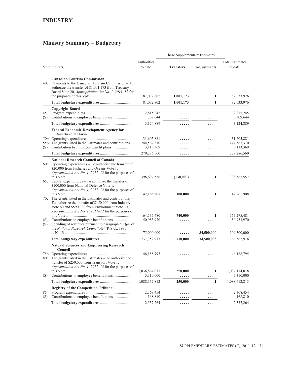|           |                                                                                                                                                                                                                                                                                                                                                                                                                                                                                                                                                                                                                                | Authorities                                            |                                      |                    | <b>Total Estimates</b>                                 |
|-----------|--------------------------------------------------------------------------------------------------------------------------------------------------------------------------------------------------------------------------------------------------------------------------------------------------------------------------------------------------------------------------------------------------------------------------------------------------------------------------------------------------------------------------------------------------------------------------------------------------------------------------------|--------------------------------------------------------|--------------------------------------|--------------------|--------------------------------------------------------|
|           | Vote (dollars)                                                                                                                                                                                                                                                                                                                                                                                                                                                                                                                                                                                                                 | to date                                                | <b>Transfers</b>                     | <b>Adjustments</b> | to date                                                |
|           | <b>Canadian Tourism Commission</b><br>40c Payments to the Canadian Tourism Commission – To<br>authorize the transfer of \$1,001,173 from Treasury<br>Board Vote 20, Appropriation Act No. 1, 2011-12 for                                                                                                                                                                                                                                                                                                                                                                                                                       | 81,032,802                                             | 1,001,173                            | 1                  | 82,033,976                                             |
|           |                                                                                                                                                                                                                                                                                                                                                                                                                                                                                                                                                                                                                                | 81,032,802                                             | 1,001,173                            | $\mathbf{1}$       | 82,033,976                                             |
| 45<br>(S) | <b>Copyright Board</b>                                                                                                                                                                                                                                                                                                                                                                                                                                                                                                                                                                                                         | 2,815,245<br>309,644                                   | .<br>.                               | .<br>.             | 2,815,245<br>309,644                                   |
|           |                                                                                                                                                                                                                                                                                                                                                                                                                                                                                                                                                                                                                                | 3,124,889                                              | .                                    | .                  | 3,124,889                                              |
|           | <b>Federal Economic Development Agency for</b>                                                                                                                                                                                                                                                                                                                                                                                                                                                                                                                                                                                 |                                                        |                                      |                    |                                                        |
| (S)       | <b>Southern Ontario</b><br>55b The grants listed in the Estimates and contributions                                                                                                                                                                                                                                                                                                                                                                                                                                                                                                                                            | 31,605,881<br>244,567,310<br>3,113,369                 | .<br>.                               | .                  | 31,605,881<br>244,567,310<br>3,113,369                 |
|           |                                                                                                                                                                                                                                                                                                                                                                                                                                                                                                                                                                                                                                | 279,286,560                                            | .                                    | .                  | 279,286,560                                            |
| (S)       | <b>National Research Council of Canada</b><br>$60c$ Operating expenditures – To authorize the transfer of<br>\$20,000 from Fisheries and Oceans Vote 1,<br><i>Appropriation Act No. 1, 2011–12</i> for the purposes of<br>65c Capital expenditures – To authorize the transfer of<br>\$100,000 from National Defence Vote 1,<br>Appropriation Act No. 1, 2011–12 for the purposes of<br>$70c$ The grants listed in the Estimates and contributions –<br>To authorize the transfer of \$150,000 from Industry<br>Vote 60 and \$590,000 from Environment Vote 10,<br><i>Appropriation Act No. 1, 2011–12</i> for the purposes of | 398,697,556<br>42,165,907<br>164,535,480<br>50,953,970 | (130,000)<br>100,000<br>740,000<br>. | 1<br>1<br>1<br>.   | 398,567,557<br>42,265,908<br>165,275,481<br>50,953,970 |
| (S)       | Spending of revenues pursuant to paragraph $5(1)(e)$ of<br>the National Research Council Act (R.S.C., 1985,                                                                                                                                                                                                                                                                                                                                                                                                                                                                                                                    | 75,000,000                                             | .                                    | 34,500,000         | 109,500,000                                            |
|           |                                                                                                                                                                                                                                                                                                                                                                                                                                                                                                                                                                                                                                | 731,352,913                                            | 710,000                              | 34,500,003         | 766,562,916                                            |
|           | <b>Natural Sciences and Engineering Research</b><br>Council                                                                                                                                                                                                                                                                                                                                                                                                                                                                                                                                                                    | 46,188,795                                             | .                                    |                    | 46, 188, 795                                           |
| (S)       | 80c The grants listed in the Estimates – To authorize the<br>transfer of \$250,000 from Transport Vote 1,<br>Appropriation Act No. 1, $2011-12$ for the purposes of<br>Contributions to employee benefit plans                                                                                                                                                                                                                                                                                                                                                                                                                 | 1,036,864,017<br>5,310,000                             | 250,000<br>.                         | 1<br>.             | 1,037,114,018<br>5,310,000                             |
|           |                                                                                                                                                                                                                                                                                                                                                                                                                                                                                                                                                                                                                                | 1,088,362,812                                          | 250,000                              | 1                  | 1,088,612,813                                          |
|           | <b>Registry of the Competition Tribunal</b>                                                                                                                                                                                                                                                                                                                                                                                                                                                                                                                                                                                    |                                                        |                                      |                    |                                                        |
| 85<br>(S) |                                                                                                                                                                                                                                                                                                                                                                                                                                                                                                                                                                                                                                | 2,368,454<br>168,810                                   |                                      |                    | 2,368,454<br>168,810                                   |
|           |                                                                                                                                                                                                                                                                                                                                                                                                                                                                                                                                                                                                                                | 2,537,264                                              | .                                    | .                  | 2,537,264                                              |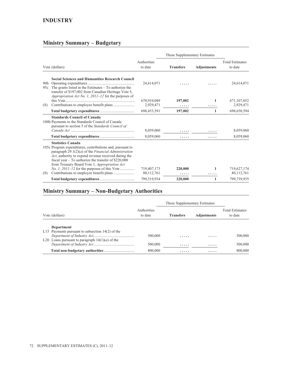|            |                                                                                                                                                                                                                                                                                                                                                                             | Authorities<br>to date    | These Supplementary Estimates |                    |                                   |
|------------|-----------------------------------------------------------------------------------------------------------------------------------------------------------------------------------------------------------------------------------------------------------------------------------------------------------------------------------------------------------------------------|---------------------------|-------------------------------|--------------------|-----------------------------------|
|            | Vote (dollars)                                                                                                                                                                                                                                                                                                                                                              |                           | <b>Transfers</b>              | <b>Adjustments</b> | <b>Total Estimates</b><br>to date |
| 90b<br>95c | <b>Social Sciences and Humanities Research Council</b><br>The grants listed in the Estimates $-$ To authorize the<br>transfer of \$197,002 from Canadian Heritage Vote 5,<br><i>Appropriation Act No. 1, 2011–12</i> for the purposes of                                                                                                                                    | 24,614,071                |                               |                    | 24,614,071                        |
|            |                                                                                                                                                                                                                                                                                                                                                                             | 670,910,049<br>2,929,471  | 197,002                       | 1                  | 671, 107, 052<br>2,929,471        |
| (S)        |                                                                                                                                                                                                                                                                                                                                                                             | 698,453,591               | .<br>197,002                  | 1                  | 698,650,594                       |
|            | <b>Standards Council of Canada</b><br>100b Payments to the Standards Council of Canada<br>pursuant to section 5 of the Standards Council of                                                                                                                                                                                                                                 | 8,059,060                 | .                             |                    | 8,059,060                         |
|            |                                                                                                                                                                                                                                                                                                                                                                             | 8,059,060                 | .                             | .                  | 8,059,060                         |
| (S)        | <b>Statistics Canada</b><br>105c Program expenditures, contributions and, pursuant to<br>paragraph $29.1(2)(a)$ of the <i>Financial Administration</i><br>Act, authority to expend revenue received during the<br>fiscal year $-$ To authorize the transfer of \$220,000<br>from Treasury Board Vote 1, Appropriation Act<br>$No. 1, 2011-12$ for the purposes of this Vote | 719,407,173<br>80,112,761 | 220,000<br>.                  | 1<br>.             | 719,627,174<br>80,112,761         |
|            |                                                                                                                                                                                                                                                                                                                                                                             | 799,519,934               | 220,000                       | 1                  | 799,739,935                       |

## **Ministry Summary – Non-Budgetary Authorities**

|                |                                                    |                        | These Supplementary Estimates |                    | <b>Total Estimates</b><br>to date |
|----------------|----------------------------------------------------|------------------------|-------------------------------|--------------------|-----------------------------------|
| Vote (dollars) |                                                    | Authorities<br>to date | <b>Transfers</b>              | <b>Adjustments</b> |                                   |
|                | Department                                         |                        |                               |                    |                                   |
|                | L15 Payments pursuant to subsection $14(2)$ of the | 300,000                | .                             | .                  | 300,000                           |
|                | L20 Loans pursuant to paragraph $14(1)(a)$ of the  | 500,000                | .                             | .                  | 500,000                           |
|                |                                                    | 800,000                | .                             | .                  | 800,000                           |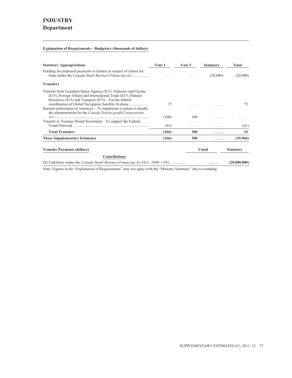#### **Explanation of Requirements – Budgetary (thousands of dollars)**

| <b>Statutory Appropriations</b>                                                                                                                                                                                                                                        | Vote 1 | Vote 5 | <b>Statutory</b> | Total            |
|------------------------------------------------------------------------------------------------------------------------------------------------------------------------------------------------------------------------------------------------------------------------|--------|--------|------------------|------------------|
| Funding for proposed payments to lenders in respect of claims for<br>loans under the <i>Canada Small Business Financing Act</i>                                                                                                                                        |        |        | (20,000)         | (20,000)         |
| <b>Transfers</b>                                                                                                                                                                                                                                                       |        |        |                  |                  |
| Transfer from Canadian Space Agency (\$15), Fisheries and Oceans<br>(\$15), Foreign Affairs and International Trade (\$15), Natural<br>Resources (\$15) and Transport (\$15) – For the federal<br>Internal reallocation of resources – To implement a system to handle | 75     |        |                  | 75               |
| the administration for the Canada Not-for-profit Corporations<br>Transfer to Treasury Board Secretariat - To support the Federal                                                                                                                                       | (300)  | 300    |                  |                  |
|                                                                                                                                                                                                                                                                        | (41)   | .      | .                | (41)             |
| <b>Total Transfers</b>                                                                                                                                                                                                                                                 | (266)  | 300    | .                | 34               |
| <b>These Supplementary Estimates</b>                                                                                                                                                                                                                                   | (266)  | 300    | .                | (19,966)         |
| <b>Transfer Payments (dollars)</b>                                                                                                                                                                                                                                     |        |        | <b>Voted</b>     | <b>Statutory</b> |
| <b>Contributions</b>                                                                                                                                                                                                                                                   |        |        |                  |                  |
| (S) Liabilities under the <i>Canada Small Business Financing Act</i> (S.C., 1998, c.36)                                                                                                                                                                                |        |        |                  | (20,000,000)     |
| Matay Figures in the "Frustanation of Deminuments" more not going with the "Minister Cummon", due to nounding                                                                                                                                                          |        |        |                  |                  |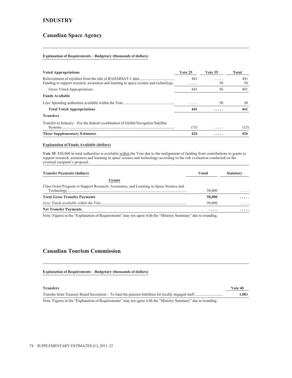### **INDUSTRY**

### **Canadian Space Agency**

#### **Explanation of Requirements – Budgetary (thousands of dollars)**

| <b>Voted Appropriations</b>                                                          | Vote 25  | Vote 35 | Total     |
|--------------------------------------------------------------------------------------|----------|---------|-----------|
| Funding to support research, awareness and learning in space science and technology. | 441<br>. | .<br>50 | 441<br>50 |
| Gross Voted Appropriations                                                           | 441      | 50      | 491       |
| <b>Funds Available</b>                                                               |          |         |           |
|                                                                                      | .        | 50      | 50        |
| <b>Total Voted Appropriations</b>                                                    | 441      | .       | 441       |
| <b>Transfers</b>                                                                     |          |         |           |
| Transfer to Industry – For the federal coordination of Global Navigation Satellite   | (15)     | .       | (15)      |
| <b>These Supplementary Estimates</b>                                                 | 426      | .       | 426       |

#### **Explanation of Funds Available (dollars)**

**Vote 35**: \$50,000 in total authorities is available within the Vote due to the realignment of funding from contributions to grants to support research, awareness and learning in space science and technology according to the risk evaluation conducted on the eventual recipient's proposal.

| <b>Transfer Payments (dollars)</b>                                                    | Voted  | <b>Statutory</b> |
|---------------------------------------------------------------------------------------|--------|------------------|
| <b>Grants</b>                                                                         |        |                  |
| Class Grant Program to Support Research, Awareness, and Learning in Space Science and |        |                  |
|                                                                                       | 50,000 | .                |
| <b>Total Gross Transfer Payments</b>                                                  | 50,000 | .                |
|                                                                                       | 50.000 | .                |
| <b>Net Transfer Payments</b>                                                          | .      | .                |

Note: Figures in the "Explanation of Requirements" may not agree with the "Ministry Summary" due to rounding.

### **Canadian Tourism Commission**

#### **Explanation of Requirements – Budgetary (thousands of dollars)**

| <b>Transfers</b> | Vote 40 |
|------------------|---------|
|                  | 1.001   |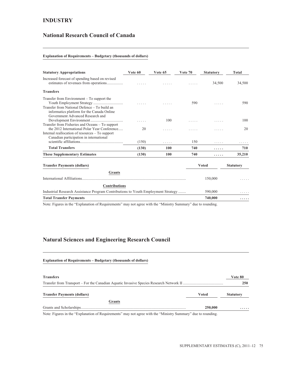### **INDUSTRY**

### **National Research Council of Canada**

#### **Explanation of Requirements – Budgetary (thousands of dollars)**

| <b>Statutory Appropriations</b>                                                                                                                                                               | Vote 60 | Vote 65 | Vote 70 | <b>Statutory</b> | Total            |
|-----------------------------------------------------------------------------------------------------------------------------------------------------------------------------------------------|---------|---------|---------|------------------|------------------|
| Increased forecast of spending based on revised                                                                                                                                               |         |         |         | 34,500           | 34,500           |
| <b>Transfers</b>                                                                                                                                                                              |         |         |         |                  |                  |
| Transfer from Environment $-$ To support the<br>Transfer from National Defence – To build an<br>informatics platform for the Canada Online<br>Government Advanced Research and                |         |         | 590     | .                | 590              |
|                                                                                                                                                                                               |         | 100     |         |                  | 100              |
| Transfer from Fisheries and Oceans – To support<br>the 2012 International Polar Year Conference<br>Internal reallocation of resources – To support<br>Canadian participation in international | 20      | .       |         |                  | 20               |
|                                                                                                                                                                                               | (150)   | .       | 150     | .                |                  |
| <b>Total Transfers</b>                                                                                                                                                                        | (130)   | 100     | 740     | .                | 710              |
| <b>These Supplementary Estimates</b>                                                                                                                                                          | (130)   | 100     | 740     |                  | 35,210           |
| <b>Transfer Payments (dollars)</b>                                                                                                                                                            |         |         |         | <b>Voted</b>     | <b>Statutory</b> |
| <b>Grants</b>                                                                                                                                                                                 |         |         |         |                  |                  |
| International Affiliations                                                                                                                                                                    |         |         |         | 150,000          |                  |
| <b>Contributions</b>                                                                                                                                                                          |         |         |         |                  |                  |
| Industrial Research Assistance Program Contributions to Youth Employment Strategy                                                                                                             |         |         |         | 590,000          |                  |
| <b>Total Transfer Payments</b>                                                                                                                                                                |         |         |         | 740,000          | .                |

Note: Figures in the "Explanation of Requirements" may not agree with the "Ministry Summary" due to rounding.

### **Natural Sciences and Engineering Research Council**

| <b>Explanation of Requirements – Budgetary (thousands of dollars)</b>                                         |              |                  |
|---------------------------------------------------------------------------------------------------------------|--------------|------------------|
| <b>Transfers</b>                                                                                              |              | Vote 80          |
|                                                                                                               |              | 250              |
| <b>Transfer Payments (dollars)</b>                                                                            | <b>Voted</b> | <b>Statutory</b> |
| <b>Grants</b>                                                                                                 |              |                  |
|                                                                                                               | 250,000      | .                |
| Note: Figures in the "Explanation of Requirements" may not agree with the "Ministry Summary" due to rounding. |              |                  |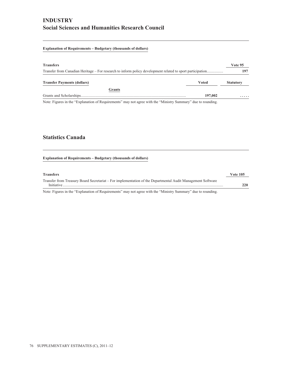### **INDUSTRY Social Sciences and Humanities Research Council**

#### **Explanation of Requirements – Budgetary (thousands of dollars)**

| <b>Transfers</b>                                                                                           |         | Vote 95          |
|------------------------------------------------------------------------------------------------------------|---------|------------------|
| Transfer from Canadian Heritage – For research to inform policy development related to sport participation |         |                  |
| <b>Transfer Payments (dollars)</b>                                                                         | Voted   | <b>Statutory</b> |
| <b>Grants</b>                                                                                              |         |                  |
|                                                                                                            | 197,002 | .                |

Note: Figures in the "Explanation of Requirements" may not agree with the "Ministry Summary" due to rounding.

### **Statistics Canada**

#### **Explanation of Requirements – Budgetary (thousands of dollars)**

| <b>Transfers</b>                                                                                              | <b>Vote 105</b> |
|---------------------------------------------------------------------------------------------------------------|-----------------|
| Transfer from Treasury Board Secretariat – For implementation of the Departmental Audit Management Software   | <b>220</b>      |
| Note: Figures in the "Explanation of Requirements" may not agree with the "Ministry Summary" due to rounding. |                 |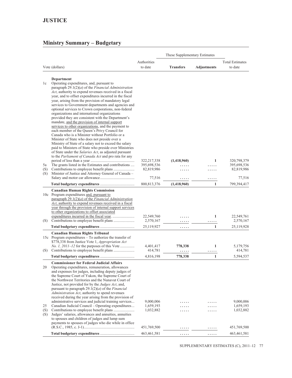|  | <b>Ministry Summary - Budgetary</b> |  |
|--|-------------------------------------|--|
|--|-------------------------------------|--|

|                        |                                                                                                                                                                                                                                                                                                                                                                                                                                                                                                                                                                                                                                                                                                                                                                                                                                                                                                                                                                                                                      |                                            | These Supplementary Estimates |                      |                                          |
|------------------------|----------------------------------------------------------------------------------------------------------------------------------------------------------------------------------------------------------------------------------------------------------------------------------------------------------------------------------------------------------------------------------------------------------------------------------------------------------------------------------------------------------------------------------------------------------------------------------------------------------------------------------------------------------------------------------------------------------------------------------------------------------------------------------------------------------------------------------------------------------------------------------------------------------------------------------------------------------------------------------------------------------------------|--------------------------------------------|-------------------------------|----------------------|------------------------------------------|
|                        | Vote (dollars)                                                                                                                                                                                                                                                                                                                                                                                                                                                                                                                                                                                                                                                                                                                                                                                                                                                                                                                                                                                                       | Authorities<br>to date                     | <b>Transfers</b>              | <b>Adjustments</b>   | <b>Total Estimates</b><br>to date        |
| 1c                     | Department<br>Operating expenditures, and, pursuant to<br>paragraph $29.1(2)(a)$ of the Financial Administration<br>Act, authority to expend revenues received in a fiscal<br>year, and to offset expenditures incurred in the fiscal<br>year, arising from the provision of mandatory legal<br>services to Government departments and agencies and<br>optional services to Crown corporations, non-federal<br>organizations and international organizations<br>provided they are consistent with the Department's<br>mandate, and the provision of internal support<br>services to other organizations, and the payment to<br>each member of the Queen's Privy Council for<br>Canada who is a Minister without Portfolio or a<br>Minister of State who does not preside over a<br>Ministry of State of a salary not to exceed the salary<br>paid to Ministers of State who preside over Ministries<br>of State under the Salaries Act, as adjusted pursuant<br>to the Parliament of Canada Act and pro rata for any |                                            |                               |                      |                                          |
| 5a<br>(S)<br>(S)       | The grants listed in the Estimates and contributions<br>Minister of Justice and Attorney General of Canada -                                                                                                                                                                                                                                                                                                                                                                                                                                                                                                                                                                                                                                                                                                                                                                                                                                                                                                         | 322, 217, 338<br>395,698,536<br>82,819,986 | (1,418,960)                   | 1<br>$\cdot$ $\cdot$ | 320,798,379<br>395,698,536<br>82,819,986 |
|                        |                                                                                                                                                                                                                                                                                                                                                                                                                                                                                                                                                                                                                                                                                                                                                                                                                                                                                                                                                                                                                      | 77,516                                     | .                             | .                    | 77,516                                   |
|                        |                                                                                                                                                                                                                                                                                                                                                                                                                                                                                                                                                                                                                                                                                                                                                                                                                                                                                                                                                                                                                      | 800, 813, 376                              | (1,418,960)                   | $\mathbf{1}$         | 799,394,417                              |
| (S)                    | <b>Canadian Human Rights Commission</b><br>10c Program expenditures and, pursuant to<br>paragraph $29.1(2)(a)$ of the Financial Administration<br>Act, authority to expend revenues received in a fiscal<br>year through the provision of internal support services<br>to other organizations to offset associated                                                                                                                                                                                                                                                                                                                                                                                                                                                                                                                                                                                                                                                                                                   | 22,549,760<br>2,570,167                    | .<br>.                        | 1<br>.               | 22,549,761<br>2,570,167                  |
|                        |                                                                                                                                                                                                                                                                                                                                                                                                                                                                                                                                                                                                                                                                                                                                                                                                                                                                                                                                                                                                                      | 25,119,927                                 | .                             | 1                    | 25,119,928                               |
| (S)                    | <b>Canadian Human Rights Tribunal</b><br>15c Program expenditures – To authorize the transfer of<br>\$778,338 from Justice Vote 1, Appropriation Act<br>$No. 1, 2011-12$ for the purposes of this Vote                                                                                                                                                                                                                                                                                                                                                                                                                                                                                                                                                                                                                                                                                                                                                                                                               | 4,401,417<br>414,781                       | 778,338<br>.                  | 1<br>.               | 5,179,756<br>414,781                     |
|                        |                                                                                                                                                                                                                                                                                                                                                                                                                                                                                                                                                                                                                                                                                                                                                                                                                                                                                                                                                                                                                      | 4,816,198                                  | 778,338                       | 1                    | 5,594,537                                |
| 20<br>25<br>(S)<br>(S) | <b>Commissioner for Federal Judicial Affairs</b><br>Operating expenditures, remuneration, allowances<br>and expenses for judges, including deputy judges of<br>the Supreme Court of Yukon, the Supreme Court of<br>the Northwest Territories and the Nunavut Court of<br>Justice, not provided for by the <i>Judges Act</i> , and,<br>pursuant to paragraph $29.1(2)(a)$ of the <i>Financial</i><br>Administration Act, authority to spend revenues<br>received during the year arising from the provision of<br>administrative services and judicial training services<br>Canadian Judicial Council - Operating expenditures<br>Judges' salaries, allowances and annuities, annuities<br>to spouses and children of judges and lump sum<br>payments to spouses of judges who die while in office                                                                                                                                                                                                                    | 9,000,006<br>1,659,193<br>1,032,882        |                               | .                    | 9,000,006<br>1,659,193<br>1,032,882      |
|                        |                                                                                                                                                                                                                                                                                                                                                                                                                                                                                                                                                                                                                                                                                                                                                                                                                                                                                                                                                                                                                      | 451,769,500                                |                               |                      | 451,769,500                              |
|                        |                                                                                                                                                                                                                                                                                                                                                                                                                                                                                                                                                                                                                                                                                                                                                                                                                                                                                                                                                                                                                      | 463, 461, 581                              | .                             | .                    | 463, 461, 581                            |

SUPPLEMENTARY ESTIMATES (C), 2011–12 77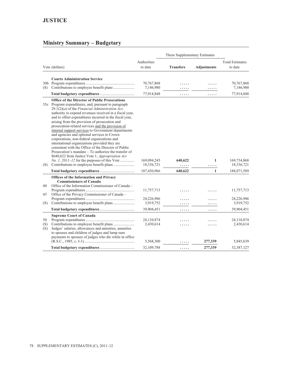# **JUSTICE**

|                  |                                                                                                                                                                                                                                                                                                                                                                                                                                                                                                                                                                                                                                                                                                                                                                                                                                  |                                       | These Supplementary Estimates |                    |                                       |
|------------------|----------------------------------------------------------------------------------------------------------------------------------------------------------------------------------------------------------------------------------------------------------------------------------------------------------------------------------------------------------------------------------------------------------------------------------------------------------------------------------------------------------------------------------------------------------------------------------------------------------------------------------------------------------------------------------------------------------------------------------------------------------------------------------------------------------------------------------|---------------------------------------|-------------------------------|--------------------|---------------------------------------|
|                  | Vote (dollars)                                                                                                                                                                                                                                                                                                                                                                                                                                                                                                                                                                                                                                                                                                                                                                                                                   | Authorities<br>to date                | <b>Transfers</b>              | <b>Adjustments</b> | <b>Total Estimates</b><br>to date     |
| (S)              | <b>Courts Administration Service</b>                                                                                                                                                                                                                                                                                                                                                                                                                                                                                                                                                                                                                                                                                                                                                                                             | 70, 767, 868<br>7,146,980             |                               |                    | 70, 767, 868<br>7,146,980             |
|                  |                                                                                                                                                                                                                                                                                                                                                                                                                                                                                                                                                                                                                                                                                                                                                                                                                                  | 77,914,848                            | .                             | .                  | 77,914,848                            |
| (S)              | <b>Office of the Director of Public Prosecutions</b><br>35c Program expenditures, and, pursuant to paragraph<br>$29.1(2)(a)$ of the Financial Administration Act,<br>authority to expend revenues received in a fiscal year,<br>and to offset expenditures incurred in the fiscal year,<br>arising from the provision of prosecution and<br>prosecution-related services and the provision of<br>internal support services to Government departments<br>and agencies and optional services to Crown<br>corporations, non-federal organizations and<br>international organizations provided they are<br>consistent with the Office of the Director of Public<br>Prosecution's mandate $-$ To authorize the transfer of<br>\$640,622 from Justice Vote 1, Appropriation Act<br><i>No. 1, 2011–12</i> for the purposes of this Vote | 169,094,245<br>18,336,721             | 640,622<br>.                  | 1<br>.             | 169,734,868<br>18,336,721             |
|                  |                                                                                                                                                                                                                                                                                                                                                                                                                                                                                                                                                                                                                                                                                                                                                                                                                                  | 187,430,966                           | 640,622                       | $\mathbf{1}$       | 188,071,589                           |
| 40<br>45<br>(S)  | Offices of the Information and Privacy<br><b>Commissioners of Canada</b><br>Office of the Information Commissioner of Canada -<br>Office of the Privacy Commissioner of Canada -                                                                                                                                                                                                                                                                                                                                                                                                                                                                                                                                                                                                                                                 | 11,757,713<br>24,226,986<br>3,919,752 | .                             | .                  | 11,757,713<br>24,226,986<br>3,919,752 |
|                  |                                                                                                                                                                                                                                                                                                                                                                                                                                                                                                                                                                                                                                                                                                                                                                                                                                  | 39,904,451                            | .                             | .                  | 39,904,451                            |
| 50<br>(S)<br>(S) | <b>Supreme Court of Canada</b><br>Judges' salaries, allowances and annuities, annuities<br>to spouses and children of judges and lump sum<br>payments to spouses of judges who die while in office                                                                                                                                                                                                                                                                                                                                                                                                                                                                                                                                                                                                                               | 24,110,874<br>2,430,614<br>5,568,300  | .                             | .<br>277,339       | 24,110,874<br>2,430,614<br>5,845,639  |
|                  |                                                                                                                                                                                                                                                                                                                                                                                                                                                                                                                                                                                                                                                                                                                                                                                                                                  | 32,109,788                            | .                             | 277,339            | 32,387,127                            |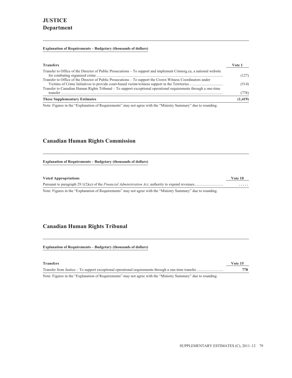#### **Explanation of Requirements – Budgetary (thousands of dollars)**

| <b>Transfers</b>                                                                                                    | Vote 1   |
|---------------------------------------------------------------------------------------------------------------------|----------|
| Transfer to Office of the Director of Public Prosecutions – To support and implement Crimorg.ca, a national website | (127)    |
| Transfer to Office of the Director of Public Prosecutions – To support the Crown Witness Coordinators under         | (514)    |
| Transfer to Canadian Human Rights Tribunal – To support exceptional operational requirements through a one-time     | (778)    |
| <b>These Supplementary Estimates</b>                                                                                | (1, 419) |

Note: Figures in the "Explanation of Requirements" may not agree with the "Ministry Summary" due to rounding.

### **Canadian Human Rights Commission**

#### **Explanation of Requirements – Budgetary (thousands of dollars)**

| <b>Voted Appropriations</b>                                                                                   | Vote 10 |
|---------------------------------------------------------------------------------------------------------------|---------|
|                                                                                                               | .       |
| Note: Figures in the "Explanation of Requirements" may not agree with the "Ministry Summary" due to rounding. |         |

### **Canadian Human Rights Tribunal**

#### **Explanation of Requirements – Budgetary (thousands of dollars)**

| <b>Transfers</b>                                                                                               | Vote 15 |
|----------------------------------------------------------------------------------------------------------------|---------|
|                                                                                                                | 778     |
| Matay Figures in the "Funlangtion of Deguinements" movement agains with the "Minister Cumman"" due to nounding |         |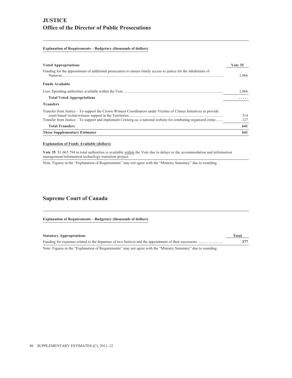### **JUSTICE Office of the Director of Public Prosecutions**

#### **Explanation of Requirements – Budgetary (thousands of dollars)**

| <b>Voted Appropriations</b>                                                                                                                                                                                                       | Vote 35    |
|-----------------------------------------------------------------------------------------------------------------------------------------------------------------------------------------------------------------------------------|------------|
| Funding for the appointment of additional prosecutors to ensure timely access to justice for the inhabitants of                                                                                                                   | 1.066      |
| <b>Funds Available</b>                                                                                                                                                                                                            |            |
|                                                                                                                                                                                                                                   | 1.066      |
| <b>Total Voted Appropriations</b>                                                                                                                                                                                                 |            |
| <b>Transfers</b>                                                                                                                                                                                                                  |            |
| Transfer from Justice – To support the Crown Witness Coordinators under Victims of Crimes Initiatives to provide<br>Transfer from Justice – To support and implement Crimorg.ca, a national website for combating organized crime | 514<br>127 |
| <b>Total Transfers</b>                                                                                                                                                                                                            | 641        |
| <b>These Supplementary Estimates</b>                                                                                                                                                                                              | 641        |

#### **Explanation of Funds Available (dollars)**

**Vote 35**: \$1,065,794 in total authorities is available within the Vote due to delays to the accommodation and information management/information technology transition project.

Note: Figures in the "Explanation of Requirements" may not agree with the "Ministry Summary" due to rounding.

### **Supreme Court of Canada**

#### **Explanation of Requirements – Budgetary (thousands of dollars)**

| <b>Statutory Appropriations</b>                                                                               | Total |
|---------------------------------------------------------------------------------------------------------------|-------|
|                                                                                                               |       |
| Note: Figures in the "Explanation of Requirements" may not agree with the "Ministry Summary" due to rounding. |       |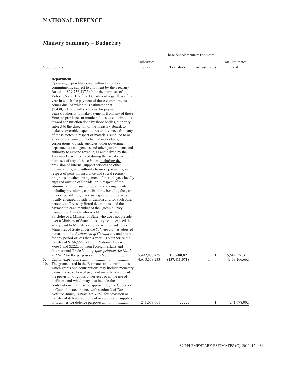### **NATIONAL DEFENCE**

|    |                                                                                                                                                                                                                                                                                                                                                                                                                                                                                                                                                                                                                                                                                                                                                                                                                                                                                                                                                                                                                                                                                                                                                                                                                                                                                                                                                                                                                                                                                                                                                                                                                                                                                                                                                                                                                                                                                                                                                                                                                                                                                                                                                                           | These Supplementary Estimates |                                |                    |                                    |
|----|---------------------------------------------------------------------------------------------------------------------------------------------------------------------------------------------------------------------------------------------------------------------------------------------------------------------------------------------------------------------------------------------------------------------------------------------------------------------------------------------------------------------------------------------------------------------------------------------------------------------------------------------------------------------------------------------------------------------------------------------------------------------------------------------------------------------------------------------------------------------------------------------------------------------------------------------------------------------------------------------------------------------------------------------------------------------------------------------------------------------------------------------------------------------------------------------------------------------------------------------------------------------------------------------------------------------------------------------------------------------------------------------------------------------------------------------------------------------------------------------------------------------------------------------------------------------------------------------------------------------------------------------------------------------------------------------------------------------------------------------------------------------------------------------------------------------------------------------------------------------------------------------------------------------------------------------------------------------------------------------------------------------------------------------------------------------------------------------------------------------------------------------------------------------------|-------------------------------|--------------------------------|--------------------|------------------------------------|
|    | Vote (dollars)                                                                                                                                                                                                                                                                                                                                                                                                                                                                                                                                                                                                                                                                                                                                                                                                                                                                                                                                                                                                                                                                                                                                                                                                                                                                                                                                                                                                                                                                                                                                                                                                                                                                                                                                                                                                                                                                                                                                                                                                                                                                                                                                                            | Authorities<br>to date        | <b>Transfers</b>               | <b>Adjustments</b> | <b>Total Estimates</b><br>to date  |
|    |                                                                                                                                                                                                                                                                                                                                                                                                                                                                                                                                                                                                                                                                                                                                                                                                                                                                                                                                                                                                                                                                                                                                                                                                                                                                                                                                                                                                                                                                                                                                                                                                                                                                                                                                                                                                                                                                                                                                                                                                                                                                                                                                                                           |                               |                                |                    |                                    |
| 1c | Department<br>Operating expenditures and authority for total<br>commitments, subject to allotment by the Treasury<br>Board, of \$29,736,337,360 for the purposes of<br>Votes 1, 5 and 10 of the Department regardless of the<br>year in which the payment of those commitments<br>comes due (of which it is estimated that<br>\$9,430,224,000 will come due for payment in future<br>years), authority to make payments from any of those<br>Votes to provinces or municipalities as contributions<br>toward construction done by those bodies, authority,<br>subject to the direction of the Treasury Board, to<br>make recoverable expenditures or advances from any<br>of those Votes in respect of materials supplied to or<br>services performed on behalf of individuals,<br>corporations, outside agencies, other government<br>departments and agencies and other governments and<br>authority to expend revenue, as authorized by the<br>Treasury Board, received during the fiscal year for the<br>purposes of any of those Votes, including the<br>provision of internal support services to other<br>organizations, and authority to make payments, in<br>respect of pension, insurance and social security<br>programs or other arrangements for employees locally<br>engaged outside of Canada, or in respect of the<br>administration of such programs or arrangements,<br>including premiums, contributions, benefits, fees, and<br>other expenditures, made in respect of employees<br>locally engaged outside of Canada and for such other<br>persons, as Treasury Board determines, and the<br>payment to each member of the Queen's Privy<br>Council for Canada who is a Minister without<br>Portfolio or a Minister of State who does not preside<br>over a Ministry of State of a salary not to exceed the<br>salary paid to Ministers of State who preside over<br>Ministries of State under the Salaries Act, as adjusted<br>pursuant to the Parliament of Canada Act and pro rata<br>for any period of less than a year $-$ To authorize the<br>transfer of \$156,566,571 from National Defence<br>Vote 5 and \$222,300 from Foreign Affairs and |                               |                                |                    |                                    |
| 5c | International Trade Vote 1, <i>Appropriation Act No. 1</i> ,<br>10c The grants listed in the Estimates and contributions,<br>which grants and contributions may include monetary<br>payments or, in lieu of payment made to a recipient,<br>the provision of goods or services or of the use of                                                                                                                                                                                                                                                                                                                                                                                                                                                                                                                                                                                                                                                                                                                                                                                                                                                                                                                                                                                                                                                                                                                                                                                                                                                                                                                                                                                                                                                                                                                                                                                                                                                                                                                                                                                                                                                                           |                               | 156,688,871<br>(157, 411, 571) | 1<br>.             | 15,649,526,311<br>4, 453, 166, 662 |
|    | facilities, and which may also include the<br>contributions that may be approved by the Governor<br>in Council in accordance with section 3 of The<br>Defence Appropriation Act, 1950, for provision or<br>transfer of defence equipment or services or supplies                                                                                                                                                                                                                                                                                                                                                                                                                                                                                                                                                                                                                                                                                                                                                                                                                                                                                                                                                                                                                                                                                                                                                                                                                                                                                                                                                                                                                                                                                                                                                                                                                                                                                                                                                                                                                                                                                                          | 241,678,001                   | .                              | 1                  | 241,678,002                        |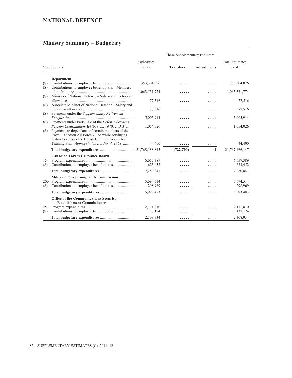# **NATIONAL DEFENCE**

|                        |                                                                                                                                                                                                           |                        | These Supplementary Estimates |                    |                                   |
|------------------------|-----------------------------------------------------------------------------------------------------------------------------------------------------------------------------------------------------------|------------------------|-------------------------------|--------------------|-----------------------------------|
|                        | Vote (dollars)                                                                                                                                                                                            | Authorities<br>to date | <b>Transfers</b>              | <b>Adjustments</b> | <b>Total Estimates</b><br>to date |
|                        | Department                                                                                                                                                                                                |                        |                               |                    |                                   |
| (S)<br>(S)             | Contributions to employee benefit plans - Members                                                                                                                                                         | 353, 304, 026          |                               |                    | 353,304,026                       |
| (S)                    | Minister of National Defence - Salary and motor car                                                                                                                                                       | 1,063,531,774          |                               |                    | 1,063,531,774                     |
| (S)                    | Associate Minister of National Defence - Salary and                                                                                                                                                       | 77,516                 | .                             | .                  | 77,516                            |
| (S)                    | Payments under the Supplementary Retirement                                                                                                                                                               | 77,516                 | .                             | .                  | 77,516                            |
| (S)                    | Payments under Parts I-IV of the Defence Services                                                                                                                                                         | 5,005,914              |                               |                    | 5,005,914                         |
| (S)                    | Pension Continuation Act (R.S.C., 1970, c. D-3)<br>Payments to dependants of certain members of the<br>Royal Canadian Air Force killed while serving as<br>instructors under the British Commonwealth Air | 1,054,026              |                               |                    | 1,054,026                         |
|                        | Training Plan (Appropriation Act No. 4, 1968)                                                                                                                                                             | 44,400                 |                               |                    | 44,400                            |
|                        |                                                                                                                                                                                                           |                        | (722,700)                     | $\mathbf{2}$       | 21, 767, 466, 147                 |
| 15<br>(S)              | <b>Canadian Forces Grievance Board</b>                                                                                                                                                                    | 6,657,389<br>623,452   | .                             |                    | 6,657,389<br>623,452              |
|                        |                                                                                                                                                                                                           | 7,280,841              | .                             | .                  | 7,280,841                         |
| 20 <sub>b</sub><br>(S) | <b>Military Police Complaints Commission</b><br>Contributions to employee benefit plans                                                                                                                   | 5,694,514<br>298,969   |                               |                    | 5,694,514<br>298,969              |
|                        |                                                                                                                                                                                                           | 5,993,483              | .                             | .                  | 5,993,483                         |
|                        | <b>Office of the Communications Security</b><br><b>Establishment Commissioner</b>                                                                                                                         |                        |                               |                    |                                   |
| 25<br>(S)              |                                                                                                                                                                                                           | 2,171,810<br>137,124   |                               |                    | 2,171,810<br>137,124              |
|                        |                                                                                                                                                                                                           | 2,308,934              | .                             | .                  | 2,308,934                         |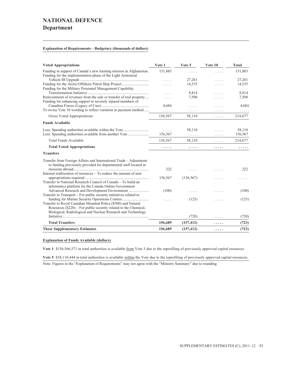### **NATIONAL DEFENCE**

### **Department**

#### **Explanation of Requirements – Budgetary (thousands of dollars)**

| <b>Voted Appropriations</b>                                                                                                            | Vote 1     | Vote 5     | Vote 10 | <b>Total</b> |
|----------------------------------------------------------------------------------------------------------------------------------------|------------|------------|---------|--------------|
| Funding in support of Canada's new training mission in Afghanistan.<br>Funding for the implementation phase of the Light Armoured      | 151,883    | .          | .       | 151,883      |
|                                                                                                                                        | .          | 27,261     | .       | 27,261       |
| Funding for the Military Personnel Management Capability                                                                               | .          | 14,535     | .       | 14,535       |
|                                                                                                                                        | .          | 8,814      | .       | 8,814        |
| Reinvestment of revenues from the sale or transfer of real property<br>Funding for enhancing support to severely injured members of    | .          | 7,500      | .       | 7,500        |
| To revise Vote 10 wording to reflect variation in payment method                                                                       | 4,684<br>. | .<br>.     | .<br>.  | 4,684        |
| Gross Voted Appropriations                                                                                                             | 156,567    | 58,110     | .       | 214,677      |
| <b>Funds Available</b>                                                                                                                 |            |            |         |              |
|                                                                                                                                        | .          | 58,110     | .       | 58,110       |
|                                                                                                                                        | 156,567    | .          | .       | 156,567      |
| <b>Total Funds Available</b>                                                                                                           | 156,567    | 58.110     | .       | 214,677      |
| <b>Total Voted Appropriations</b>                                                                                                      | .          | .          | .       | .            |
| <b>Transfers</b>                                                                                                                       |            |            |         |              |
| Transfer from Foreign Affairs and International Trade – Adjustment<br>to funding previously provided for departmental staff located at |            |            |         |              |
|                                                                                                                                        | 222        | .          |         | 222          |
| Internal reallocation of resources - To reduce the amount of new                                                                       | 156,567    | (156, 567) |         |              |
| Transfer to National Research Council of Canada - To build an<br>informatics platform for the Canada Online Government                 |            |            |         |              |
|                                                                                                                                        | (100)      | .          | .       | (100)        |
| Transfer to Transport – For public security initiatives related to                                                                     |            |            |         |              |
| Transfer to Royal Canadian Mounted Police (\$500) and Natural                                                                          | .          | (125)      | .       | (125)        |
| Resources $(\$220)$ – For public security related to the Chemical,                                                                     |            |            |         |              |
| Biological, Radiological and Nuclear Research and Technology                                                                           |            |            |         |              |
|                                                                                                                                        | .          | (720)      | .       | (720)        |
| <b>Total Transfers</b>                                                                                                                 | 156,689    | (157, 412) | .       | (723)        |
| <b>These Supplementary Estimates</b>                                                                                                   | 156,689    | (157, 412) | .       | (723)        |

### **Explanation of Funds Available (dollars)**

**Vote 1**: \$156,566,571 in total authorities is available from Vote 5 due to the reprofiling of previously approved capital resources.

Vote 5: \$58,110,444 in total authorities is available within the Vote due to the reprofiling of previously approved capital resources.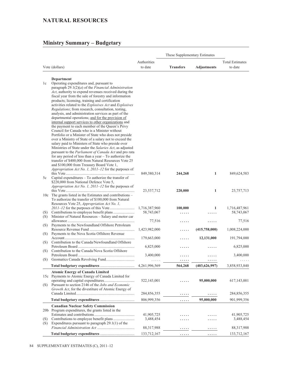### **NATURAL RESOURCES**

|  | <b>Ministry Summary - Budgetary</b> |  |
|--|-------------------------------------|--|
|--|-------------------------------------|--|

|            |                                                                                                                                                                                                                                                                                                                                                                                                                                                                                                                                                                                                                                                                                                                                                                                                                                                                                                                                                                                                                                                                                               |                                                                                | These Supplementary Estimates |                    |                                   |
|------------|-----------------------------------------------------------------------------------------------------------------------------------------------------------------------------------------------------------------------------------------------------------------------------------------------------------------------------------------------------------------------------------------------------------------------------------------------------------------------------------------------------------------------------------------------------------------------------------------------------------------------------------------------------------------------------------------------------------------------------------------------------------------------------------------------------------------------------------------------------------------------------------------------------------------------------------------------------------------------------------------------------------------------------------------------------------------------------------------------|--------------------------------------------------------------------------------|-------------------------------|--------------------|-----------------------------------|
|            | Vote (dollars)                                                                                                                                                                                                                                                                                                                                                                                                                                                                                                                                                                                                                                                                                                                                                                                                                                                                                                                                                                                                                                                                                | Authorities<br>to date                                                         | <b>Transfers</b>              | <b>Adjustments</b> | <b>Total Estimates</b><br>to date |
| 1c         | Department<br>Operating expenditures and, pursuant to<br>paragraph $29.1(2)(a)$ of the Financial Administration<br>Act, authority to expend revenues received during the<br>fiscal year from the sale of forestry and information<br>products; licensing, training and certification<br>activities related to the Explosives Act and Explosives<br>Regulations; from research, consultation, testing,<br>analysis, and administration services as part of the<br>departmental operations; and for the provision of<br>internal support services to other organizations and<br>the payment to each member of the Queen's Privy<br>Council for Canada who is a Minister without<br>Portfolio or a Minister of State who does not preside<br>over a Ministry of State of a salary not to exceed the<br>salary paid to Ministers of State who preside over<br>Ministries of State under the Salaries Act, as adjusted<br>pursuant to the Parliament of Canada Act and pro rata<br>for any period of less than a year $-$ To authorize the<br>transfer of \$400,000 from Natural Resources Vote 25 |                                                                                |                               |                    |                                   |
| 5c         | and \$100,000 from Treasury Board Vote 1,<br>Appropriation Act No. 1, 2011–12 for the purposes of<br>Capital expenditures $-$ To authorize the transfer of<br>\$220,000 from National Defence Vote 5,                                                                                                                                                                                                                                                                                                                                                                                                                                                                                                                                                                                                                                                                                                                                                                                                                                                                                         | 849,380,314                                                                    | 244,268                       | 1                  | 849,624,583                       |
|            | Appropriation Act No. 1, $2011-12$ for the purposes of<br>10c The grants listed in the Estimates and contributions –<br>To authorize the transfer of \$100,000 from Natural                                                                                                                                                                                                                                                                                                                                                                                                                                                                                                                                                                                                                                                                                                                                                                                                                                                                                                                   | 23,537,712                                                                     | 220,000                       | 1                  | 23,757,713                        |
| (S)        | Resources Vote 25, Appropriation Act No. 1,                                                                                                                                                                                                                                                                                                                                                                                                                                                                                                                                                                                                                                                                                                                                                                                                                                                                                                                                                                                                                                                   | 1,716,387,960<br>58,743,067                                                    | 100,000<br>.                  | 1                  | 1,716,487,961<br>58,743,067       |
| (S)<br>(S) | Minister of Natural Resources - Salary and motor car<br>Payments to the Newfoundland Offshore Petroleum                                                                                                                                                                                                                                                                                                                                                                                                                                                                                                                                                                                                                                                                                                                                                                                                                                                                                                                                                                                       | 77,516                                                                         |                               |                    | 77,516                            |
| (S)        | Payments to the Nova Scotia Offshore Revenue                                                                                                                                                                                                                                                                                                                                                                                                                                                                                                                                                                                                                                                                                                                                                                                                                                                                                                                                                                                                                                                  | 1,423,982,000                                                                  |                               | (415,758,000)      | 1,008,224,000                     |
| (S)        | Contribution to the Canada/Newfoundland Offshore                                                                                                                                                                                                                                                                                                                                                                                                                                                                                                                                                                                                                                                                                                                                                                                                                                                                                                                                                                                                                                              | 179,663,000                                                                    |                               | 12,131,000         | 191,794,000                       |
| (S)        | Contribution to the Canada/Nova Scotia Offshore                                                                                                                                                                                                                                                                                                                                                                                                                                                                                                                                                                                                                                                                                                                                                                                                                                                                                                                                                                                                                                               | 6,825,000                                                                      |                               |                    | 6,825,000                         |
| (S)        |                                                                                                                                                                                                                                                                                                                                                                                                                                                                                                                                                                                                                                                                                                                                                                                                                                                                                                                                                                                                                                                                                               | 3,400,000<br>$\mathbb{Z}^2$ . $\mathbb{Z}^2$ , $\mathbb{Z}^2$ , $\mathbb{Z}^2$ | .                             | .                  | 3,400,000                         |
|            |                                                                                                                                                                                                                                                                                                                                                                                                                                                                                                                                                                                                                                                                                                                                                                                                                                                                                                                                                                                                                                                                                               | 4, 261, 996, 569                                                               | 564,268                       | (403, 626, 997)    | 3,858,933,840                     |
|            | <b>Atomic Energy of Canada Limited</b><br>15c Payments to Atomic Energy of Canada Limited for                                                                                                                                                                                                                                                                                                                                                                                                                                                                                                                                                                                                                                                                                                                                                                                                                                                                                                                                                                                                 | 522,143,001                                                                    | .                             | 95,000,000         | 617, 143, 001                     |
| (S)        | Pursuant to section 2146 of the Jobs and Economic<br>Growth Act, for the divestiture of Atomic Energy of                                                                                                                                                                                                                                                                                                                                                                                                                                                                                                                                                                                                                                                                                                                                                                                                                                                                                                                                                                                      |                                                                                |                               |                    |                                   |
|            |                                                                                                                                                                                                                                                                                                                                                                                                                                                                                                                                                                                                                                                                                                                                                                                                                                                                                                                                                                                                                                                                                               | 284,856,355<br>806,999,356                                                     | .<br>.                        | 95,000,000         | 284,856,355<br>901,999,356        |
|            | <b>Canadian Nuclear Safety Commission</b>                                                                                                                                                                                                                                                                                                                                                                                                                                                                                                                                                                                                                                                                                                                                                                                                                                                                                                                                                                                                                                                     |                                                                                |                               |                    |                                   |
| (S)<br>(S) | 20b Program expenditures, the grants listed in the<br>Expenditures pursuant to paragraph $29.1(1)$ of the                                                                                                                                                                                                                                                                                                                                                                                                                                                                                                                                                                                                                                                                                                                                                                                                                                                                                                                                                                                     | 41,905,725<br>3,488,454                                                        |                               |                    | 41,905,725<br>3,488,454           |
|            |                                                                                                                                                                                                                                                                                                                                                                                                                                                                                                                                                                                                                                                                                                                                                                                                                                                                                                                                                                                                                                                                                               | 88,317,988                                                                     |                               | .                  | 88, 317, 988                      |
|            |                                                                                                                                                                                                                                                                                                                                                                                                                                                                                                                                                                                                                                                                                                                                                                                                                                                                                                                                                                                                                                                                                               | 133,712,167                                                                    | .                             | .                  | 133,712,167                       |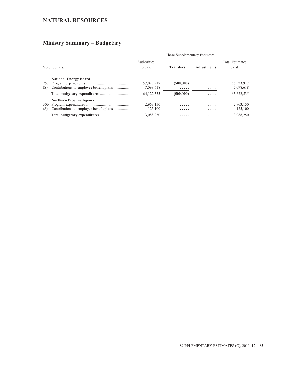# **NATURAL RESOURCES**

|                 |                                 |                                            | These Supplementary Estimates |                    |                                   |
|-----------------|---------------------------------|--------------------------------------------|-------------------------------|--------------------|-----------------------------------|
| Vote (dollars)  |                                 | Authorities<br>to date<br><b>Transfers</b> |                               | <b>Adjustments</b> | <b>Total Estimates</b><br>to date |
|                 | <b>National Energy Board</b>    |                                            |                               |                    |                                   |
|                 |                                 | 57,023,917                                 | (500,000)                     | .                  | 56,523,917                        |
| (S)             |                                 | 7,098,618                                  | .                             | .                  | 7,098,618                         |
|                 |                                 | 64, 122, 535                               | (500,000)                     | .                  | 63,622,535                        |
|                 | <b>Northern Pipeline Agency</b> |                                            |                               |                    |                                   |
| 30 <sub>b</sub> |                                 | 2,963,150                                  | .                             | .                  | 2,963,150                         |
| (S)             |                                 | 125,100                                    | .                             | .                  | 125,100                           |
|                 |                                 | 3.088.250                                  | .                             | .                  | 3.088.250                         |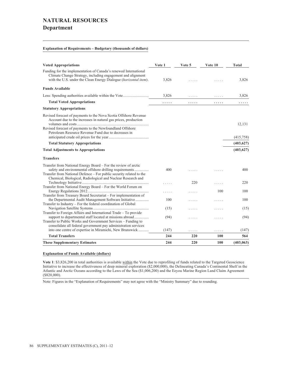# **NATURAL RESOURCES Department**

#### **Explanation of Requirements – Budgetary (thousands of dollars)**

| <b>Voted Appropriations</b>                                                                                                                                                                                                                                     | Vote 1 | Vote 5   | Vote 10  | Total               |
|-----------------------------------------------------------------------------------------------------------------------------------------------------------------------------------------------------------------------------------------------------------------|--------|----------|----------|---------------------|
| Funding for the implementation of Canada's renewed International<br>Climate Change Strategy, including engagement and alignment<br>with the U.S. under the Clean Energy Dialogue (horizontal item).                                                             | 3,826  |          |          | 3,826               |
| <b>Funds Available</b>                                                                                                                                                                                                                                          |        |          |          |                     |
|                                                                                                                                                                                                                                                                 | 3,826  |          |          | 3,826               |
| <b>Total Voted Appropriations</b>                                                                                                                                                                                                                               | .      | .        | .        | .                   |
| <b>Statutory Appropriations</b>                                                                                                                                                                                                                                 |        |          |          |                     |
| Revised forecast of payments to the Nova Scotia Offshore Revenue<br>Account due to the increases in natural gas prices, production<br>Revised forecast of payments to the Newfoundland Offshore<br>Petroleum Resource Revenue Fund due to decreases in          |        |          |          | 12,131<br>(415,758) |
| <b>Total Statutory Appropriations</b>                                                                                                                                                                                                                           |        |          |          | (403, 627)          |
| <b>Total Adjustments to Appropriations</b>                                                                                                                                                                                                                      |        |          |          | (403, 627)          |
| <b>Transfers</b>                                                                                                                                                                                                                                                |        |          |          |                     |
| Transfer from National Energy Board – For the review of arctic<br>safety and environmental offshore drilling requirements<br>Transfer from National Defence – For public security related to the<br>Chemical, Biological, Radiological and Nuclear Research and | 400    | .        |          | 400                 |
| Transfer from National Energy Board – For the World Forum on                                                                                                                                                                                                    |        | 220      |          | 220                 |
| Transfer from Treasury Board Secretariat - For implementation of                                                                                                                                                                                                | .      | $\cdots$ | 100      | 100                 |
| the Departmental Audit Management Software Initiative                                                                                                                                                                                                           | 100    | .        | .        | 100                 |
| Transfer to Industry – For the federal coordination of Global                                                                                                                                                                                                   | (15)   | .        | .        | (15)                |
| Transfer to Foreign Affairs and International Trade – To provide<br>support to departmental staff located at missions abroad<br>Transfer to Public Works and Government Services – Funding to                                                                   | (94)   | .        | .        | (94)                |
| consolidate all federal government pay administration services<br>into one centre of expertise in Miramichi, New Brunswick                                                                                                                                      | (147)  |          |          | (147)               |
| <b>Total Transfers</b>                                                                                                                                                                                                                                          | 244    | .<br>220 | .<br>100 | 564                 |
|                                                                                                                                                                                                                                                                 |        |          |          |                     |
| <b>These Supplementary Estimates</b>                                                                                                                                                                                                                            | 244    | 220      | 100      | (403, 063)          |

#### **Explanation of Funds Available (dollars)**

**Vote 1**: \$3,826,200 in total authorities is available within the Vote due to reprofiling of funds related to the Targeted Geoscience Initiative to increase the effectiveness of deep mineral exploration (\$2,000,000), the Delineating Canada's Continental Shelf in the Atlantic and Arctic Oceans according to the Laws of the Sea (\$1,006,200) and the Eeyou Marine Region Land Claim Agreement (\$820,000).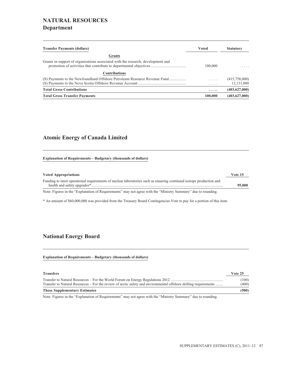### **NATURAL RESOURCES Department**

| <b>Transfer Payments (dollars)</b>                                               | Voted   | <b>Statutory</b> |
|----------------------------------------------------------------------------------|---------|------------------|
| Grants                                                                           |         |                  |
| Grants in support of organizations associated with the research, development and | 100,000 | .                |
| <b>Contributions</b>                                                             |         |                  |
|                                                                                  | .       | (415,758,000)    |
|                                                                                  | .       | 12,131,000       |
| <b>Total Gross Contributions</b>                                                 | .       | (403, 627, 000)  |
| <b>Total Gross Transfer Payments</b>                                             | 100,000 | (403, 627, 000)  |

# **Atomic Energy of Canada Limited**

#### **Explanation of Requirements – Budgetary (thousands of dollars)**

| <b>Voted Appropriations</b>                                                                                        | Vote 15 |
|--------------------------------------------------------------------------------------------------------------------|---------|
| Funding to meet operational requirements of nuclear laboratories such as ensuring continued isotope production and | 95,000  |
| Note: Figures in the "Explanation of Requirements" may not agree with the "Ministry Summary" due to rounding.      |         |

\* An amount of \$60,000,000 was provided from the Treasury Board Contingencies Vote to pay for a portion of this item.

### **National Energy Board**

#### **Explanation of Requirements – Budgetary (thousands of dollars)**

| <b>Transfers</b>                                                                                                 | Vote 25        |
|------------------------------------------------------------------------------------------------------------------|----------------|
| Transfer to Natural Resources – For the review of arctic safety and environmental offshore drilling requirements | (100)<br>(400) |
| <b>These Supplementary Estimates</b>                                                                             | (500)          |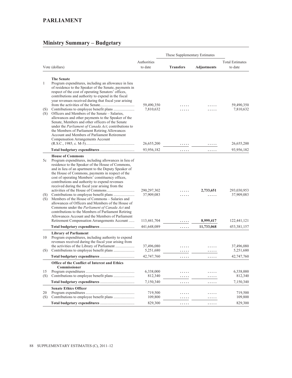# **PARLIAMENT**

|                            |                                                                                                                                                                                                                                                                                                                                                                                                                                                                                                                                                                                                                                                                                                                                  |                                          | These Supplementary Estimates |                             |                                          |
|----------------------------|----------------------------------------------------------------------------------------------------------------------------------------------------------------------------------------------------------------------------------------------------------------------------------------------------------------------------------------------------------------------------------------------------------------------------------------------------------------------------------------------------------------------------------------------------------------------------------------------------------------------------------------------------------------------------------------------------------------------------------|------------------------------------------|-------------------------------|-----------------------------|------------------------------------------|
|                            |                                                                                                                                                                                                                                                                                                                                                                                                                                                                                                                                                                                                                                                                                                                                  | Authorities                              |                               |                             | <b>Total Estimates</b>                   |
|                            | Vote (dollars)                                                                                                                                                                                                                                                                                                                                                                                                                                                                                                                                                                                                                                                                                                                   | to date                                  | <b>Transfers</b>              | <b>Adjustments</b>          | to date                                  |
| $\mathbf{1}$<br>(S)<br>(S) | <b>The Senate</b><br>Program expenditures, including an allowance in lieu<br>of residence to the Speaker of the Senate, payments in<br>respect of the cost of operating Senators' offices,<br>contributions and authority to expend in the fiscal<br>year revenues received during that fiscal year arising<br>Officers and Members of the Senate - Salaries,<br>allowances and other payments to the Speaker of the<br>Senate, Members and other officers of the Senate<br>under the <i>Parliament of Canada Act</i> ; contributions to<br>the Members of Parliament Retiring Allowances<br>Account and Members of Parliament Retirement                                                                                        | 59,490,350<br>7,810,632                  |                               |                             | 59,490,350<br>7,810,632                  |
|                            | <b>Compensation Arrangements Account</b>                                                                                                                                                                                                                                                                                                                                                                                                                                                                                                                                                                                                                                                                                         | 26,655,200                               |                               |                             | 26,655,200                               |
|                            |                                                                                                                                                                                                                                                                                                                                                                                                                                                                                                                                                                                                                                                                                                                                  | 93,956,182                               | .                             | .                           | 93,956,182                               |
| 5c<br>(S)<br>(S)           | <b>House of Commons</b><br>Program expenditures, including allowances in lieu of<br>residence to the Speaker of the House of Commons,<br>and in lieu of an apartment to the Deputy Speaker of<br>the House of Commons, payments in respect of the<br>cost of operating Members' constituency offices,<br>contributions and authority to expend revenues<br>received during the fiscal year arising from the<br>Members of the House of Commons – Salaries and<br>allowances of Officers and Members of the House of<br>Commons under the Parliament of Canada Act and<br>contributions to the Members of Parliament Retiring<br>Allowances Account and the Members of Parliament<br>Retirement Compensation Arrangements Account | 290,297,302<br>37,909,083<br>113,441,704 |                               | 2,733,651<br>.<br>8,999,417 | 293,030,953<br>37,909,083<br>122,441,121 |
|                            |                                                                                                                                                                                                                                                                                                                                                                                                                                                                                                                                                                                                                                                                                                                                  | 441,648,089                              | .                             | 11,733,068                  | 453,381,157                              |
| 10<br>(S)                  | <b>Library of Parliament</b><br>Program expenditures, including authority to expend<br>revenues received during the fiscal year arising from<br>the activities of the Library of Parliament                                                                                                                                                                                                                                                                                                                                                                                                                                                                                                                                      | 37,496,080<br>5,251,680                  | .                             |                             | 37,496,080<br>5,251,680                  |
|                            |                                                                                                                                                                                                                                                                                                                                                                                                                                                                                                                                                                                                                                                                                                                                  | 42,747,760                               | .                             | .                           | 42,747,760                               |
| 15<br>(S)                  | <b>Office of the Conflict of Interest and Ethics</b><br>Commissioner                                                                                                                                                                                                                                                                                                                                                                                                                                                                                                                                                                                                                                                             | 6,338,000<br>812,340<br>7,150,340        | .<br>.                        | .<br>.                      | 6,338,000<br>812,340<br>7,150,340        |
| 20<br>(S)                  | <b>Senate Ethics Officer</b>                                                                                                                                                                                                                                                                                                                                                                                                                                                                                                                                                                                                                                                                                                     | 719,500<br>109,800<br>829,300            | .<br>.<br>.                   | .<br>.<br>.                 | 719,500<br>109,800<br>829,300            |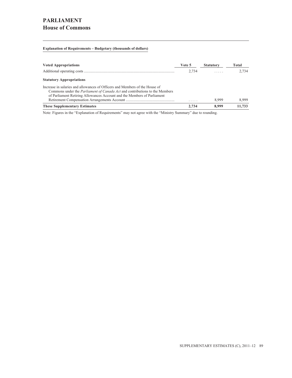# **PARLIAMENT House of Commons**

#### **Explanation of Requirements – Budgetary (thousands of dollars)**

| <b>Voted Appropriations</b>                                                                                                                                                                                                                  | Vote 5 | <b>Statutory</b> | Total  |
|----------------------------------------------------------------------------------------------------------------------------------------------------------------------------------------------------------------------------------------------|--------|------------------|--------|
|                                                                                                                                                                                                                                              | 2.734  | .                | 2,734  |
| <b>Statutory Appropriations</b>                                                                                                                                                                                                              |        |                  |        |
| Increase in salaries and allowances of Officers and Members of the House of<br>Commons under the <i>Parliament of Canada Act</i> and contributions to the Members<br>of Parliament Retiring Allowances Account and the Members of Parliament | .      | 8.999            | 8.999  |
| <b>These Supplementary Estimates</b>                                                                                                                                                                                                         | 2.734  | 8,999            | 11.733 |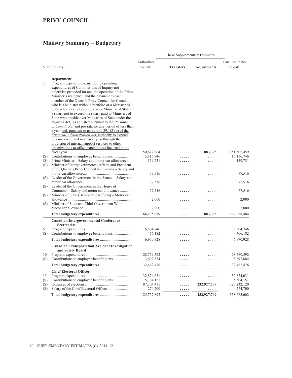# **PRIVY COUNCIL**

|  | <b>Ministry Summary - Budgetary</b> |  |
|--|-------------------------------------|--|
|--|-------------------------------------|--|

|                  |                                                                                                                                                                                                                                                                                                                                                                                                                                                                                                                                                                                                                                                                                                                                       |                                       | These Supplementary Estimates |                       |                                        |
|------------------|---------------------------------------------------------------------------------------------------------------------------------------------------------------------------------------------------------------------------------------------------------------------------------------------------------------------------------------------------------------------------------------------------------------------------------------------------------------------------------------------------------------------------------------------------------------------------------------------------------------------------------------------------------------------------------------------------------------------------------------|---------------------------------------|-------------------------------|-----------------------|----------------------------------------|
|                  |                                                                                                                                                                                                                                                                                                                                                                                                                                                                                                                                                                                                                                                                                                                                       | Authorities                           |                               |                       | <b>Total Estimates</b>                 |
|                  | Vote (dollars)                                                                                                                                                                                                                                                                                                                                                                                                                                                                                                                                                                                                                                                                                                                        | to date                               | <b>Transfers</b>              | <b>Adjustments</b>    | to date                                |
|                  |                                                                                                                                                                                                                                                                                                                                                                                                                                                                                                                                                                                                                                                                                                                                       |                                       |                               |                       |                                        |
| 1c               | Department<br>Program expenditures, including operating<br>expenditures of Commissions of Inquiry not<br>otherwise provided for and the operation of the Prime<br>Minister's residence; and the payment to each<br>member of the Queen's Privy Council for Canada<br>who is a Minister without Portfolio or a Minister of<br>State who does not preside over a Ministry of State of<br>a salary not to exceed the salary paid to Ministers of<br>State who preside over Ministries of State under the<br>Salaries Act, as adjusted pursuant to the Parliament<br>of Canada Act and pro rata for any period of less than<br>a year and, pursuant to paragraph $29.1(2)(a)$ of the<br>Financial Administration Act, authority to expend |                                       |                               |                       |                                        |
|                  | revenues received in a fiscal year through the<br>provision of internal support services to other<br>organizations to offset expenditures incurred in the                                                                                                                                                                                                                                                                                                                                                                                                                                                                                                                                                                             |                                       |                               |                       |                                        |
|                  |                                                                                                                                                                                                                                                                                                                                                                                                                                                                                                                                                                                                                                                                                                                                       | 150,622,064                           |                               | 883,395               | 151,505,459                            |
| (S)              |                                                                                                                                                                                                                                                                                                                                                                                                                                                                                                                                                                                                                                                                                                                                       | 15,116,746                            | .                             | .                     | 15,116,746                             |
| (S)<br>(S)       | Prime Minister – Salary and motor car allowance<br>Minister of Intergovernmental Affairs and President<br>of the Queen's Privy Council for Canada – Salary and                                                                                                                                                                                                                                                                                                                                                                                                                                                                                                                                                                        | 159,731                               | .                             | .                     | 159,731                                |
| (S)              | Leader of the Government in the Senate – Salary and                                                                                                                                                                                                                                                                                                                                                                                                                                                                                                                                                                                                                                                                                   | 77,516                                | .                             | .                     | 77,516                                 |
| (S)              | Leader of the Government in the House of                                                                                                                                                                                                                                                                                                                                                                                                                                                                                                                                                                                                                                                                                              | 77,516                                | .                             | .                     | 77,516                                 |
| (S)              | Commons – Salary and motor car allowance<br>Minister of State (Democratic Reform) – Motor car                                                                                                                                                                                                                                                                                                                                                                                                                                                                                                                                                                                                                                         | 77,516                                |                               |                       | 77,516                                 |
| (S)              | Minister of State and Chief Government Whip –                                                                                                                                                                                                                                                                                                                                                                                                                                                                                                                                                                                                                                                                                         | 2,000                                 | .                             | .                     | 2,000                                  |
|                  |                                                                                                                                                                                                                                                                                                                                                                                                                                                                                                                                                                                                                                                                                                                                       | 2,000                                 | .                             | .                     | 2,000                                  |
|                  |                                                                                                                                                                                                                                                                                                                                                                                                                                                                                                                                                                                                                                                                                                                                       | 166, 135, 089                         | .                             | 883,395               | 167,018,484                            |
|                  | Canadian Intergovernmental Conference<br>Secretariat                                                                                                                                                                                                                                                                                                                                                                                                                                                                                                                                                                                                                                                                                  |                                       |                               |                       |                                        |
| 5                |                                                                                                                                                                                                                                                                                                                                                                                                                                                                                                                                                                                                                                                                                                                                       | 6,504,746                             | .                             | .                     | 6,504,746                              |
| (S)              |                                                                                                                                                                                                                                                                                                                                                                                                                                                                                                                                                                                                                                                                                                                                       | 466,182                               | .                             | .                     | 466,182                                |
|                  |                                                                                                                                                                                                                                                                                                                                                                                                                                                                                                                                                                                                                                                                                                                                       | 6,970,928                             | .                             | .                     | 6,970,928                              |
|                  | <b>Canadian Transportation Accident Investigation</b><br>and Safety Board                                                                                                                                                                                                                                                                                                                                                                                                                                                                                                                                                                                                                                                             |                                       |                               |                       |                                        |
| 10               |                                                                                                                                                                                                                                                                                                                                                                                                                                                                                                                                                                                                                                                                                                                                       | 28,769,592                            | .                             | .                     | 28,769,592                             |
| (S)              |                                                                                                                                                                                                                                                                                                                                                                                                                                                                                                                                                                                                                                                                                                                                       | 3,692,884                             | .                             | .                     | 3,692,884                              |
|                  |                                                                                                                                                                                                                                                                                                                                                                                                                                                                                                                                                                                                                                                                                                                                       | 32,462,476                            | .                             | .                     | 32,462,476                             |
| 15<br>(S)<br>(S) | <b>Chief Electoral Officer</b>                                                                                                                                                                                                                                                                                                                                                                                                                                                                                                                                                                                                                                                                                                        | 32,874,631<br>5,304,151<br>87,304,411 | .                             | .<br>.<br>232,927,709 | 32,874,631<br>5,304,151<br>320,232,120 |
| (S)              |                                                                                                                                                                                                                                                                                                                                                                                                                                                                                                                                                                                                                                                                                                                                       | 274,700                               | .                             | .                     | 274,700                                |
|                  |                                                                                                                                                                                                                                                                                                                                                                                                                                                                                                                                                                                                                                                                                                                                       | 125,757,893                           | .                             | 232,927,709           | 358,685,602                            |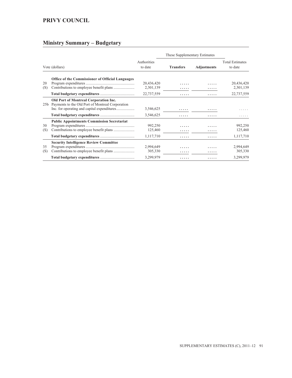# **PRIVY COUNCIL**

|                 |                                                                                           |                         | These Supplementary Estimates          |   |                                   |
|-----------------|-------------------------------------------------------------------------------------------|-------------------------|----------------------------------------|---|-----------------------------------|
| Vote (dollars)  |                                                                                           | Authorities<br>to date  | <b>Transfers</b><br><b>Adjustments</b> |   | <b>Total Estimates</b><br>to date |
| 20<br>(S)       | <b>Office of the Commissioner of Official Languages</b>                                   | 20,436,420<br>2,301,139 |                                        |   | 20,436,420<br>2,301,139           |
|                 |                                                                                           | 22,737,559              | .                                      | . | 22,737,559                        |
| 25 <sub>b</sub> | Old Port of Montreal Corporation Inc.<br>Payments to the Old Port of Montreal Corporation | 3,546,625               | .                                      |   |                                   |
|                 |                                                                                           | 3,546,625               | .                                      | . |                                   |
| 30<br>(S)       | <b>Public Appointments Commission Secretariat</b>                                         | 992,250<br>125,460      |                                        |   | 992,250<br>125,460                |
|                 |                                                                                           | 1,117,710               |                                        |   | 1,117,710                         |
| 35<br>(S)       | <b>Security Intelligence Review Committee</b>                                             | 2,994,649<br>305,330    | .                                      |   | 2,994,649<br>305,330              |
|                 |                                                                                           | 3,299,979               | .                                      | . | 3,299,979                         |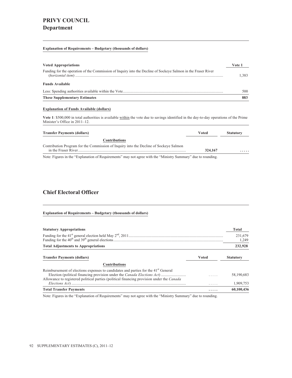### **PRIVY COUNCIL Department**

#### **Explanation of Requirements – Budgetary (thousands of dollars)**

| <b>Voted Appropriations</b>                                                                                   | Vote 1 |
|---------------------------------------------------------------------------------------------------------------|--------|
| Funding for the operation of the Commission of Inquiry into the Decline of Sockeye Salmon in the Fraser River | 1.383  |
| <b>Funds Available</b>                                                                                        |        |
|                                                                                                               | 500    |
| <b>These Supplementary Estimates</b>                                                                          |        |

#### **Explanation of Funds Available (dollars)**

**Vote 1**: \$500,000 in total authorities is available within the vote due to savings identified in the day-to-day operations of the Prime Minister's Office in 2011–12.

| <b>Transfer Payments (dollars)</b>                                                                                                                                                                                                | Voted   | <b>Statutory</b> |
|-----------------------------------------------------------------------------------------------------------------------------------------------------------------------------------------------------------------------------------|---------|------------------|
| <b>Contributions</b>                                                                                                                                                                                                              |         |                  |
| Contribution Program for the Commission of Inquiry into the Decline of Sockeye Salmon                                                                                                                                             |         |                  |
|                                                                                                                                                                                                                                   | 324,167 | .                |
| $\mathcal{M}$ , and the state of the contract the contract of the contract of the contract of the contract of the contract of the contract of the contract of the contract of the contract of the contract of the contract of the |         |                  |

Note: Figures in the "Explanation of Requirements" may not agree with the "Ministry Summary" due to rounding.

### **Chief Electoral Officer**

#### **Explanation of Requirements – Budgetary (thousands of dollars)**

| <b>Statutory Appropriations</b>                                                                                                                                                                                                                                               |              |                  |  |  |
|-------------------------------------------------------------------------------------------------------------------------------------------------------------------------------------------------------------------------------------------------------------------------------|--------------|------------------|--|--|
|                                                                                                                                                                                                                                                                               |              |                  |  |  |
| <b>Total Adjustments to Appropriations</b>                                                                                                                                                                                                                                    |              | 232,928          |  |  |
| <b>Transfer Payments (dollars)</b>                                                                                                                                                                                                                                            | <b>Voted</b> | <b>Statutory</b> |  |  |
| <b>Contributions</b>                                                                                                                                                                                                                                                          |              |                  |  |  |
| Reimbursement of elections expenses to candidates and parties for the 41 <sup>st</sup> General<br>Election (political financing provision under the Canada Elections Act)<br>Allowance to registered political parties (political financing provision under the <i>Canada</i> |              | 58,190,683       |  |  |
|                                                                                                                                                                                                                                                                               | .            | 1,909,753        |  |  |
| <b>Total Transfer Payments</b>                                                                                                                                                                                                                                                | .            | 60,100,436       |  |  |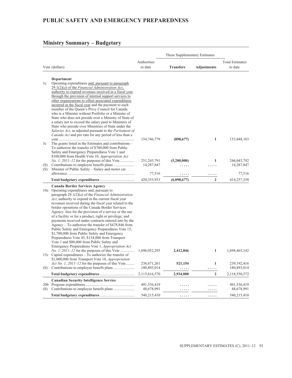### **PUBLIC SAFETY AND EMERGENCY PREPAREDNESS**

|            |                                                                                                                                                                                                                                                                                                                                                                                                                                                                                                                                                                                                                                                                                                                                                                                                                                                                                                                                                                                                                                                            |                                             | These Supplementary Estimates |                        |                                               |
|------------|------------------------------------------------------------------------------------------------------------------------------------------------------------------------------------------------------------------------------------------------------------------------------------------------------------------------------------------------------------------------------------------------------------------------------------------------------------------------------------------------------------------------------------------------------------------------------------------------------------------------------------------------------------------------------------------------------------------------------------------------------------------------------------------------------------------------------------------------------------------------------------------------------------------------------------------------------------------------------------------------------------------------------------------------------------|---------------------------------------------|-------------------------------|------------------------|-----------------------------------------------|
|            |                                                                                                                                                                                                                                                                                                                                                                                                                                                                                                                                                                                                                                                                                                                                                                                                                                                                                                                                                                                                                                                            | Authorities                                 |                               |                        | <b>Total Estimates</b>                        |
|            | Vote (dollars)                                                                                                                                                                                                                                                                                                                                                                                                                                                                                                                                                                                                                                                                                                                                                                                                                                                                                                                                                                                                                                             | to date                                     | <b>Transfers</b>              | <b>Adjustments</b>     | to date                                       |
|            |                                                                                                                                                                                                                                                                                                                                                                                                                                                                                                                                                                                                                                                                                                                                                                                                                                                                                                                                                                                                                                                            |                                             |                               |                        |                                               |
| 1c         | Department<br>Operating expenditures and, pursuant to paragraph<br>29.1(2)(a) of the Financial Administration Act,<br>authority to expend revenues received in a fiscal year<br>through the provision of internal support services to<br>other organizations to offset associated expenditures<br>incurred in the fiscal year and the payment to each<br>member of the Queen's Privy Council for Canada<br>who is a Minister without Portfolio or a Minister of<br>State who does not preside over a Ministry of State of<br>a salary not to exceed the salary paid to Ministers of<br>State who preside over Ministries of State under the                                                                                                                                                                                                                                                                                                                                                                                                                |                                             |                               |                        |                                               |
| 5c         | Salaries Act, as adjusted pursuant to the Parliament of<br>Canada Act and pro rata for any period of less than a<br>The grants listed in the Estimates and contributions –<br>To authorize the transfer of \$700,000 from Public<br>Safety and Emergency Preparedness Vote 1 and                                                                                                                                                                                                                                                                                                                                                                                                                                                                                                                                                                                                                                                                                                                                                                           | 154,746,779                                 | (898, 677)                    | 1                      | 153,848,103                                   |
| (S)<br>(S) | \$100,000 from Health Vote 10, Appropriation Act<br><i>No. 1, 2011–12</i> for the purposes of this Vote<br>Minister of Public Safety – Salary and motor car                                                                                                                                                                                                                                                                                                                                                                                                                                                                                                                                                                                                                                                                                                                                                                                                                                                                                                | 251, 243, 791<br>14,287,847                 | (5,200,000)<br>.              | 1<br>.                 | 246,043,792<br>14,287,847                     |
|            |                                                                                                                                                                                                                                                                                                                                                                                                                                                                                                                                                                                                                                                                                                                                                                                                                                                                                                                                                                                                                                                            | 77,516                                      | .                             | .                      | 77,516                                        |
|            |                                                                                                                                                                                                                                                                                                                                                                                                                                                                                                                                                                                                                                                                                                                                                                                                                                                                                                                                                                                                                                                            | 420,355,933                                 | (6,098,677)                   | $\overline{2}$         | 414,257,258                                   |
| (S)        | <b>Canada Border Services Agency</b><br>10c Operating expenditures and, pursuant to<br>paragraph $29.1(2)(a)$ of the Financial Administration<br>Act, authority to expend in the current fiscal year<br>revenues received during the fiscal year related to the<br>border operations of the Canada Border Services<br>Agency: fees for the provision of a service or the use<br>of a facility or for a product, right or privilege; and<br>payments received under contracts entered into by the<br>Agency – To authorize the transfer of \$478,846 from<br>Public Safety and Emergency Preparedness Vote 15,<br>\$1,700,000 from Public Safety and Emergency<br>Preparedness Vote 45, \$154,000 from Transport<br>Vote 1 and \$80,000 from Public Safety and<br>Emergency Preparedness Vote 1, Appropriation Act<br><i>No. 1, 2011–12</i> for the purposes of this Vote<br>15c Capital expenditures – To authorize the transfer of<br>\$1,000,000 from Transport Vote 10, <i>Appropriation</i><br><i>Act No. 1, 2011–12</i> for the purposes of this Vote | 1,696,052,295<br>238,671,261<br>180,893,014 | 2,412,846<br>521,154<br>.     | $\mathbf{1}$<br>1<br>. | 1,698,465,142<br>239, 192, 416<br>180,893,014 |
|            |                                                                                                                                                                                                                                                                                                                                                                                                                                                                                                                                                                                                                                                                                                                                                                                                                                                                                                                                                                                                                                                            | 2,115,616,570                               | 2,934,000                     | $\overline{2}$         | 2,118,550,572                                 |
|            | <b>Canadian Security Intelligence Service</b>                                                                                                                                                                                                                                                                                                                                                                                                                                                                                                                                                                                                                                                                                                                                                                                                                                                                                                                                                                                                              | 491,536,419                                 |                               |                        | 491,536,419                                   |
| (S)        |                                                                                                                                                                                                                                                                                                                                                                                                                                                                                                                                                                                                                                                                                                                                                                                                                                                                                                                                                                                                                                                            | 48,678,991<br>540,215,410                   | .                             | .                      | 48,678,991<br>540,215,410                     |
|            |                                                                                                                                                                                                                                                                                                                                                                                                                                                                                                                                                                                                                                                                                                                                                                                                                                                                                                                                                                                                                                                            |                                             | 1.1.1.1                       | .                      |                                               |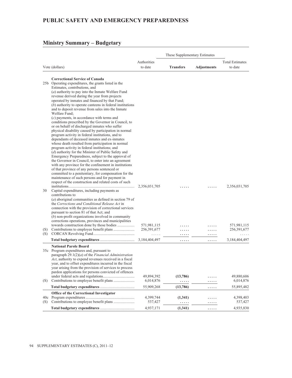### **PUBLIC SAFETY AND EMERGENCY PREPAREDNESS**

|  | <b>Ministry Summary - Budgetary</b> |  |
|--|-------------------------------------|--|
|--|-------------------------------------|--|

|     |                                                                                                                                                                                                                                                                                                                                                                                                                                                                                                                                                                                                                                                                                                                                                                                                                                                                                                                                                                                                                                                                                                                                                                                                                                                  |                                          | These Supplementary Estimates |                    |                                          |
|-----|--------------------------------------------------------------------------------------------------------------------------------------------------------------------------------------------------------------------------------------------------------------------------------------------------------------------------------------------------------------------------------------------------------------------------------------------------------------------------------------------------------------------------------------------------------------------------------------------------------------------------------------------------------------------------------------------------------------------------------------------------------------------------------------------------------------------------------------------------------------------------------------------------------------------------------------------------------------------------------------------------------------------------------------------------------------------------------------------------------------------------------------------------------------------------------------------------------------------------------------------------|------------------------------------------|-------------------------------|--------------------|------------------------------------------|
|     | Vote (dollars)                                                                                                                                                                                                                                                                                                                                                                                                                                                                                                                                                                                                                                                                                                                                                                                                                                                                                                                                                                                                                                                                                                                                                                                                                                   | Authorities<br>to date                   | <b>Transfers</b>              | <b>Adjustments</b> | <b>Total Estimates</b><br>to date        |
|     | <b>Correctional Service of Canada</b><br>25b Operating expenditures, the grants listed in the<br>Estimates, contributions, and<br>(a) authority to pay into the Inmate Welfare Fund<br>revenue derived during the year from projects<br>operated by inmates and financed by that Fund;<br>$(b)$ authority to operate canteens in federal institutions<br>and to deposit revenue from sales into the Inmate<br>Welfare Fund:<br>$(c)$ payments, in accordance with terms and<br>conditions prescribed by the Governor in Council, to<br>or on behalf of discharged inmates who suffer<br>physical disability caused by participation in normal<br>program activity in federal institutions, and to<br>dependants of deceased inmates and ex-inmates<br>whose death resulted from participation in normal<br>program activity in federal institutions; and<br>(d) authority for the Minister of Public Safety and<br>Emergency Preparedness, subject to the approval of<br>the Governor in Council, to enter into an agreement<br>with any province for the confinement in institutions<br>of that province of any persons sentenced or<br>committed to a penitentiary, for compensation for the<br>maintenance of such persons and for payment in |                                          |                               |                    |                                          |
| 30  | respect of the construction and related costs of such<br>Capital expenditures, including payments as<br>contributions to<br>$(a)$ aboriginal communities as defined in section 79 of<br>the Corrections and Conditional Release Act in<br>connection with the provision of correctional services                                                                                                                                                                                                                                                                                                                                                                                                                                                                                                                                                                                                                                                                                                                                                                                                                                                                                                                                                 | 2,356,031,705                            |                               |                    | 2,356,031,705                            |
| (S) | pursuant to section 81 of that Act; and<br>$(b)$ non-profit organizations involved in community<br>corrections operations, provinces and municipalities<br>towards construction done by those bodies                                                                                                                                                                                                                                                                                                                                                                                                                                                                                                                                                                                                                                                                                                                                                                                                                                                                                                                                                                                                                                             | 571,981,115<br>256,391,677               | .                             |                    | 571,981,115<br>256,391,677               |
| (S) |                                                                                                                                                                                                                                                                                                                                                                                                                                                                                                                                                                                                                                                                                                                                                                                                                                                                                                                                                                                                                                                                                                                                                                                                                                                  | $\ldots$                                 | .                             | .                  |                                          |
|     | <b>National Parole Board</b><br>35c Program expenditures and, pursuant to<br>paragraph $29.1(2)(a)$ of the <i>Financial Administration</i><br>Act, authority to expend revenues received in a fiscal<br>year, and to offset expenditures incurred in the fiscal<br>year arising from the provision of services to process<br>pardon applications for persons convicted of offences                                                                                                                                                                                                                                                                                                                                                                                                                                                                                                                                                                                                                                                                                                                                                                                                                                                               | 3,184,404,497<br>49,894,392<br>6,014,876 | .<br>(13,786)                 | .<br>.             | 3,184,404,497<br>49,880,606<br>6,014,876 |
| (S) |                                                                                                                                                                                                                                                                                                                                                                                                                                                                                                                                                                                                                                                                                                                                                                                                                                                                                                                                                                                                                                                                                                                                                                                                                                                  | 55,909,268                               | .<br>(13,786)                 | .<br>.             | 55,895,482                               |
| (S) | Office of the Correctional Investigator                                                                                                                                                                                                                                                                                                                                                                                                                                                                                                                                                                                                                                                                                                                                                                                                                                                                                                                                                                                                                                                                                                                                                                                                          | 4,399,744<br>537,427                     | (1,341)<br>.                  | .                  | 4,398,403<br>537,427                     |
|     |                                                                                                                                                                                                                                                                                                                                                                                                                                                                                                                                                                                                                                                                                                                                                                                                                                                                                                                                                                                                                                                                                                                                                                                                                                                  | 4,937,171                                | (1, 341)                      | .                  | 4,935,830                                |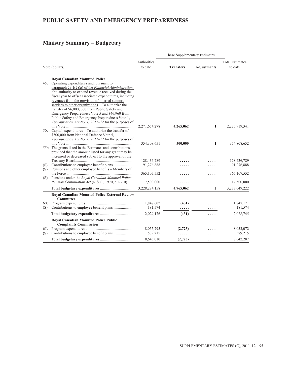# **PUBLIC SAFETY AND EMERGENCY PREPAREDNESS**

|  | <b>Ministry Summary - Budgetary</b> |  |
|--|-------------------------------------|--|
|--|-------------------------------------|--|

|            |                                                                                                                  |                        | These Supplementary Estimates |                    |                                   |
|------------|------------------------------------------------------------------------------------------------------------------|------------------------|-------------------------------|--------------------|-----------------------------------|
|            | Vote (dollars)                                                                                                   | Authorities<br>to date | <b>Transfers</b>              | <b>Adjustments</b> | <b>Total Estimates</b><br>to date |
|            | <b>Royal Canadian Mounted Police</b>                                                                             |                        |                               |                    |                                   |
|            | 45c Operating expenditures and, pursuant to                                                                      |                        |                               |                    |                                   |
|            | paragraph $29.1(2)(a)$ of the <i>Financial Administration</i>                                                    |                        |                               |                    |                                   |
|            | Act, authority to expend revenue received during the<br>fiscal year to offset associated expenditures, including |                        |                               |                    |                                   |
|            | revenues from the provision of internal support                                                                  |                        |                               |                    |                                   |
|            | services to other organizations – To authorize the                                                               |                        |                               |                    |                                   |
|            | transfer of \$6,000, 000 from Public Safety and                                                                  |                        |                               |                    |                                   |
|            | Emergency Preparedness Vote 5 and \$46,960 from                                                                  |                        |                               |                    |                                   |
|            | Public Safety and Emergency Preparedness Vote 1,                                                                 |                        |                               |                    |                                   |
|            | Appropriation Act No. 1, $2011-12$ for the purposes of                                                           |                        |                               |                    |                                   |
|            | 50 $c$ Capital expenditures – To authorize the transfer of                                                       | 2,271,654,278          | 4,265,062                     | $\mathbf{1}$       | 2,275,919,341                     |
|            | \$500,000 from National Defence Vote 5,                                                                          |                        |                               |                    |                                   |
|            | <i>Appropriation Act No. 1, 2011–12</i> for the purposes of                                                      |                        |                               |                    |                                   |
|            |                                                                                                                  | 354,308,651            | 500,000                       | 1                  | 354,808,652                       |
|            | 55b The grants listed in the Estimates and contributions,                                                        |                        |                               |                    |                                   |
|            | provided that the amount listed for any grant may be                                                             |                        |                               |                    |                                   |
|            | increased or decreased subject to the approval of the                                                            | 128,436,789            |                               |                    | 128,436,789                       |
| (S)        | Contributions to employee benefit plans                                                                          | 91,276,888             |                               |                    | 91,276,888                        |
| (S)        | Pensions and other employee benefits – Members of                                                                |                        |                               |                    |                                   |
|            |                                                                                                                  | 365, 107, 552          | .                             | .                  | 365, 107, 552                     |
| (S)        | Pensions under the Royal Canadian Mounted Police                                                                 |                        |                               |                    |                                   |
|            | Pension Continuation Act (R.S.C., 1970, c. R-10)                                                                 | 17,500,000             | .                             | .                  | 17,500,000                        |
|            |                                                                                                                  | 3,228,284,158          | 4,765,062                     | $\mathbf{2}$       | 3,233,049,222                     |
|            | <b>Royal Canadian Mounted Police External Review</b>                                                             |                        |                               |                    |                                   |
|            | Committee                                                                                                        |                        |                               |                    |                                   |
| 60c<br>(S) |                                                                                                                  | 1,847,602<br>181,574   | (431)                         |                    | 1,847,171<br>181,574              |
|            |                                                                                                                  |                        | .                             | .                  |                                   |
|            |                                                                                                                  | 2,029,176              | (431)                         | .                  | 2,028,745                         |
|            | <b>Royal Canadian Mounted Police Public</b>                                                                      |                        |                               |                    |                                   |
|            | <b>Complaints Commission</b>                                                                                     | 8,055,795              | (2,723)                       |                    | 8,053,072                         |
| (S)        |                                                                                                                  | 589,215                | .                             | .                  | 589,215                           |
|            |                                                                                                                  | 8,645,010              | (2,723)                       |                    | 8,642,287                         |
|            |                                                                                                                  |                        |                               | .                  |                                   |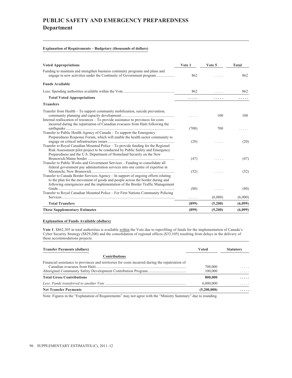# **PUBLIC SAFETY AND EMERGENCY PREPAREDNESS Department**

#### **Explanation of Requirements – Budgetary (thousands of dollars)**

| <b>Voted Appropriations</b>                                                                                                                                                                                                                      | Vote 1 | Vote 5  | Total   |
|--------------------------------------------------------------------------------------------------------------------------------------------------------------------------------------------------------------------------------------------------|--------|---------|---------|
| Funding to maintain and strengthen business continuity programs and plans and                                                                                                                                                                    | 862    |         | 862     |
| <b>Funds Available</b>                                                                                                                                                                                                                           |        |         |         |
|                                                                                                                                                                                                                                                  | 862    | .       | 862     |
| <b>Total Voted Appropriations</b>                                                                                                                                                                                                                | .      |         |         |
| <b>Transfers</b>                                                                                                                                                                                                                                 |        |         |         |
| Transfer from Health – To support community mobilization, suicide prevention,<br>Internal reallocation of resources – To provide assistance to provinces for costs                                                                               |        | 100     | 100     |
| incurred during the repatriation of Canadian evacuees from Haiti following the<br>Transfer to Public Health Agency of Canada – To support the Emergency                                                                                          | (700)  | 700     |         |
| Preparedness Response Forum, which will enable the health sector community to<br>Transfer to Royal Canadian Mounted Police – To provide funding for the Regional<br>Risk Assessment pilot project to be conducted by Public Safety and Emergency | (20)   |         | (20)    |
| Preparedness and the U.S. Department of Homeland Security on the New<br>Transfer to Public Works and Government Services - Funding to consolidate all                                                                                            | (47)   |         | (47)    |
| federal government pay administration services into one centre of expertise in<br>Transfer to Canada Border Services Agency - In support of ongoing efforts relating                                                                             | (52)   |         | (52)    |
| to the plan for the movement of goods and people across the border during and<br>following emergencies and the implementation of the Border Traffic Management                                                                                   | (80)   |         | (80)    |
| Transfer to Royal Canadian Mounted Police – For First Nations Community Policing                                                                                                                                                                 | .      | (6,000) | (6,000) |
| <b>Total Transfers</b>                                                                                                                                                                                                                           | (899)  | (5,200) | (6,099) |
| <b>These Supplementary Estimates</b>                                                                                                                                                                                                             | (899)  | (5,200) | (6,099) |

#### **Explanation of Funds Available (dollars)**

**Vote 1**: \$862,305 in total authorities is available within the Vote due to reprofiling of funds for the implementation of Canada's Cyber Security Strategy (\$829,200) and the consolidation of regional offices (\$33,105) resulting from delays in the delivery of these accommodations projects.

| <b>Transfer Payments (dollars)</b>                                                              | Voted              | <b>Statutory</b> |
|-------------------------------------------------------------------------------------------------|--------------------|------------------|
| <b>Contributions</b>                                                                            |                    |                  |
| Financial assistance to provinces and territories for costs incurred during the repatriation of | 700,000<br>100,000 | .<br>.           |
| <b>Total Gross Contributions</b>                                                                | 800,000            | .                |
|                                                                                                 | 6,000,000          | .                |
| <b>Net Transfer Payments</b>                                                                    | (5,200,000)        | .                |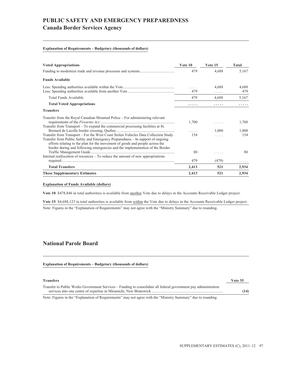# **PUBLIC SAFETY AND EMERGENCY PREPAREDNESS Canada Border Services Agency**

#### **Explanation of Requirements – Budgetary (thousands of dollars)**

| <b>Voted Appropriations</b>                                                                                                                                                                                                                           | Vote 10  | Vote 15    | Total          |
|-------------------------------------------------------------------------------------------------------------------------------------------------------------------------------------------------------------------------------------------------------|----------|------------|----------------|
|                                                                                                                                                                                                                                                       | 479      | 4,688      | 5,167          |
| <b>Funds Available</b>                                                                                                                                                                                                                                |          |            |                |
|                                                                                                                                                                                                                                                       | 479      | 4,688<br>. | 4.688<br>479   |
| Total Funds Available                                                                                                                                                                                                                                 | 479      | 4,688      | 5,167          |
| <b>Total Voted Appropriations</b>                                                                                                                                                                                                                     | .        | .          |                |
| <b>Transfers</b>                                                                                                                                                                                                                                      |          |            |                |
| Transfer from the Royal Canadian Mounted Police – For administering relevant<br>Transfer from Transport – To expand the commercial processing facilities at St.                                                                                       | 1,700    | .<br>1,000 | 1,700<br>1,000 |
| Transfer from Transport – For the West Coast Stolen Vehicles Data Collection Study.<br>Transfer from Public Safety and Emergency Preparedness – In support of ongoing<br>efforts relating to the plan for the movement of goods and people across the | .<br>154 | .          | 154            |
| border during and following emergencies and the implementation of the Border<br>Internal reallocation of resources – To reduce the amount of new appropriations                                                                                       | 80       | .          | 80             |
|                                                                                                                                                                                                                                                       | 479      | (479)      | .              |
| <b>Total Transfers</b>                                                                                                                                                                                                                                | 2,413    | 521        | 2,934          |
| <b>These Supplementary Estimates</b>                                                                                                                                                                                                                  | 2,413    | 521        | 2,934          |

#### **Explanation of Funds Available (dollars)**

**Vote 10**: \$478,846 in total authorities is available from another Vote due to delays in the Accounts Receivable Ledger project.

**Vote 15**: \$4,688,123 in total authorities is available from within the Vote due to delays in the Accounts Receivable Ledger project.

Note: Figures in the "Explanation of Requirements" may not agree with the "Ministry Summary" due to rounding.

### **National Parole Board**

#### **Explanation of Requirements – Budgetary (thousands of dollars)**

| Transfers                                                                                                       | Vote 35 |
|-----------------------------------------------------------------------------------------------------------------|---------|
| Transfer to Public Works Government Services – Funding to consolidate all federal government pay administration | (14)    |
| Note: Eigensa in the "Evaloration of Dominances" movemet governith the "Minister Cymunogr" duo to gounding      |         |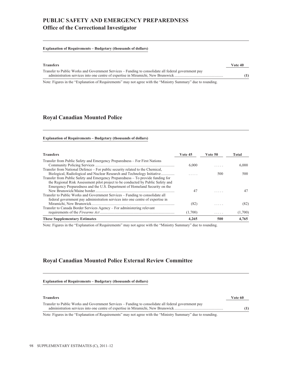# **PUBLIC SAFETY AND EMERGENCY PREPAREDNESS Office of the Correctional Investigator**

**Explanation of Requirements – Budgetary (thousands of dollars)**

| <b>Transfers</b>                                                                                     | Vote 40 |
|------------------------------------------------------------------------------------------------------|---------|
| Transfer to Public Works and Government Services – Funding to consolidate all federal government pay |         |
|                                                                                                      | (1)     |

Note: Figures in the "Explanation of Requirements" may not agree with the "Ministry Summary" due to rounding.

### **Royal Canadian Mounted Police**

#### **Explanation of Requirements – Budgetary (thousands of dollars)**

| <b>Transfers</b>                                                                | Vote 45 | Vote 50 | Total   |
|---------------------------------------------------------------------------------|---------|---------|---------|
| Transfer from Public Safety and Emergency Preparedness – For First Nations      |         |         |         |
|                                                                                 | 6.000   | .       | 6.000   |
| Transfer from National Defence – For public security related to the Chemical,   |         |         |         |
| Biological, Radiological and Nuclear Research and Technology Initiative         |         | 500     | 500     |
| Transfer from Public Safety and Emergency Preparedness – To provide funding for |         |         |         |
| the Regional Risk Assessment pilot project to be conducted by Public Safety and |         |         |         |
| Emergency Preparedness and the U.S. Department of Homeland Security on the      |         |         |         |
|                                                                                 | 47      |         | 47      |
| Transfer to Public Works and Government Services – Funding to consolidate all   |         |         |         |
| federal government pay administration services into one centre of expertise in  |         |         |         |
|                                                                                 | (82)    |         | (82)    |
| Transfer to Canada Border Services Agency – For administering relevant          |         |         |         |
|                                                                                 | (1,700) | .       | (1,700) |
| <b>These Supplementary Estimates</b>                                            | 4.265   | 500     | 4.765   |

Note: Figures in the "Explanation of Requirements" may not agree with the "Ministry Summary" due to rounding.

### **Royal Canadian Mounted Police External Review Committee**

| <b>Explanation of Requirements – Budgetary (thousands of dollars)</b> |  |
|-----------------------------------------------------------------------|--|
|-----------------------------------------------------------------------|--|

| <b>Transfers</b>                                                                                     | Vote 60 |
|------------------------------------------------------------------------------------------------------|---------|
| Transfer to Public Works and Government Services – Funding to consolidate all federal government pay |         |
|                                                                                                      |         |
|                                                                                                      |         |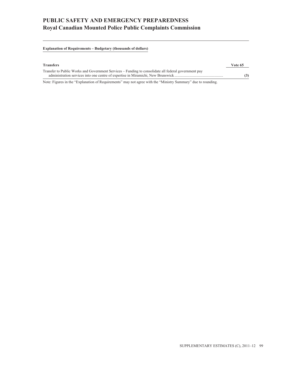# **PUBLIC SAFETY AND EMERGENCY PREPAREDNESS Royal Canadian Mounted Police Public Complaints Commission**

#### **Explanation of Requirements – Budgetary (thousands of dollars)**

| <b>Transfers</b>                                                                                     | Vote 65 |
|------------------------------------------------------------------------------------------------------|---------|
| Transfer to Public Works and Government Services – Funding to consolidate all federal government pay |         |
|                                                                                                      | (3)     |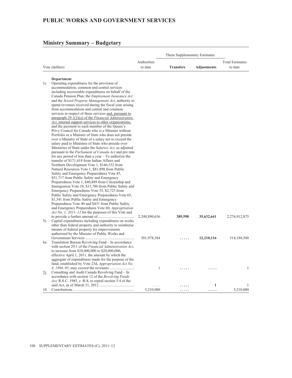### **PUBLIC WORKS AND GOVERNMENT SERVICES**

|    |                                                                                                               |               | These Supplementary Estimates |                    |                        |  |
|----|---------------------------------------------------------------------------------------------------------------|---------------|-------------------------------|--------------------|------------------------|--|
|    |                                                                                                               | Authorities   |                               |                    | <b>Total Estimates</b> |  |
|    | Vote (dollars)                                                                                                | to date       | <b>Transfers</b>              | <b>Adjustments</b> | to date                |  |
|    |                                                                                                               |               |                               |                    |                        |  |
|    | Department                                                                                                    |               |                               |                    |                        |  |
| 1c | Operating expenditures for the provision of<br>accommodation, common and central services                     |               |                               |                    |                        |  |
|    | including recoverable expenditures on behalf of the                                                           |               |                               |                    |                        |  |
|    | Canada Pension Plan, the <i>Employment Insurance Act</i>                                                      |               |                               |                    |                        |  |
|    | and the Seized Property Management Act; authority to                                                          |               |                               |                    |                        |  |
|    | spend revenues received during the fiscal year arising                                                        |               |                               |                    |                        |  |
|    | from accommodation and central and common                                                                     |               |                               |                    |                        |  |
|    | services in respect of these services and, pursuant to                                                        |               |                               |                    |                        |  |
|    | paragraph $29.1(2)(a)$ of the <i>Financial Administration</i>                                                 |               |                               |                    |                        |  |
|    | Act, internal support services to other organizations;                                                        |               |                               |                    |                        |  |
|    | and the payment to each member of the Queen's<br>Privy Council for Canada who is a Minister without           |               |                               |                    |                        |  |
|    | Portfolio or a Minister of State who does not preside                                                         |               |                               |                    |                        |  |
|    | over a Ministry of State of a salary not to exceed the                                                        |               |                               |                    |                        |  |
|    | salary paid to Ministers of State who preside over                                                            |               |                               |                    |                        |  |
|    | Ministries of State under the Salaries Act, as adjusted                                                       |               |                               |                    |                        |  |
|    | pursuant to the <i>Parliament of Canada Act</i> and pro rata                                                  |               |                               |                    |                        |  |
|    | for any period of less than a year $-$ To authorize the                                                       |               |                               |                    |                        |  |
|    | transfer of \$171,418 from Indian Affairs and                                                                 |               |                               |                    |                        |  |
|    | Northern Development Vote 1, \$146,532 from                                                                   |               |                               |                    |                        |  |
|    | Natural Resources Vote 1, \$81,898 from Public                                                                |               |                               |                    |                        |  |
|    | Safety and Emergency Preparedness Vote 45,<br>\$51,717 from Public Safety and Emergency                       |               |                               |                    |                        |  |
|    | Preparedness Vote 1, \$40,889 from Citizenship and                                                            |               |                               |                    |                        |  |
|    | Immigration Vote 10, \$13,786 from Public Safety and                                                          |               |                               |                    |                        |  |
|    | Emergency Preparedness Vote 35, \$2,723 from                                                                  |               |                               |                    |                        |  |
|    | Public Safety and Emergency Preparedness Vote 65,                                                             |               |                               |                    |                        |  |
|    | \$1,341 from Public Safety and Emergency                                                                      |               |                               |                    |                        |  |
|    | Preparedness Vote 40 and \$431 from Public Safety                                                             |               |                               |                    |                        |  |
|    | and Emergency Preparedness Vote 60, Appropriation                                                             |               |                               |                    |                        |  |
|    | Act No. 1, 2011-12 for the purposes of this Vote and                                                          |               |                               |                    |                        |  |
| 5c | Capital expenditures including expenditures on works                                                          | 2,240,890,636 | 389,598                       | 35,632,641         | 2,276,912,875          |  |
|    | other than federal property and authority to reimburse                                                        |               |                               |                    |                        |  |
|    | tenants of federal property for improvements                                                                  |               |                               |                    |                        |  |
|    | authorized by the Minister of Public Works and                                                                |               |                               |                    |                        |  |
|    |                                                                                                               | 501,978,384   |                               | 12,210,116         | 514,188,500            |  |
| 6a | Translation Bureau Revolving Fund – In accordance                                                             |               |                               |                    |                        |  |
|    | with section 29.1 of the Financial Administration Act,                                                        |               |                               |                    |                        |  |
|    | to increase from \$10,000,000 to \$20,000,000,                                                                |               |                               |                    |                        |  |
|    | effective April 1, 2011, the amount by which the                                                              |               |                               |                    |                        |  |
|    | aggregate of expenditures made for the purpose of the<br>fund, established by Vote 23d, Appropriation Act No. |               |                               |                    |                        |  |
|    |                                                                                                               | 1             |                               |                    | 1                      |  |
| 7c | Consulting and Audit Canada Revolving Fund – In                                                               |               |                               |                    |                        |  |
|    | accordance with section 12 of the Revolving Funds                                                             |               |                               |                    |                        |  |
|    | Act, R.S.C. 1985, c. R-8, to repeal section 5.4 of the                                                        |               |                               |                    |                        |  |
|    |                                                                                                               | .             |                               | 1                  | 1                      |  |
| 10 |                                                                                                               | 5,210,000     |                               | .                  | 5,210,000              |  |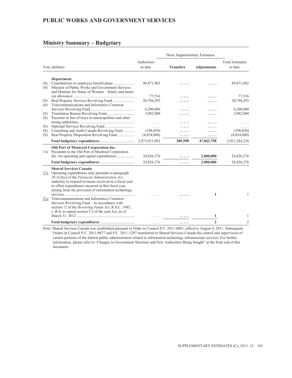### **PUBLIC WORKS AND GOVERNMENT SERVICES**

### **Ministry Summary – Budgetary**

|            |                                                                                                                                                                                                                                                                                                                                                                                                                                                                                                                                  |                        | These Supplementary Estimates |                    |                                   |
|------------|----------------------------------------------------------------------------------------------------------------------------------------------------------------------------------------------------------------------------------------------------------------------------------------------------------------------------------------------------------------------------------------------------------------------------------------------------------------------------------------------------------------------------------|------------------------|-------------------------------|--------------------|-----------------------------------|
|            | Vote (dollars)                                                                                                                                                                                                                                                                                                                                                                                                                                                                                                                   | Authorities<br>to date | <b>Transfers</b>              | <b>Adjustments</b> | <b>Total Estimates</b><br>to date |
|            | Department                                                                                                                                                                                                                                                                                                                                                                                                                                                                                                                       |                        |                               |                    |                                   |
| (S)<br>(S) | Contributions to employee benefit plans<br>Minister of Public Works and Government Services<br>and Minister for Status of Women - Salary and motor                                                                                                                                                                                                                                                                                                                                                                               | 99,871,902             |                               |                    | 99,871,902                        |
|            |                                                                                                                                                                                                                                                                                                                                                                                                                                                                                                                                  | 77,516                 |                               |                    | 77,516                            |
| (S)<br>(S) | Telecommunications and Informatics Common                                                                                                                                                                                                                                                                                                                                                                                                                                                                                        | 20,794,293             |                               |                    | 20,794,293                        |
|            |                                                                                                                                                                                                                                                                                                                                                                                                                                                                                                                                  | 6,200,000              |                               |                    | 6,200,000                         |
| (S)<br>(S) | Payment in lieu of taxes to municipalities and other                                                                                                                                                                                                                                                                                                                                                                                                                                                                             | 3,082,000              |                               |                    | 3,082,000                         |
|            |                                                                                                                                                                                                                                                                                                                                                                                                                                                                                                                                  | 1.1.1.1                |                               |                    |                                   |
| (S)        |                                                                                                                                                                                                                                                                                                                                                                                                                                                                                                                                  | .                      |                               |                    |                                   |
| (S)        | Consulting and Audit Canada Revolving Fund                                                                                                                                                                                                                                                                                                                                                                                                                                                                                       | (198, 850)             |                               |                    | (198, 850)                        |
| (S)        |                                                                                                                                                                                                                                                                                                                                                                                                                                                                                                                                  | (4,854,000)            |                               |                    | (4,854,000)                       |
|            |                                                                                                                                                                                                                                                                                                                                                                                                                                                                                                                                  | 2,873,051,882          | 389,598                       | 47,842,758         | 2,921,284,238                     |
|            | Old Port of Montreal Corporation Inc.                                                                                                                                                                                                                                                                                                                                                                                                                                                                                            |                        |                               |                    |                                   |
|            | 13c Payments to the Old Port of Montreal Corporation                                                                                                                                                                                                                                                                                                                                                                                                                                                                             | 24,826,376             |                               | 2,000,000          | 26,826,376                        |
|            |                                                                                                                                                                                                                                                                                                                                                                                                                                                                                                                                  | 24,826,376             | .                             | 2,000,000          | 26,826,376                        |
| 17c        | <b>Shared Services Canada</b><br>Operating expenditures and, pursuant to paragraph<br>$29.1(2)(a)$ of the Financial Administration Act,<br>authority to expend revenues received in a fiscal year<br>to offset expenditures incurred in that fiscal year<br>arising from the provision of information technology<br>21c Telecommunications and Informatics Common<br>Services Revolving Fund – In accordance with<br>section 12 of the Revolving Funds Act, R.S.C. 1985,<br>c. R-8, to repeal section 5.2 of the said Act, as of |                        |                               | 1                  | 1                                 |
|            |                                                                                                                                                                                                                                                                                                                                                                                                                                                                                                                                  |                        |                               | 1                  | 1                                 |
|            |                                                                                                                                                                                                                                                                                                                                                                                                                                                                                                                                  | .                      | .                             | $\mathbf{2}$       | $\overline{2}$                    |

Note: Shared Services Canada was established pursuant to Order in Council P.C. 2011-0881, effective August 4, 2011. Subsequent Orders in Council P.C. 2011-0877 and P.C. 2011-1297 transferred to Shared Services Canada the control and supervision of certain portions of the federal public administration related to information technology infrastructure services. For further information, please refer to "Changes to Government Structure and New Authorities Being Sought" at the front end of this document.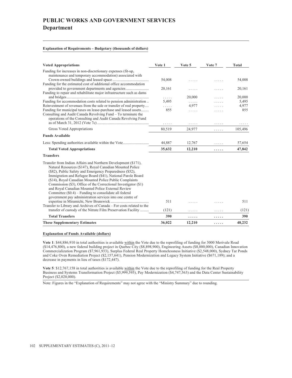# **PUBLIC WORKS AND GOVERNMENT SERVICES Department**

**Explanation of Requirements – Budgetary (thousands of dollars)**

| <b>Voted Appropriations</b>                                                                                                   | Vote 1   | Vote 5   | Vote 7   | <b>Total</b> |
|-------------------------------------------------------------------------------------------------------------------------------|----------|----------|----------|--------------|
| Funding for increases in non-discretionary expenses (fit-up,<br>maintenance and temporary accommodation) associated with      |          |          |          |              |
| Funding for the estimated cost of additional office accommodation                                                             | 54,008   | .        | .        | 54,008       |
| provided to government departments and agencies<br>Funding to repair and rehabilitate major infrastructure such as dams       | 20,161   | .        | .        | 20,161       |
|                                                                                                                               | .        | 20,000   | .        | 20,000       |
| Funding for accommodation costs related to pension administration                                                             | 5,495    | .        | $\cdots$ | 5,495        |
| Reinvestment of revenues from the sale or transfer of real property                                                           | .        | 4,977    | .        | 4,977        |
| Funding for municipal taxes on lease-purchase and leased assets                                                               | 855      | .        | .        | 855          |
| Consulting and Audit Canada Revolving Fund – To terminate the<br>operations of the Consulting and Audit Canada Revolving Fund |          |          |          |              |
|                                                                                                                               | $\cdots$ | .        | .        | .            |
| Gross Voted Appropriations                                                                                                    | 80,519   | 24,977   | .        | 105,496      |
| <b>Funds Available</b>                                                                                                        |          |          |          |              |
| Less: Spending authorities available within the Vote                                                                          | 44,887   | 12,767   | .        | 57,654       |
| <b>Total Voted Appropriations</b>                                                                                             | 35,632   | 12,210   | .        | 47,842       |
| <b>Transfers</b>                                                                                                              |          |          |          |              |
| Transfer from Indian Affairs and Northern Development (\$171),                                                                |          |          |          |              |
| Natural Resources (\$147), Royal Canadian Mounted Police                                                                      |          |          |          |              |
| (\$82), Public Safety and Emergency Preparedness (\$52),                                                                      |          |          |          |              |
| Immigration and Refugee Board (\$41), National Parole Board                                                                   |          |          |          |              |
| (\$14), Royal Canadian Mounted Police Public Complaints                                                                       |          |          |          |              |
| Commission (\$3), Office of the Correctional Investigator (\$1)                                                               |          |          |          |              |
| and Royal Canadian Mounted Police External Review                                                                             |          |          |          |              |
| Committee $(\$0.4)$ – Funding to consolidate all federal                                                                      |          |          |          |              |
| government pay administration services into one centre of                                                                     |          |          |          |              |
|                                                                                                                               | 511      | .        | .        | 511          |
| Transfer to Library and Archives of Canada – For costs related to the                                                         |          |          |          |              |
| transfer of custody of the Nitrate Film Preservation Facility                                                                 | (121)    | $\cdots$ | $\cdots$ | (121)        |
| <b>Total Transfers</b>                                                                                                        | 390      | .        | .        | 390          |
| <b>These Supplementary Estimates</b>                                                                                          | 36,022   | 12,210   | .        | 48,232       |

#### **Explanation of Funds Available (dollars)**

**Vote 1**: \$44,886,910 in total authorities is available within the Vote due to the reprofiling of funding for 3000 Merivale Road (\$14,476,800), a new federal building project in Quebec City (\$8,898,900), Engineering Assets (\$8,000,000), Canadian Innovation Commercialization Program (\$7,961,933), Surplus Federal Real Property Homelessness Initiative (\$2,548,000), Sydney Tar Ponds and Coke Oven Remediation Project (\$2,157,641), Pension Modernization and Legacy System Initiative (\$671,189); and a decrease in payments in lieu of taxes (\$172,447).

**Vote 5**: \$12,767,158 in total authorities is available within the Vote due to the reprofiling of funding for the Real Property Business and Systems Transformation Project (\$5,999,595), Pay Modernization (\$4,747,563) and the Data Center Sustainability Project (\$2,020,000).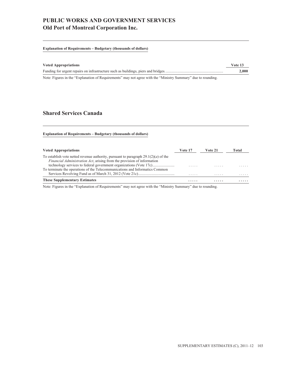# **PUBLIC WORKS AND GOVERNMENT SERVICES Old Port of Montreal Corporation Inc.**

#### **Explanation of Requirements – Budgetary (thousands of dollars)**

| <b>Voted Appropriations</b>                                                                                                                                                                                                                                                                                                                              | Vote 13 |
|----------------------------------------------------------------------------------------------------------------------------------------------------------------------------------------------------------------------------------------------------------------------------------------------------------------------------------------------------------|---------|
|                                                                                                                                                                                                                                                                                                                                                          | 2.000   |
| $\mathbf{v} = \mathbf{v}$ , and the set of the set of $\mathbf{v} = \mathbf{v}$ . The set of $\mathbf{v} = \mathbf{v}$<br>the contract of the second contract of the contract of the contract of the contract of the contract of the contract of the contract of the contract of the contract of the contract of the contract of the contract of the con |         |

Note: Figures in the "Explanation of Requirements" may not agree with the "Ministry Summary" due to rounding.

### **Shared Services Canada**

#### **Explanation of Requirements – Budgetary (thousands of dollars)**

| <b>Voted Appropriations</b>                                                                                                                                                                                                                   | Vote 17 | Vote 21 | Total |
|-----------------------------------------------------------------------------------------------------------------------------------------------------------------------------------------------------------------------------------------------|---------|---------|-------|
| To establish vote netted revenue authority, pursuant to paragraph $29.1(2)(a)$ of the<br><i>Financial Administration Act,</i> arising from the provision of information<br>technology services to federal government organizations (Vote 17c) | .       |         | .     |
| To terminate the operations of the Telecommunications and Informatics Common                                                                                                                                                                  | .       | .       | .     |
| <b>These Supplementary Estimates</b>                                                                                                                                                                                                          | .       | .       | .     |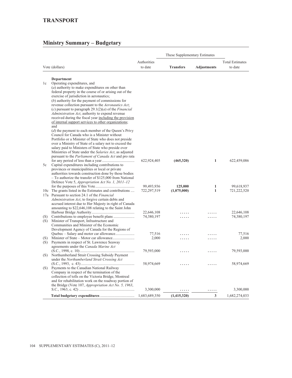| <b>Ministry Summary - Budgetary</b> |  |
|-------------------------------------|--|
|                                     |  |

|     |                                                                                                                |               | These Supplementary Estimates |                    |                        |  |  |
|-----|----------------------------------------------------------------------------------------------------------------|---------------|-------------------------------|--------------------|------------------------|--|--|
|     |                                                                                                                | Authorities   |                               |                    | <b>Total Estimates</b> |  |  |
|     | Vote (dollars)                                                                                                 | to date       | <b>Transfers</b>              | <b>Adjustments</b> | to date                |  |  |
|     |                                                                                                                |               |                               |                    |                        |  |  |
| 1c  | Department<br>Operating expenditures, and                                                                      |               |                               |                    |                        |  |  |
|     | $(a)$ authority to make expenditures on other than                                                             |               |                               |                    |                        |  |  |
|     | federal property in the course of or arising out of the                                                        |               |                               |                    |                        |  |  |
|     | exercise of jurisdiction in aeronautics;                                                                       |               |                               |                    |                        |  |  |
|     | $(b)$ authority for the payment of commissions for                                                             |               |                               |                    |                        |  |  |
|     | revenue collection pursuant to the Aeronautics Act;                                                            |               |                               |                    |                        |  |  |
|     | (c) pursuant to paragraph $29.1(2)(a)$ of the <i>Financial</i>                                                 |               |                               |                    |                        |  |  |
|     | Administration Act, authority to expend revenue                                                                |               |                               |                    |                        |  |  |
|     | received during the fiscal year including the provision                                                        |               |                               |                    |                        |  |  |
|     | of internal support services to other organizations;<br>and                                                    |               |                               |                    |                        |  |  |
|     | (d) the payment to each member of the Queen's Privy                                                            |               |                               |                    |                        |  |  |
|     | Council for Canada who is a Minister without                                                                   |               |                               |                    |                        |  |  |
|     | Portfolio or a Minister of State who does not preside                                                          |               |                               |                    |                        |  |  |
|     | over a Ministry of State of a salary not to exceed the                                                         |               |                               |                    |                        |  |  |
|     | salary paid to Ministers of State who preside over                                                             |               |                               |                    |                        |  |  |
|     | Ministries of State under the Salaries Act, as adjusted                                                        |               |                               |                    |                        |  |  |
|     | pursuant to the Parliament of Canada Act and pro rata                                                          |               |                               |                    |                        |  |  |
| 5c  | Capital expenditures including contributions to                                                                | 622,924,405   | (465,320)                     | $\mathbf{1}$       | 622,459,086            |  |  |
|     | provinces or municipalities or local or private                                                                |               |                               |                    |                        |  |  |
|     | authorities towards construction done by those bodies                                                          |               |                               |                    |                        |  |  |
|     | - To authorize the transfer of \$125,000 from National                                                         |               |                               |                    |                        |  |  |
|     | Defence Vote 5, <i>Appropriation Act No. 1, 2011–12</i>                                                        |               |                               |                    |                        |  |  |
|     |                                                                                                                | 99,493,936    | 125,000                       | 1                  | 99,618,937             |  |  |
|     | 10c The grants listed in the Estimates and contributions                                                       | 722,297,519   | (1,075,000)                   | $\mathbf{1}$       | 721,222,520            |  |  |
|     | 17a Pursuant to section 24.1 of the <i>Financial</i>                                                           |               |                               |                    |                        |  |  |
|     | Administration Act, to forgive certain debts and                                                               |               |                               |                    |                        |  |  |
|     | accrued interest due to Her Majesty in right of Canada<br>amounting to \$22,646,108 relating to the Saint John |               |                               |                    |                        |  |  |
|     |                                                                                                                | 22,646,108    |                               |                    | 22,646,108             |  |  |
| (S) |                                                                                                                | 74,380,197    |                               |                    | 74,380,197             |  |  |
| (S) | Minister of Transport, Infrastructure and                                                                      |               |                               |                    |                        |  |  |
|     | Communities and Minister of the Economic                                                                       |               |                               |                    |                        |  |  |
|     | Development Agency of Canada for the Regions of                                                                |               |                               |                    |                        |  |  |
|     |                                                                                                                | 77,516        |                               |                    | 77,516                 |  |  |
| (S) |                                                                                                                | 2,000         |                               |                    | 2,000                  |  |  |
| (S) | Payments in respect of St. Lawrence Seaway<br>agreements under the Canada Marine Act                           |               |                               |                    |                        |  |  |
|     |                                                                                                                | 79,593,000    |                               | .                  | 79,593,000             |  |  |
| (S) | Northumberland Strait Crossing Subsidy Payment                                                                 |               |                               |                    |                        |  |  |
|     | under the Northumberland Strait Crossing Act                                                                   |               |                               |                    |                        |  |  |
|     |                                                                                                                | 58,974,669    |                               |                    | 58,974,669             |  |  |
| (S) | Payments to the Canadian National Railway                                                                      |               |                               |                    |                        |  |  |
|     | Company in respect of the termination of the                                                                   |               |                               |                    |                        |  |  |
|     | collection of tolls on the Victoria Bridge, Montreal                                                           |               |                               |                    |                        |  |  |
|     | and for rehabilitation work on the roadway portion of<br>the Bridge (Vote 107, Appropriation Act No. 5, 1963,  |               |                               |                    |                        |  |  |
|     |                                                                                                                | 3,300,000     |                               |                    | 3,300,000              |  |  |
|     |                                                                                                                | 1,683,689,350 | (1,415,320)                   | 3                  | 1,682,274,033          |  |  |
|     |                                                                                                                |               |                               |                    |                        |  |  |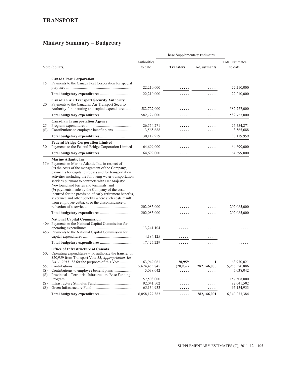|            |                                                                                                                                                                                                                                                                                                                                                                                                                                                                                           |                            | These Supplementary Estimates |                    |                            |
|------------|-------------------------------------------------------------------------------------------------------------------------------------------------------------------------------------------------------------------------------------------------------------------------------------------------------------------------------------------------------------------------------------------------------------------------------------------------------------------------------------------|----------------------------|-------------------------------|--------------------|----------------------------|
|            |                                                                                                                                                                                                                                                                                                                                                                                                                                                                                           | Authorities                |                               |                    | <b>Total Estimates</b>     |
|            | Vote (dollars)                                                                                                                                                                                                                                                                                                                                                                                                                                                                            | to date                    | <b>Transfers</b>              | <b>Adjustments</b> | to date                    |
| 15         | <b>Canada Post Corporation</b><br>Payments to the Canada Post Corporation for special                                                                                                                                                                                                                                                                                                                                                                                                     |                            |                               |                    |                            |
|            |                                                                                                                                                                                                                                                                                                                                                                                                                                                                                           | 22,210,000                 | .                             | .                  | 22,210,000                 |
|            |                                                                                                                                                                                                                                                                                                                                                                                                                                                                                           | 22,210,000                 | .                             | .                  | 22,210,000                 |
| 20         | <b>Canadian Air Transport Security Authority</b><br>Payments to the Canadian Air Transport Security<br>Authority for operating and capital expenditures                                                                                                                                                                                                                                                                                                                                   | 582,727,000                | .                             | .                  | 582,727,000                |
|            |                                                                                                                                                                                                                                                                                                                                                                                                                                                                                           | 582,727,000                | .                             | .                  | 582,727,000                |
|            | <b>Canadian Transportation Agency</b>                                                                                                                                                                                                                                                                                                                                                                                                                                                     |                            |                               |                    |                            |
| 25<br>(S)  |                                                                                                                                                                                                                                                                                                                                                                                                                                                                                           | 26,554,271<br>3,565,688    | .<br>.                        | .<br>.             | 26,554,271<br>3,565,688    |
|            |                                                                                                                                                                                                                                                                                                                                                                                                                                                                                           | 30,119,959                 | .                             | .                  | 30,119,959                 |
| 30         | <b>Federal Bridge Corporation Limited</b><br>Payments to the Federal Bridge Corporation Limited                                                                                                                                                                                                                                                                                                                                                                                           | 64,699,000                 | .                             | .                  | 64,699,000                 |
|            |                                                                                                                                                                                                                                                                                                                                                                                                                                                                                           | 64,699,000                 | .                             | .                  | 64,699,000                 |
|            | (a) the costs of the management of the Company,<br>payments for capital purposes and for transportation<br>activities including the following water transportation<br>services pursuant to contracts with Her Majesty:<br>Newfoundland ferries and terminals; and<br>(b) payments made by the Company of the costs<br>incurred for the provision of early retirement benefits,<br>severance and other benefits where such costs result<br>from employee cutbacks or the discontinuance or | 202,085,000                |                               | .                  | 202,085,000                |
|            |                                                                                                                                                                                                                                                                                                                                                                                                                                                                                           | 202,085,000                | .                             | .                  | 202,085,000                |
|            | <b>National Capital Commission</b><br>40b Payments to the National Capital Commission for<br>45b Payments to the National Capital Commission for                                                                                                                                                                                                                                                                                                                                          | 13,241,104<br>4,184,125    | .<br>.                        | .<br>.             |                            |
|            |                                                                                                                                                                                                                                                                                                                                                                                                                                                                                           | 17,425,229                 | .                             | .                  |                            |
|            | <b>Office of Infrastructure of Canada</b><br>50 $c$ Operating expenditures $-$ To authorize the transfer of<br>\$20,959 from Transport Vote 55, Appropriation Act<br><i>No. 1, 2011–12</i> for the purposes of this Vote                                                                                                                                                                                                                                                                  | 63,949,061                 | 20,959                        | 1                  | 63,970,021                 |
| (S)        |                                                                                                                                                                                                                                                                                                                                                                                                                                                                                           | 5,674,455,845<br>5,038,042 | (20,959)<br>.                 | 282,146,000<br>.   | 5,956,580,886<br>5,038,042 |
| (S)        | Provincial – Territorial Infrastructure Base Funding                                                                                                                                                                                                                                                                                                                                                                                                                                      |                            |                               |                    |                            |
|            |                                                                                                                                                                                                                                                                                                                                                                                                                                                                                           | 157,508,000                |                               |                    | 157,508,000                |
| (S)<br>(S) |                                                                                                                                                                                                                                                                                                                                                                                                                                                                                           | 92,041,502<br>65, 134, 933 | .<br>.                        | .<br>.             | 92,041,502<br>65, 134, 933 |
|            |                                                                                                                                                                                                                                                                                                                                                                                                                                                                                           | 6,058,127,383              | .                             | 282,146,001        | 6,340,273,384              |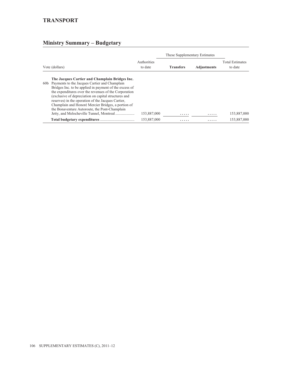### **TRANSPORT**

|                |                                                                                                                                                                                                                                                                                                                                                                                                                                         |                        | These Supplementary Estimates | <b>Total Estimates</b><br>to date |                    |
|----------------|-----------------------------------------------------------------------------------------------------------------------------------------------------------------------------------------------------------------------------------------------------------------------------------------------------------------------------------------------------------------------------------------------------------------------------------------|------------------------|-------------------------------|-----------------------------------|--------------------|
| Vote (dollars) |                                                                                                                                                                                                                                                                                                                                                                                                                                         | Authorities<br>to date | <b>Transfers</b>              |                                   | <b>Adjustments</b> |
| 60b            | The Jacques Cartier and Champlain Bridges Inc.<br>Payments to the Jacques Cartier and Champlain<br>Bridges Inc. to be applied in payment of the excess of<br>the expenditures over the revenues of the Corporation<br>(exclusive of depreciation on capital structures and<br>reserves) in the operation of the Jacques Cartier,<br>Champlain and Honoré Mercier Bridges, a portion of<br>the Bonaventure Autoroute, the Pont-Champlain | 153,887,000            | .                             | .                                 | 153,887,000        |
|                |                                                                                                                                                                                                                                                                                                                                                                                                                                         | 153,887,000            | .                             | .                                 | 153,887,000        |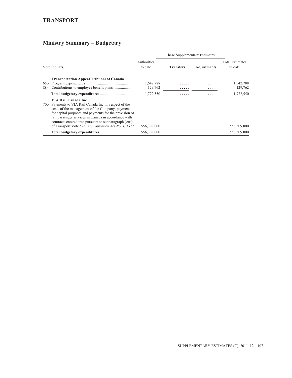# **TRANSPORT**

|            |                                                                                                                                                                                                                                                                                                                                                                             |                        | These Supplementary Estimates |                    |                                   |
|------------|-----------------------------------------------------------------------------------------------------------------------------------------------------------------------------------------------------------------------------------------------------------------------------------------------------------------------------------------------------------------------------|------------------------|-------------------------------|--------------------|-----------------------------------|
|            | Vote (dollars)                                                                                                                                                                                                                                                                                                                                                              | Authorities<br>to date | <b>Transfers</b>              | <b>Adjustments</b> | <b>Total Estimates</b><br>to date |
| 65b<br>(S) | <b>Transportation Appeal Tribunal of Canada</b>                                                                                                                                                                                                                                                                                                                             | 1,642,788<br>129,762   | .                             |                    | 1,642,788<br>129,762              |
|            |                                                                                                                                                                                                                                                                                                                                                                             | 1,772,550              | .                             | .                  | 1,772,550                         |
| 70b        | VIA Rail Canada Inc.<br>Payments to VIA Rail Canada Inc. in respect of the<br>costs of the management of the Company, payments<br>for capital purposes and payments for the provision of<br>rail passenger services in Canada in accordance with<br>contracts entered into pursuant to subparagraph $(c)(i)$<br>of Transport Vote 52d, <i>Appropriation Act No. 1, 1977</i> | 556,309,000            | .                             |                    | 556,309,000                       |
|            |                                                                                                                                                                                                                                                                                                                                                                             | 556,309,000            | .                             | .                  | 556,309,000                       |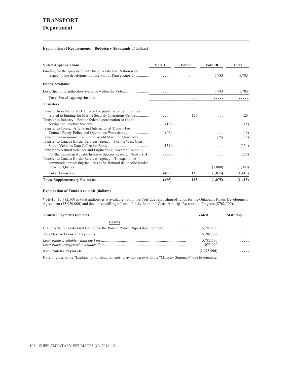#### **Explanation of Requirements – Budgetary (thousands of dollars)**

| <b>Voted Appropriations</b>                                                                                                                                                                    | Vote 1 | Vote 5 | Vote 10 | Total    |
|------------------------------------------------------------------------------------------------------------------------------------------------------------------------------------------------|--------|--------|---------|----------|
| Funding for the agreement with the Gitxaala First Nation with                                                                                                                                  |        |        | 5,783   | 5,783    |
| <b>Funds Available</b>                                                                                                                                                                         |        |        |         |          |
|                                                                                                                                                                                                |        |        | 5,783   | 5,783    |
| <b>Total Voted Appropriations</b>                                                                                                                                                              | .      | .      |         |          |
| <b>Transfers</b>                                                                                                                                                                               |        |        |         |          |
| Transfer from National Defence – For public security initiatives<br>related to funding for Marine Security Operations Centres<br>Transfer to Industry – For the federal coordination of Global |        | 125    | .       | 125      |
| Transfer to Foreign Affairs and International Trade – For                                                                                                                                      | (15)   | .      | .       | (15)     |
|                                                                                                                                                                                                | (46)   |        | .       | (46)     |
| Transfer to Environment – For the World Maritime University<br>Transfer to Canada Border Services Agency – For the West Coast                                                                  | .      |        | (75)    | (75)     |
| Transfer to Natural Sciences and Engineering Research Council –                                                                                                                                | (154)  | .      | .       | (154)    |
| For the Canadian Aquatic Invasive Species Research Network II.<br>Transfer to Canada Border Services Agency – To expand the                                                                    | (250)  |        |         | (250)    |
| commercial processing facilities at St. Bernard de Lacolle border                                                                                                                              |        |        | (1,000) | (1,000)  |
| <b>Total Transfers</b>                                                                                                                                                                         | (465)  | 125    | (1,075) | (1, 415) |
| <b>These Supplementary Estimates</b>                                                                                                                                                           | (465)  | 125    | (1,075) | (1, 415) |

#### **Explanation of Funds Available (dollars)**

**Vote 10**: \$5,782,500 in total authorities is available within the Vote due reprofiling of funds for the Outaouais Roads Development Agreement (\$5,020,000) and due to reprofiling of funds for the Labrador Coast Airstrips Restoration Program (\$762,500).

| <b>Transfer Payments (dollars)</b>                                           | Voted                  | <b>Statutory</b> |
|------------------------------------------------------------------------------|------------------------|------------------|
| <b>Grants</b>                                                                |                        |                  |
| Grant to the Gitxaala First Nation for the Port of Prince Rupert development | 5.782.500              | .                |
| <b>Total Gross Transfer Payments</b>                                         | 5,782,500              | .                |
|                                                                              | 5,782,500<br>1.075.000 | .<br>.           |
| <b>Net Transfer Payments</b>                                                 | (1,075,000)            | .                |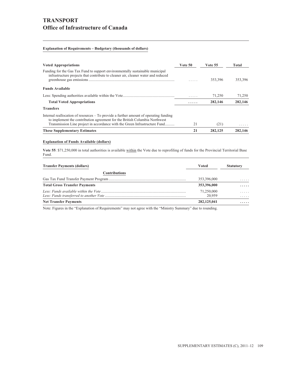#### **TRANSPORT Office of Infrastructure of Canada**

**Explanation of Requirements – Budgetary (thousands of dollars)**

| <b>Voted Appropriations</b>                                                                                                                                                                                                                       | Vote 50 | <b>Vote 55</b> | Total   |
|---------------------------------------------------------------------------------------------------------------------------------------------------------------------------------------------------------------------------------------------------|---------|----------------|---------|
| Funding for the Gas Tax Fund to support environmentally sustainable municipal<br>infrastructure projects that contribute to cleaner air, cleaner water and reduced                                                                                |         | 353.396        | 353,396 |
| <b>Funds Available</b>                                                                                                                                                                                                                            |         |                |         |
|                                                                                                                                                                                                                                                   | .       | 71,250         | 71,250  |
| <b>Total Voted Appropriations</b>                                                                                                                                                                                                                 | .       | 282,146        | 282,146 |
| <b>Transfers</b>                                                                                                                                                                                                                                  |         |                |         |
| Internal reallocation of resources – To provide a further amount of operating funding<br>to implement the contribution agreement for the British Columbia Northwest<br>Transmission Line project in accordance with the Green Infrastructure Fund | 21      | (21)           | .       |
| <b>These Supplementary Estimates</b>                                                                                                                                                                                                              | 21      | 282,125        | 282,146 |

#### **Explanation of Funds Available (dollars)**

**Vote 55**: \$71,250,000 in total authorities is available within the Vote due to reprofiling of funds for the Provincial Territorial Base Fund.

| <b>Transfer Payments (dollars)</b>   | Voted                | <b>Statutory</b> |
|--------------------------------------|----------------------|------------------|
| <b>Contributions</b>                 |                      |                  |
|                                      | 353,396,000          | .                |
| <b>Total Gross Transfer Payments</b> | 353,396,000          | .                |
|                                      | 71,250,000<br>20.959 | .<br>.           |
| <b>Net Transfer Payments</b>         | 282,125,041          | .                |

Note: Figures in the "Explanation of Requirements" may not agree with the "Ministry Summary" due to rounding.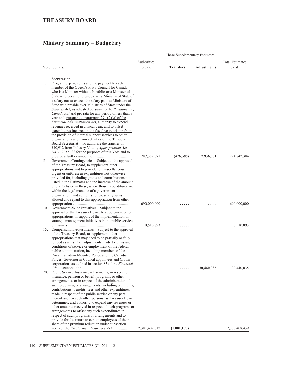#### **TREASURY BOARD**

#### **Ministry Summary – Budgetary**

| These Supplementary Estimates |                                                                                                                                                                                                                                                                                                                                                                                                                                                                                                                                                                                                                                                                                                                                                                                                                                                                                                                      |                        |                  |                    |                                   |
|-------------------------------|----------------------------------------------------------------------------------------------------------------------------------------------------------------------------------------------------------------------------------------------------------------------------------------------------------------------------------------------------------------------------------------------------------------------------------------------------------------------------------------------------------------------------------------------------------------------------------------------------------------------------------------------------------------------------------------------------------------------------------------------------------------------------------------------------------------------------------------------------------------------------------------------------------------------|------------------------|------------------|--------------------|-----------------------------------|
|                               | Vote (dollars)                                                                                                                                                                                                                                                                                                                                                                                                                                                                                                                                                                                                                                                                                                                                                                                                                                                                                                       | Authorities<br>to date | <b>Transfers</b> | <b>Adjustments</b> | <b>Total Estimates</b><br>to date |
| 1c                            | Secretariat<br>Program expenditures and the payment to each<br>member of the Queen's Privy Council for Canada<br>who is a Minister without Portfolio or a Minister of<br>State who does not preside over a Ministry of State of<br>a salary not to exceed the salary paid to Ministers of<br>State who preside over Ministries of State under the<br>Salaries Act, as adjusted pursuant to the Parliament of<br>Canada Act and pro rata for any period of less than a<br>year and, pursuant to paragraph $29.1(2)(a)$ of the<br>Financial Administration Act, authority to expend<br>revenues received in a fiscal year, and to offset<br>expenditures incurred in the fiscal year, arising from<br>the provision of internal support services to other<br>organizations and from activities of the Treasury<br>Board Secretariat – To authorize the transfer of<br>\$40,912 from Industry Vote 1, Appropriation Act |                        |                  |                    |                                   |
| 5                             | No. 1, 2011–12 for the purposes of this Vote and to<br>Government Contingencies – Subject to the approval<br>of the Treasury Board, to supplement other                                                                                                                                                                                                                                                                                                                                                                                                                                                                                                                                                                                                                                                                                                                                                              | 287,382,671            | (476,588)        | 7,936,301          | 294,842,384                       |
|                               | appropriations and to provide for miscellaneous,<br>urgent or unforeseen expenditures not otherwise<br>provided for, including grants and contributions not<br>listed in the Estimates and the increase of the amount<br>of grants listed in these, where those expenditures are<br>within the legal mandate of a government<br>organization, and authority to re-use any sums<br>allotted and repaid to this appropriation from other                                                                                                                                                                                                                                                                                                                                                                                                                                                                               |                        |                  |                    |                                   |
| 10                            | Government-Wide Initiatives - Subject to the<br>approval of the Treasury Board, to supplement other<br>appropriations in support of the implementation of<br>strategic management initiatives in the public service                                                                                                                                                                                                                                                                                                                                                                                                                                                                                                                                                                                                                                                                                                  | 690,000,000            |                  |                    | 690,000,000                       |
|                               | 15c Compensation Adjustments – Subject to the approval<br>of the Treasury Board, to supplement other<br>appropriations that may need to be partially or fully<br>funded as a result of adjustments made to terms and<br>conditions of service or employment of the federal<br>public administration, including members of the<br>Royal Canadian Mounted Police and the Canadian<br>Forces, Governor in Council appointees and Crown                                                                                                                                                                                                                                                                                                                                                                                                                                                                                  | 8,510,893              |                  |                    | 8,510,893                         |
|                               | corporations as defined in section 83 of the Financial<br>20c Public Service Insurance – Payments, in respect of<br>insurance, pension or benefit programs or other<br>arrangements, or in respect of the administration of<br>such programs, or arrangements, including premiums,<br>contributions, benefits, fees and other expenditures,<br>made in respect of the public service or any part<br>thereof and for such other persons, as Treasury Board<br>determines, and authority to expend any revenues or<br>other amounts received in respect of such programs or<br>arrangements to offset any such expenditures in<br>respect of such programs or arrangements and to<br>provide for the return to certain employees of their                                                                                                                                                                              | .                      |                  | 30,440,035         | 30,440,035                        |
|                               | share of the premium reduction under subsection                                                                                                                                                                                                                                                                                                                                                                                                                                                                                                                                                                                                                                                                                                                                                                                                                                                                      | 2,381,409,612          | (1,001,173)      | .                  | 2,380,408,439                     |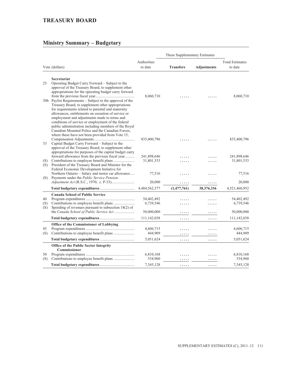#### **TREASURY BOARD**

#### **Ministry Summary – Budgetary**

|            |                                                                                                                                                                                                                                                                                                                                                                                                                                                                                                    |                         | These Supplementary Estimates |                    |                         |
|------------|----------------------------------------------------------------------------------------------------------------------------------------------------------------------------------------------------------------------------------------------------------------------------------------------------------------------------------------------------------------------------------------------------------------------------------------------------------------------------------------------------|-------------------------|-------------------------------|--------------------|-------------------------|
|            |                                                                                                                                                                                                                                                                                                                                                                                                                                                                                                    | Authorities             |                               |                    | <b>Total Estimates</b>  |
|            | Vote (dollars)                                                                                                                                                                                                                                                                                                                                                                                                                                                                                     | to date                 | <b>Transfers</b>              | <b>Adjustments</b> | to date                 |
| 25         | Secretariat<br>Operating Budget Carry Forward – Subject to the<br>approval of the Treasury Board, to supplement other<br>appropriations for the operating budget carry forward                                                                                                                                                                                                                                                                                                                     | 8,060,710               |                               |                    | 8,060,710               |
|            | 30b Paylist Requirements – Subject to the approval of the<br>Treasury Board, to supplement other appropriations<br>for requirements related to parental and maternity<br>allowances, entitlements on cessation of service or<br>employment and adjustments made to terms and<br>conditions of service or employment of the federal<br>public administration including members of the Royal<br>Canadian Mounted Police and the Canadian Forces,<br>where these have not been provided from Vote 15, |                         |                               |                    |                         |
| 33         | Capital Budget Carry Forward – Subject to the<br>approval of the Treasury Board, to supplement other<br>appropriations for purposes of the capital budget carry                                                                                                                                                                                                                                                                                                                                    | 835,400,796             |                               |                    | 835,400,796             |
|            | forward allowance from the previous fiscal year                                                                                                                                                                                                                                                                                                                                                                                                                                                    | 241,898,646             |                               |                    | 241,898,646             |
| (S)<br>(S) | President of the Treasury Board and Minister for the<br>Federal Economic Development Initiative for                                                                                                                                                                                                                                                                                                                                                                                                | 31,801,533              |                               |                    | 31,801,533              |
| (S)        | Northern Ontario – Salary and motor car allowance<br>Payments under the <i>Public Service Pension</i>                                                                                                                                                                                                                                                                                                                                                                                              | 77,516                  |                               |                    | 77,516                  |
|            |                                                                                                                                                                                                                                                                                                                                                                                                                                                                                                    | 20,000                  |                               |                    | 20,000                  |
|            |                                                                                                                                                                                                                                                                                                                                                                                                                                                                                                    | 4,484,562,377           | (1, 477, 761)                 | 38,376,336         | 4,521,460,952           |
| 40         | <b>Canada School of Public Service</b>                                                                                                                                                                                                                                                                                                                                                                                                                                                             |                         |                               |                    |                         |
| (S)        |                                                                                                                                                                                                                                                                                                                                                                                                                                                                                                    | 54,402,492<br>6,739,546 | .                             | .                  | 54,402,492<br>6,739,546 |
| (S)        | Spending of revenues pursuant to subsection 18(2) of                                                                                                                                                                                                                                                                                                                                                                                                                                               | 50,000,000              | .                             | .                  | 50,000,000              |
|            |                                                                                                                                                                                                                                                                                                                                                                                                                                                                                                    | 111,142,038             |                               | .                  | 111,142,038             |
|            |                                                                                                                                                                                                                                                                                                                                                                                                                                                                                                    |                         | .                             |                    |                         |
| 45         | <b>Office of the Commissioner of Lobbying</b>                                                                                                                                                                                                                                                                                                                                                                                                                                                      |                         |                               |                    |                         |
| (S)        | Contributions to employee benefit plans                                                                                                                                                                                                                                                                                                                                                                                                                                                            | 4,606,715<br>444,909    | .<br>.                        | .                  | 4,606,715<br>444,909    |
|            |                                                                                                                                                                                                                                                                                                                                                                                                                                                                                                    | 5,051,624               | .                             | .                  | 5,051,624               |
|            | Office of the Public Sector Integrity                                                                                                                                                                                                                                                                                                                                                                                                                                                              |                         |                               |                    |                         |
|            | Commissioner                                                                                                                                                                                                                                                                                                                                                                                                                                                                                       |                         |                               |                    |                         |
| 50         |                                                                                                                                                                                                                                                                                                                                                                                                                                                                                                    | 6,810,168               |                               |                    | 6,810,168               |
| (S)        | Contributions to employee benefit plans                                                                                                                                                                                                                                                                                                                                                                                                                                                            | 534,960                 | .                             |                    | 534,960                 |
|            |                                                                                                                                                                                                                                                                                                                                                                                                                                                                                                    | 7,345,128               | .                             | .                  | 7,345,128               |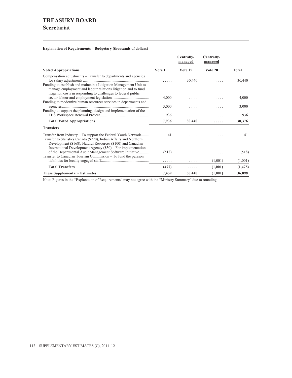#### **TREASURY BOARD**

#### **Secretariat**

#### **Explanation of Requirements – Budgetary (thousands of dollars)**

|                                                                                                                                                                                                                                                                         |        | Centrally-<br>managed | Centrally-<br>managed |          |
|-------------------------------------------------------------------------------------------------------------------------------------------------------------------------------------------------------------------------------------------------------------------------|--------|-----------------------|-----------------------|----------|
| <b>Voted Appropriations</b>                                                                                                                                                                                                                                             | Vote 1 | Vote 15               | Vote 20               | Total    |
| Compensation adjustments – Transfer to departments and agencies<br>Funding to establish and maintain a Litigation Management Unit to<br>manage employment and labour relations litigation and to fund<br>litigation costs in responding to challenges to federal public |        | 30,440                | .                     | 30,440   |
| Funding to modernize human resources services in departments and                                                                                                                                                                                                        | 4.000  | .                     | .                     | 4,000    |
| Funding to support the planning, design and implementation of the                                                                                                                                                                                                       | 3,000  | .                     | .                     | 3,000    |
|                                                                                                                                                                                                                                                                         | 936    | .                     | .                     | 936      |
| <b>Total Voted Appropriations</b>                                                                                                                                                                                                                                       | 7,936  | 30,440                |                       | 38,376   |
| <b>Transfers</b>                                                                                                                                                                                                                                                        |        |                       |                       |          |
| Transfer from Industry – To support the Federal Youth Network<br>Transfer to Statistics Canada (\$220), Indian Affairs and Northern<br>Development (\$168), Natural Resources (\$100) and Canadian                                                                      | 41     |                       |                       | 41       |
| International Development Agency $(\$30)$ – For implementation<br>of the Departmental Audit Management Software Initiative<br>Transfer to Canadian Tourism Commission – To fund the pension                                                                             | (518)  | .                     | .                     | (518)    |
|                                                                                                                                                                                                                                                                         | .      | .                     | (1,001)               | (1,001)  |
| <b>Total Transfers</b>                                                                                                                                                                                                                                                  | (477)  | .                     | (1,001)               | (1, 478) |
| <b>These Supplementary Estimates</b>                                                                                                                                                                                                                                    | 7,459  | 30,440                | (1,001)               | 36,898   |

Note: Figures in the "Explanation of Requirements" may not agree with the "Ministry Summary" due to rounding.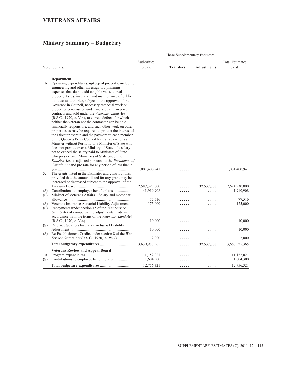### **VETERANS AFFAIRS**

|  | <b>Ministry Summary - Budgetary</b> |  |
|--|-------------------------------------|--|
|--|-------------------------------------|--|

|            |                                                                                                                                                                                                                                                                                                                                                                                                                                                                                                                                                                                                                                                                                                                                                                                                                                                                                                                                                                                                                                                                                                                                                     |                             | These Supplementary Estimates |                    |                             |
|------------|-----------------------------------------------------------------------------------------------------------------------------------------------------------------------------------------------------------------------------------------------------------------------------------------------------------------------------------------------------------------------------------------------------------------------------------------------------------------------------------------------------------------------------------------------------------------------------------------------------------------------------------------------------------------------------------------------------------------------------------------------------------------------------------------------------------------------------------------------------------------------------------------------------------------------------------------------------------------------------------------------------------------------------------------------------------------------------------------------------------------------------------------------------|-----------------------------|-------------------------------|--------------------|-----------------------------|
|            |                                                                                                                                                                                                                                                                                                                                                                                                                                                                                                                                                                                                                                                                                                                                                                                                                                                                                                                                                                                                                                                                                                                                                     | Authorities                 |                               |                    | <b>Total Estimates</b>      |
|            | Vote (dollars)                                                                                                                                                                                                                                                                                                                                                                                                                                                                                                                                                                                                                                                                                                                                                                                                                                                                                                                                                                                                                                                                                                                                      | to date                     | <b>Transfers</b>              | <b>Adjustments</b> | to date                     |
|            | Department                                                                                                                                                                                                                                                                                                                                                                                                                                                                                                                                                                                                                                                                                                                                                                                                                                                                                                                                                                                                                                                                                                                                          |                             |                               |                    |                             |
| 1b         | Operating expenditures, upkeep of property, including<br>engineering and other investigatory planning<br>expenses that do not add tangible value to real<br>property, taxes, insurance and maintenance of public<br>utilities; to authorize, subject to the approval of the<br>Governor in Council, necessary remedial work on<br>properties constructed under individual firm price<br>contracts and sold under the Veterans' Land Act<br>(R.S.C., 1970, c. V-4), to correct defects for which<br>neither the veteran nor the contractor can be held<br>financially responsible, and such other work on other<br>properties as may be required to protect the interest of<br>the Director therein and the payment to each member<br>of the Queen's Privy Council for Canada who is a<br>Minister without Portfolio or a Minister of State who<br>does not preside over a Ministry of State of a salary<br>not to exceed the salary paid to Ministers of State<br>who preside over Ministries of State under the<br><i>Salaries Act</i> , as adjusted pursuant to the <i>Parliament of</i><br>Canada Act and pro rata for any period of less than a |                             |                               |                    |                             |
| 5c         | The grants listed in the Estimates and contributions,<br>provided that the amount listed for any grant may be<br>increased or decreased subject to the approval of the                                                                                                                                                                                                                                                                                                                                                                                                                                                                                                                                                                                                                                                                                                                                                                                                                                                                                                                                                                              | 1,001,400,941               |                               |                    | 1,001,400,941               |
|            |                                                                                                                                                                                                                                                                                                                                                                                                                                                                                                                                                                                                                                                                                                                                                                                                                                                                                                                                                                                                                                                                                                                                                     | 2,587,393,000<br>41,919,908 |                               | 37,537,000         | 2,624,930,000<br>41,919,908 |
| (S)<br>(S) | Minister of Veterans Affairs - Salary and motor car                                                                                                                                                                                                                                                                                                                                                                                                                                                                                                                                                                                                                                                                                                                                                                                                                                                                                                                                                                                                                                                                                                 |                             |                               |                    |                             |
| (S)        | Veterans Insurance Actuarial Liability Adjustment                                                                                                                                                                                                                                                                                                                                                                                                                                                                                                                                                                                                                                                                                                                                                                                                                                                                                                                                                                                                                                                                                                   | 77,516<br>175,000           |                               |                    | 77,516<br>175,000           |
| (S)        | Repayments under section 15 of the War Service<br>Grants Act of compensating adjustments made in<br>accordance with the terms of the Veterans' Land Act                                                                                                                                                                                                                                                                                                                                                                                                                                                                                                                                                                                                                                                                                                                                                                                                                                                                                                                                                                                             |                             |                               |                    |                             |
| (S)        | Returned Soldiers Insurance Actuarial Liability                                                                                                                                                                                                                                                                                                                                                                                                                                                                                                                                                                                                                                                                                                                                                                                                                                                                                                                                                                                                                                                                                                     | 10,000                      |                               |                    | 10,000                      |
|            | Re-Establishment Credits under section 8 of the War                                                                                                                                                                                                                                                                                                                                                                                                                                                                                                                                                                                                                                                                                                                                                                                                                                                                                                                                                                                                                                                                                                 | 10,000                      |                               |                    | 10,000                      |
| (S)        |                                                                                                                                                                                                                                                                                                                                                                                                                                                                                                                                                                                                                                                                                                                                                                                                                                                                                                                                                                                                                                                                                                                                                     | 2,000                       | .                             | .                  | 2,000                       |
|            |                                                                                                                                                                                                                                                                                                                                                                                                                                                                                                                                                                                                                                                                                                                                                                                                                                                                                                                                                                                                                                                                                                                                                     | 3,630,988,365               | .                             | 37,537,000         | 3,668,525,365               |
|            | <b>Veterans Review and Appeal Board</b>                                                                                                                                                                                                                                                                                                                                                                                                                                                                                                                                                                                                                                                                                                                                                                                                                                                                                                                                                                                                                                                                                                             |                             |                               |                    |                             |
| 10         |                                                                                                                                                                                                                                                                                                                                                                                                                                                                                                                                                                                                                                                                                                                                                                                                                                                                                                                                                                                                                                                                                                                                                     | 11,152,021                  |                               |                    | 11,152,021                  |
| (S)        |                                                                                                                                                                                                                                                                                                                                                                                                                                                                                                                                                                                                                                                                                                                                                                                                                                                                                                                                                                                                                                                                                                                                                     | 1,604,300                   | .                             |                    | 1,604,300                   |
|            |                                                                                                                                                                                                                                                                                                                                                                                                                                                                                                                                                                                                                                                                                                                                                                                                                                                                                                                                                                                                                                                                                                                                                     | 12,756,321                  | .                             | .                  | 12,756,321                  |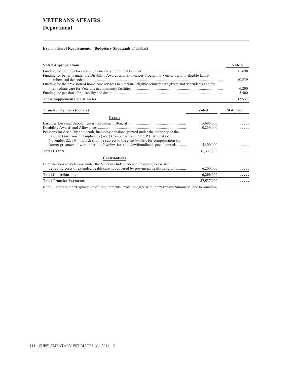# **VETERANS AFFAIRS**

### **Department**

#### **Explanation of Requirements – Budgetary (thousands of dollars)**

| <b>Voted Appropriations</b>                                                                                                                                                                                                    |                          | Vote 5           |  |  |
|--------------------------------------------------------------------------------------------------------------------------------------------------------------------------------------------------------------------------------|--------------------------|------------------|--|--|
|                                                                                                                                                                                                                                |                          | 15,698           |  |  |
| Funding for benefits under the Disability Awards and Allowances Program to Veterans and to eligible family<br>Funding for the provision of home care services to Veterans, eligible primary care givers and dependants and for |                          |                  |  |  |
|                                                                                                                                                                                                                                |                          | 6.200            |  |  |
|                                                                                                                                                                                                                                |                          | 5,400            |  |  |
| <b>These Supplementary Estimates</b>                                                                                                                                                                                           |                          | 37,537           |  |  |
| <b>Transfer Payments (dollars)</b>                                                                                                                                                                                             | <b>Voted</b>             | <b>Statutory</b> |  |  |
| <b>Grants</b>                                                                                                                                                                                                                  |                          |                  |  |  |
| Pensions for disability and death, including pensions granted under the authority of the<br>Civilian Government Employees (War) Compensation Order, P.C. 45/8848 of                                                            | 15,698,000<br>10.239,000 |                  |  |  |
| November 22, 1944, which shall be subject to the <i>Pension Act</i> ; for compensation for<br>former prisoners of war under the <i>Pension Act</i> , and Newfoundland special awards                                           | 5,400,000                |                  |  |  |
| <b>Total Grants</b>                                                                                                                                                                                                            | 31,337,000               |                  |  |  |
| <b>Contributions</b>                                                                                                                                                                                                           |                          |                  |  |  |
| Contributions to Veterans, under the Veterans Independence Program, to assist in                                                                                                                                               |                          |                  |  |  |
| defraying costs of extended health care not covered by provincial health programs                                                                                                                                              | 6,200,000                |                  |  |  |
| <b>Total Contributions</b>                                                                                                                                                                                                     | 6,200,000                |                  |  |  |
| <b>Total Transfer Payments</b>                                                                                                                                                                                                 | 37,537,000               | .                |  |  |

Note: Figures in the "Explanation of Requirements" may not agree with the "Ministry Summary" due to rounding.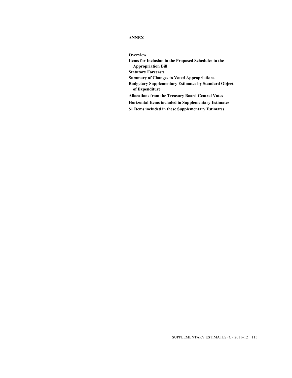#### **ANNEX**

**Overview** 

**Items for Inclusion in the Proposed Schedules to the Appropriation Bill Statutory Forecasts Summary of Changes to Voted Appropriations Budgetary Supplementary Estimates by Standard Object of Expenditure Allocations from the Treasury Board Central Votes Horizontal Items included in Supplementary Estimates \$1 Items included in these Supplementary Estimates**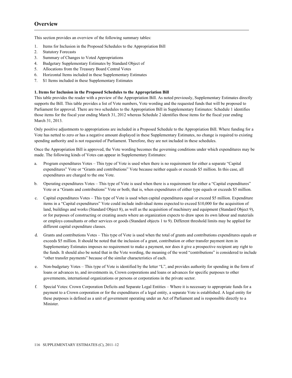This section provides an overview of the following summary tables:

- 1. Items for Inclusion in the Proposed Schedules to the Appropriation Bill
- 2. Statutory Forecasts
- 3. Summary of Changes to Voted Appropriations
- 4. Budgetary Supplementary Estimates by Standard Object of
- 5. Allocations from the Treasury Board Central Votes
- 6. Horizontal Items included in these Supplementary Estimates
- 7. \$1 Items included in these Supplementary Estimates

#### **1. Items for Inclusion in the Proposed Schedules to the Appropriation Bill**

This table provides the reader with a preview of the Appropriation Bill. As noted previously, Supplementary Estimates directly supports the Bill. This table provides a list of Vote numbers, Vote wording and the requested funds that will be proposed to Parliament for approval. There are two schedules to the Appropriation Bill in Supplementary Estimates: Schedule 1 identifies those items for the fiscal year ending March 31, 2012 whereas Schedule 2 identifies those items for the fiscal year ending March 31, 2013.

Only positive adjustments to appropriations are included in a Proposed Schedule to the Appropriation Bill. Where funding for a Vote has netted to zero or has a negative amount displayed in these Supplementary Estimates, no change is required to existing spending authority and is not requested of Parliament. Therefore, they are not included in these schedules.

Once the Appropriation Bill is approved, the Vote wording becomes the governing conditions under which expenditures may be made. The following kinds of Votes can appear in Supplementary Estimates:

- a. Program expenditures Votes This type of Vote is used when there is no requirement for either a separate "Capital expenditures" Vote or "Grants and contributions" Vote because neither equals or exceeds \$5 million. In this case, all expenditures are charged to the one Vote.
- b. Operating expenditures Votes This type of Vote is used when there is a requirement for either a "Capital expenditures" Vote or a "Grants and contributions" Vote or both; that is, when expenditures of either type equals or exceeds \$5 million.
- c. Capital expenditures Votes This type of Vote is used when capital expenditures equal or exceed \$5 million. Expenditure items in a "Capital expenditures" Vote could include individual items expected to exceed \$10,000 for the acquisition of land, buildings and works (Standard Object 8), as well as the acquisition of machinery and equipment (Standard Object 9), or for purposes of constructing or creating assets where an organization expects to draw upon its own labour and materials or employs consultants or other services or goods (Standard objects 1 to 9). Different threshold limits may be applied for different capital expenditure classes.
- d. Grants and contributions Votes This type of Vote is used when the total of grants and contributions expenditures equals or exceeds \$5 million. It should be noted that the inclusion of a grant, contribution or other transfer payment item in Supplementary Estimates imposes no requirement to make a payment, nor does it give a prospective recipient any right to the funds. It should also be noted that in the Vote wording, the meaning of the word "contributions" is considered to include "other transfer payments" because of the similar characteristics of each.
- e. Non-budgetary Votes This type of Vote is identified by the letter "L", and provides authority for spending in the form of loans or advances to, and investments in, Crown corporations and loans or advances for specific purposes to other governments, international organizations or persons or corporations in the private sector.
- f. Special Votes: Crown Corporation Deficits and Separate Legal Entities Where it is necessary to appropriate funds for a payment to a Crown corporation or for the expenditures of a legal entity, a separate Vote is established. A legal entity for these purposes is defined as a unit of government operating under an Act of Parliament and is responsible directly to a Minister.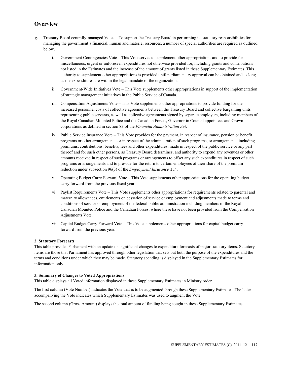- g. Treasury Board centrally-managed Votes To support the Treasury Board in performing its statutory responsibilities for managing the government's financial, human and materiel resources, a number of special authorities are required as outlined below.
	- i. Government Contingencies Vote This Vote serves to supplement other appropriations and to provide for miscellaneous, urgent or unforeseen expenditures not otherwise provided for, including grants and contributions not listed in the Estimates and the increase of the amount of grants listed in these Supplementary Estimates. This authority to supplement other appropriations is provided until parliamentary approval can be obtained and as long as the expenditures are within the legal mandate of the organization.
	- ii. Government-Wide Initiatives Vote This Vote supplements other appropriations in support of the implementation of strategic management initiatives in the Public Service of Canada.
	- iii. Compensation Adjustments Vote This Vote supplements other appropriations to provide funding for the increased personnel costs of collective agreements between the Treasury Board and collective bargaining units representing public servants, as well as collective agreements signed by separate employers, including members of the Royal Canadian Mounted Police and the Canadian Forces, Governor in Council appointees and Crown corporations as defined in section 83 of the *Financial Administration Act*.
	- iv. Public Service Insurance Vote This Vote provides for the payment, in respect of insurance, pension or benefit programs or other arrangements, or in respect of the administration of such programs, or arrangements, including premiums, contributions, benefits, fees and other expenditures, made in respect of the public service or any part thereof and for such other persons, as Treasury Board determines, and authority to expend any revenues or other amounts received in respect of such programs or arrangements to offset any such expenditures in respect of such programs or arrangements and to provide for the return to certain employees of their share of the premium reduction under subsection 96(3) of the *Employment Insurance Act* .
	- v. Operating Budget Carry Forward Vote This Vote supplements other appropriations for the operating budget carry forward from the previous fiscal year.
	- vi. Paylist Requirements Vote This Vote supplements other appropriations for requirements related to parental and maternity allowances, entitlements on cessation of service or employment and adjustments made to terms and conditions of service or employment of the federal public administration including members of the Royal Canadian Mounted Police and the Canadian Forces, where these have not been provided from the Compensation Adjustments Vote.
	- vii. Capital Budget Carry Forward Vote This Vote supplements other appropriations for capital budget carry forward from the previous year.

#### **2. Statutory Forecasts**

This table provides Parliament with an update on significant changes to expenditure forecasts of major statutory items. Statutory items are those that Parliament has approved through other legislation that sets out both the purpose of the expenditures and the terms and conditions under which they may be made. Statutory spending is displayed in the Supplementary Estimates for information only.

#### **3. Summary of Changes to Voted Appropriations**

This table displays all Voted information displayed in these Supplementary Estimates in Ministry order.

The first column (Vote Number) indicates the Vote that is to be augmented through these Supplementary Estimates. The letter accompanying the Vote indicates which Supplementary Estimates was used to augment the Vote.

The second column (Gross Amount) displays the total amount of funding being sought in these Supplementary Estimates.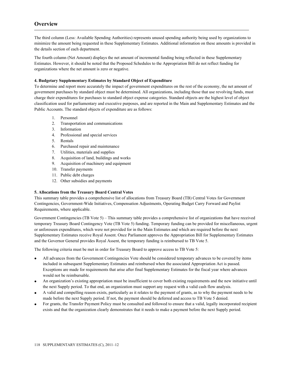The third column (Less: Available Spending Authorities) represents unused spending authority being used by organizations to minimize the amount being requested in these Supplementary Estimates. Additional information on these amounts is provided in the details section of each department.

The fourth column (Net Amount) displays the net amount of incremental funding being reflected in these Supplementary Estimates. However, it should be noted that the Proposed Schedules to the Appropriation Bill do not reflect funding for organizations where the net amount is zero or negative.

#### **4. Budgetary Supplementary Estimates by Standard Object of Expenditure**

To determine and report more accurately the impact of government expenditures on the rest of the economy, the net amount of government purchases by standard object must be determined. All organizations, including those that use revolving funds, must charge their expenditures for purchases to standard object expense categories. Standard objects are the highest level of object classification used for parliamentary and executive purposes, and are reported in the Main and Supplementary Estimates and the Public Accounts. The standard objects of expenditure are as follows:

- 1. Personnel
- 2. Transportation and communications
- 3. Information
- 4. Professional and special services
- 5. Rentals
- 6. Purchased repair and maintenance
- 7. Utilities, materials and supplies
- 8. Acquisition of land, buildings and works
- 9. Acquisition of machinery and equipment
- 10. Transfer payments
- 11. Public debt charges
- 12. Other subsidies and payments

#### **5. Allocations from the Treasury Board Central Votes**

This summary table provides a comprehensive list of allocations from Treasury Board (TB) Central Votes for Government Contingencies, Government-Wide Initiatives, Compensation Adjustments, Operating Budget Carry Forward and Paylist Requirements, where applicable.

Government Contingencies (TB Vote 5) – This summary table provides a comprehensive list of organizations that have received temporary Treasury Board Contingency Vote (TB Vote 5) funding. Temporary funding can be provided for miscellaneous, urgent or unforeseen expenditures, which were not provided for in the Main Estimates and which are required before the next Supplementary Estimates receive Royal Assent. Once Parliament approves the Appropriation Bill for Supplementary Estimates and the Governor General provides Royal Assent, the temporary funding is reimbursed to TB Vote 5.

The following criteria must be met in order for Treasury Board to approve access to TB Vote 5:

- All advances from the Government Contingencies Vote should be considered temporary advances to be covered by items included in subsequent Supplementary Estimates and reimbursed when the associated Appropriation Act is passed. Exceptions are made for requirements that arise after final Supplementary Estimates for the fiscal year where advances would not be reimbursable.
- An organization's existing appropriation must be insufficient to cover both existing requirements and the new initiative until the next Supply period. To that end, an organization must support any request with a valid cash flow analysis.
- A valid and compelling reason exists, particularly as it relates to the payment of grants, as to why the payment needs to be made before the next Supply period. If not, the payment should be deferred and access to TB Vote 5 denied.
- For grants, the Transfer Payment Policy must be consulted and followed to ensure that a valid, legally incorporated recipient exists and that the organization clearly demonstrates that it needs to make a payment before the next Supply period.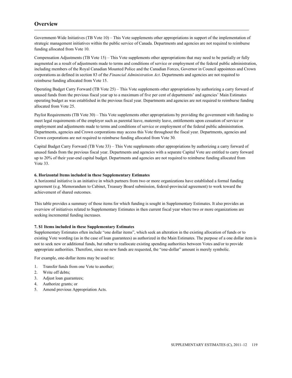Government-Wide Initiatives (TB Vote 10) – This Vote supplements other appropriations in support of the implementation of strategic management initiatives within the public service of Canada. Departments and agencies are not required to reimburse funding allocated from Vote 10.

Compensation Adjustments (TB Vote 15) – This Vote supplements other appropriations that may need to be partially or fully augmented as a result of adjustments made to terms and conditions of service or employment of the federal public administration, including members of the Royal Canadian Mounted Police and the Canadian Forces, Governor in Council appointees and Crown corporations as defined in section 83 of the *Financial Administration Act*. Departments and agencies are not required to reimburse funding allocated from Vote 15.

Operating Budget Carry Forward (TB Vote 25) – This Vote supplements other appropriations by authorizing a carry forward of unused funds from the previous fiscal year up to a maximum of five per cent of departments' and agencies' Main Estimates operating budget as was established in the previous fiscal year. Departments and agencies are not required to reimburse funding allocated from Vote 25.

Paylist Requirements (TB Vote 30) – This Vote supplements other appropriations by providing the government with funding to meet legal requirements of the employer such as parental leave, maternity leave, entitlements upon cessation of service or employment and adjustments made to terms and conditions of service or employment of the federal public administration. Departments, agencies and Crown corporations may access this Vote throughout the fiscal year. Departments, agencies and Crown corporations are not required to reimburse funding allocated from Vote 30.

Capital Budget Carry Forward (TB Vote 33) – This Vote supplements other appropriations by authorizing a carry forward of unused funds from the previous fiscal year. Departments and agencies with a separate Capital Vote are entitled to carry forward up to 20% of their year-end capital budget. Departments and agencies are not required to reimburse funding allocated from Vote 33.

#### **6. Horizontal Items included in these Supplementary Estimates**

A horizontal initiative is an initiative in which partners from two or more organizations have established a formal funding agreement (e.g. Memorandum to Cabinet, Treasury Board submission, federal-provincial agreement) to work toward the achievement of shared outcomes.

This table provides a summary of those items for which funding is sought in Supplementary Estimates. It also provides an overview of initiatives related to Supplementary Estimates in then current fiscal year where two or more organizations are seeking incremental funding increases.

#### **7. \$1 Items included in these Supplementary Estimates**

Supplementary Estimates often include "one dollar items", which seek an alteration in the existing allocation of funds or to existing Vote wording (as in the case of loan guarantees) as authorized in the Main Estimates. The purpose of a one dollar item is not to seek new or additional funds, but rather to reallocate existing spending authorities between Votes and/or to provide appropriate authorities. Therefore, since no new funds are requested, the "one-dollar" amount is merely symbolic.

For example, one-dollar items may be used to:

- 1. Transfer funds from one Vote to another;
- 2. Write off debts;
- 3. Adjust loan guarantees;
- 4. Authorize grants; or
- 5. Amend previous Appropriation Acts.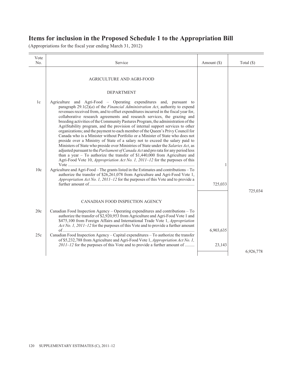| Vote<br>No.           | Service                                                                                                                                                                                                                                                                                                                                                                                                                                                                                                                                                                                                                                                                                                                                                                                                                                                                                                                                                                                                                                                                                                                                                                                                                                                                                    | Amount (\$)         | Total $(\$)$ |
|-----------------------|--------------------------------------------------------------------------------------------------------------------------------------------------------------------------------------------------------------------------------------------------------------------------------------------------------------------------------------------------------------------------------------------------------------------------------------------------------------------------------------------------------------------------------------------------------------------------------------------------------------------------------------------------------------------------------------------------------------------------------------------------------------------------------------------------------------------------------------------------------------------------------------------------------------------------------------------------------------------------------------------------------------------------------------------------------------------------------------------------------------------------------------------------------------------------------------------------------------------------------------------------------------------------------------------|---------------------|--------------|
|                       | <b>AGRICULTURE AND AGRI-FOOD</b>                                                                                                                                                                                                                                                                                                                                                                                                                                                                                                                                                                                                                                                                                                                                                                                                                                                                                                                                                                                                                                                                                                                                                                                                                                                           |                     |              |
|                       | <b>DEPARTMENT</b>                                                                                                                                                                                                                                                                                                                                                                                                                                                                                                                                                                                                                                                                                                                                                                                                                                                                                                                                                                                                                                                                                                                                                                                                                                                                          |                     |              |
| 1c<br>10 <sub>c</sub> | Agriculture and Agri-Food - Operating expenditures and, pursuant to<br>paragraph $29.1(2)(a)$ of the <i>Financial Administration Act</i> , authority to expend<br>revenues received from, and to offset expenditures incurred in the fiscal year for,<br>collaborative research agreements and research services, the grazing and<br>breeding activities of the Community Pastures Program, the administration of the<br>AgriStability program, and the provision of internal support services to other<br>organizations; and the payment to each member of the Queen's Privy Council for<br>Canada who is a Minister without Portfolio or a Minister of State who does not<br>preside over a Ministry of State of a salary not to exceed the salary paid to<br>Ministers of State who preside over Ministries of State under the Salaries Act, as<br>adjusted pursuant to the <i>Parliament of Canada Act</i> and pro rata for any period less<br>than a year $-$ To authorize the transfer of \$1,440,000 from Agriculture and<br>Agri-Food Vote 10, Appropriation Act No. 1, 2011-12 for the purposes of this<br>Agriculture and Agri-Food - The grants listed in the Estimates and contributions - To<br>authorize the transfer of \$26,261,078 from Agriculture and Agri-Food Vote 1, |                     |              |
|                       | Appropriation Act No. 1, 2011–12 for the purposes of this Vote and to provide a                                                                                                                                                                                                                                                                                                                                                                                                                                                                                                                                                                                                                                                                                                                                                                                                                                                                                                                                                                                                                                                                                                                                                                                                            | 725,033             |              |
|                       | CANADIAN FOOD INSPECTION AGENCY                                                                                                                                                                                                                                                                                                                                                                                                                                                                                                                                                                                                                                                                                                                                                                                                                                                                                                                                                                                                                                                                                                                                                                                                                                                            |                     | 725,034      |
| 20c                   | Canadian Food Inspection Agency - Operating expenditures and contributions - To<br>authorize the transfer of \$2,920,953 from Agriculture and Agri-Food Vote 1 and<br>\$475,100 from Foreign Affairs and International Trade Vote 1, Appropriation<br>Act No. 1, 2011-12 for the purposes of this Vote and to provide a further amount                                                                                                                                                                                                                                                                                                                                                                                                                                                                                                                                                                                                                                                                                                                                                                                                                                                                                                                                                     |                     |              |
| 25c                   | Canadian Food Inspection Agency - Capital expenditures - To authorize the transfer<br>of \$5,232,788 from Agriculture and Agri-Food Vote 1, Appropriation Act No. 1,<br>2011-12 for the purposes of this Vote and to provide a further amount of                                                                                                                                                                                                                                                                                                                                                                                                                                                                                                                                                                                                                                                                                                                                                                                                                                                                                                                                                                                                                                           | 6,903,635<br>23,143 |              |
|                       |                                                                                                                                                                                                                                                                                                                                                                                                                                                                                                                                                                                                                                                                                                                                                                                                                                                                                                                                                                                                                                                                                                                                                                                                                                                                                            |                     | 6,926,778    |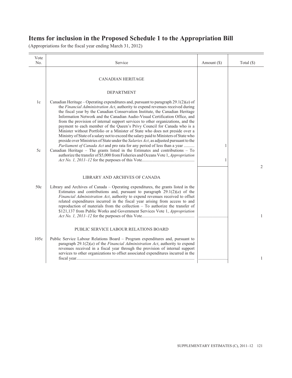| Vote<br>No. | Service                                                                                                                                                                                                                                                                                                                                                                                                                                                                                                                                                                                                                                                                                                                                                                                                                                             | Amount $(\$)$ | Total (\$)   |
|-------------|-----------------------------------------------------------------------------------------------------------------------------------------------------------------------------------------------------------------------------------------------------------------------------------------------------------------------------------------------------------------------------------------------------------------------------------------------------------------------------------------------------------------------------------------------------------------------------------------------------------------------------------------------------------------------------------------------------------------------------------------------------------------------------------------------------------------------------------------------------|---------------|--------------|
|             | <b>CANADIAN HERITAGE</b>                                                                                                                                                                                                                                                                                                                                                                                                                                                                                                                                                                                                                                                                                                                                                                                                                            |               |              |
|             | <b>DEPARTMENT</b>                                                                                                                                                                                                                                                                                                                                                                                                                                                                                                                                                                                                                                                                                                                                                                                                                                   |               |              |
| 1c          | Canadian Heritage – Operating expenditures and, pursuant to paragraph $29.1(2)(a)$ of<br>the Financial Administration Act, authority to expend revenues received during<br>the fiscal year by the Canadian Conservation Institute, the Canadian Heritage<br>Information Network and the Canadian Audio-Visual Certification Office, and<br>from the provision of internal support services to other organizations, and the<br>payment to each member of the Queen's Privy Council for Canada who is a<br>Minister without Portfolio or a Minister of State who does not preside over a<br>Ministry of State of a salary not to exceed the salary paid to Ministers of State who<br>preside over Ministries of State under the Salaries Act, as adjusted pursuant to the<br>Parliament of Canada Act and pro rata for any period of less than a year | 1             |              |
| 5c          | Canadian Heritage – The grants listed in the Estimates and contributions – To<br>authorize the transfer of \$5,000 from Fisheries and Oceans Vote 1, Appropriation                                                                                                                                                                                                                                                                                                                                                                                                                                                                                                                                                                                                                                                                                  | 1             | 2            |
|             | LIBRARY AND ARCHIVES OF CANADA                                                                                                                                                                                                                                                                                                                                                                                                                                                                                                                                                                                                                                                                                                                                                                                                                      |               |              |
| 50c         | Library and Archives of Canada – Operating expenditures, the grants listed in the<br>Estimates and contributions and, pursuant to paragraph $29.1(2)(a)$ of the<br>Financial Administration Act, authority to expend revenues received to offset<br>related expenditures incurred in the fiscal year arising from access to and<br>reproduction of materials from the collection - To authorize the transfer of<br>\$121,137 from Public Works and Government Services Vote 1, Appropriation                                                                                                                                                                                                                                                                                                                                                        |               | $\mathbf{1}$ |
|             | PUBLIC SERVICE LABOUR RELATIONS BOARD                                                                                                                                                                                                                                                                                                                                                                                                                                                                                                                                                                                                                                                                                                                                                                                                               |               |              |
| 105c        | Public Service Labour Relations Board – Program expenditures and, pursuant to<br>paragraph $29.1(2)(a)$ of the <i>Financial Administration Act</i> , authority to expend<br>revenues received in a fiscal year through the provision of internal support<br>services to other organizations to offset associated expenditures incurred in the                                                                                                                                                                                                                                                                                                                                                                                                                                                                                                       |               | 1            |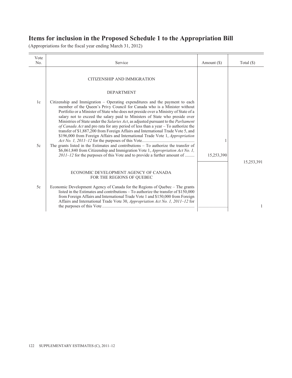| Vote<br>No. | Service                                                                                                                                                                                                                                                                                                                                                                                                                                                                                                                                                                                                                                                                                                                                                                                                                                                                                                                            | Amount $(\$)$ | Total $(\$)$ |
|-------------|------------------------------------------------------------------------------------------------------------------------------------------------------------------------------------------------------------------------------------------------------------------------------------------------------------------------------------------------------------------------------------------------------------------------------------------------------------------------------------------------------------------------------------------------------------------------------------------------------------------------------------------------------------------------------------------------------------------------------------------------------------------------------------------------------------------------------------------------------------------------------------------------------------------------------------|---------------|--------------|
|             | CITIZENSHIP AND IMMIGRATION                                                                                                                                                                                                                                                                                                                                                                                                                                                                                                                                                                                                                                                                                                                                                                                                                                                                                                        |               |              |
|             | <b>DEPARTMENT</b>                                                                                                                                                                                                                                                                                                                                                                                                                                                                                                                                                                                                                                                                                                                                                                                                                                                                                                                  |               |              |
| 1c<br>5c    | Citizenship and Immigration - Operating expenditures and the payment to each<br>member of the Queen's Privy Council for Canada who is a Minister without<br>Portfolio or a Minister of State who does not preside over a Ministry of State of a<br>salary not to exceed the salary paid to Ministers of State who preside over<br>Ministries of State under the Salaries Act, as adjusted pursuant to the Parliament<br>of Canada Act and pro rata for any period of less than a year $-$ To authorize the<br>transfer of \$1,887,200 from Foreign Affairs and International Trade Vote 5, and<br>\$196,000 from Foreign Affairs and International Trade Vote 1, Appropriation<br>The grants listed in the Estimates and contributions - To authorize the transfer of<br>\$6,061,840 from Citizenship and Immigration Vote 1, Appropriation Act No. 1,<br>2011-12 for the purposes of this Vote and to provide a further amount of | 15,253,390    | 15,253,391   |
|             | ECONOMIC DEVELOPMENT AGENCY OF CANADA<br>FOR THE REGIONS OF QUEBEC                                                                                                                                                                                                                                                                                                                                                                                                                                                                                                                                                                                                                                                                                                                                                                                                                                                                 |               |              |
| 5c          | Economic Development Agency of Canada for the Regions of Quebec – The grants<br>listed in the Estimates and contributions – To authorize the transfer of \$150,000<br>from Foreign Affairs and International Trade Vote 1 and \$150,000 from Foreign<br>Affairs and International Trade Vote 30, Appropriation Act No. 1, 2011-12 for                                                                                                                                                                                                                                                                                                                                                                                                                                                                                                                                                                                              |               |              |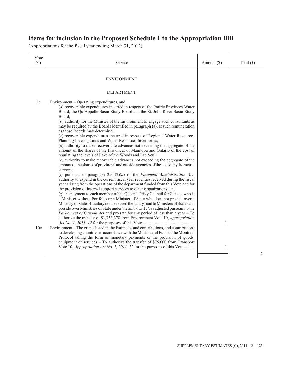| Vote<br>N <sub>0</sub> | Service                                                                                                                                                                                                                                                                                                                                                                                                                                                                                                                                                                                                                                                                                                                                                                                                                                                                                                                                                                                                                                                                                                                                                                                                                                                                                                                                                                                                                                                                                                                                                                                                                                                                                                                                                                                                                                                                                                                                                                                                                                                                                                                                                                                                                                                                        | Amount $(\$)$ | Total $(S)$ |
|------------------------|--------------------------------------------------------------------------------------------------------------------------------------------------------------------------------------------------------------------------------------------------------------------------------------------------------------------------------------------------------------------------------------------------------------------------------------------------------------------------------------------------------------------------------------------------------------------------------------------------------------------------------------------------------------------------------------------------------------------------------------------------------------------------------------------------------------------------------------------------------------------------------------------------------------------------------------------------------------------------------------------------------------------------------------------------------------------------------------------------------------------------------------------------------------------------------------------------------------------------------------------------------------------------------------------------------------------------------------------------------------------------------------------------------------------------------------------------------------------------------------------------------------------------------------------------------------------------------------------------------------------------------------------------------------------------------------------------------------------------------------------------------------------------------------------------------------------------------------------------------------------------------------------------------------------------------------------------------------------------------------------------------------------------------------------------------------------------------------------------------------------------------------------------------------------------------------------------------------------------------------------------------------------------------|---------------|-------------|
|                        | <b>ENVIRONMENT</b>                                                                                                                                                                                                                                                                                                                                                                                                                                                                                                                                                                                                                                                                                                                                                                                                                                                                                                                                                                                                                                                                                                                                                                                                                                                                                                                                                                                                                                                                                                                                                                                                                                                                                                                                                                                                                                                                                                                                                                                                                                                                                                                                                                                                                                                             |               |             |
|                        | <b>DEPARTMENT</b>                                                                                                                                                                                                                                                                                                                                                                                                                                                                                                                                                                                                                                                                                                                                                                                                                                                                                                                                                                                                                                                                                                                                                                                                                                                                                                                                                                                                                                                                                                                                                                                                                                                                                                                                                                                                                                                                                                                                                                                                                                                                                                                                                                                                                                                              |               |             |
| 1c<br>10 <sub>c</sub>  | Environment – Operating expenditures, and<br>$(a)$ recoverable expenditures incurred in respect of the Prairie Provinces Water<br>Board, the Qu'Appelle Basin Study Board and the St. John River Basin Study<br>Board;<br>$(b)$ authority for the Minister of the Environment to engage such consultants as<br>may be required by the Boards identified in paragraph (a), at such remuneration<br>as those Boards may determine;<br>(c) recoverable expenditures incurred in respect of Regional Water Resources<br>Planning Investigations and Water Resources Inventories;<br>$(d)$ authority to make recoverable advances not exceeding the aggregate of the<br>amount of the shares of the Provinces of Manitoba and Ontario of the cost of<br>regulating the levels of Lake of the Woods and Lac Seul;<br>(e) authority to make recoverable advances not exceeding the aggregate of the<br>amount of the shares of provincial and outside agencies of the cost of hydrometric<br>surveys;<br>(f) pursuant to paragraph $29.1(2)(a)$ of the Financial Administration Act,<br>authority to expend in the current fiscal year revenues received during the fiscal<br>year arising from the operations of the department funded from this Vote and for<br>the provision of internal support services to other organizations; and<br>(g) the payment to each member of the Queen's Privy Council for Canada who is<br>a Minister without Portfolio or a Minister of State who does not preside over a<br>Ministry of State of a salary not to exceed the salary paid to Ministers of State who<br>preside over Ministries of State under the Salaries Act, as adjusted pursuant to the<br>Parliament of Canada Act and pro rata for any period of less than a year - To<br>authorize the transfer of \$1,353,378 from Environment Vote 10, Appropriation<br>Environment – The grants listed in the Estimates and contributions, and contributions<br>to developing countries in accordance with the Multilateral Fund of the Montreal<br>Protocol taking the form of monetary payments or the provision of goods,<br>equipment or services $-$ To authorize the transfer of \$75,000 from Transport<br>Vote 10, Appropriation Act No. 1, 2011–12 for the purposes of this Vote | 1<br>1        |             |
|                        |                                                                                                                                                                                                                                                                                                                                                                                                                                                                                                                                                                                                                                                                                                                                                                                                                                                                                                                                                                                                                                                                                                                                                                                                                                                                                                                                                                                                                                                                                                                                                                                                                                                                                                                                                                                                                                                                                                                                                                                                                                                                                                                                                                                                                                                                                |               | 2           |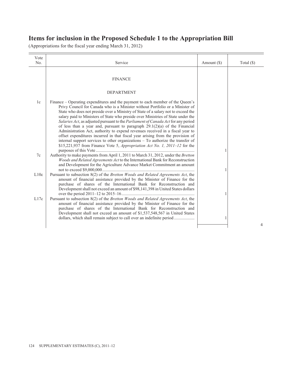| Vote<br>No. | Service                                                                                                                                                                                                                                                                                                                                                                                                                                                                                                                                                                                                                                                                                                                                                                                                                                             | Amount (\$) | Total $(\$)$ |
|-------------|-----------------------------------------------------------------------------------------------------------------------------------------------------------------------------------------------------------------------------------------------------------------------------------------------------------------------------------------------------------------------------------------------------------------------------------------------------------------------------------------------------------------------------------------------------------------------------------------------------------------------------------------------------------------------------------------------------------------------------------------------------------------------------------------------------------------------------------------------------|-------------|--------------|
|             | <b>FINANCE</b>                                                                                                                                                                                                                                                                                                                                                                                                                                                                                                                                                                                                                                                                                                                                                                                                                                      |             |              |
|             | <b>DEPARTMENT</b>                                                                                                                                                                                                                                                                                                                                                                                                                                                                                                                                                                                                                                                                                                                                                                                                                                   |             |              |
| 1c          | Finance – Operating expenditures and the payment to each member of the Queen's<br>Privy Council for Canada who is a Minister without Portfolio or a Minister of<br>State who does not preside over a Ministry of State of a salary not to exceed the<br>salary paid to Ministers of State who preside over Ministries of State under the<br>Salaries Act, as adjusted pursuant to the Parliament of Canada Act for any period<br>of less than a year and, pursuant to paragraph $29.1(2)(a)$ of the Financial<br>Administration Act, authority to expend revenues received in a fiscal year to<br>offset expenditures incurred in that fiscal year arising from the provision of<br>internal support services to other organizations $-$ To authorize the transfer of<br>\$15,221,937 from Finance Vote 5, Appropriation Act No. 1, 2011–12 for the |             |              |
| 7c          | Authority to make payments from April 1, 2011 to March 31, 2012, under the Bretton<br>Woods and Related Agreements Act to the International Bank for Reconstruction<br>and Development for the Agriculture Advance Market Commitment an amount                                                                                                                                                                                                                                                                                                                                                                                                                                                                                                                                                                                                      |             |              |
| L10c        | Pursuant to subsection 8(2) of the Bretton Woods and Related Agreements Act, the<br>amount of financial assistance provided by the Minister of Finance for the<br>purchase of shares of the International Bank for Reconstruction and<br>Development shall not exceed an amount of \$98,141,398 in United States dollars                                                                                                                                                                                                                                                                                                                                                                                                                                                                                                                            |             |              |
| L17c        | Pursuant to subsection 8(2) of the Bretton Woods and Related Agreements Act, the<br>amount of financial assistance provided by the Minister of Finance for the<br>purchase of shares of the International Bank for Reconstruction and<br>Development shall not exceed an amount of \$1,537,548,567 in United States<br>dollars, which shall remain subject to call over an indefinite period                                                                                                                                                                                                                                                                                                                                                                                                                                                        |             | 4            |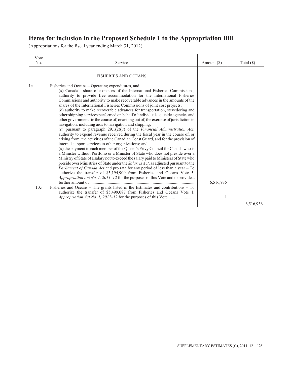| Vote<br>No. | Service                                                                                                                                                                                                                                                                                                                                                                                                                                                                                                                                                                                                                                                                                                                                                                                                                                                                                                                                                                                                                                                                                                                                                                                                                                                                                                                                                                                                                                                                                                                                                                                                                                                                                                                                                                                                                                                                  | Amount $(\$)$ | Total $(\$)$ |
|-------------|--------------------------------------------------------------------------------------------------------------------------------------------------------------------------------------------------------------------------------------------------------------------------------------------------------------------------------------------------------------------------------------------------------------------------------------------------------------------------------------------------------------------------------------------------------------------------------------------------------------------------------------------------------------------------------------------------------------------------------------------------------------------------------------------------------------------------------------------------------------------------------------------------------------------------------------------------------------------------------------------------------------------------------------------------------------------------------------------------------------------------------------------------------------------------------------------------------------------------------------------------------------------------------------------------------------------------------------------------------------------------------------------------------------------------------------------------------------------------------------------------------------------------------------------------------------------------------------------------------------------------------------------------------------------------------------------------------------------------------------------------------------------------------------------------------------------------------------------------------------------------|---------------|--------------|
|             | <b>FISHERIES AND OCEANS</b>                                                                                                                                                                                                                                                                                                                                                                                                                                                                                                                                                                                                                                                                                                                                                                                                                                                                                                                                                                                                                                                                                                                                                                                                                                                                                                                                                                                                                                                                                                                                                                                                                                                                                                                                                                                                                                              |               |              |
| 1c<br>10c   | Fisheries and Oceans – Operating expenditures, and<br>(a) Canada's share of expenses of the International Fisheries Commissions,<br>authority to provide free accommodation for the International Fisheries<br>Commissions and authority to make recoverable advances in the amounts of the<br>shares of the International Fisheries Commissions of joint cost projects;<br>$(b)$ authority to make recoverable advances for transportation, stevedoring and<br>other shipping services performed on behalf of individuals, outside agencies and<br>other governments in the course of, or arising out of, the exercise of jurisdiction in<br>navigation, including aids to navigation and shipping;<br>(c) pursuant to paragraph $29.1(2)(a)$ of the Financial Administration Act,<br>authority to expend revenue received during the fiscal year in the course of, or<br>arising from, the activities of the Canadian Coast Guard, and for the provision of<br>internal support services to other organizations; and<br>$(d)$ the payment to each member of the Queen's Privy Council for Canada who is<br>a Minister without Portfolio or a Minister of State who does not preside over a<br>Ministry of State of a salary not to exceed the salary paid to Ministers of State who<br>preside over Ministries of State under the Salaries Act, as adjusted pursuant to the<br>Parliament of Canada Act and pro rata for any period of less than a year - To<br>authorize the transfer of \$5,194,900 from Fisheries and Oceans Vote 5,<br>Appropriation Act No. 1, 2011-12 for the purposes of this Vote and to provide a<br>Fisheries and Oceans $-$ The grants listed in the Estimates and contributions $-$ To<br>authorize the transfer of \$5,499,087 from Fisheries and Oceans Vote 1,<br><i>Appropriation Act No. 1, 2011–12 for the purposes of this Vote</i> | 6,516,935     |              |
|             |                                                                                                                                                                                                                                                                                                                                                                                                                                                                                                                                                                                                                                                                                                                                                                                                                                                                                                                                                                                                                                                                                                                                                                                                                                                                                                                                                                                                                                                                                                                                                                                                                                                                                                                                                                                                                                                                          |               | 6,516,936    |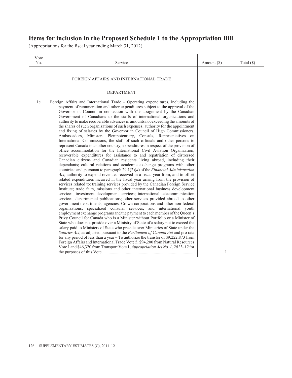| Vote<br>No. | Service                                                                                                                                                                                                                                                                                                                                                                                                                                                                                                                                                                                                                                                                                                                                                                                                                                                                                                                                                                                                                                                                                                                                                                                                                                                                                                                                                                                                                                                                                                                                                                                                                                                                                                                                                                                                                                                                                                                                                                                                                                                                                                                                                                                                                                                                                                                                                                                                                                                                                                                                                                       | Amount (\$) | Total $(\$)$ |
|-------------|-------------------------------------------------------------------------------------------------------------------------------------------------------------------------------------------------------------------------------------------------------------------------------------------------------------------------------------------------------------------------------------------------------------------------------------------------------------------------------------------------------------------------------------------------------------------------------------------------------------------------------------------------------------------------------------------------------------------------------------------------------------------------------------------------------------------------------------------------------------------------------------------------------------------------------------------------------------------------------------------------------------------------------------------------------------------------------------------------------------------------------------------------------------------------------------------------------------------------------------------------------------------------------------------------------------------------------------------------------------------------------------------------------------------------------------------------------------------------------------------------------------------------------------------------------------------------------------------------------------------------------------------------------------------------------------------------------------------------------------------------------------------------------------------------------------------------------------------------------------------------------------------------------------------------------------------------------------------------------------------------------------------------------------------------------------------------------------------------------------------------------------------------------------------------------------------------------------------------------------------------------------------------------------------------------------------------------------------------------------------------------------------------------------------------------------------------------------------------------------------------------------------------------------------------------------------------------|-------------|--------------|
|             | FOREIGN AFFAIRS AND INTERNATIONAL TRADE                                                                                                                                                                                                                                                                                                                                                                                                                                                                                                                                                                                                                                                                                                                                                                                                                                                                                                                                                                                                                                                                                                                                                                                                                                                                                                                                                                                                                                                                                                                                                                                                                                                                                                                                                                                                                                                                                                                                                                                                                                                                                                                                                                                                                                                                                                                                                                                                                                                                                                                                       |             |              |
|             | <b>DEPARTMENT</b>                                                                                                                                                                                                                                                                                                                                                                                                                                                                                                                                                                                                                                                                                                                                                                                                                                                                                                                                                                                                                                                                                                                                                                                                                                                                                                                                                                                                                                                                                                                                                                                                                                                                                                                                                                                                                                                                                                                                                                                                                                                                                                                                                                                                                                                                                                                                                                                                                                                                                                                                                             |             |              |
| 1c          | Foreign Affairs and International Trade – Operating expenditures, including the<br>payment of remuneration and other expenditures subject to the approval of the<br>Governor in Council in connection with the assignment by the Canadian<br>Government of Canadians to the staffs of international organizations and<br>authority to make recoverable advances in amounts not exceeding the amounts of<br>the shares of such organizations of such expenses; authority for the appointment<br>and fixing of salaries by the Governor in Council of High Commissioners,<br>Ambassadors, Ministers Plenipotentiary, Consuls, Representatives on<br>International Commissions, the staff of such officials and other persons to<br>represent Canada in another country; expenditures in respect of the provision of<br>office accommodation for the International Civil Aviation Organization;<br>recoverable expenditures for assistance to and repatriation of distressed<br>Canadian citizens and Canadian residents living abroad, including their<br>dependants; cultural relations and academic exchange programs with other<br>countries; and, pursuant to paragraph $29.1(2)(a)$ of the Financial Administration<br>Act, authority to expend revenues received in a fiscal year from, and to offset<br>related expenditures incurred in the fiscal year arising from the provision of<br>services related to: training services provided by the Canadian Foreign Service<br>Institute; trade fairs, missions and other international business development<br>services; investment development services; international telecommunication<br>services; departmental publications; other services provided abroad to other<br>government departments, agencies, Crown corporations and other non-federal<br>organizations; specialized consular services; and international youth<br>employment exchange programs and the payment to each member of the Queen's<br>Privy Council for Canada who is a Minister without Portfolio or a Minister of<br>State who does not preside over a Ministry of State of a salary not to exceed the<br>salary paid to Ministers of State who preside over Ministries of State under the<br>Salaries Act, as adjusted pursuant to the Parliament of Canada Act and pro rata<br>for any period of less than a year $-$ To authorize the transfer of \$9,222,873 from<br>Foreign Affairs and International Trade Vote 5, \$94,200 from Natural Resources<br>Vote 1 and \$46,320 from Transport Vote 1, Appropriation Act No. 1, 2011-12 for |             |              |
|             |                                                                                                                                                                                                                                                                                                                                                                                                                                                                                                                                                                                                                                                                                                                                                                                                                                                                                                                                                                                                                                                                                                                                                                                                                                                                                                                                                                                                                                                                                                                                                                                                                                                                                                                                                                                                                                                                                                                                                                                                                                                                                                                                                                                                                                                                                                                                                                                                                                                                                                                                                                               |             |              |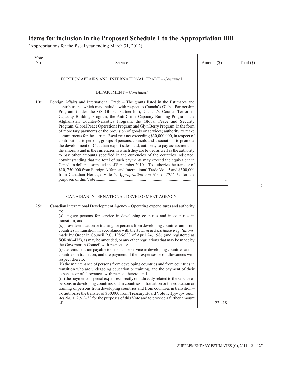| Vote<br>No. | Service                                                                                                                                                                                                                                                                                                                                                                                                                                                                                                                                                                                                                                                                                                                                                                                                                                                                                                                                                                                                                                                                                                                                                                                                                                                                                                                                                                                                                                            | Amount $(\$)$ | Total $(\$)$ |
|-------------|----------------------------------------------------------------------------------------------------------------------------------------------------------------------------------------------------------------------------------------------------------------------------------------------------------------------------------------------------------------------------------------------------------------------------------------------------------------------------------------------------------------------------------------------------------------------------------------------------------------------------------------------------------------------------------------------------------------------------------------------------------------------------------------------------------------------------------------------------------------------------------------------------------------------------------------------------------------------------------------------------------------------------------------------------------------------------------------------------------------------------------------------------------------------------------------------------------------------------------------------------------------------------------------------------------------------------------------------------------------------------------------------------------------------------------------------------|---------------|--------------|
|             | FOREIGN AFFAIRS AND INTERNATIONAL TRADE - Continued                                                                                                                                                                                                                                                                                                                                                                                                                                                                                                                                                                                                                                                                                                                                                                                                                                                                                                                                                                                                                                                                                                                                                                                                                                                                                                                                                                                                |               |              |
|             | DEPARTMENT - Concluded                                                                                                                                                                                                                                                                                                                                                                                                                                                                                                                                                                                                                                                                                                                                                                                                                                                                                                                                                                                                                                                                                                                                                                                                                                                                                                                                                                                                                             |               |              |
| 10c         | Foreign Affairs and International Trade – The grants listed in the Estimates and<br>contributions, which may include: with respect to Canada's Global Partnership<br>Program (under the G8 Global Partnership), Canada's Counter-Terrorism<br>Capacity Building Program, the Anti-Crime Capacity Building Program, the<br>Afghanistan Counter-Narcotics Program, the Global Peace and Security<br>Program, Global Peace Operations Program and Glyn Berry Program, in the form<br>of monetary payments or the provision of goods or services; authority to make<br>commitments for the current fiscal year not exceeding \$30,000,000, in respect of<br>contributions to persons, groups of persons, councils and associations to promote<br>the development of Canadian export sales; and, authority to pay assessments in<br>the amounts and in the currencies in which they are levied as well as the authority<br>to pay other amounts specified in the currencies of the countries indicated,<br>notwithstanding that the total of such payments may exceed the equivalent in<br>Canadian dollars, estimated as of September 2010 - To authorize the transfer of<br>\$10,750,000 from Foreign Affairs and International Trade Vote 5 and \$300,000<br>from Canadian Heritage Vote 5, Appropriation Act No. 1, 2011-12 for the                                                                                                                 |               | 2            |
|             | CANADIAN INTERNATIONAL DEVELOPMENT AGENCY                                                                                                                                                                                                                                                                                                                                                                                                                                                                                                                                                                                                                                                                                                                                                                                                                                                                                                                                                                                                                                                                                                                                                                                                                                                                                                                                                                                                          |               |              |
| 25c         | Canadian International Development Agency – Operating expenditures and authority<br>to:<br>(a) engage persons for service in developing countries and in countries in<br>transition; and<br>$(b)$ provide education or training for persons from developing countries and from<br>countries in transition, in accordance with the Technical Assistance Regulations,<br>made by Order in Council P.C. 1986-993 of April 24, 1986 (and registered as<br>SOR/86-475), as may be amended, or any other regulations that may be made by<br>the Governor in Council with respect to:<br>(i) the remuneration payable to persons for service in developing countries and in<br>countries in transition, and the payment of their expenses or of allowances with<br>respect thereto,<br>(ii) the maintenance of persons from developing countries and from countries in<br>transition who are undergoing education or training, and the payment of their<br>expenses or of allowances with respect thereto, and<br>(iii) the payment of special expenses directly or indirectly related to the service of<br>persons in developing countries and in countries in transition or the education or<br>training of persons from developing countries and from countries in transition -<br>To authorize the transfer of \$30,000 from Treasury Board Vote 1, Appropriation<br>Act No. 1, 2011–12 for the purposes of this Vote and to provide a further amount | 22,418        |              |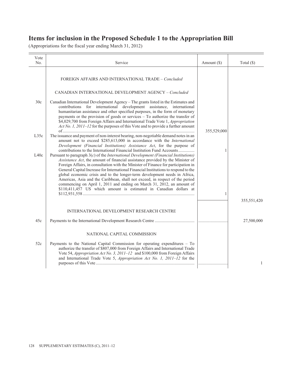| Vote  |                                                                                                                                                                                                                                                                                                                                                                                                                                                                                                                                                                                                                                                                           |               |              |
|-------|---------------------------------------------------------------------------------------------------------------------------------------------------------------------------------------------------------------------------------------------------------------------------------------------------------------------------------------------------------------------------------------------------------------------------------------------------------------------------------------------------------------------------------------------------------------------------------------------------------------------------------------------------------------------------|---------------|--------------|
| No.   | Service                                                                                                                                                                                                                                                                                                                                                                                                                                                                                                                                                                                                                                                                   | Amount $(\$)$ | Total $(\$)$ |
|       | FOREIGN AFFAIRS AND INTERNATIONAL TRADE – Concluded<br><b>CANADIAN INTERNATIONAL DEVELOPMENT AGENCY - Concluded</b>                                                                                                                                                                                                                                                                                                                                                                                                                                                                                                                                                       |               |              |
| 30c   | Canadian International Development Agency – The grants listed in the Estimates and<br>contributions for international development assistance, international<br>humanitarian assistance and other specified purposes, in the form of monetary<br>payments or the provision of goods or services - To authorize the transfer of<br>\$4,029,700 from Foreign Affairs and International Trade Vote 1, Appropriation<br>Act No. 1, 2011–12 for the purposes of this Vote and to provide a further amount                                                                                                                                                                       | 355,529,000   |              |
| L35c  | The issuance and payment of non-interest bearing, non-negotiable demand notes in an<br>amount not to exceed \$285,613,000 in accordance with the International<br>Development (Financial Institutions) Assistance Act, for the purpose of<br>contributions to the International Financial Institution Fund Accounts                                                                                                                                                                                                                                                                                                                                                       |               |              |
| 1.40c | Pursuant to paragraph $3(c)$ of the <i>International Development (Financial Institutions)</i><br>Assistance Act, the amount of financial assistance provided by the Minister of<br>Foreign Affairs, in consultation with the Minister of Finance for participation in<br>General Capital Increase for International Financial Institutions to respond to the<br>global economic crisis and to the longer-term development needs in Africa,<br>Americas, Asia and the Caribbean, shall not exceed, in respect of the period<br>commencing on April 1, 2011 and ending on March 31, 2012, an amount of<br>\$110,411,457 US which amount is estimated in Canadian dollars at | 1             |              |
|       |                                                                                                                                                                                                                                                                                                                                                                                                                                                                                                                                                                                                                                                                           |               | 355,551,420  |
|       | INTERNATIONAL DEVELOPMENT RESEARCH CENTRE                                                                                                                                                                                                                                                                                                                                                                                                                                                                                                                                                                                                                                 |               |              |
| 45c   |                                                                                                                                                                                                                                                                                                                                                                                                                                                                                                                                                                                                                                                                           |               | 27,500,000   |
|       | NATIONAL CAPITAL COMMISSION                                                                                                                                                                                                                                                                                                                                                                                                                                                                                                                                                                                                                                               |               |              |
| 52c   | Payments to the National Capital Commission for operating expenditures - To<br>authorize the transfer of \$807,000 from Foreign Affairs and International Trade<br>Vote 54, Appropriation Act No. 3, 2011-12 and \$100,000 from Foreign Affairs<br>and International Trade Vote 5, Appropriation Act No. 1, 2011-12 for the                                                                                                                                                                                                                                                                                                                                               |               | $\mathbf{1}$ |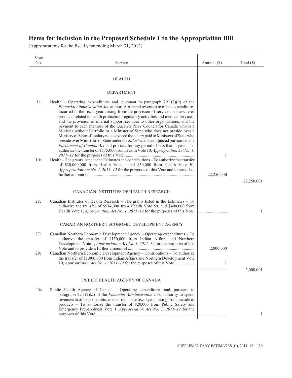| Vote<br>No. | Service                                                                                                                                                                                                                                                                                                                                                                                                                                                                                                                                                                                                                                                                                                                                                                                                                                                       | Amount $(\$)$   | Total $(\$)$ |
|-------------|---------------------------------------------------------------------------------------------------------------------------------------------------------------------------------------------------------------------------------------------------------------------------------------------------------------------------------------------------------------------------------------------------------------------------------------------------------------------------------------------------------------------------------------------------------------------------------------------------------------------------------------------------------------------------------------------------------------------------------------------------------------------------------------------------------------------------------------------------------------|-----------------|--------------|
|             | <b>HEALTH</b>                                                                                                                                                                                                                                                                                                                                                                                                                                                                                                                                                                                                                                                                                                                                                                                                                                                 |                 |              |
|             | DEPARTMENT                                                                                                                                                                                                                                                                                                                                                                                                                                                                                                                                                                                                                                                                                                                                                                                                                                                    |                 |              |
| 1c          | Health – Operating expenditures and, pursuant to paragraph $29.1(2)(a)$ of the<br>Financial Administration Act, authority to spend revenues to offset expenditures<br>incurred in the fiscal year arising from the provision of services or the sale of<br>products related to health protection, regulatory activities and medical services,<br>and the provision of internal support services to other organizations, and the<br>payment to each member of the Queen's Privy Council for Canada who is a<br>Minister without Portfolio or a Minister of State who does not preside over a<br>Ministry of State of a salary not to exceed the salary paid to Ministers of State who<br>preside over Ministries of State under the Salaries Act, as adjusted pursuant to the<br>Parliament of Canada Act and pro rata for any period of less than a year - To |                 |              |
| 10c         | authorize the transfer of \$575,000 from Health Vote 10, Appropriation Act No. 1,<br>Health – The grants listed in the Estimates and contributions – To authorize the transfer<br>of \$30,000,000 from Health Vote 1 and \$50,000 from Health Vote 50,<br>Appropriation Act No. 1, 2011-12 for the purposes of this Vote and to provide a                                                                                                                                                                                                                                                                                                                                                                                                                                                                                                                     | 1<br>22,250,000 |              |
|             |                                                                                                                                                                                                                                                                                                                                                                                                                                                                                                                                                                                                                                                                                                                                                                                                                                                               |                 | 22,250,001   |
| 25c         | CANADIAN INSTITUTES OF HEALTH RESEARCH<br>Canadian Institutes of Health Research $-$ The grants listed in the Estimates $-$ To<br>authorize the transfer of \$514,000 from Health Vote 50, and \$400,000 from                                                                                                                                                                                                                                                                                                                                                                                                                                                                                                                                                                                                                                                 |                 |              |
|             | Health Vote 1, <i>Appropriation Act No. 1, 2011–12</i> for the purposes of this Vote                                                                                                                                                                                                                                                                                                                                                                                                                                                                                                                                                                                                                                                                                                                                                                          |                 | 1            |
|             | CANADIAN NORTHERN ECONOMIC DEVELOPMENT AGENCY                                                                                                                                                                                                                                                                                                                                                                                                                                                                                                                                                                                                                                                                                                                                                                                                                 |                 |              |
| 27c         | Canadian Northern Economic Development Agency – Operating expenditures – To<br>authorize the transfer of \$150,000 from Indian Affairs and Northern<br>Development Vote 1, <i>Appropriation Act No. 1, 2011–12</i> for the purposes of this                                                                                                                                                                                                                                                                                                                                                                                                                                                                                                                                                                                                                   | 2,000,000       |              |
| 29c         | Canadian Northern Economic Development Agency - Contributions - To authorize<br>the transfer of \$1,000,000 from Indian Affairs and Northern Development Vote                                                                                                                                                                                                                                                                                                                                                                                                                                                                                                                                                                                                                                                                                                 | 1               | 2,000,001    |
|             | PUBLIC HEALTH AGENCY OF CANADA                                                                                                                                                                                                                                                                                                                                                                                                                                                                                                                                                                                                                                                                                                                                                                                                                                |                 |              |
| 40c         | Public Health Agency of Canada - Operating expenditures and, pursuant to<br>paragraph $29.1(2)(a)$ of the <i>Financial Administration Act</i> , authority to spend<br>revenues to offset expenditures incurred in the fiscal year arising from the sale of<br>products - To authorize the transfer of \$20,000 from Public Safety and<br>Emergency Preparedness Vote 1, Appropriation Act No. 1, 2011-12 for the                                                                                                                                                                                                                                                                                                                                                                                                                                              |                 | $\mathbf{1}$ |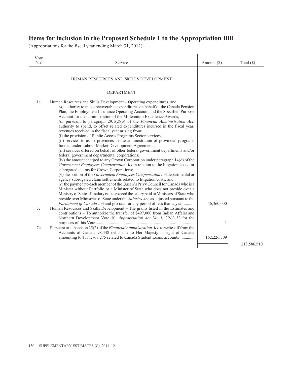| Vote<br>No. | Service                                                                                                                                                                                                                                                                                                                                                                                                                                                                                                                                                                                                                                                                                                                                                                                                                                                                                                                                                                                                                                                                                                                                                                                                                                                                                                                                                                                                                                                                                                                                                                                                                                                                                                                                                                                                                                                            | Amount (\$) | Total $(\$)$ |
|-------------|--------------------------------------------------------------------------------------------------------------------------------------------------------------------------------------------------------------------------------------------------------------------------------------------------------------------------------------------------------------------------------------------------------------------------------------------------------------------------------------------------------------------------------------------------------------------------------------------------------------------------------------------------------------------------------------------------------------------------------------------------------------------------------------------------------------------------------------------------------------------------------------------------------------------------------------------------------------------------------------------------------------------------------------------------------------------------------------------------------------------------------------------------------------------------------------------------------------------------------------------------------------------------------------------------------------------------------------------------------------------------------------------------------------------------------------------------------------------------------------------------------------------------------------------------------------------------------------------------------------------------------------------------------------------------------------------------------------------------------------------------------------------------------------------------------------------------------------------------------------------|-------------|--------------|
|             | HUMAN RESOURCES AND SKILLS DEVELOPMENT                                                                                                                                                                                                                                                                                                                                                                                                                                                                                                                                                                                                                                                                                                                                                                                                                                                                                                                                                                                                                                                                                                                                                                                                                                                                                                                                                                                                                                                                                                                                                                                                                                                                                                                                                                                                                             |             |              |
|             | <b>DEPARTMENT</b>                                                                                                                                                                                                                                                                                                                                                                                                                                                                                                                                                                                                                                                                                                                                                                                                                                                                                                                                                                                                                                                                                                                                                                                                                                                                                                                                                                                                                                                                                                                                                                                                                                                                                                                                                                                                                                                  |             |              |
| 1c<br>5c    | Human Resources and Skills Development – Operating expenditures, and<br>$(a)$ authority to make recoverable expenditures on behalf of the Canada Pension<br>Plan, the Employment Insurance Operating Account and the Specified Purpose<br>Account for the administration of the Millennium Excellence Awards;<br>(b) pursuant to paragraph $29.1(2)(a)$ of the Financial Administration Act,<br>authority to spend, to offset related expenditures incurred in the fiscal year,<br>revenues received in the fiscal year arising from:<br>(i) the provision of Public Access Programs Sector services;<br>(ii) services to assist provinces in the administration of provincial programs<br>funded under Labour Market Development Agreements;<br>(iii) services offered on behalf of other federal government departments and/or<br>federal government departmental corporations;<br>(iv) the amount charged to any Crown Corporation under paragraph $14(b)$ of the<br>Government Employees Compensation Act in relation to the litigation costs for<br>subrogated claims for Crown Corporations;<br>(v) the portion of the Government Employees Compensation Act departmental or<br>agency subrogated claim settlements related to litigation costs; and<br>$(c)$ the payment to each member of the Queen's Privy Council for Canada who is a<br>Minister without Portfolio or a Minister of State who does not preside over a<br>Ministry of State of a salary not to exceed the salary paid to Ministers of State who<br>preside over Ministries of State under the Salaries Act, as adjusted pursuant to the<br>Parliament of Canada Act and pro rata for any period of less than a year<br>Human Resources and Skills Development - The grants listed in the Estimates and<br>contributions - To authorize the transfer of \$497,000 from Indian Affairs and | 56,360,000  |              |
|             | Northern Development Vote 10, Appropriation Act No. 1, 2011-12 for the                                                                                                                                                                                                                                                                                                                                                                                                                                                                                                                                                                                                                                                                                                                                                                                                                                                                                                                                                                                                                                                                                                                                                                                                                                                                                                                                                                                                                                                                                                                                                                                                                                                                                                                                                                                             | 1           |              |
| 7c          | Pursuant to subsection 25(2) of the Financial Administration Act, to write-off from the<br>Accounts of Canada 98,448 debts due to Her Majesty in right of Canada<br>amounting to \$311,768,275 related to Canada Student Loans accounts                                                                                                                                                                                                                                                                                                                                                                                                                                                                                                                                                                                                                                                                                                                                                                                                                                                                                                                                                                                                                                                                                                                                                                                                                                                                                                                                                                                                                                                                                                                                                                                                                            | 162,226,509 | 218,586,510  |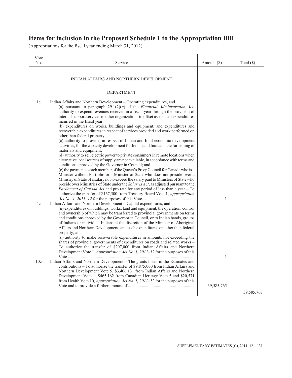| Vote |                                                                                                                                                                                                                                                                                                                                                                                                                                                                                                                                                                                                                                                                                                                                                                                                                                                                                                                                                                                                                                                                                                                                                                                                                                                                                                                                                                                                                                                  |               |              |
|------|--------------------------------------------------------------------------------------------------------------------------------------------------------------------------------------------------------------------------------------------------------------------------------------------------------------------------------------------------------------------------------------------------------------------------------------------------------------------------------------------------------------------------------------------------------------------------------------------------------------------------------------------------------------------------------------------------------------------------------------------------------------------------------------------------------------------------------------------------------------------------------------------------------------------------------------------------------------------------------------------------------------------------------------------------------------------------------------------------------------------------------------------------------------------------------------------------------------------------------------------------------------------------------------------------------------------------------------------------------------------------------------------------------------------------------------------------|---------------|--------------|
| No.  | Service                                                                                                                                                                                                                                                                                                                                                                                                                                                                                                                                                                                                                                                                                                                                                                                                                                                                                                                                                                                                                                                                                                                                                                                                                                                                                                                                                                                                                                          | Amount $(\$)$ | Total $(\$)$ |
|      | INDIAN AFFAIRS AND NORTHERN DEVELOPMENT                                                                                                                                                                                                                                                                                                                                                                                                                                                                                                                                                                                                                                                                                                                                                                                                                                                                                                                                                                                                                                                                                                                                                                                                                                                                                                                                                                                                          |               |              |
|      | <b>DEPARTMENT</b>                                                                                                                                                                                                                                                                                                                                                                                                                                                                                                                                                                                                                                                                                                                                                                                                                                                                                                                                                                                                                                                                                                                                                                                                                                                                                                                                                                                                                                |               |              |
| 1c   | Indian Affairs and Northern Development – Operating expenditures, and<br>(a) pursuant to paragraph $29.1(2)(a)$ of the Financial Administration Act,<br>authority to expend revenues received in a fiscal year through the provision of<br>internal support services to other organizations to offset associated expenditures<br>incurred in the fiscal year;<br>(b) expenditures on works, buildings and equipment; and expenditures and<br>recoverable expenditures in respect of services provided and work performed on<br>other than federal property;<br>(c) authority to provide, in respect of Indian and Inuit economic development<br>activities, for the capacity development for Indian and Inuit and the furnishing of<br>materials and equipment;<br>(d) authority to sell electric power to private consumers in remote locations when<br>alternative local sources of supply are not available, in accordance with terms and<br>conditions approved by the Governor in Council; and<br>(e) the payment to each member of the Queen's Privy Council for Canada who is a<br>Minister without Portfolio or a Minister of State who does not preside over a<br>Ministry of State of a salary not to exceed the salary paid to Ministers of State who<br>preside over Ministries of State under the Salaries Act, as adjusted pursuant to the<br><i>Parliament of Canada Act</i> and pro rata for any period of less than a year – To |               |              |
| 5c   | authorize the transfer of \$167,500 from Treasury Board Vote 1, Appropriation<br>Indian Affairs and Northern Development - Capital expenditures, and<br>(a) expenditures on buildings, works, land and equipment, the operation, control<br>and ownership of which may be transferred to provincial governments on terms<br>and conditions approved by the Governor in Council, or to Indian bands, groups<br>of Indians or individual Indians at the discretion of the Minister of Aboriginal<br>Affairs and Northern Development, and such expenditures on other than federal                                                                                                                                                                                                                                                                                                                                                                                                                                                                                                                                                                                                                                                                                                                                                                                                                                                                  | 1             |              |
|      | property; and<br>(b) authority to make recoverable expenditures in amounts not exceeding the<br>shares of provincial governments of expenditures on roads and related works –<br>To authorize the transfer of \$207,000 from Indian Affairs and Northern<br>Development Vote 1, <i>Appropriation Act No. 1, 2011–12</i> for the purposes of this                                                                                                                                                                                                                                                                                                                                                                                                                                                                                                                                                                                                                                                                                                                                                                                                                                                                                                                                                                                                                                                                                                 | 1             |              |
| 10c  | Indian Affairs and Northern Development – The grants listed in the Estimates and<br>contributions – To authorize the transfer of \$9,875,000 from Indian Affairs and<br>Northern Development Vote 5, \$3,406,131 from Indian Affairs and Northern<br>Development Vote 1, \$465,162 from Canadian Heritage Vote 5 and \$20,571<br>from Health Vote 10, <i>Appropriation Act No. 1, 2011–12</i> for the purposes of this                                                                                                                                                                                                                                                                                                                                                                                                                                                                                                                                                                                                                                                                                                                                                                                                                                                                                                                                                                                                                           | 39,585,765    | 39,585,767   |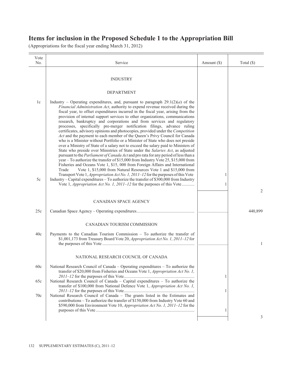| Vote<br>No. | Service                                                                                                                                                                                                                                                                                                                                                                                                                                                                                                                                                                                                                                                                                                                                                                                                                                                                                                                                                                                                                                                                                                                                                                                                                                                                                                                                                                                                                                                         | Amount $(\$)$ | Total $(\$)$ |
|-------------|-----------------------------------------------------------------------------------------------------------------------------------------------------------------------------------------------------------------------------------------------------------------------------------------------------------------------------------------------------------------------------------------------------------------------------------------------------------------------------------------------------------------------------------------------------------------------------------------------------------------------------------------------------------------------------------------------------------------------------------------------------------------------------------------------------------------------------------------------------------------------------------------------------------------------------------------------------------------------------------------------------------------------------------------------------------------------------------------------------------------------------------------------------------------------------------------------------------------------------------------------------------------------------------------------------------------------------------------------------------------------------------------------------------------------------------------------------------------|---------------|--------------|
|             | <b>INDUSTRY</b>                                                                                                                                                                                                                                                                                                                                                                                                                                                                                                                                                                                                                                                                                                                                                                                                                                                                                                                                                                                                                                                                                                                                                                                                                                                                                                                                                                                                                                                 |               |              |
|             | DEPARTMENT                                                                                                                                                                                                                                                                                                                                                                                                                                                                                                                                                                                                                                                                                                                                                                                                                                                                                                                                                                                                                                                                                                                                                                                                                                                                                                                                                                                                                                                      |               |              |
| 1c<br>5c    | Industry – Operating expenditures, and, pursuant to paragraph $29.1(2)(a)$ of the<br>Financial Administration Act, authority to expend revenue received during the<br>fiscal year, to offset expenditures incurred in the fiscal year, arising from the<br>provision of internal support services to other organizations, communications<br>research, bankruptcy and corporations and from services and regulatory<br>processes, specifically pre-merger notification filings, advance ruling<br>certificates, advisory opinions and photocopies, provided under the Competition<br>Act and the payment to each member of the Queen's Privy Council for Canada<br>who is a Minister without Portfolio or a Minister of State who does not preside<br>over a Ministry of State of a salary not to exceed the salary paid to Ministers of<br>State who preside over Ministries of State under the Salaries Act, as adjusted<br>pursuant to the <i>Parliament of Canada Act</i> and pro rata for any period of less than a<br>year - To authorize the transfer of \$15,000 from Industry Vote 25, \$15,000 from<br>Fisheries and Oceans Vote 1, \$15, 000 from Foreign Affairs and International<br>Vote 1, \$15,000 from Natural Resources Vote 1 and \$15,000 from<br>Trade<br>Transport Vote 1, <i>Appropriation Act No. 1, 2011–12</i> for the purposes of this Vote<br>Industry – Capital expenditures – To authorize the transfer of \$300,000 from Industry | 1             |              |
|             | Vote 1, <i>Appropriation Act No. 1, 2011–12</i> for the purposes of this Vote                                                                                                                                                                                                                                                                                                                                                                                                                                                                                                                                                                                                                                                                                                                                                                                                                                                                                                                                                                                                                                                                                                                                                                                                                                                                                                                                                                                   | 1             | 2            |
|             | <b>CANADIAN SPACE AGENCY</b>                                                                                                                                                                                                                                                                                                                                                                                                                                                                                                                                                                                                                                                                                                                                                                                                                                                                                                                                                                                                                                                                                                                                                                                                                                                                                                                                                                                                                                    |               |              |
| 25c         |                                                                                                                                                                                                                                                                                                                                                                                                                                                                                                                                                                                                                                                                                                                                                                                                                                                                                                                                                                                                                                                                                                                                                                                                                                                                                                                                                                                                                                                                 |               | 440,899      |
|             | CANADIAN TOURISM COMMISSION                                                                                                                                                                                                                                                                                                                                                                                                                                                                                                                                                                                                                                                                                                                                                                                                                                                                                                                                                                                                                                                                                                                                                                                                                                                                                                                                                                                                                                     |               |              |
| 40c         | Payments to the Canadian Tourism Commission – To authorize the transfer of<br>\$1,001,173 from Treasury Board Vote 20, Appropriation Act No. 1, 2011-12 for                                                                                                                                                                                                                                                                                                                                                                                                                                                                                                                                                                                                                                                                                                                                                                                                                                                                                                                                                                                                                                                                                                                                                                                                                                                                                                     |               | 1            |
|             | NATIONAL RESEARCH COUNCIL OF CANADA                                                                                                                                                                                                                                                                                                                                                                                                                                                                                                                                                                                                                                                                                                                                                                                                                                                                                                                                                                                                                                                                                                                                                                                                                                                                                                                                                                                                                             |               |              |
| 60c         | National Research Council of Canada - Operating expenditures - To authorize the<br>transfer of \$20,000 from Fisheries and Oceans Vote 1, Appropriation Act No. 1,                                                                                                                                                                                                                                                                                                                                                                                                                                                                                                                                                                                                                                                                                                                                                                                                                                                                                                                                                                                                                                                                                                                                                                                                                                                                                              | 1             |              |
| 65c         | National Research Council of Canada - Capital expenditures - To authorize the<br>transfer of \$100,000 from National Defence Vote 1, Appropriation Act No. 1,                                                                                                                                                                                                                                                                                                                                                                                                                                                                                                                                                                                                                                                                                                                                                                                                                                                                                                                                                                                                                                                                                                                                                                                                                                                                                                   |               |              |
| 70c         | National Research Council of Canada - The grants listed in the Estimates and<br>contributions - To authorize the transfer of \$150,000 from Industry Vote 60 and<br>\$590,000 from Environment Vote 10, <i>Appropriation Act No. 1, 2011–12</i> for the                                                                                                                                                                                                                                                                                                                                                                                                                                                                                                                                                                                                                                                                                                                                                                                                                                                                                                                                                                                                                                                                                                                                                                                                         |               |              |
|             |                                                                                                                                                                                                                                                                                                                                                                                                                                                                                                                                                                                                                                                                                                                                                                                                                                                                                                                                                                                                                                                                                                                                                                                                                                                                                                                                                                                                                                                                 | 1             | 3            |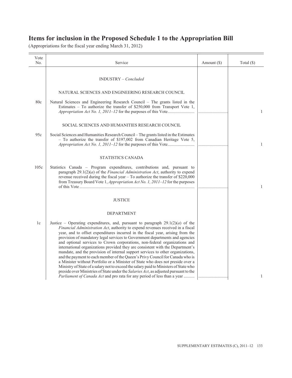| Vote<br>No. | Service                                                                                                                                                                                                                                                                                                                                                                                                                                                                                                                                                                                                                                                                                                                                                                                                                                                                                                                                       | Amount $(\$)$ | Total $(\$)$ |
|-------------|-----------------------------------------------------------------------------------------------------------------------------------------------------------------------------------------------------------------------------------------------------------------------------------------------------------------------------------------------------------------------------------------------------------------------------------------------------------------------------------------------------------------------------------------------------------------------------------------------------------------------------------------------------------------------------------------------------------------------------------------------------------------------------------------------------------------------------------------------------------------------------------------------------------------------------------------------|---------------|--------------|
|             | $INDUSTRY - Concluded$                                                                                                                                                                                                                                                                                                                                                                                                                                                                                                                                                                                                                                                                                                                                                                                                                                                                                                                        |               |              |
|             | NATURAL SCIENCES AND ENGINEERING RESEARCH COUNCIL                                                                                                                                                                                                                                                                                                                                                                                                                                                                                                                                                                                                                                                                                                                                                                                                                                                                                             |               |              |
| 80c         | Natural Sciences and Engineering Research Council – The grants listed in the<br>Estimates – To authorize the transfer of \$250,000 from Transport Vote 1,                                                                                                                                                                                                                                                                                                                                                                                                                                                                                                                                                                                                                                                                                                                                                                                     |               | 1            |
|             | SOCIAL SCIENCES AND HUMANITIES RESEARCH COUNCIL                                                                                                                                                                                                                                                                                                                                                                                                                                                                                                                                                                                                                                                                                                                                                                                                                                                                                               |               |              |
| 95c         | Social Sciences and Humanities Research Council – The grants listed in the Estimates<br>$-$ To authorize the transfer of \$197,002 from Canadian Heritage Vote 5,                                                                                                                                                                                                                                                                                                                                                                                                                                                                                                                                                                                                                                                                                                                                                                             |               | $\mathbf{1}$ |
|             | STATISTICS CANADA                                                                                                                                                                                                                                                                                                                                                                                                                                                                                                                                                                                                                                                                                                                                                                                                                                                                                                                             |               |              |
| 105c        | Statistics Canada - Program expenditures, contributions and, pursuant to<br>paragraph $29.1(2)(a)$ of the <i>Financial Administration Act</i> , authority to expend<br>revenue received during the fiscal year - To authorize the transfer of \$220,000<br>from Treasury Board Vote 1, Appropriation Act No. 1, 2011-12 for the purposes                                                                                                                                                                                                                                                                                                                                                                                                                                                                                                                                                                                                      |               | $\mathbf{1}$ |
|             | <b>JUSTICE</b>                                                                                                                                                                                                                                                                                                                                                                                                                                                                                                                                                                                                                                                                                                                                                                                                                                                                                                                                |               |              |
|             | <b>DEPARTMENT</b>                                                                                                                                                                                                                                                                                                                                                                                                                                                                                                                                                                                                                                                                                                                                                                                                                                                                                                                             |               |              |
| 1c          | Justice – Operating expenditures, and, pursuant to paragraph $29.1(2)(a)$ of the<br>Financial Administration Act, authority to expend revenues received in a fiscal<br>year, and to offset expenditures incurred in the fiscal year, arising from the<br>provision of mandatory legal services to Government departments and agencies<br>and optional services to Crown corporations, non-federal organizations and<br>international organizations provided they are consistent with the Department's<br>mandate, and the provision of internal support services to other organizations,<br>and the payment to each member of the Queen's Privy Council for Canada who is<br>a Minister without Portfolio or a Minister of State who does not preside over a<br>Ministry of State of a salary not to exceed the salary paid to Ministers of State who<br>preside over Ministries of State under the Salaries Act, as adjusted pursuant to the |               | 1            |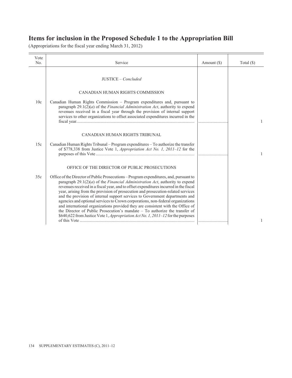| Vote<br>No.     | Service                                                                                                                                                                                                                                                                                                                                                                                                                                                                                                                                                                                                                                                                                                                                                                                                                                         | Amount $(\$)$ | Total $(\$)$ |
|-----------------|-------------------------------------------------------------------------------------------------------------------------------------------------------------------------------------------------------------------------------------------------------------------------------------------------------------------------------------------------------------------------------------------------------------------------------------------------------------------------------------------------------------------------------------------------------------------------------------------------------------------------------------------------------------------------------------------------------------------------------------------------------------------------------------------------------------------------------------------------|---------------|--------------|
|                 | <b>JUSTICE</b> – <i>Concluded</i>                                                                                                                                                                                                                                                                                                                                                                                                                                                                                                                                                                                                                                                                                                                                                                                                               |               |              |
| 10 <sub>c</sub> | CANADIAN HUMAN RIGHTS COMMISSION<br>Canadian Human Rights Commission – Program expenditures and, pursuant to<br>paragraph $29.1(2)(a)$ of the <i>Financial Administration Act</i> , authority to expend<br>revenues received in a fiscal year through the provision of internal support<br>services to other organizations to offset associated expenditures incurred in the                                                                                                                                                                                                                                                                                                                                                                                                                                                                    |               |              |
| 15c             | CANADIAN HUMAN RIGHTS TRIBUNAL<br>Canadian Human Rights Tribunal – Program expenditures – To authorize the transfer<br>of \$778,338 from Justice Vote 1, Appropriation Act No. 1, 2011-12 for the                                                                                                                                                                                                                                                                                                                                                                                                                                                                                                                                                                                                                                               |               | 1            |
| 35c             | OFFICE OF THE DIRECTOR OF PUBLIC PROSECUTIONS<br>Office of the Director of Public Prosecutions – Program expenditures, and, pursuant to<br>paragraph $29.1(2)(a)$ of the <i>Financial Administration Act</i> , authority to expend<br>revenues received in a fiscal year, and to offset expenditures incurred in the fiscal<br>year, arising from the provision of prosecution and prosecution-related services<br>and the provision of internal support services to Government departments and<br>agencies and optional services to Crown corporations, non-federal organizations<br>and international organizations provided they are consistent with the Office of<br>the Director of Public Prosecution's mandate - To authorize the transfer of<br>\$640,622 from Justice Vote 1, <i>Appropriation Act No. 1, 2011–12</i> for the purposes |               |              |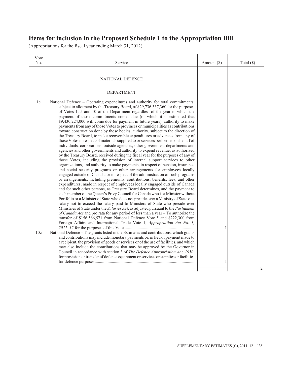| Vote<br>No.     | Service                                                                                                                                                                                                                                                                                                                                                                                                                                                                                                                                                                                                                                                                                                                                                                                                                                                                                                                                                                                                                                                                                                                                                                                                                                                                                                                                                                                                                                                                                                                                                                                                                                                                                                                                                                                                                                                                                                                                                                                                                                                                                                                                                                                      | Amount $(\$)$ | Total $(\$)$ |
|-----------------|----------------------------------------------------------------------------------------------------------------------------------------------------------------------------------------------------------------------------------------------------------------------------------------------------------------------------------------------------------------------------------------------------------------------------------------------------------------------------------------------------------------------------------------------------------------------------------------------------------------------------------------------------------------------------------------------------------------------------------------------------------------------------------------------------------------------------------------------------------------------------------------------------------------------------------------------------------------------------------------------------------------------------------------------------------------------------------------------------------------------------------------------------------------------------------------------------------------------------------------------------------------------------------------------------------------------------------------------------------------------------------------------------------------------------------------------------------------------------------------------------------------------------------------------------------------------------------------------------------------------------------------------------------------------------------------------------------------------------------------------------------------------------------------------------------------------------------------------------------------------------------------------------------------------------------------------------------------------------------------------------------------------------------------------------------------------------------------------------------------------------------------------------------------------------------------------|---------------|--------------|
|                 | NATIONAL DEFENCE                                                                                                                                                                                                                                                                                                                                                                                                                                                                                                                                                                                                                                                                                                                                                                                                                                                                                                                                                                                                                                                                                                                                                                                                                                                                                                                                                                                                                                                                                                                                                                                                                                                                                                                                                                                                                                                                                                                                                                                                                                                                                                                                                                             |               |              |
|                 | <b>DEPARTMENT</b>                                                                                                                                                                                                                                                                                                                                                                                                                                                                                                                                                                                                                                                                                                                                                                                                                                                                                                                                                                                                                                                                                                                                                                                                                                                                                                                                                                                                                                                                                                                                                                                                                                                                                                                                                                                                                                                                                                                                                                                                                                                                                                                                                                            |               |              |
| 1c              | National Defence – Operating expenditures and authority for total commitments,<br>subject to allotment by the Treasury Board, of \$29,736,337,360 for the purposes<br>of Votes 1, 5 and 10 of the Department regardless of the year in which the<br>payment of those commitments comes due (of which it is estimated that<br>\$9,430,224,000 will come due for payment in future years), authority to make<br>payments from any of those Votes to provinces or municipalities as contributions<br>toward construction done by those bodies, authority, subject to the direction of<br>the Treasury Board, to make recoverable expenditures or advances from any of<br>those Votes in respect of materials supplied to or services performed on behalf of<br>individuals, corporations, outside agencies, other government departments and<br>agencies and other governments and authority to expend revenue, as authorized<br>by the Treasury Board, received during the fiscal year for the purposes of any of<br>those Votes, including the provision of internal support services to other<br>organizations, and authority to make payments, in respect of pension, insurance<br>and social security programs or other arrangements for employees locally<br>engaged outside of Canada, or in respect of the administration of such programs<br>or arrangements, including premiums, contributions, benefits, fees, and other<br>expenditures, made in respect of employees locally engaged outside of Canada<br>and for such other persons, as Treasury Board determines, and the payment to<br>each member of the Queen's Privy Council for Canada who is a Minister without<br>Portfolio or a Minister of State who does not preside over a Ministry of State of a<br>salary not to exceed the salary paid to Ministers of State who preside over<br>Ministries of State under the Salaries Act, as adjusted pursuant to the Parliament<br>of Canada Act and pro rata for any period of less than a year $-$ To authorize the<br>transfer of \$156,566,571 from National Defence Vote 5 and \$222,300 from<br>Foreign Affairs and International Trade Vote 1, Appropriation Act No. 1, |               |              |
| 10 <sub>c</sub> | National Defence – The grants listed in the Estimates and contributions, which grants<br>and contributions may include monetary payments or, in lieu of payment made to<br>a recipient, the provision of goods or services or of the use of facilities, and which<br>may also include the contributions that may be approved by the Governor in<br>Council in accordance with section 3 of The Defence Appropriation Act, 1950,<br>for provision or transfer of defence equipment or services or supplies or facilities                                                                                                                                                                                                                                                                                                                                                                                                                                                                                                                                                                                                                                                                                                                                                                                                                                                                                                                                                                                                                                                                                                                                                                                                                                                                                                                                                                                                                                                                                                                                                                                                                                                                      | 1             |              |
|                 |                                                                                                                                                                                                                                                                                                                                                                                                                                                                                                                                                                                                                                                                                                                                                                                                                                                                                                                                                                                                                                                                                                                                                                                                                                                                                                                                                                                                                                                                                                                                                                                                                                                                                                                                                                                                                                                                                                                                                                                                                                                                                                                                                                                              | $\mathbf{1}$  | 2            |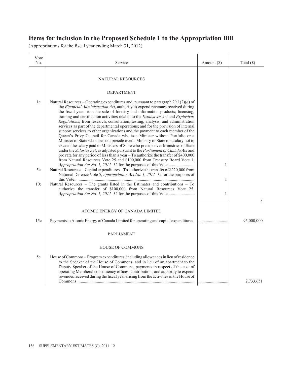| Vote<br>No. | Service                                                                                                                                                                                                                                                                                                                                                                                                                                                                                                                                                                                                                                                                                                                                                                                                                                                                                                                                                                                                                                                                                                                                                                                                             | Amount (\$)  | Total $(\$)$ |
|-------------|---------------------------------------------------------------------------------------------------------------------------------------------------------------------------------------------------------------------------------------------------------------------------------------------------------------------------------------------------------------------------------------------------------------------------------------------------------------------------------------------------------------------------------------------------------------------------------------------------------------------------------------------------------------------------------------------------------------------------------------------------------------------------------------------------------------------------------------------------------------------------------------------------------------------------------------------------------------------------------------------------------------------------------------------------------------------------------------------------------------------------------------------------------------------------------------------------------------------|--------------|--------------|
|             | NATURAL RESOURCES                                                                                                                                                                                                                                                                                                                                                                                                                                                                                                                                                                                                                                                                                                                                                                                                                                                                                                                                                                                                                                                                                                                                                                                                   |              |              |
|             | <b>DEPARTMENT</b>                                                                                                                                                                                                                                                                                                                                                                                                                                                                                                                                                                                                                                                                                                                                                                                                                                                                                                                                                                                                                                                                                                                                                                                                   |              |              |
| 1c<br>5c    | Natural Resources – Operating expenditures and, pursuant to paragraph $29.1(2)(a)$ of<br>the Financial Administration Act, authority to expend revenues received during<br>the fiscal year from the sale of forestry and information products; licensing,<br>training and certification activities related to the Explosives Act and Explosives<br>Regulations; from research, consultation, testing, analysis, and administration<br>services as part of the departmental operations; and for the provision of internal<br>support services to other organizations and the payment to each member of the<br>Queen's Privy Council for Canada who is a Minister without Portfolio or a<br>Minister of State who does not preside over a Ministry of State of a salary not to<br>exceed the salary paid to Ministers of State who preside over Ministries of State<br>under the Salaries Act, as adjusted pursuant to the Parliament of Canada Act and<br>pro rata for any period of less than a year - To authorize the transfer of \$400,000<br>from Natural Resources Vote 25 and \$100,000 from Treasury Board Vote 1,<br>Natural Resources - Capital expenditures - To authorize the transfer of \$220,000 from | 1            |              |
|             | National Defence Vote 5, Appropriation Act No. 1, 2011-12 for the purposes of                                                                                                                                                                                                                                                                                                                                                                                                                                                                                                                                                                                                                                                                                                                                                                                                                                                                                                                                                                                                                                                                                                                                       | 1            |              |
| 10c         | Natural Resources - The grants listed in the Estimates and contributions - To<br>authorize the transfer of \$100,000 from Natural Resources Vote 25,                                                                                                                                                                                                                                                                                                                                                                                                                                                                                                                                                                                                                                                                                                                                                                                                                                                                                                                                                                                                                                                                | $\mathbf{1}$ | 3            |
|             | ATOMIC ENERGY OF CANADA LIMITED                                                                                                                                                                                                                                                                                                                                                                                                                                                                                                                                                                                                                                                                                                                                                                                                                                                                                                                                                                                                                                                                                                                                                                                     |              |              |
| 15c         | Payments to Atomic Energy of Canada Limited for operating and capital expenditures.                                                                                                                                                                                                                                                                                                                                                                                                                                                                                                                                                                                                                                                                                                                                                                                                                                                                                                                                                                                                                                                                                                                                 |              | 95,000,000   |
|             | PARLIAMENT                                                                                                                                                                                                                                                                                                                                                                                                                                                                                                                                                                                                                                                                                                                                                                                                                                                                                                                                                                                                                                                                                                                                                                                                          |              |              |
|             | <b>HOUSE OF COMMONS</b>                                                                                                                                                                                                                                                                                                                                                                                                                                                                                                                                                                                                                                                                                                                                                                                                                                                                                                                                                                                                                                                                                                                                                                                             |              |              |
| 5c          | House of Commons - Program expenditures, including allowances in lieu of residence<br>to the Speaker of the House of Commons, and in lieu of an apartment to the<br>Deputy Speaker of the House of Commons, payments in respect of the cost of<br>operating Members' constituency offices, contributions and authority to expend<br>revenues received during the fiscal year arising from the activities of the House of                                                                                                                                                                                                                                                                                                                                                                                                                                                                                                                                                                                                                                                                                                                                                                                            |              | 2,733,651    |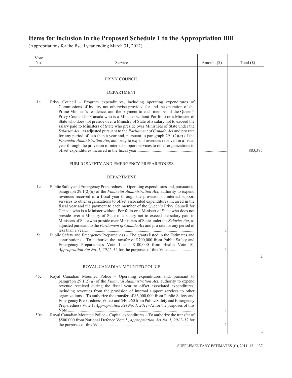| Vote<br>No. | Service                                                                                                                                                                                                                                                                                                                                                                                                                                                                                                                                                                                                                                                                                                                                                                                                                                        | Amount $(\$)$ | Total $(\$)$ |
|-------------|------------------------------------------------------------------------------------------------------------------------------------------------------------------------------------------------------------------------------------------------------------------------------------------------------------------------------------------------------------------------------------------------------------------------------------------------------------------------------------------------------------------------------------------------------------------------------------------------------------------------------------------------------------------------------------------------------------------------------------------------------------------------------------------------------------------------------------------------|---------------|--------------|
|             | PRIVY COUNCIL                                                                                                                                                                                                                                                                                                                                                                                                                                                                                                                                                                                                                                                                                                                                                                                                                                  |               |              |
|             | <b>DEPARTMENT</b>                                                                                                                                                                                                                                                                                                                                                                                                                                                                                                                                                                                                                                                                                                                                                                                                                              |               |              |
| 1c          | Privy Council – Program expenditures, including operating expenditures of<br>Commissions of Inquiry not otherwise provided for and the operation of the<br>Prime Minister's residence; and the payment to each member of the Queen's<br>Privy Council for Canada who is a Minister without Portfolio or a Minister of<br>State who does not preside over a Ministry of State of a salary not to exceed the<br>salary paid to Ministers of State who preside over Ministries of State under the<br>Salaries Act, as adjusted pursuant to the Parliament of Canada Act and pro rata<br>for any period of less than a year and, pursuant to paragraph $29.1(2)(a)$ of the<br>Financial Administration Act, authority to expend revenues received in a fiscal<br>year through the provision of internal support services to other organizations to |               | 883,395      |
|             | PUBLIC SAFETY AND EMERGENCY PREPAREDNESS                                                                                                                                                                                                                                                                                                                                                                                                                                                                                                                                                                                                                                                                                                                                                                                                       |               |              |
|             | <b>DEPARTMENT</b>                                                                                                                                                                                                                                                                                                                                                                                                                                                                                                                                                                                                                                                                                                                                                                                                                              |               |              |
| 1c          | Public Safety and Emergency Preparedness – Operating expenditures and, pursuant to<br>paragraph $29.1(2)(a)$ of the <i>Financial Administration Act</i> , authority to expend<br>revenues received in a fiscal year through the provision of internal support<br>services to other organizations to offset associated expenditures incurred in the<br>fiscal year and the payment to each member of the Queen's Privy Council for<br>Canada who is a Minister without Portfolio or a Minister of State who does not<br>preside over a Ministry of State of a salary not to exceed the salary paid to<br>Ministers of State who preside over Ministries of State under the Salaries Act, as<br>adjusted pursuant to the Parliament of Canada Act and pro rata for any period of                                                                 |               |              |
| 5c          | Public Safety and Emergency Preparedness - The grants listed in the Estimates and<br>contributions - To authorize the transfer of \$700,000 from Public Safety and<br>Emergency Preparedness Vote 1 and \$100,000 from Health Vote 10,                                                                                                                                                                                                                                                                                                                                                                                                                                                                                                                                                                                                         | 1             |              |
|             | ROYAL CANADIAN MOUNTED POLICE                                                                                                                                                                                                                                                                                                                                                                                                                                                                                                                                                                                                                                                                                                                                                                                                                  | 1             | 2            |
| 45c         | Royal Canadian Mounted Police – Operating expenditures and, pursuant to<br>paragraph $29.1(2)(a)$ of the <i>Financial Administration Act</i> , authority to expend<br>revenue received during the fiscal year to offset associated expenditures,<br>including revenues from the provision of internal support services to other<br>organizations - To authorize the transfer of \$6,000,000 from Public Safety and<br>Emergency Preparedness Vote 5 and \$46,960 from Public Safety and Emergency<br>Preparedness Vote 1, <i>Appropriation Act No. 1, 2011–12</i> for the purposes of this                                                                                                                                                                                                                                                     |               |              |
| 50c         | Royal Canadian Mounted Police - Capital expenditures - To authorize the transfer of<br>\$500,000 from National Defence Vote 5, Appropriation Act No. 1, 2011-12 for                                                                                                                                                                                                                                                                                                                                                                                                                                                                                                                                                                                                                                                                            | 1             |              |
|             |                                                                                                                                                                                                                                                                                                                                                                                                                                                                                                                                                                                                                                                                                                                                                                                                                                                |               | 2            |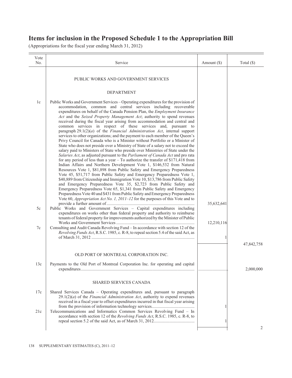| Vote<br>No. | Service                                                                                                                                                                                                                                                                                                                                                                                                                                                                                                                                                                                                                                                                                                                                                                                                                                                                                                                                                                                                                                                                                                                                                                                                                                                                                                                                                                                                                                                                                                                                                                                                                           | Amount (\$) | Total $(\$)$ |
|-------------|-----------------------------------------------------------------------------------------------------------------------------------------------------------------------------------------------------------------------------------------------------------------------------------------------------------------------------------------------------------------------------------------------------------------------------------------------------------------------------------------------------------------------------------------------------------------------------------------------------------------------------------------------------------------------------------------------------------------------------------------------------------------------------------------------------------------------------------------------------------------------------------------------------------------------------------------------------------------------------------------------------------------------------------------------------------------------------------------------------------------------------------------------------------------------------------------------------------------------------------------------------------------------------------------------------------------------------------------------------------------------------------------------------------------------------------------------------------------------------------------------------------------------------------------------------------------------------------------------------------------------------------|-------------|--------------|
|             |                                                                                                                                                                                                                                                                                                                                                                                                                                                                                                                                                                                                                                                                                                                                                                                                                                                                                                                                                                                                                                                                                                                                                                                                                                                                                                                                                                                                                                                                                                                                                                                                                                   |             |              |
|             | PUBLIC WORKS AND GOVERNMENT SERVICES                                                                                                                                                                                                                                                                                                                                                                                                                                                                                                                                                                                                                                                                                                                                                                                                                                                                                                                                                                                                                                                                                                                                                                                                                                                                                                                                                                                                                                                                                                                                                                                              |             |              |
|             |                                                                                                                                                                                                                                                                                                                                                                                                                                                                                                                                                                                                                                                                                                                                                                                                                                                                                                                                                                                                                                                                                                                                                                                                                                                                                                                                                                                                                                                                                                                                                                                                                                   |             |              |
|             | <b>DEPARTMENT</b>                                                                                                                                                                                                                                                                                                                                                                                                                                                                                                                                                                                                                                                                                                                                                                                                                                                                                                                                                                                                                                                                                                                                                                                                                                                                                                                                                                                                                                                                                                                                                                                                                 |             |              |
|             |                                                                                                                                                                                                                                                                                                                                                                                                                                                                                                                                                                                                                                                                                                                                                                                                                                                                                                                                                                                                                                                                                                                                                                                                                                                                                                                                                                                                                                                                                                                                                                                                                                   |             |              |
| 1c          | Public Works and Government Services – Operating expenditures for the provision of<br>accommodation, common and central services including recoverable<br>expenditures on behalf of the Canada Pension Plan, the Employment Insurance<br>Act and the Seized Property Management Act; authority to spend revenues<br>received during the fiscal year arising from accommodation and central and<br>common services in respect of these services and, pursuant to<br>paragraph $29.1(2)(a)$ of the <i>Financial Administration Act</i> , internal support<br>services to other organizations; and the payment to each member of the Queen's<br>Privy Council for Canada who is a Minister without Portfolio or a Minister of<br>State who does not preside over a Ministry of State of a salary not to exceed the<br>salary paid to Ministers of State who preside over Ministries of State under the<br>Salaries Act, as adjusted pursuant to the Parliament of Canada Act and pro rata<br>for any period of less than a year $-$ To authorize the transfer of \$171,418 from<br>Indian Affairs and Northern Development Vote 1, \$146,532 from Natural<br>Resources Vote 1, \$81,898 from Public Safety and Emergency Preparedness<br>Vote 45, \$51,717 from Public Safety and Emergency Preparedness Vote 1,<br>\$40,889 from Citizenship and Immigration Vote 10, \$13,786 from Public Safety<br>and Emergency Preparedness Vote 35, \$2,723 from Public Safety and<br>Emergency Preparedness Vote 65, \$1,341 from Public Safety and Emergency<br>Preparedness Vote 40 and \$431 from Public Safety and Emergency Preparedness |             |              |
|             | Vote 60, Appropriation Act No. 1, 2011-12 for the purposes of this Vote and to                                                                                                                                                                                                                                                                                                                                                                                                                                                                                                                                                                                                                                                                                                                                                                                                                                                                                                                                                                                                                                                                                                                                                                                                                                                                                                                                                                                                                                                                                                                                                    | 35,632,641  |              |
| 5c          | Public Works and Government Services - Capital expenditures including                                                                                                                                                                                                                                                                                                                                                                                                                                                                                                                                                                                                                                                                                                                                                                                                                                                                                                                                                                                                                                                                                                                                                                                                                                                                                                                                                                                                                                                                                                                                                             |             |              |
|             | expenditures on works other than federal property and authority to reimburse<br>tenants of federal property for improvements authorized by the Minister of Public                                                                                                                                                                                                                                                                                                                                                                                                                                                                                                                                                                                                                                                                                                                                                                                                                                                                                                                                                                                                                                                                                                                                                                                                                                                                                                                                                                                                                                                                 | 12,210,116  |              |
| 7c          | Consulting and Audit Canada Revolving Fund - In accordance with section 12 of the<br>Revolving Funds Act, R.S.C. 1985, c. R-8, to repeal section 5.4 of the said Act, as                                                                                                                                                                                                                                                                                                                                                                                                                                                                                                                                                                                                                                                                                                                                                                                                                                                                                                                                                                                                                                                                                                                                                                                                                                                                                                                                                                                                                                                          |             |              |
|             |                                                                                                                                                                                                                                                                                                                                                                                                                                                                                                                                                                                                                                                                                                                                                                                                                                                                                                                                                                                                                                                                                                                                                                                                                                                                                                                                                                                                                                                                                                                                                                                                                                   |             | 47,842,758   |
|             |                                                                                                                                                                                                                                                                                                                                                                                                                                                                                                                                                                                                                                                                                                                                                                                                                                                                                                                                                                                                                                                                                                                                                                                                                                                                                                                                                                                                                                                                                                                                                                                                                                   |             |              |
|             | OLD PORT OF MONTREAL CORPORATION INC.                                                                                                                                                                                                                                                                                                                                                                                                                                                                                                                                                                                                                                                                                                                                                                                                                                                                                                                                                                                                                                                                                                                                                                                                                                                                                                                                                                                                                                                                                                                                                                                             |             |              |
| 13c         | Payments to the Old Port of Montreal Corporation Inc. for operating and capital                                                                                                                                                                                                                                                                                                                                                                                                                                                                                                                                                                                                                                                                                                                                                                                                                                                                                                                                                                                                                                                                                                                                                                                                                                                                                                                                                                                                                                                                                                                                                   |             | 2,000,000    |
|             | <b>SHARED SERVICES CANADA</b>                                                                                                                                                                                                                                                                                                                                                                                                                                                                                                                                                                                                                                                                                                                                                                                                                                                                                                                                                                                                                                                                                                                                                                                                                                                                                                                                                                                                                                                                                                                                                                                                     |             |              |
| 17c         | Shared Services Canada – Operating expenditures and, pursuant to paragraph<br>$29.1(2)(a)$ of the <i>Financial Administration Act</i> , authority to expend revenues<br>received in a fiscal year to offset expenditures incurred in that fiscal year arising                                                                                                                                                                                                                                                                                                                                                                                                                                                                                                                                                                                                                                                                                                                                                                                                                                                                                                                                                                                                                                                                                                                                                                                                                                                                                                                                                                     |             |              |
| 21c         | Telecommunications and Informatics Common Services Revolving Fund - In<br>accordance with section 12 of the Revolving Funds Act, R.S.C. 1985, c. R-8, to                                                                                                                                                                                                                                                                                                                                                                                                                                                                                                                                                                                                                                                                                                                                                                                                                                                                                                                                                                                                                                                                                                                                                                                                                                                                                                                                                                                                                                                                          |             |              |
|             |                                                                                                                                                                                                                                                                                                                                                                                                                                                                                                                                                                                                                                                                                                                                                                                                                                                                                                                                                                                                                                                                                                                                                                                                                                                                                                                                                                                                                                                                                                                                                                                                                                   |             | 2            |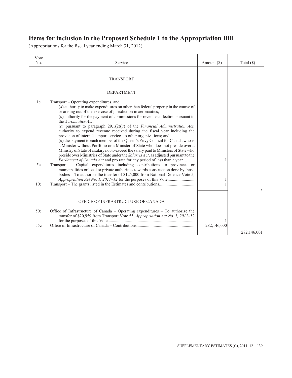| Vote<br>No. | Service                                                                                                                                                                                                                                                                                                                                                                                                                                                                                                                                                                                                                                                                                                                                                                                                                                                                                                                                                                           | Amount $(\$)$ | Total $(\$)$ |
|-------------|-----------------------------------------------------------------------------------------------------------------------------------------------------------------------------------------------------------------------------------------------------------------------------------------------------------------------------------------------------------------------------------------------------------------------------------------------------------------------------------------------------------------------------------------------------------------------------------------------------------------------------------------------------------------------------------------------------------------------------------------------------------------------------------------------------------------------------------------------------------------------------------------------------------------------------------------------------------------------------------|---------------|--------------|
|             | <b>TRANSPORT</b>                                                                                                                                                                                                                                                                                                                                                                                                                                                                                                                                                                                                                                                                                                                                                                                                                                                                                                                                                                  |               |              |
|             | <b>DEPARTMENT</b>                                                                                                                                                                                                                                                                                                                                                                                                                                                                                                                                                                                                                                                                                                                                                                                                                                                                                                                                                                 |               |              |
| 1c          | Transport – Operating expenditures, and<br>(a) authority to make expenditures on other than federal property in the course of<br>or arising out of the exercise of jurisdiction in aeronautics;<br>$(b)$ authority for the payment of commissions for revenue collection pursuant to<br>the Aeronautics Act;<br>(c) pursuant to paragraph $29.1(2)(a)$ of the Financial Administration Act,<br>authority to expend revenue received during the fiscal year including the<br>provision of internal support services to other organizations; and<br>$(d)$ the payment to each member of the Queen's Privy Council for Canada who is<br>a Minister without Portfolio or a Minister of State who does not preside over a<br>Ministry of State of a salary not to exceed the salary paid to Ministers of State who<br>preside over Ministries of State under the Salaries Act, as adjusted pursuant to the<br>Parliament of Canada Act and pro rata for any period of less than a year |               |              |
| 5c          | Transport - Capital expenditures including contributions to provinces or<br>municipalities or local or private authorities towards construction done by those<br>bodies – To authorize the transfer of $$125,000$ from National Defence Vote 5,                                                                                                                                                                                                                                                                                                                                                                                                                                                                                                                                                                                                                                                                                                                                   |               |              |
| 10c         |                                                                                                                                                                                                                                                                                                                                                                                                                                                                                                                                                                                                                                                                                                                                                                                                                                                                                                                                                                                   |               | 3            |
|             | OFFICE OF INFRASTRUCTURE OF CANADA                                                                                                                                                                                                                                                                                                                                                                                                                                                                                                                                                                                                                                                                                                                                                                                                                                                                                                                                                |               |              |
| 50c         | Office of Infrastructure of Canada – Operating expenditures – To authorize the<br>transfer of \$20,959 from Transport Vote 55, Appropriation Act No. 1, 2011-12                                                                                                                                                                                                                                                                                                                                                                                                                                                                                                                                                                                                                                                                                                                                                                                                                   |               |              |
| 55c         |                                                                                                                                                                                                                                                                                                                                                                                                                                                                                                                                                                                                                                                                                                                                                                                                                                                                                                                                                                                   | 282,146,000   | 282,146,001  |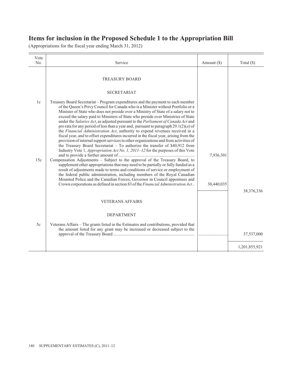| Vote<br>No. | Service                                                                                                                                                                                                                                                                                                                                                                                                                                                                                                                                                                                                                                                                                                                                                                                                                                                                                                                                                                                                                                                                                                                                                                                                                                                                                                                                                                                            | Amount (\$) | Total $(\$)$  |
|-------------|----------------------------------------------------------------------------------------------------------------------------------------------------------------------------------------------------------------------------------------------------------------------------------------------------------------------------------------------------------------------------------------------------------------------------------------------------------------------------------------------------------------------------------------------------------------------------------------------------------------------------------------------------------------------------------------------------------------------------------------------------------------------------------------------------------------------------------------------------------------------------------------------------------------------------------------------------------------------------------------------------------------------------------------------------------------------------------------------------------------------------------------------------------------------------------------------------------------------------------------------------------------------------------------------------------------------------------------------------------------------------------------------------|-------------|---------------|
|             | <b>TREASURY BOARD</b>                                                                                                                                                                                                                                                                                                                                                                                                                                                                                                                                                                                                                                                                                                                                                                                                                                                                                                                                                                                                                                                                                                                                                                                                                                                                                                                                                                              |             |               |
|             | <b>SECRETARIAT</b>                                                                                                                                                                                                                                                                                                                                                                                                                                                                                                                                                                                                                                                                                                                                                                                                                                                                                                                                                                                                                                                                                                                                                                                                                                                                                                                                                                                 |             |               |
| 1c<br>15c   | Treasury Board Secretariat – Program expenditures and the payment to each member<br>of the Queen's Privy Council for Canada who is a Minister without Portfolio or a<br>Minister of State who does not preside over a Ministry of State of a salary not to<br>exceed the salary paid to Ministers of State who preside over Ministries of State<br>under the Salaries Act, as adjusted pursuant to the Parliament of Canada Act and<br>pro rata for any period of less than a year and, pursuant to paragraph 29.1(2)( <i>a</i> ) of<br>the Financial Administration Act, authority to expend revenues received in a<br>fiscal year, and to offset expenditures incurred in the fiscal year, arising from the<br>provision of internal support services to other organizations and from activities of<br>the Treasury Board Secretariat - To authorize the transfer of \$40,912 from<br>Industry Vote 1, <i>Appropriation Act No. 1, 2011–12</i> for the purposes of this Vote<br>Compensation Adjustments - Subject to the approval of the Treasury Board, to<br>supplement other appropriations that may need to be partially or fully funded as a<br>result of adjustments made to terms and conditions of service or employment of<br>the federal public administration, including members of the Royal Canadian<br>Mounted Police and the Canadian Forces, Governor in Council appointees and | 7,936,301   |               |
|             | Crown corporations as defined in section 83 of the Financial Administration Act                                                                                                                                                                                                                                                                                                                                                                                                                                                                                                                                                                                                                                                                                                                                                                                                                                                                                                                                                                                                                                                                                                                                                                                                                                                                                                                    | 30,440,035  | 38,376,336    |
|             | <b>VETERANS AFFAIRS</b>                                                                                                                                                                                                                                                                                                                                                                                                                                                                                                                                                                                                                                                                                                                                                                                                                                                                                                                                                                                                                                                                                                                                                                                                                                                                                                                                                                            |             |               |
|             | <b>DEPARTMENT</b>                                                                                                                                                                                                                                                                                                                                                                                                                                                                                                                                                                                                                                                                                                                                                                                                                                                                                                                                                                                                                                                                                                                                                                                                                                                                                                                                                                                  |             |               |
| 5c          | Veterans Affairs - The grants listed in the Estimates and contributions, provided that<br>the amount listed for any grant may be increased or decreased subject to the                                                                                                                                                                                                                                                                                                                                                                                                                                                                                                                                                                                                                                                                                                                                                                                                                                                                                                                                                                                                                                                                                                                                                                                                                             |             | 37,537,000    |
|             |                                                                                                                                                                                                                                                                                                                                                                                                                                                                                                                                                                                                                                                                                                                                                                                                                                                                                                                                                                                                                                                                                                                                                                                                                                                                                                                                                                                                    |             | 1,201,855,921 |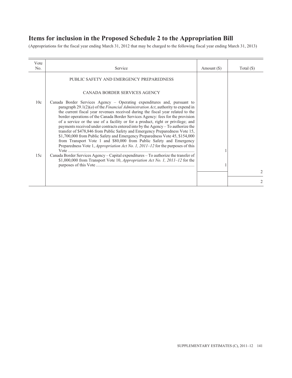(Appropriations for the fiscal year ending March 31, 2012 that may be charged to the following fiscal year ending March 31, 2013)

|                                                                                                                                                                                                                                                                                                                                                                                                                                                                                                                                                                                                                                                                                                                                                                                                                                                  | Amount $(\$)$ | Total $(\$)$ |
|--------------------------------------------------------------------------------------------------------------------------------------------------------------------------------------------------------------------------------------------------------------------------------------------------------------------------------------------------------------------------------------------------------------------------------------------------------------------------------------------------------------------------------------------------------------------------------------------------------------------------------------------------------------------------------------------------------------------------------------------------------------------------------------------------------------------------------------------------|---------------|--------------|
| PUBLIC SAFETY AND EMERGENCY PREPAREDNESS                                                                                                                                                                                                                                                                                                                                                                                                                                                                                                                                                                                                                                                                                                                                                                                                         |               |              |
| CANADA BORDER SERVICES AGENCY                                                                                                                                                                                                                                                                                                                                                                                                                                                                                                                                                                                                                                                                                                                                                                                                                    |               |              |
| Canada Border Services Agency – Operating expenditures and, pursuant to<br>paragraph $29.1(2)(a)$ of the <i>Financial Administration Act</i> , authority to expend in<br>the current fiscal year revenues received during the fiscal year related to the<br>border operations of the Canada Border Services Agency: fees for the provision<br>of a service or the use of a facility or for a product, right or privilege; and<br>payments received under contracts entered into by the Agency – To authorize the<br>transfer of \$478,846 from Public Safety and Emergency Preparedness Vote 15,<br>\$1,700,000 from Public Safety and Emergency Preparedness Vote 45, \$154,000<br>from Transport Vote 1 and \$80,000 from Public Safety and Emergency<br>Preparedness Vote 1, <i>Appropriation Act No. 1, 2011–12</i> for the purposes of this |               |              |
| Canada Border Services Agency - Capital expenditures - To authorize the transfer of<br>\$1,000,000 from Transport Vote 10, Appropriation Act No. 1, 2011-12 for the                                                                                                                                                                                                                                                                                                                                                                                                                                                                                                                                                                                                                                                                              |               |              |
|                                                                                                                                                                                                                                                                                                                                                                                                                                                                                                                                                                                                                                                                                                                                                                                                                                                  |               |              |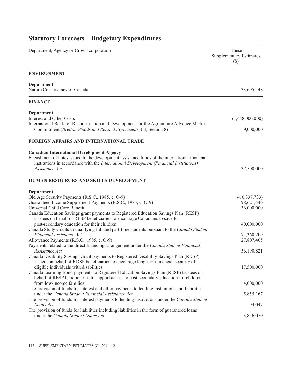# **Statutory Forecasts – Budgetary Expenditures**

| Department, Agency or Crown corporation                                                                                                                                                                                                                       | These<br><b>Supplementary Estimates</b><br>$(\$\)$ |
|---------------------------------------------------------------------------------------------------------------------------------------------------------------------------------------------------------------------------------------------------------------|----------------------------------------------------|
| <b>ENVIRONMENT</b>                                                                                                                                                                                                                                            |                                                    |
| Department<br>Nature Conservancy of Canada                                                                                                                                                                                                                    | 33,695,148                                         |
| <b>FINANCE</b>                                                                                                                                                                                                                                                |                                                    |
| Department<br>Interest and Other Costs                                                                                                                                                                                                                        |                                                    |
| International Bank for Reconstruction and Development for the Agriculture Advance Market<br>Commitment (Bretton Woods and Related Agreements Act, Section 8)                                                                                                  | (1,448,000,000)<br>9,000,000                       |
| <b>FOREIGN AFFAIRS AND INTERNATIONAL TRADE</b>                                                                                                                                                                                                                |                                                    |
| <b>Canadian International Development Agency</b><br>Encashment of notes issued to the development assistance funds of the international financial<br>institutions in accordance with the International Development (Financial Institutions)<br>Assistance Act | 37,500,000                                         |
| HUMAN RESOURCES AND SKILLS DEVELOPMENT                                                                                                                                                                                                                        |                                                    |
| Department                                                                                                                                                                                                                                                    |                                                    |
| Old Age Security Payments (R.S.C., 1985, c. O-9)                                                                                                                                                                                                              | (410, 337, 733)                                    |
| Guaranteed Income Supplement Payments (R.S.C., 1985, c. O-9)                                                                                                                                                                                                  | 98,621,446                                         |
| Universal Child Care Benefit                                                                                                                                                                                                                                  | 36,000,000                                         |
| Canada Education Savings grant payments to Registered Education Savings Plan (RESP)<br>trustees on behalf of RESP beneficiaries to encourage Canadians to save for                                                                                            |                                                    |
| post-secondary education for their children<br>Canada Study Grants to qualifying full and part-time students pursuant to the Canada Student                                                                                                                   | 40,000,000                                         |
| Financial Assistance Act                                                                                                                                                                                                                                      | 74,360,209                                         |
| Allowance Payments (R.S.C., 1985, c. O-9)                                                                                                                                                                                                                     | 27,807,405                                         |
| Payments related to the direct financing arrangement under the Canada Student Financial                                                                                                                                                                       |                                                    |
| Assistance Act                                                                                                                                                                                                                                                | 56,190,821                                         |
| Canada Disability Savings Grant payments to Registered Disability Savings Plan (RDSP)                                                                                                                                                                         |                                                    |
| issuers on behalf of RDSP beneficiaries to encourage long-term financial security of                                                                                                                                                                          |                                                    |
| eligible individuals with disabilities<br>Canada Learning Bond payments to Registered Education Savings Plan (RESP) trustees on                                                                                                                               | 17,500,000                                         |
| behalf of RESP beneficiaries to support access to post-secondary education for children                                                                                                                                                                       |                                                    |
| from low-income families                                                                                                                                                                                                                                      | 4,000,000                                          |
| The provision of funds for interest and other payments to lending institutions and liabilities                                                                                                                                                                |                                                    |
| under the Canada Student Financial Assistance Act                                                                                                                                                                                                             | 5,855,167                                          |
| The provision of funds for interest payments to lending institutions under the <i>Canada Student</i>                                                                                                                                                          |                                                    |
| Loans Act                                                                                                                                                                                                                                                     | 94,047                                             |
| The provision of funds for liabilities including liabilities in the form of guaranteed loans                                                                                                                                                                  |                                                    |
| under the Canada Student Loans Act                                                                                                                                                                                                                            | 3,856,070                                          |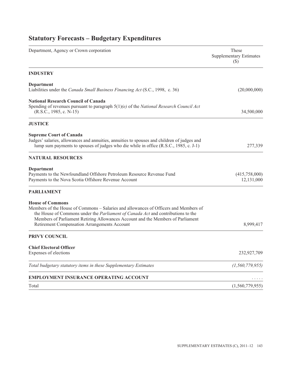# **Statutory Forecasts – Budgetary Expenditures**

| Department, Agency or Crown corporation                                                                                                                                                                                                                                                                                                | These<br><b>Supplementary Estimates</b><br>(S) |  |
|----------------------------------------------------------------------------------------------------------------------------------------------------------------------------------------------------------------------------------------------------------------------------------------------------------------------------------------|------------------------------------------------|--|
| <b>INDUSTRY</b>                                                                                                                                                                                                                                                                                                                        |                                                |  |
| <b>Department</b><br>Liabilities under the Canada Small Business Financing Act (S.C., 1998, c. 36)                                                                                                                                                                                                                                     | (20,000,000)                                   |  |
| <b>National Research Council of Canada</b><br>Spending of revenues pursuant to paragraph $5(1)(e)$ of the <i>National Research Council Act</i><br>$(R.S.C., 1985, c. N-15)$                                                                                                                                                            | 34,500,000                                     |  |
| <b>JUSTICE</b>                                                                                                                                                                                                                                                                                                                         |                                                |  |
| <b>Supreme Court of Canada</b><br>Judges' salaries, allowances and annuities, annuities to spouses and children of judges and<br>lump sum payments to spouses of judges who die while in office (R.S.C., 1985, c. J-1)                                                                                                                 | 277,339                                        |  |
| <b>NATURAL RESOURCES</b>                                                                                                                                                                                                                                                                                                               |                                                |  |
| <b>Department</b><br>Payments to the Newfoundland Offshore Petroleum Resource Revenue Fund<br>Payments to the Nova Scotia Offshore Revenue Account                                                                                                                                                                                     | (415,758,000)<br>12,131,000                    |  |
| <b>PARLIAMENT</b>                                                                                                                                                                                                                                                                                                                      |                                                |  |
| <b>House of Commons</b><br>Members of the House of Commons – Salaries and allowances of Officers and Members of<br>the House of Commons under the Parliament of Canada Act and contributions to the<br>Members of Parliament Retiring Allowances Account and the Members of Parliament<br>Retirement Compensation Arrangements Account | 8,999,417                                      |  |
| PRIVY COUNCIL                                                                                                                                                                                                                                                                                                                          |                                                |  |
| <b>Chief Electoral Officer</b><br>Expenses of elections                                                                                                                                                                                                                                                                                | 232,927,709                                    |  |
| Total budgetary statutory items in these Supplementary Estimates                                                                                                                                                                                                                                                                       | (1, 560, 779, 955)                             |  |
| <b>EMPLOYMENT INSURANCE OPERATING ACCOUNT</b>                                                                                                                                                                                                                                                                                          |                                                |  |
| Total                                                                                                                                                                                                                                                                                                                                  | (1,560,779,955)                                |  |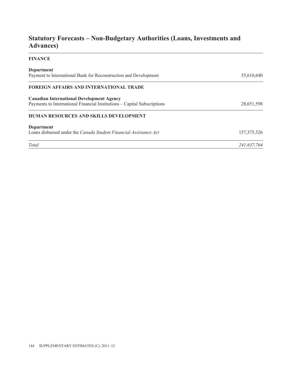### **Statutory Forecasts – Non-Budgetary Authorities (Loans, Investments and Advances)**

#### **FINANCE**

| Department<br>Payment to International Bank for Reconstruction and Development                                               | 55,610,640    |
|------------------------------------------------------------------------------------------------------------------------------|---------------|
| <b>FOREIGN AFFAIRS AND INTERNATIONAL TRADE</b>                                                                               |               |
| <b>Canadian International Development Agency</b><br>Payments to International Financial Institutions - Capital Subscriptions | 28,651,598    |
| <b>HUMAN RESOURCES AND SKILLS DEVELOPMENT</b>                                                                                |               |
| Department<br>Loans disbursed under the <i>Canada Student Financial Assistance Act</i>                                       | 157, 375, 526 |
| Total                                                                                                                        | 241.637.764   |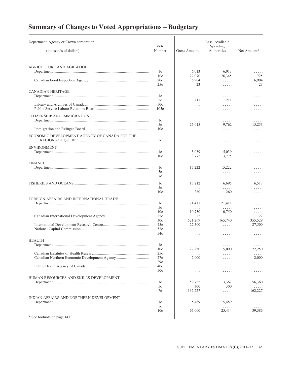### **Summary of Changes to Voted Appropriations – Budgetary**

| Department, Agency or Crown corporation       | Vote                   |                                      | Less: Available<br>Spending                                      |                                             |
|-----------------------------------------------|------------------------|--------------------------------------|------------------------------------------------------------------|---------------------------------------------|
| (thousands of dollars)                        | Number                 | Gross Amount                         | Authorities                                                      | Net Amount*                                 |
|                                               |                        |                                      |                                                                  |                                             |
| <b>AGRICULTURE AND AGRI-FOOD</b>              | 1c                     | 6,013                                | 6,013                                                            |                                             |
|                                               | 10 <sub>c</sub><br>20c | 27,070<br>6,904                      | 26,345<br>$\mathbb{R}^n$ . In the $\mathbb{R}^n$                 | 725<br>6,904                                |
|                                               | 25c                    | 23                                   | $\ldots$                                                         | 23                                          |
| <b>CANADIAN HERITAGE</b>                      |                        |                                      |                                                                  |                                             |
|                                               | 1c<br>5c               | $\ldots$<br>211                      | $\alpha$ , $\alpha$ , $\alpha$ , $\alpha$<br>211                 | .<br>.                                      |
|                                               | 50c<br>105c            | .                                    | .                                                                | .                                           |
| CITIZENSHIP AND IMMIGRATION                   |                        | .                                    | .                                                                | .                                           |
|                                               | 1c                     | .                                    | .                                                                | .                                           |
|                                               | 5c<br>10 <sub>c</sub>  | 25,015                               | 9,762                                                            | 15,253                                      |
| ECONOMIC DEVELOPMENT AGENCY OF CANADA FOR THE |                        | $\ldots$                             | $\alpha$ is a second .                                           | .                                           |
|                                               | 5c                     | $\ldots$                             | $\ldots$                                                         | .                                           |
| <b>ENVIRONMENT</b>                            |                        |                                      |                                                                  |                                             |
|                                               | 1c<br>10 <sub>c</sub>  | 5,039<br>3,775                       | 5,039<br>3,775                                                   | .<br>.                                      |
| <b>FINANCE</b>                                |                        |                                      |                                                                  |                                             |
|                                               | 1c                     | 15,222                               | 15,222                                                           | .                                           |
|                                               | 5c<br>7c               | .<br>$\alpha$ , $\alpha$ , $\alpha$  | $\mathbb{R}^n$ . In the $\mathbb{R}^n$<br>$\alpha$ is a second . | .<br>$\mathbb{Z}^n$ . In the $\mathbb{Z}^n$ |
|                                               |                        |                                      |                                                                  |                                             |
|                                               | 1c<br>5c               | 13,212<br>$\ldots$                   | 6,695<br>.                                                       | 6,517<br>.                                  |
|                                               | 10c                    | 260                                  | 260                                                              | .                                           |
| FOREIGN AFFAIRS AND INTERNATIONAL TRADE       | 1c                     | 21,411                               | 21,411                                                           |                                             |
|                                               | 5c                     | $\ldots$                             | $\ldots$ .                                                       | .<br>.                                      |
|                                               | 10 <sub>c</sub>        | 10,750                               | 10,750                                                           | .                                           |
|                                               | 25c<br>30c             | 22<br>521,269                        | .<br>165,740                                                     | 22<br>355,529                               |
|                                               | 45c                    | 27,500                               | $\mathbb{R}^n$ . In the $\mathbb{R}^n$                           | 27,500                                      |
|                                               | 52c                    | $\ldots$                             | $\mathbb{Z}^n$ . In the $\mathbb{Z}^n$                           | .                                           |
|                                               | 54c                    | $\ldots$                             | $\mathbb{Z}^n$ . In the $\mathbb{Z}^n$                           | .                                           |
| <b>HEALTH</b>                                 | 1c                     | $\ldots$                             | $\mathbb{Z}^n$ . In the $\mathbb{Z}^n$                           | 1.1.1.1                                     |
|                                               | 10c                    | 27,250                               | 5,000                                                            | 22,250                                      |
|                                               | 25c<br>27c             | $\ldots$<br>2,000                    | $\ldots$                                                         | $\cdots$<br>2,000                           |
|                                               | 29c                    | $\ldots$                             | $\alpha$ , $\alpha$ , $\alpha$ , $\alpha$<br>$\ldots$            | .                                           |
|                                               | 40c                    | $\ldots$                             | $\ldots$                                                         | $\ldots$                                    |
|                                               | 50c                    | $\ldots$                             | $\ldots$                                                         | $\ldots$                                    |
| HUMAN RESOURCES AND SKILLS DEVELOPMENT        | 1c                     | 59,722                               | 3,362                                                            | 56,360                                      |
|                                               | 5c                     | 300                                  | 300                                                              | .                                           |
|                                               | 7c                     | 162,227                              | $\ldots$                                                         | 162,227                                     |
| INDIAN AFFAIRS AND NORTHERN DEVELOPMENT       |                        |                                      |                                                                  |                                             |
|                                               | 1c<br>5c               | 5,489<br>$\sim$ $\sim$ $\sim$ $\sim$ | 5,489<br>$\ldots$                                                | .<br>.                                      |
|                                               | 10c                    | 65,000                               | 25,414                                                           | 39,586                                      |
| * See footnote on page 147.                   |                        |                                      |                                                                  |                                             |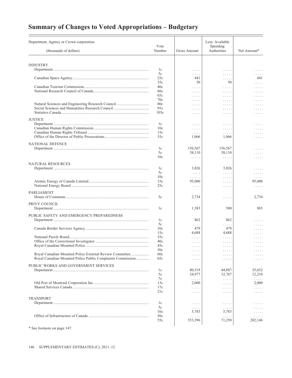### **Summary of Changes to Voted Appropriations – Budgetary**

| Department, Agency or Crown corporation                    | Vote       |                        | Less: Available<br>Spending               |                                                    |
|------------------------------------------------------------|------------|------------------------|-------------------------------------------|----------------------------------------------------|
| (thousands of dollars)                                     | Number     | Gross Amount           | Authorities                               | Net Amount*                                        |
|                                                            |            |                        |                                           |                                                    |
| <b>INDUSTRY</b>                                            |            |                        |                                           |                                                    |
|                                                            | 1c<br>5c   | $\ldots$               | $\cdots$                                  | .                                                  |
|                                                            | 25c        | .<br>441               | $\cdots$<br>$\cdots$                      | .<br>441                                           |
|                                                            | 35c        | 50                     | 50                                        | .                                                  |
|                                                            | 40c        | .                      | $\cdots$                                  | .                                                  |
|                                                            | 60c        | $\dots$                | $\cdots$                                  | .                                                  |
|                                                            | 65c        | 1.1.1.1                | $\dots$                                   | .                                                  |
|                                                            | 70c        | 1.1.1.1                | $\cdots$                                  | .                                                  |
|                                                            | 80c<br>95c | 1.1.1.1                | $\cdots$                                  | .                                                  |
|                                                            | 105c       | $\dots$                | $\cdots$                                  | .<br>.                                             |
|                                                            |            | .                      | $\ldots$                                  |                                                    |
| <b>JUSTICE</b>                                             |            |                        |                                           |                                                    |
|                                                            | 1c         | .                      | $\ldots$                                  | .                                                  |
|                                                            | 10c<br>15c | $\ldots$               | $\cdots$                                  | .                                                  |
|                                                            | 35c        | 1.1.1.1<br>1,066       | $\cdots$<br>1,066                         | .                                                  |
|                                                            |            |                        |                                           | .                                                  |
| NATIONAL DEFENCE                                           |            |                        |                                           |                                                    |
|                                                            | 1c         | 156,567                | 156,567                                   | .                                                  |
|                                                            | 5c         | 58,110                 | 58,110                                    | .                                                  |
|                                                            | 10c        | $\alpha$ is a second . | $\alpha$ , $\alpha$ , $\alpha$            | .                                                  |
| NATURAL RESOURCES                                          |            |                        |                                           |                                                    |
|                                                            | 1c         | 3,826                  | 3,826                                     | .                                                  |
|                                                            | 5c         | $\ldots \ldots$        | $\alpha$ , $\alpha$ , $\alpha$ , $\alpha$ | .                                                  |
|                                                            | 10c        | $\ldots$               | $\ldots$                                  | .                                                  |
|                                                            | 15c        | 95,000                 | 1.1.1.1                                   | 95,000                                             |
|                                                            | 25c        | $\ldots$               | $\ldots$                                  | .                                                  |
| <b>PARLIAMENT</b>                                          |            |                        |                                           |                                                    |
|                                                            | 5c         | 2,734                  | $\ldots$                                  | 2,734                                              |
| PRIVY COUNCIL                                              |            |                        |                                           |                                                    |
|                                                            | 1c         | 1,383                  | 500                                       | 883                                                |
|                                                            |            |                        |                                           |                                                    |
| PUBLIC SAFETY AND EMERGENCY PREPAREDNESS                   |            |                        |                                           |                                                    |
|                                                            | 1c         | 862                    | 862                                       | .                                                  |
|                                                            | 5c         | .                      | $\ldots$                                  | .                                                  |
|                                                            | 10c<br>15c | 479<br>4,688           | 479<br>4,688                              | .                                                  |
|                                                            | 35c        |                        |                                           | .<br>.                                             |
|                                                            | 40c        | $\ldots$<br>$\dots$    | $\ldots$<br>$\cdots$                      | .                                                  |
|                                                            | 45c        | .                      | $\cdots$                                  | $\mathbb{Z}^n$ . $\mathbb{Z}^n$ , $\mathbb{Z}^n$ , |
|                                                            | 50c        | .                      | $\cdots$                                  | .                                                  |
| Royal Canadian Mounted Police External Review Committee    | 60c        | .                      | $\cdots$                                  | .                                                  |
| Royal Canadian Mounted Police Public Complaints Commission | 65c        | .                      | $\cdots$                                  | .                                                  |
| PUBLIC WORKS AND GOVERNMENT SERVICES                       |            |                        |                                           |                                                    |
|                                                            | 1c         | 80,519                 | 44,887                                    | 35,632                                             |
|                                                            | 5c         | 24,977                 | 12,767                                    | 12,210                                             |
|                                                            | 7c         | $\alpha$ is a second . | $\alpha$ , $\alpha$ , $\alpha$            | .                                                  |
|                                                            | 13c        | 2,000                  | $\ldots$                                  | 2,000                                              |
|                                                            | 17c        | .                      | $\cdots$                                  | .                                                  |
|                                                            | 21c        | .                      | $\cdots$                                  | .                                                  |
| <b>TRANSPORT</b>                                           |            |                        |                                           |                                                    |
|                                                            | 1c         | .                      | $\cdots$                                  |                                                    |
|                                                            | 5c         | .                      | $\ldots$                                  | .                                                  |
|                                                            | 10c        | 5,783                  | 5,783                                     | .                                                  |
|                                                            | 50c        | .                      | $\alpha$ , $\alpha$ , $\alpha$            | .                                                  |
|                                                            | 55c        | 353,396                | 71,250                                    | 282,146                                            |
|                                                            |            |                        |                                           |                                                    |

\* See footnote on page 147.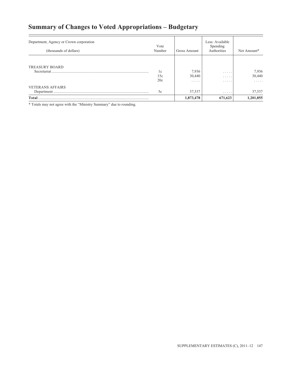### **Summary of Changes to Voted Appropriations – Budgetary**

| Department, Agency or Crown corporation<br>(thousands of dollars) | Vote<br>Number   | Gross Amount         | Less: Available<br>Spending<br>Authorities | Net Amount*          |
|-------------------------------------------------------------------|------------------|----------------------|--------------------------------------------|----------------------|
|                                                                   |                  |                      |                                            |                      |
| <b>TREASURY BOARD</b><br>Secretariat                              | 1c<br>15c<br>20c | 7.936<br>30,440<br>. | .<br>.<br>.                                | 7,936<br>30,440<br>. |
| <b>VETERANS AFFAIRS</b>                                           | 5c               | 37,537               | .                                          | 37,537               |
| Total                                                             |                  | 1,873,478            | 671,623                                    | 1.201.855            |

\* Totals may not agree with the "Ministry Summary" due to rounding.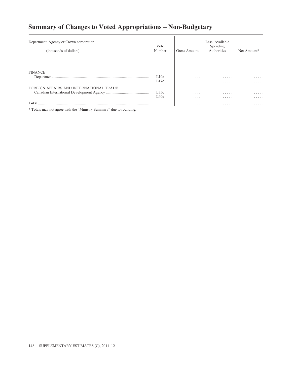### **Summary of Changes to Voted Appropriations – Non-Budgetary**

| Department, Agency or Crown corporation<br>(thousands of dollars) | Vote<br>Number | Gross Amount | Less: Available<br>Spending<br>Authorities | Net Amount* |
|-------------------------------------------------------------------|----------------|--------------|--------------------------------------------|-------------|
|                                                                   |                |              |                                            |             |
| <b>FINANCE</b>                                                    | L10c<br>L17c   | .<br>.       | .<br>.                                     | .<br>.      |
| FOREIGN AFFAIRS AND INTERNATIONAL TRADE                           | L35c<br>L40c   | .<br>.       | .<br>.                                     | .<br>.      |
| Total                                                             |                | .            | .                                          | .           |

\* Totals may not agree with the "Ministry Summary" due to rounding.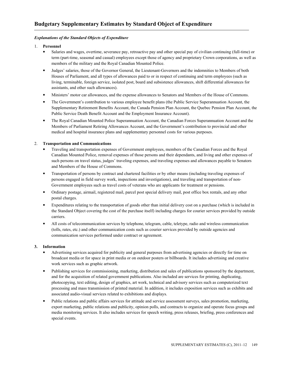#### *Explanations of the Standard Objects of Expenditure*

#### 1. **Personnel**

- Salaries and wages, overtime, severance pay, retroactive pay and other special pay of civilian continuing (full-time) or term (part-time, seasonal and casual) employees except those of agency and proprietary Crown corporations, as well as members of the military and the Royal Canadian Mounted Police.
- Judges' salaries, those of the Governor General, the Lieutenant-Governors and the indemnities to Members of both Houses of Parliament, and all types of allowances paid to or in respect of continuing and term employees (such as living, terminable, foreign service, isolated post, board and subsistence allowances, shift differential allowances for assistants, and other such allowances).
- Ministers' motor car allowances, and the expense allowances to Senators and Members of the House of Commons.
- The Government's contribution to various employee benefit plans (the Public Service Superannuation Account, the Supplementary Retirement Benefits Account, the Canada Pension Plan Account, the Quebec Pension Plan Account, the Public Service Death Benefit Account and the Employment Insurance Account).
- The Royal Canadian Mounted Police Superannuation Account, the Canadian Forces Superannuation Account and the Members of Parliament Retiring Allowances Account, and the Government's contribution to provincial and other medical and hospital insurance plans and supplementary personnel costs for various purposes.

#### 2. **Transportation and Communications**

- Traveling and transportation expenses of Government employees, members of the Canadian Forces and the Royal Canadian Mounted Police, removal expenses of those persons and their dependants, and living and other expenses of such persons on travel status, judges' traveling expenses, and traveling expenses and allowances payable to Senators and Members of the House of Commons.
- Transportation of persons by contract and chartered facilities or by other means (including traveling expenses of persons engaged in field survey work, inspections and investigations), and traveling and transportation of non-Government employees such as travel costs of veterans who are applicants for treatment or pensions.
- Ordinary postage, airmail, registered mail, parcel post special delivery mail, post office box rentals, and any other postal charges.
- Expenditures relating to the transportation of goods other than initial delivery cost on a purchase (which is included in the Standard Object covering the cost of the purchase itself) including charges for courier services provided by outside carriers.
- All costs of telecommunication services by telephone, telegram, cable, teletype, radio and wireless communication (tolls, rates, etc.) and other communication costs such as courier services provided by outside agencies and communication services performed under contract or agreement.

### **3. Information**

- Advertising services acquired for publicity and general purposes from advertising agencies or directly for time on broadcast media or for space in print media or on outdoor posters or billboards. It includes advertising and creative work services such as graphic artwork.
- Publishing services for commissioning, marketing, distribution and sales of publications sponsored by the department, and for the acquisition of related government publications. Also included are services for printing, duplicating, photocopying, text editing, design of graphics, art work, technical and advisory services such as computerized text processing and mass transmission of printed material. In addition, it includes exposition services such as exhibits and associated audio-visual services related to exhibitions and displays.
- Public relations and public affairs services for attitude and service assessment surveys, sales promotion, marketing, export marketing, public relations and publicity, opinion polls, and contracts to organize and operate focus groups and media monitoring services. It also includes services for speech writing, press releases, briefing, press conferences and special events.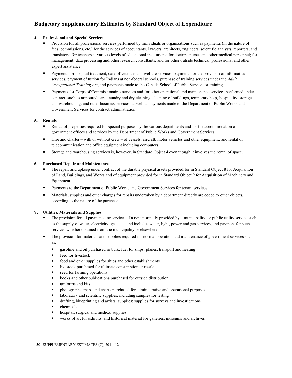#### **4. Professional and Special Services**

- Provision for all professional services performed by individuals or organizations such as payments (in the nature of fees, commissions, etc.) for the services of accountants, lawyers, architects, engineers, scientific analysts, reporters, and translators; for teachers at various levels of educational institutions; for doctors, nurses and other medical personnel; for management, data processing and other research consultants; and for other outside technical, professional and other expert assistance.
- Payments for hospital treatment, care of veterans and welfare services, payments for the provision of informatics services, payment of tuition for Indians at non-federal schools, purchase of training services under the *Adult Occupational Training Act*, and payments made to the Canada School of Public Service for training.
- Payments for Corps of Commissionaires services and for other operational and maintenance services performed under contract, such as armoured cars, laundry and dry cleaning, cleaning of buildings, temporary help, hospitality, storage and warehousing, and other business services, as well as payments made to the Department of Public Works and Government Services for contract administration.

#### **5. Rentals**

- **Rental of properties required for special purposes by the various departments and for the accommodation of** government offices and services by the Department of Public Works and Government Services.
- Hire and charter with or without crew of vessels, aircraft, motor vehicles and other equipment, and rental of telecommunication and office equipment including computers.
- Storage and warehousing services is, however, in Standard Object 4 even though it involves the rental of space.

#### **6. Purchased Repair and Maintenance**

- The repair and upkeep under contract of the durable physical assets provided for in Standard Object 8 for Acquisition of Land, Buildings, and Works and of equipment provided for in Standard Object 9 for Acquisition of Machinery and Equipment.
- Payments to the Department of Public Works and Government Services for tenant services.
- Materials, supplies and other charges for repairs undertaken by a department directly are coded to other objects, according to the nature of the purchase.

### **7. Utilities, Materials and Supplies**

- The provision for all payments for services of a type normally provided by a municipality, or public utility service such as the supply of water, electricity, gas, etc., and includes water, light, power and gas services, and payment for such services whether obtained from the municipality or elsewhere.
- The provision for materials and supplies required for normal operation and maintenance of government services such as:
	- gasoline and oil purchased in bulk; fuel for ships, planes, transport and heating
	- **feed for livestock**
	- food and other supplies for ships and other establishments
	- **I** livestock purchased for ultimate consumption or resale
	- seed for farming operations
	- **books and other publications purchased for outside distribution**
	- **uniforms and kits**
	- photographs, maps and charts purchased for administrative and operational purposes
	- laboratory and scientific supplies, including samples for testing
	- drafting, blueprinting and artists' supplies; supplies for surveys and investigations
	- **n** chemicals
	- hospital, surgical and medical supplies
	- works of art for exhibits, and historical material for galleries, museums and archives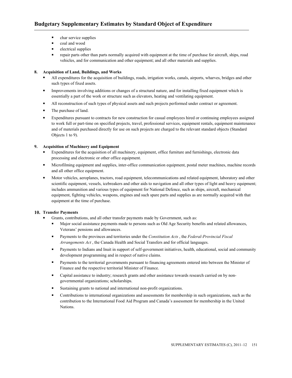- **•** char service supplies
- coal and wood
- $\blacksquare$  electrical supplies
- repair parts other than parts normally acquired with equipment at the time of purchase for aircraft, ships, road vehicles, and for communication and other equipment; and all other materials and supplies.

#### **8. Acquisition of Land, Buildings, and Works**

- All expenditures for the acquisition of buildings, roads, irrigation works, canals, airports, wharves, bridges and other such types of fixed assets.
- **IMPROVERGENT:** Improvements involving additions or changes of a structural nature, and for installing fixed equipment which is essentially a part of the work or structure such as elevators, heating and ventilating equipment.
- If All reconstruction of such types of physical assets and such projects performed under contract or agreement.
- The purchase of land.
- Expenditures pursuant to contracts for new construction for casual employees hired or continuing employees assigned to work full or part-time on specified projects, travel, professional services, equipment rentals, equipment maintenance and of materials purchased directly for use on such projects are charged to the relevant standard objects (Standard Objects 1 to 9).

#### **9. Acquisition of Machinery and Equipment**

- Expenditures for the acquisition of all machinery, equipment, office furniture and furnishings, electronic data processing and electronic or other office equipment.
- Microfilming equipment and supplies, inter-office communication equipment, postal meter machines, machine records and all other office equipment.
- Motor vehicles, aeroplanes, tractors, road equipment, telecommunications and related equipment, laboratory and other scientific equipment, vessels, icebreakers and other aids to navigation and all other types of light and heavy equipment; includes ammunition and various types of equipment for National Defence, such as ships, aircraft, mechanical equipment, fighting vehicles, weapons, engines and such spare parts and supplies as are normally acquired with that equipment at the time of purchase.

### **10. Transfer Payments**

- Grants, contributions, and all other transfer payments made by Government, such as:
	- Major social assistance payments made to persons such as Old Age Security benefits and related allowances, Veterans' pensions and allowances.
	- Payments to the provinces and territories under the *Constitution Acts* , the *Federal-Provincial Fiscal Arrangements Act* , the Canada Health and Social Transfers and for official languages.
	- Payments to Indians and Inuit in support of self-government initiatives, health, educational, social and community development programming and in respect of native claims.
	- **Payments to the territorial governments pursuant to financing agreements entered into between the Minister of** Finance and the respective territorial Minister of Finance.
	- Capital assistance to industry; research grants and other assistance towards research carried on by nongovernmental organizations; scholarships.
	- Sustaining grants to national and international non-profit organizations.
	- Contributions to international organizations and assessments for membership in such organizations, such as the contribution to the International Food Aid Program and Canada's assessment for membership in the United Nations.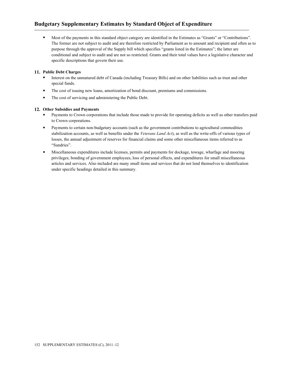Most of the payments in this standard object category are identified in the Estimates as "Grants" or "Contributions". The former are not subject to audit and are therefore restricted by Parliament as to amount and recipient and often as to purpose through the approval of the Supply bill which specifies "grants listed in the Estimates"; the latter are conditional and subject to audit and are not so restricted. Grants and their total values have a legislative character and specific descriptions that govern their use.

#### **11. Public Debt Charges**

- Interest on the unmatured debt of Canada (including Treasury Bills) and on other liabilities such as trust and other special funds.
- The cost of issuing new loans, amortization of bond discount, premiums and commissions.
- The cost of servicing and administering the Public Debt.

#### **12. Other Subsidies and Payments**

- Payments to Crown corporations that include those made to provide for operating deficits as well as other transfers paid to Crown corporations.
- Payments to certain non-budgetary accounts (such as the government contributions to agricultural commodities stabilization accounts, as well as benefits under the *Veterans Land Act*), as well as the write-offs of various types of losses, the annual adjustment of reserves for financial claims and some other miscellaneous items referred to as "Sundries".
- Miscellaneous expenditures include licenses, permits and payments for dockage, towage, wharfage and mooring privileges; bonding of government employees, loss of personal effects, and expenditures for small miscellaneous articles and services. Also included are many small items and services that do not lend themselves to identification under specific headings detailed in this summary.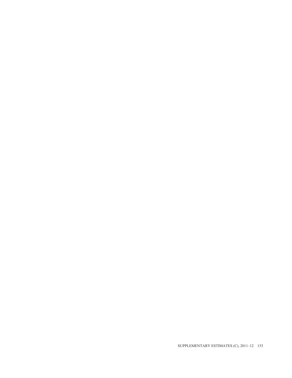SUPPLEMENTARY ESTIMATES (C), 2011–12 153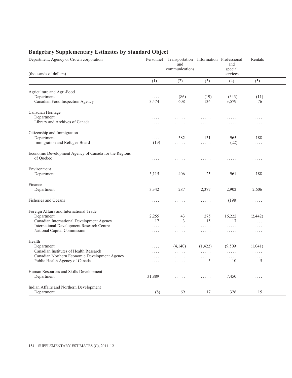| Department, Agency or Crown corporation                 | Personnel   | Transportation Information Professional<br>and<br>communications |                                                                   | and<br>special | Rentals                                                     |  |
|---------------------------------------------------------|-------------|------------------------------------------------------------------|-------------------------------------------------------------------|----------------|-------------------------------------------------------------|--|
| (thousands of dollars)                                  |             |                                                                  |                                                                   | services       |                                                             |  |
|                                                         | (1)         | (2)                                                              | (3)                                                               | (4)            | (5)                                                         |  |
| Agriculture and Agri-Food                               |             |                                                                  |                                                                   |                |                                                             |  |
| Department                                              | .           | (86)                                                             | (19)                                                              | (343)          | (11)                                                        |  |
| Canadian Food Inspection Agency                         | 3,474       | 608                                                              | 134                                                               | 3,579          | 76                                                          |  |
| Canadian Heritage                                       |             |                                                                  |                                                                   |                |                                                             |  |
| Department                                              | .           | .                                                                | .                                                                 | .              | .                                                           |  |
| Library and Archives of Canada                          | .           | .                                                                | .                                                                 | .              | .                                                           |  |
| Citizenship and Immigration                             |             |                                                                  |                                                                   |                |                                                             |  |
| Department                                              | .           | 382                                                              | 131                                                               | 965            | 188                                                         |  |
| Immigration and Refugee Board                           | (19)        | .                                                                | .                                                                 | (22)           | .                                                           |  |
| Economic Development Agency of Canada for the Regions   |             |                                                                  |                                                                   |                |                                                             |  |
| of Quebec                                               | .           | $\sim$ $\sim$ $\sim$ $\sim$ $\sim$                               | $\sim$ $\sim$ $\sim$ $\sim$ $\sim$                                | .              | .                                                           |  |
| Environment                                             |             |                                                                  |                                                                   |                |                                                             |  |
| Department                                              | 3,115       | 406                                                              | 25                                                                | 961            | 188                                                         |  |
| Finance                                                 |             |                                                                  |                                                                   |                |                                                             |  |
| Department                                              | 3,342       | 287                                                              | 2,377                                                             | 2,902          | 2,606                                                       |  |
| Fisheries and Oceans                                    | .           | $\ldots$                                                         | $\sim$ $\sim$ $\sim$ $\sim$ $\sim$                                | (198)          | 1.1.1.1                                                     |  |
|                                                         |             |                                                                  |                                                                   |                |                                                             |  |
| Foreign Affairs and International Trade                 |             |                                                                  |                                                                   |                |                                                             |  |
| Department<br>Canadian International Development Agency | 2,255<br>17 | 43<br>3                                                          | 275<br>15                                                         | 16,222<br>17   | (2, 442)                                                    |  |
| International Development Research Centre               | .           | 1.1.1.1                                                          | 1.1.1.1                                                           | .              | $\mathbb{Z}^2$ . $\mathbb{Z}^2$ , $\mathbb{Z}^2$<br>1.1.1.1 |  |
| National Capital Commission                             | .           | $\ldots$                                                         | $\ldots$                                                          | .              | $\ldots$                                                    |  |
|                                                         |             |                                                                  |                                                                   |                |                                                             |  |
| Health<br>Department                                    | .           | (4,140)                                                          | (1,422)                                                           | (9,509)        | (1,041)                                                     |  |
| Canadian Institutes of Health Research                  | .           | $\ldots$                                                         | $\mathbb{Z}^2$ . $\mathbb{Z}^2$ , $\mathbb{Z}^2$                  | $\ldots$       | $\ldots$                                                    |  |
| Canadian Northern Economic Development Agency           | .           | $\mathbb{Z}^n$ . In the $\mathbb{Z}^n$                           | $\mathbb{Z}^n$ . In the $\mathbb{Z}^n$                            | $\ldots$       | $\mathbb{Z}^2$ . In the $\mathbb{Z}^2$                      |  |
| Public Health Agency of Canada                          | .           | $\mathbb{Z}^n$ . $\mathbb{Z}^n$ , $\mathbb{Z}^n$ ,               | 5                                                                 | 10             | 5                                                           |  |
| Human Resources and Skills Development                  |             |                                                                  |                                                                   |                |                                                             |  |
| Department                                              | 31,889      | .                                                                | $\mathbb{Z}^2$ . $\mathbb{Z}^2$ , $\mathbb{Z}^2$ , $\mathbb{Z}^2$ | 7,450          | .                                                           |  |
| Indian Affairs and Northern Development                 |             |                                                                  |                                                                   |                |                                                             |  |
| Department                                              | (8)         | 69                                                               | 17                                                                | 326            | 15                                                          |  |

### **Budgetary Supplementary Estimates by Standard Object**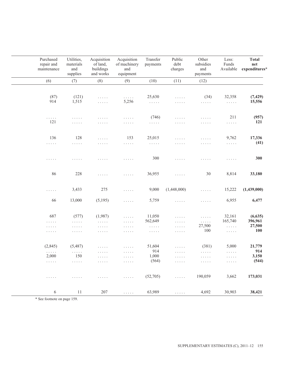| Purchased<br>repair and<br>maintenance | Utilities,<br>materials<br>and<br>supplies | Acquisition<br>of land,<br>buildings<br>and works | Acquisition<br>of machinery<br>and<br>equipment  | Transfer<br>payments               | Public<br>debt<br>charges          | Other<br>subsidies<br>and<br>payments            | Less:<br>Funds<br>Available                      | <b>Total</b><br>net<br>expenditures* |
|----------------------------------------|--------------------------------------------|---------------------------------------------------|--------------------------------------------------|------------------------------------|------------------------------------|--------------------------------------------------|--------------------------------------------------|--------------------------------------|
| (6)                                    | (7)                                        | (8)                                               | (9)                                              | (10)                               | (11)                               | (12)                                             |                                                  |                                      |
|                                        |                                            |                                                   |                                                  |                                    |                                    |                                                  |                                                  |                                      |
| (87)                                   | (121)                                      | .                                                 | .                                                | 25,630                             |                                    | (34)                                             | 32,358                                           | (7, 429)                             |
| 914                                    | 1,515                                      | 1.1.1.1                                           | 5,256                                            | $\alpha$ , $\alpha$ , $\alpha$     | .<br>.                             | .                                                | $\ldots$                                         | 15,556                               |
|                                        |                                            |                                                   |                                                  |                                    |                                    |                                                  |                                                  |                                      |
|                                        | .                                          |                                                   | $\ldots$                                         | (746)                              | .                                  | .                                                | 211                                              | (957)                                |
| .<br>121                               | .                                          | .<br>.                                            | .                                                | .                                  | .                                  | .                                                | .                                                | 121                                  |
|                                        |                                            |                                                   |                                                  |                                    |                                    |                                                  |                                                  |                                      |
| 136                                    | 128                                        | .                                                 | 153                                              | 25,015                             | .                                  | .                                                | 9,762                                            | 17,336                               |
| .                                      | .                                          | .                                                 | $\ldots$                                         | $\alpha$ , $\alpha$ , $\alpha$     | .                                  | .                                                | .                                                | (41)                                 |
|                                        |                                            |                                                   |                                                  |                                    |                                    |                                                  |                                                  |                                      |
|                                        |                                            |                                                   |                                                  | 300                                |                                    | .                                                |                                                  | 300                                  |
| .                                      | .                                          | .                                                 | $\alpha$ is a set of                             |                                    | .                                  |                                                  | $\alpha$ is a set of                             |                                      |
|                                        |                                            |                                                   |                                                  |                                    |                                    |                                                  |                                                  |                                      |
| 86                                     | 228                                        | .                                                 | $\mathbb{Z}^2$ . The set of $\mathbb{Z}^2$       | 36,955                             | .                                  | $30\,$                                           | 8,814                                            | 33,180                               |
| .                                      | 3,433                                      | 275                                               | .                                                | 9,000                              | (1,448,000)                        | .                                                | 15,222                                           | (1,439,000)                          |
|                                        |                                            |                                                   |                                                  |                                    |                                    |                                                  |                                                  |                                      |
| 66                                     | 13,000                                     | (5,195)                                           | .                                                | 5,759                              | .                                  | .                                                | 6,955                                            | 6,477                                |
| 687                                    | (577)                                      | (1,987)                                           | $\mathbb{Z}^2$ . $\mathbb{Z}^2$ , $\mathbb{Z}^2$ | 11,050                             | $\alpha$ , $\alpha$ , $\alpha$     | $\mathbb{Z}^2$ , $\mathbb{Z}^2$ , $\mathbb{Z}^2$ | 32,161                                           | (6,635)                              |
| .                                      | $\ldots$                                   | $\alpha$ is a set of                              | $\alpha$ , $\alpha$ , $\alpha$                   | 562,649                            | $\alpha$ , $\alpha$ , $\alpha$     | $\mathbb{Z}^2$ , $\mathbb{Z}^2$ , $\mathbb{Z}^2$ | 165,740                                          | 396,961                              |
| .                                      | $\sim$ $\sim$ $\sim$ $\sim$ $\sim$         | $\sim$ $\sim$ $\sim$ $\sim$ $\sim$                | $\ldots$                                         | $\alpha$ , $\alpha$ , $\alpha$     | $\alpha$ , $\alpha$ , $\alpha$     | 27,500                                           | $\mathbb{Z}^2$ . $\mathbb{Z}^2$ , $\mathbb{Z}^2$ | 27,500                               |
| .                                      | $\sim$ $\sim$ $\sim$ $\sim$ $\sim$         | $\ldots$                                          | $\sim$ $\sim$ $\sim$ $\sim$ $\sim$               | $\sim$ $\sim$ $\sim$ $\sim$ $\sim$ | $\alpha$ , $\alpha$ , $\alpha$     | 100                                              | $\alpha$ , $\alpha$ , $\alpha$                   | <b>100</b>                           |
| (2,845)                                | (5,487)                                    | .                                                 | 1.1.1.1                                          | 51,604                             | 1.1.1.1                            | (381)                                            | 5,000                                            | 21,779                               |
| .                                      | .                                          | .                                                 | 1.1.1.1                                          | 914                                | 1.1.1.1                            | .                                                | $\ldots$                                         | 914                                  |
| 2,000                                  | 150                                        | .                                                 | $\ldots$                                         | 1,000                              | $\sim$ $\sim$ $\sim$ $\sim$ $\sim$ | .                                                | $\mathbb{Z}^2$ . $\mathbb{Z}^2$ , $\mathbb{Z}^2$ | 3,150                                |
| $\ldots$ .                             | .                                          | .                                                 | .                                                | (564)                              | .                                  | .                                                | $\ldots$                                         | (544)                                |
| .                                      | .                                          | .                                                 | $\sim$ $\sim$ $\sim$ $\sim$ $\sim$               | (52,705)                           | $\ldots$                           | 190,059                                          | 3,662                                            | 173,031                              |
| 6                                      | 11                                         | 207                                               | $\ldots$                                         | 63,989                             | $\ldots$                           | 4,692                                            | 30,903                                           | 38,421                               |

\* See footnote on page 159.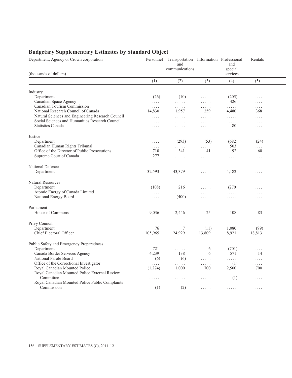| Department, Agency or Crown corporation           | Personnel | Transportation Information Professional<br>and<br>communications |                                                  | and<br>special                     | Rentals                                                           |  |
|---------------------------------------------------|-----------|------------------------------------------------------------------|--------------------------------------------------|------------------------------------|-------------------------------------------------------------------|--|
| (thousands of dollars)                            |           |                                                                  |                                                  | services                           |                                                                   |  |
|                                                   | (1)       | (2)                                                              | (3)                                              | (4)                                | (5)                                                               |  |
| Industry                                          |           |                                                                  |                                                  |                                    |                                                                   |  |
| Department                                        | (26)      | (10)                                                             | $\ldots$                                         | (205)                              | $\mathbb{Z}^2$ . $\mathbb{Z}^2$ , $\mathbb{Z}^2$ , $\mathbb{Z}^2$ |  |
| Canadian Space Agency                             | .         | $\ldots$                                                         | .                                                | 426                                | .                                                                 |  |
| Canadian Tourism Commission                       | .         | $\ldots$                                                         | $\mathbb{Z}^2$ . $\mathbb{Z}^2$ , $\mathbb{Z}^2$ | 1.1.1.1                            | $\mathbb{Z}^2$ . The set of $\mathbb{Z}^2$                        |  |
| National Research Council of Canada               | 14,830    | 1,957                                                            | 259                                              | 4,480                              | 368                                                               |  |
| Natural Sciences and Engineering Research Council | .         | $\ldots$                                                         | $\ldots$                                         | $\ldots$                           | $\ldots$                                                          |  |
| Social Sciences and Humanities Research Council   | .         | $\mathbb{Z}^2$ . The set of $\mathbb{Z}^2$                       | 1.1.1.1                                          | .                                  | $\mathbb{Z}^2$ . $\mathbb{Z}^2$ , $\mathbb{Z}^2$ , $\mathbb{Z}^2$ |  |
| <b>Statistics Canada</b>                          | .         | $\mathbb{Z}^n$ . $\mathbb{Z}^n$ , $\mathbb{Z}^n$ ,               | 1.1.1.1                                          | 80                                 | $\mathbb{Z}^2$ . $\mathbb{Z}^2$ , $\mathbb{Z}^2$ , $\mathbb{Z}^2$ |  |
| Justice                                           |           |                                                                  |                                                  |                                    |                                                                   |  |
| Department                                        | .         | (293)                                                            | (53)                                             | (682)                              | (24)                                                              |  |
| Canadian Human Rights Tribunal                    | .         | .                                                                | $\mathbb{Z}^2$ . The same                        | 503                                | $\ldots$                                                          |  |
| Office of the Director of Public Prosecutions     | 710       | 341                                                              | 41                                               | 92                                 | 60                                                                |  |
| Supreme Court of Canada                           | 277       | $\ldots$                                                         | .                                                | .                                  | $\ldots$                                                          |  |
| National Defence                                  |           |                                                                  |                                                  |                                    |                                                                   |  |
| Department                                        | 32,593    | 43,379                                                           | 1.1.1.1                                          | 4,182                              | .                                                                 |  |
| <b>Natural Resources</b>                          |           |                                                                  |                                                  |                                    |                                                                   |  |
| Department                                        | (108)     | 216                                                              | .                                                | (270)                              | .                                                                 |  |
| Atomic Energy of Canada Limited                   | .         | .                                                                | $\sim$ $\sim$ $\sim$ $\sim$ $\sim$               | $\cdots$                           | $\mathbb{Z}^n$ . In the $\mathbb{Z}^n$                            |  |
| National Energy Board                             | .         | (400)                                                            | $\alpha$ , $\alpha$ , $\alpha$ , $\alpha$        | $\sim$ $\sim$ $\sim$ $\sim$ $\sim$ | $\mathbb{Z}^n$ . In the $\mathbb{Z}^n$                            |  |
| Parliament                                        |           |                                                                  |                                                  |                                    |                                                                   |  |
| House of Commons                                  | 9,036     | 2,446                                                            | 25                                               | 108                                | 83                                                                |  |
| Privy Council                                     |           |                                                                  |                                                  |                                    |                                                                   |  |
| Department                                        | 76        | 7                                                                | (11)                                             | 1,080                              | (99)                                                              |  |
| Chief Electoral Officer                           | 105,965   | 24,929                                                           | 13,809                                           | 8,921                              | 18,813                                                            |  |
| Public Safety and Emergency Preparedness          |           |                                                                  |                                                  |                                    |                                                                   |  |
| Department                                        | 721       | 1.1.1.1                                                          | 6                                                | (701)                              | .                                                                 |  |
| Canada Border Services Agency                     | 4,239     | 138                                                              | 6                                                | 571                                | 14                                                                |  |
| National Parole Board                             | (6)       | (6)                                                              | .                                                | .                                  | $\ldots$                                                          |  |
| Office of the Correctional Investigator           | .         | .                                                                | .                                                | (1)                                | .                                                                 |  |
| Royal Canadian Mounted Police                     | (1,274)   | 1,000                                                            | 700                                              | 2,500                              | 700                                                               |  |
| Royal Canadian Mounted Police External Review     |           |                                                                  |                                                  |                                    |                                                                   |  |
| Committee                                         | .         | $\ldots$                                                         | .                                                | (1)                                | $\ldots$                                                          |  |
| Royal Canadian Mounted Police Public Complaints   |           |                                                                  |                                                  |                                    |                                                                   |  |
| Commission                                        | (1)       | (2)                                                              | 1.1.1.1                                          | 1.1.1.1                            | .                                                                 |  |

### **Budgetary Supplementary Estimates by Standard Object**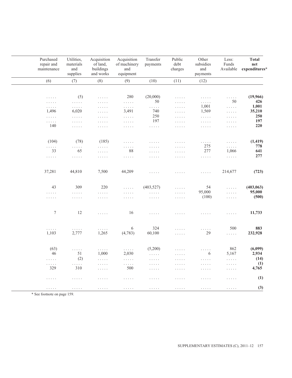| Purchased<br>repair and<br>maintenance | Utilities,<br>materials<br>and<br>supplies | Acquisition<br>of land,<br>buildings<br>and works | Acquisition<br>of machinery<br>and<br>equipment  | Transfer<br>payments                             | Public<br>debt<br>charges                  | Other<br>subsidies<br>and<br>payments            | Less:<br>Funds<br>Available                      | <b>Total</b><br>net<br>expenditures* |
|----------------------------------------|--------------------------------------------|---------------------------------------------------|--------------------------------------------------|--------------------------------------------------|--------------------------------------------|--------------------------------------------------|--------------------------------------------------|--------------------------------------|
| (6)                                    | (7)                                        | (8)                                               | (9)                                              | (10)                                             | (11)                                       | (12)                                             |                                                  |                                      |
|                                        |                                            |                                                   |                                                  |                                                  |                                            |                                                  |                                                  |                                      |
| $\ldots$                               | (5)                                        | $\alpha$ , $\alpha$ , $\alpha$                    | 280                                              | (20,000)                                         | $\alpha$ is a set of                       | $\ldots$                                         | $\ldots$                                         | (19,966)                             |
| $\sim$ $\sim$ $\sim$ $\sim$ $\sim$     | .                                          | $\cdots$                                          | .                                                | 50                                               | $\sim$ $\sim$ $\sim$ $\sim$ $\sim$         | .                                                | 50                                               | 426                                  |
| $\ldots$                               | .                                          | .                                                 | .                                                | .                                                | $\ldots$                                   | 1,001                                            | .                                                | 1,001                                |
| 1,496                                  | 6,020                                      | 1.1.1.1                                           | 3,491                                            | 740                                              | $\mathbb{Z}^2$ . The set of $\mathbb{Z}^2$ | 1,569                                            | $\ldots$                                         | 35,210                               |
| $\alpha$ is a set of                   | $\ldots$                                   | $\ldots$                                          | .                                                | 250                                              | $\sim$ $\sim$ $\sim$ $\sim$ $\sim$         | $\alpha$ is a set of                             | $\ldots$                                         | <b>250</b>                           |
| .                                      | 1.1.1.1                                    | $\ldots$                                          | .                                                | 197                                              | $\ldots$                                   | $\mathbb{Z}^2$ . $\mathbb{Z}^2$ , $\mathbb{Z}^2$ | 1.1.1.1                                          | 197                                  |
| 140                                    | $\sim$ $\sim$ $\sim$ $\sim$ $\sim$         | .                                                 | $\ldots$                                         | $\ldots$                                         | $\sim$ $\sim$ $\sim$ $\sim$ $\sim$         | $\ldots$                                         | $\ldots$                                         | 220                                  |
| (104)                                  | (78)                                       | (185)                                             | $\mathbb{Z}^2$ . The set of $\mathbb{Z}^2$       |                                                  |                                            |                                                  | $\ldots$                                         | (1, 419)                             |
| $\ldots$                               | .                                          |                                                   |                                                  | $\ldots$                                         | $\ldots$                                   | .<br>275                                         | $\ldots$                                         | 778                                  |
| 33                                     | 65                                         | $\ldots$<br>$\ldots$                              | .<br>88                                          | $\sim$ $\sim$ $\sim$ $\sim$ $\sim$               | $\ldots$                                   | 277                                              | 1,066                                            | 641                                  |
|                                        | .                                          |                                                   |                                                  | $\ldots$                                         | $\sim$ $\sim$ $\sim$ $\sim$ $\sim$         |                                                  | $\ldots$                                         | 277                                  |
| $\ldots$                               |                                            | $\sim$ $\sim$ $\sim$ $\sim$                       | $\mathbb{R}^n$ . $\mathbb{R}^n$ , $\mathbb{R}^n$ | $\sim$ $\sim$ $\sim$ $\sim$ $\sim$               | $\sim$ $\sim$ $\sim$ $\sim$ $\sim$         | $\ldots$                                         |                                                  |                                      |
| 37,281                                 | 44,810                                     | 7,500                                             | 44,209                                           | $\ldots$                                         | 1.1.1.1                                    | 1.1.1.1                                          | 214,677                                          | (723)                                |
| 43                                     | 309                                        | 220                                               | 1.1.1.1                                          | (403, 527)                                       | 1.1.1.1                                    | 54                                               | 1.1.1.1                                          | (403, 063)                           |
| $\ldots$                               | $\sim$ $\sim$ $\sim$ $\sim$                | $\ldots$                                          | $\sim$ $\sim$ $\sim$ $\sim$ $\sim$               | $\ldots$                                         | $\sim$ $\sim$ $\sim$ $\sim$                | 95,000                                           | $\ldots$                                         | 95,000                               |
| .                                      | .                                          | .                                                 | $\sim$ $\sim$ $\sim$ $\sim$ $\sim$               | $\ldots$                                         | $\ldots$                                   | (100)                                            | $\ldots$                                         | (500)                                |
| $\tau$                                 | 12                                         | .                                                 | 16                                               | $\ldots$                                         | 1.1.1.1                                    | .                                                | $\ldots$                                         | 11,733                               |
| .                                      | .                                          | .                                                 | 6                                                | 324                                              | .                                          | .                                                | 500                                              | 883                                  |
| 1,103                                  | 2,777                                      | 1,265                                             | (4,783)                                          | 60,100                                           | 1.1.1.1                                    | 29                                               | $\ldots$                                         | 232,928                              |
|                                        |                                            |                                                   |                                                  |                                                  |                                            |                                                  |                                                  |                                      |
| (63)                                   | .                                          | .                                                 | $\ldots$                                         | (5,200)                                          | 1.1.1.1                                    | .                                                | 862                                              | (6,099)                              |
| 46                                     | 51                                         | 1,000                                             | 2,030                                            | $\mathbb{Z}^2$ . $\mathbb{Z}^2$ , $\mathbb{Z}^2$ | $\mathbb{Z}^2$ . The set of $\mathbb{Z}^2$ | 6                                                | 5,167                                            | 2,934                                |
| $\ldots$                               | (2)                                        | $\sim$ $\sim$ $\sim$ $\sim$                       | $\mathbb{Z}^2$ , $\mathbb{Z}^2$ , $\mathbb{Z}^2$ | $\sim$ $\sim$ $\sim$ $\sim$ $\sim$               | $\sim$ $\sim$ $\sim$ $\sim$ $\sim$         | $\ldots$                                         | .                                                | (14)                                 |
| $\ldots$                               | .                                          | .                                                 | .                                                | $\mathbb{Z}^n$ . In the $\mathbb{Z}^n$           | $\sim$ $\sim$ $\sim$ $\sim$ $\sim$         | $\mathbb{Z}^n$ . In the $\mathbb{Z}^n$           | $\mathbb{Z}^2$ . $\mathbb{Z}^2$ , $\mathbb{Z}^2$ | (1)                                  |
| 329                                    | 310                                        | $\mathbb{Z}^2$ . $\mathbb{Z}^2$ , $\mathbb{Z}^2$  | 500                                              | $\ldots$                                         | $\ldots$                                   | $\ldots$                                         | $\sim$ $\sim$ $\sim$ $\sim$ $\sim$               | 4,765                                |
| $\ldots$                               | $\ldots$                                   | $\cdots$                                          | $\mathbb{Z}^n$ . In the $\mathbb{Z}^n$           | $\mathbb{Z}^n$ . In the $\mathbb{Z}^n$           | $\sim$ $\sim$ $\sim$ $\sim$ $\sim$         | $\cdots$                                         | $\sim$ $\sim$ $\sim$ $\sim$ $\sim$               | (1)                                  |
| $\sim$ $\sim$ $\sim$ $\sim$ $\sim$     | $\sim$ $\sim$ $\sim$ $\sim$ $\sim$         | .                                                 | $\sim$ $\sim$ $\sim$ $\sim$ $\sim$               | $\ldots$                                         | $\sim$ $\sim$ $\sim$ $\sim$ $\sim$         | $\ldots$                                         | $\ldots$                                         | (3)                                  |

\* See footnote on page 159.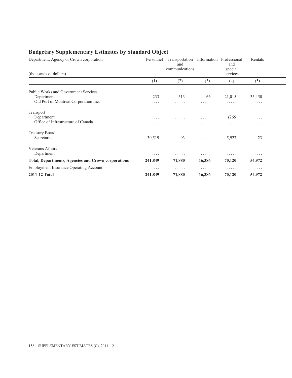| Department, Agency or Crown corporation<br>(thousands of dollars) | Personnel | Transportation<br>and<br>communications | Information Professional | and<br>special<br>services | Rentals |  |
|-------------------------------------------------------------------|-----------|-----------------------------------------|--------------------------|----------------------------|---------|--|
|                                                                   | (1)       | (2)                                     | (3)                      | (4)                        | (5)     |  |
| <b>Public Works and Government Services</b>                       |           |                                         |                          |                            |         |  |
| Department                                                        | 233       | 513                                     | 66                       | 21,015                     | 35,450  |  |
| Old Port of Montreal Corporation Inc.                             | .         | .                                       | .                        | .                          | .       |  |
| Transport                                                         |           |                                         |                          |                            |         |  |
| Department                                                        | .         | .                                       | .                        | (265)                      | .       |  |
| Office of Infrastructure of Canada                                | .         | .                                       | .                        | .                          | .       |  |
| <b>Treasury Board</b>                                             |           |                                         |                          |                            |         |  |
| Secretariat                                                       | 30,519    | 93                                      | .                        | 5,927                      | 23      |  |
| Veterans Affairs                                                  |           |                                         |                          |                            |         |  |
| Department                                                        | .         | .                                       | .                        | .                          | .       |  |
| <b>Total, Departments, Agencies and Crown corporations</b>        | 241,849   | 71,880                                  | 16,386                   | 70,120                     | 54,972  |  |
| <b>Employment Insurance Operating Account</b>                     | .         | .                                       | .                        | .                          | .       |  |
| 2011-12 Total                                                     | 241,849   | 71,880                                  | 16,386                   | 70,120                     | 54,972  |  |

### **Budgetary Supplementary Estimates by Standard Object**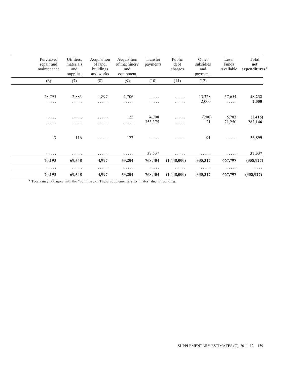| Purchased<br>repair and<br>maintenance | Utilities,<br>materials<br>and<br>supplies | Acquisition<br>of land,<br>buildings<br>and works | Acquisition<br>of machinery<br>and<br>equipment | Transfer<br>payments | Public<br>debt<br>charges | Other<br>subsidies<br>and<br>payments | Less:<br>Funds<br>Available | <b>Total</b><br>net<br>expenditures* |
|----------------------------------------|--------------------------------------------|---------------------------------------------------|-------------------------------------------------|----------------------|---------------------------|---------------------------------------|-----------------------------|--------------------------------------|
| (6)                                    | (7)                                        | (8)                                               | (9)                                             | (10)                 | (11)                      | (12)                                  |                             |                                      |
| 28,795<br>.                            | 2,883<br>.                                 | 1,897<br>.                                        | 1,706<br>.                                      | .<br>.               | .<br>.                    | 13,328<br>2,000                       | 57,654<br>$\cdots$          | 48,232<br>2,000                      |
| .<br>.                                 | .                                          | .<br>.                                            | 125<br>.                                        | 4,708<br>353,375     | .<br>.                    | (200)<br>21                           | 5,783<br>71,250             | (1, 415)<br>282,146                  |
| 3                                      | 116                                        | .                                                 | 127                                             | .                    | .                         | 91                                    | .                           | 36,899                               |
| .                                      | .                                          | .                                                 | .                                               | 37,537               | .                         | .                                     | .                           | 37,537                               |
| 70,193                                 | 69,548                                     | 4,997                                             | 53,204                                          | 768,404              | (1,448,000)               | 335,317                               | 667,797                     | (358, 927)                           |
| .<br>70,193                            | .<br>69,548                                | .<br>4,997                                        | .<br>53,204                                     | .<br>768,404         | .<br>(1,448,000)          | .<br>335,317                          | .<br>667,797                | .<br>(358, 927)                      |

\* Totals may not agree with the "Summary of These Supplementary Estimates" due to rounding.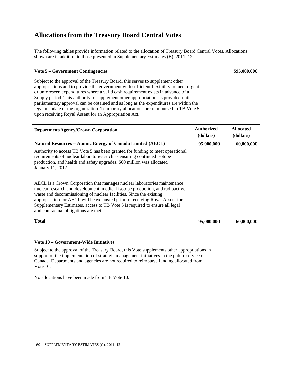The following tables provide information related to the allocation of Treasury Board Central Votes. Allocations shown are in addition to those presented in Supplementary Estimates (B), 2011–12.

### **Vote 5 – Government Contingencies \$95,000,000**

Subject to the approval of the Treasury Board, this serves to supplement other appropriations and to provide the government with sufficient flexibility to meet urgent or unforeseen expenditures where a valid cash requirement exists in advance of a Supply period. This authority to supplement other appropriations is provided until parliamentary approval can be obtained and as long as the expenditures are within the legal mandate of the organization. Temporary allocations are reimbursed to TB Vote 5 upon receiving Royal Assent for an Appropriation Act.

| Department/Agency/Crown Corporation                                                                                                                                                                                                                                                                                                                                                                                                        | <b>Authorized</b><br>(dollars) | <b>Allocated</b><br>(dollars) |
|--------------------------------------------------------------------------------------------------------------------------------------------------------------------------------------------------------------------------------------------------------------------------------------------------------------------------------------------------------------------------------------------------------------------------------------------|--------------------------------|-------------------------------|
| Natural Resources – Atomic Energy of Canada Limited (AECL)<br>Authority to access TB Vote 5 has been granted for funding to meet operational<br>requirements of nuclear laboratories such as ensuring continued isotope<br>production, and health and safety upgrades. \$60 million was allocated<br>January 11, 2012.                                                                                                                     | 95,000,000                     | 60,000,000                    |
| AECL is a Crown Corporation that manages nuclear laboratories maintenance,<br>nuclear research and development, medical isotope production, and radioactive<br>waste and decommissioning of nuclear facilities. Since the existing<br>appropriation for AECL will be exhausted prior to receiving Royal Assent for<br>Supplementary Estimates, access to TB Vote 5 is required to ensure all legal<br>and contractual obligations are met. |                                |                               |
| <b>Total</b>                                                                                                                                                                                                                                                                                                                                                                                                                               | 95,000,000                     | 60,000,000                    |

#### **Vote 10 – Government-Wide Initiatives**

Subject to the approval of the Treasury Board, this Vote supplements other appropriations in support of the implementation of strategic management initiatives in the public service of Canada. Departments and agencies are not required to reimburse funding allocated from Vote 10.

No allocations have been made from TB Vote 10.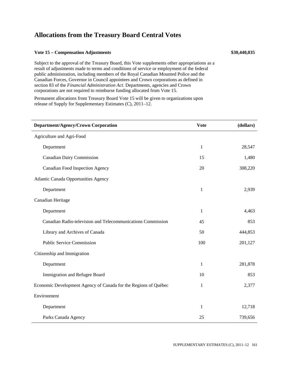### **Vote 15 – Compensation Adjustments \$30,440,035**

Subject to the approval of the Treasury Board, this Vote supplements other appropriations as a result of adjustments made to terms and conditions of service or employment of the federal public administration, including members of the Royal Canadian Mounted Police and the Canadian Forces, Governor in Council appointees and Crown corporations as defined in section 83 of the *Financial Administration Act*. Departments, agencies and Crown corporations are not required to reimburse funding allocated from Vote 15.

Permanent allocations from Treasury Board Vote 15 will be given to organizations upon release of Supply for Supplementary Estimates (C), 2011–12.

| Department/Agency/Crown Corporation                             | <b>Vote</b>  | (dollars) |
|-----------------------------------------------------------------|--------------|-----------|
| Agriculture and Agri-Food                                       |              |           |
| Department                                                      | $\mathbf{1}$ | 28,547    |
| <b>Canadian Dairy Commission</b>                                | 15           | 1,480     |
| <b>Canadian Food Inspection Agency</b>                          | 20           | 308,220   |
| Atlantic Canada Opportunities Agency                            |              |           |
| Department                                                      | $\,1$        | 2,939     |
| Canadian Heritage                                               |              |           |
| Department                                                      | $\mathbf{1}$ | 4,463     |
| Canadian Radio-television and Telecommunications Commission     | 45           | 853       |
| Library and Archives of Canada                                  | 50           | 444,853   |
| <b>Public Service Commission</b>                                | 100          | 201,127   |
| Citizenship and Immigration                                     |              |           |
| Department                                                      | $\mathbf{1}$ | 281,878   |
| Immigration and Refugee Board                                   | 10           | 853       |
| Economic Development Agency of Canada for the Regions of Québec | $\mathbf{1}$ | 2,377     |
| Environment                                                     |              |           |
| Department                                                      | $\mathbf{1}$ | 12,718    |
| Parks Canada Agency                                             | 25           | 739,656   |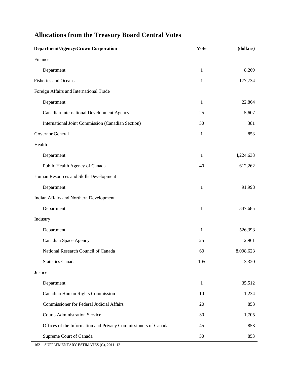| Department/Agency/Crown Corporation                            | <b>Vote</b>  | (dollars) |
|----------------------------------------------------------------|--------------|-----------|
| Finance                                                        |              |           |
| Department                                                     | 1            | 8,269     |
| Fisheries and Oceans                                           | $\mathbf{1}$ | 177,734   |
| Foreign Affairs and International Trade                        |              |           |
| Department                                                     | 1            | 22,864    |
| Canadian International Development Agency                      | 25           | 5,607     |
| International Joint Commission (Canadian Section)              | 50           | 381       |
| Governor General                                               | $\mathbf{1}$ | 853       |
| Health                                                         |              |           |
| Department                                                     | 1            | 4,224,638 |
| Public Health Agency of Canada                                 | 40           | 612,262   |
| Human Resources and Skills Development                         |              |           |
| Department                                                     | 1            | 91,998    |
| Indian Affairs and Northern Development                        |              |           |
| Department                                                     | $\mathbf{1}$ | 347,685   |
| Industry                                                       |              |           |
| Department                                                     | 1            | 526,393   |
| <b>Canadian Space Agency</b>                                   | 25           | 12,961    |
| National Research Council of Canada                            | 60           | 8,098,623 |
| <b>Statistics Canada</b>                                       | 105          | 3,320     |
| Justice                                                        |              |           |
| Department                                                     | 1            | 35,512    |
| Canadian Human Rights Commission                               | 10           | 1,234     |
| <b>Commissioner for Federal Judicial Affairs</b>               | 20           | 853       |
| <b>Courts Administration Service</b>                           | 30           | 1,705     |
| Offices of the Information and Privacy Commissioners of Canada | 45           | 853       |
| Supreme Court of Canada                                        | 50           | 853       |

162 SUPPLEMENTARY ESTIMATES (C), 2011–12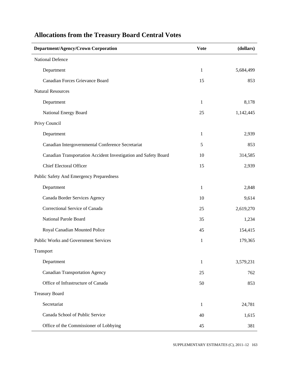| Department/Agency/Crown Corporation                             | <b>Vote</b> | (dollars) |
|-----------------------------------------------------------------|-------------|-----------|
| National Defence                                                |             |           |
| Department                                                      | 1           | 5,684,499 |
| Canadian Forces Grievance Board                                 | 15          | 853       |
| <b>Natural Resources</b>                                        |             |           |
| Department                                                      | 1           | 8,178     |
| National Energy Board                                           | 25          | 1,142,445 |
| Privy Council                                                   |             |           |
| Department                                                      | 1           | 2,939     |
| Canadian Intergovernmental Conference Secretariat               | 5           | 853       |
| Canadian Transportation Accident Investigation and Safety Board | 10          | 314,585   |
| <b>Chief Electoral Officer</b>                                  | 15          | 2,939     |
| Public Safety And Emergency Preparedness                        |             |           |
| Department                                                      | 1           | 2,848     |
| Canada Border Services Agency                                   | 10          | 9,614     |
| Correctional Service of Canada                                  | 25          | 2,619,270 |
| National Parole Board                                           | 35          | 1,234     |
| Royal Canadian Mounted Police                                   | 45          | 154,415   |
| <b>Public Works and Government Services</b>                     | 1           | 179,365   |
| Transport                                                       |             |           |
| Department                                                      | 1           | 3,579,231 |
| <b>Canadian Transportation Agency</b>                           | 25          | 762       |
| Office of Infrastructure of Canada                              | 50          | 853       |
| <b>Treasury Board</b>                                           |             |           |
| Secretariat                                                     | 1           | 24,781    |
| Canada School of Public Service                                 | 40          | 1,615     |
| Office of the Commissioner of Lobbying                          | 45          | 381       |

SUPPLEMENTARY ESTIMATES (C), 2011–12 163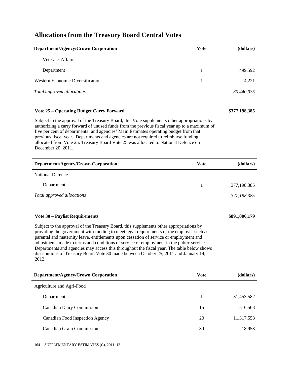| <b>Department/Agency/Crown Corporation</b>                                                                                                                                                                                                                                                                                                                                                                                                                                                                                             | <b>Vote</b>  | (dollars)     |
|----------------------------------------------------------------------------------------------------------------------------------------------------------------------------------------------------------------------------------------------------------------------------------------------------------------------------------------------------------------------------------------------------------------------------------------------------------------------------------------------------------------------------------------|--------------|---------------|
| <b>Veterans Affairs</b>                                                                                                                                                                                                                                                                                                                                                                                                                                                                                                                |              |               |
| Department                                                                                                                                                                                                                                                                                                                                                                                                                                                                                                                             | 1            | 499,592       |
| <b>Western Economic Diversification</b>                                                                                                                                                                                                                                                                                                                                                                                                                                                                                                | 1            | 4,221         |
| Total approved allocations                                                                                                                                                                                                                                                                                                                                                                                                                                                                                                             |              | 30,440,035    |
| Vote 25 - Operating Budget Carry Forward<br>Subject to the approval of the Treasury Board, this Vote supplements other appropriations by<br>authorizing a carry forward of unused funds from the previous fiscal year up to a maximum of<br>five per cent of departments' and agencies' Main Estimates operating budget from that<br>previous fiscal year. Departments and agencies are not required to reimburse funding<br>allocated from Vote 25. Treasury Board Vote 25 was allocated to National Defence on<br>December 20, 2011. |              | \$377,198,385 |
| <b>Department/Agency/Crown Corporation</b>                                                                                                                                                                                                                                                                                                                                                                                                                                                                                             | <b>V</b> ote | (dollars)     |
| <b>National Defence</b>                                                                                                                                                                                                                                                                                                                                                                                                                                                                                                                |              |               |
| Department                                                                                                                                                                                                                                                                                                                                                                                                                                                                                                                             | 1            | 377,198,385   |
| Total approved allocations                                                                                                                                                                                                                                                                                                                                                                                                                                                                                                             |              | 377,198,385   |
| <b>Vote 30 - Paylist Requirements</b><br>Subject to the approval of the Treasury Board, this supplements other appropriations by<br>providing the government with funding to meet legal requirements of the employer such as<br>parental and maternity leave, entitlements upon cessation of service or employment and                                                                                                                                                                                                                 |              | \$891,006,179 |

Departments and agencies may access this throughout the fiscal year. The table below shows distributions of Treasury Board Vote 30 made between October 25, 2011 and January 14, 2012. **Department/Agency/Crown Corporation Vote** Vote (dollars)

adjustments made to terms and conditions of service or employment in the public service.

| Agriculture and Agri-Food        |    |            |
|----------------------------------|----|------------|
| Department                       |    | 31,453,582 |
| <b>Canadian Dairy Commission</b> | 15 | 516,563    |
| Canadian Food Inspection Agency  | 20 | 11,317,553 |
| Canadian Grain Commission        | 30 | 18,958     |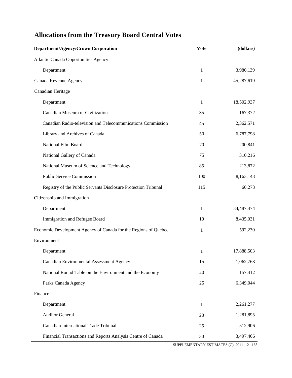| Department/Agency/Crown Corporation                             | <b>Vote</b>  | (dollars)  |
|-----------------------------------------------------------------|--------------|------------|
| Atlantic Canada Opportunities Agency                            |              |            |
| Department                                                      | 1            | 3,980,139  |
| Canada Revenue Agency                                           | $\mathbf{1}$ | 45,287,619 |
| Canadian Heritage                                               |              |            |
| Department                                                      | 1            | 18,502,937 |
| Canadian Museum of Civilization                                 | 35           | 167,372    |
| Canadian Radio-television and Telecommunications Commission     | 45           | 2,362,571  |
| Library and Archives of Canada                                  | 50           | 6,787,798  |
| National Film Board                                             | 70           | 200,841    |
| National Gallery of Canada                                      | 75           | 310,216    |
| National Museum of Science and Technology                       | 85           | 213,872    |
| <b>Public Service Commission</b>                                | 100          | 8,163,143  |
| Registry of the Public Servants Disclosure Protection Tribunal  | 115          | 60,273     |
| Citizenship and Immigration                                     |              |            |
| Department                                                      | $\mathbf{1}$ | 34,487,474 |
| Immigration and Refugee Board                                   | 10           | 8,435,031  |
| Economic Development Agency of Canada for the Regions of Quebec | 1            | 592,230    |
| Environment                                                     |              |            |
| Department                                                      | 1            | 17,888,503 |
| Canadian Environmental Assessment Agency                        | 15           | 1,062,763  |
| National Round Table on the Environment and the Economy         | 20           | 157,412    |
| Parks Canada Agency                                             | 25           | 6,349,044  |
| Finance                                                         |              |            |
| Department                                                      | 1            | 2,261,277  |
| <b>Auditor General</b>                                          | 20           | 1,281,895  |
| Canadian International Trade Tribunal                           | 25           | 512,906    |
| Financial Transactions and Reports Analysis Centre of Canada    | 30           | 3,497,466  |

SUPPLEMENTARY ESTIMATES (C), 2011–12 165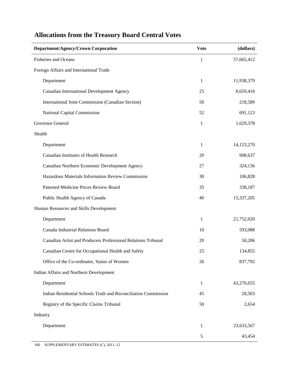| <b>Department/Agency/Crown Corporation</b>                     | <b>Vote</b>  | (dollars)  |
|----------------------------------------------------------------|--------------|------------|
| <b>Fisheries and Oceans</b>                                    | $\mathbf{1}$ | 57,665,412 |
| Foreign Affairs and International Trade                        |              |            |
| Department                                                     | 1            | 11,938,379 |
| Canadian International Development Agency                      | 25           | 8,659,416  |
| International Joint Commission (Canadian Section)              | 50           | 218,589    |
| National Capital Commission                                    | 52           | 691,123    |
| Governor General                                               | $\mathbf{1}$ | 1,629,378  |
| Health                                                         |              |            |
| Department                                                     | 1            | 14,123,270 |
| Canadian Institutes of Health Research                         | 20           | 908,637    |
| Canadian Northern Economic Development Agency                  | 27           | 324,136    |
| Hazardous Materials Information Review Commission              | 30           | 106,828    |
| Patented Medicine Prices Review Board                          | 35           | 338,187    |
| Public Health Agency of Canada                                 | 40           | 15,337,205 |
| Human Resources and Skills Development                         |              |            |
| Department                                                     | $\mathbf{1}$ | 21,752,020 |
| Canada Industrial Relations Board                              | 10           | 593,088    |
| Canadian Artist and Producers Professional Relations Tribunal  | 20           | 50,206     |
| Canadian Centre for Occupational Health and Safety             | 25           | 134,855    |
| Office of the Co-ordinator, Status of Women                    | 26           | 837,792    |
| Indian Affairs and Northern Development                        |              |            |
| Department                                                     | 1            | 43,276,655 |
| Indian Residential Schools Truth and Reconciliation Commission | 45           | 28,503     |
| Registry of the Specific Claims Tribunal                       | 50           | 2,654      |
| Industry                                                       |              |            |
| Department                                                     | $\mathbf{1}$ | 23,633,567 |
|                                                                | 5            | 43,454     |

166 SUPPLEMENTARY ESTIMATES (C), 2011–12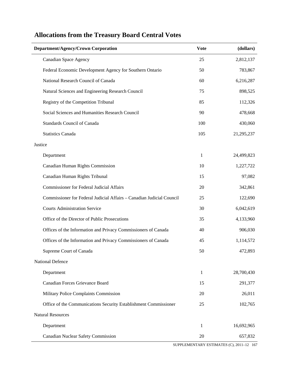| Department/Agency/Crown Corporation                                   | <b>Vote</b> | (dollars)  |
|-----------------------------------------------------------------------|-------------|------------|
| <b>Canadian Space Agency</b>                                          | 25          | 2,812,137  |
| Federal Economic Development Agency for Southern Ontario              | 50          | 783,867    |
| National Research Council of Canada                                   | 60          | 6,216,287  |
| Natural Sciences and Engineering Research Council                     | 75          | 898,525    |
| Registry of the Competition Tribunal                                  | 85          | 112,326    |
| Social Sciences and Humanities Research Council                       | 90          | 478,668    |
| <b>Standards Council of Canada</b>                                    | 100         | 430,060    |
| <b>Statistics Canada</b>                                              | 105         | 21,295,237 |
| Justice                                                               |             |            |
| Department                                                            | 1           | 24,499,823 |
| Canadian Human Rights Commission                                      | 10          | 1,227,722  |
| Canadian Human Rights Tribunal                                        | 15          | 97,082     |
| <b>Commissioner for Federal Judicial Affairs</b>                      | 20          | 342,861    |
| Commissioner for Federal Judicial Affairs - Canadian Judicial Council | 25          | 122,690    |
| <b>Courts Administration Service</b>                                  | 30          | 6,042,619  |
| Office of the Director of Public Prosecutions                         | 35          | 4,133,960  |
| Offices of the Information and Privacy Commissioners of Canada        | 40          | 906,030    |
| Offices of the Information and Privacy Commissioners of Canada        | 45          | 1,114,572  |
| Supreme Court of Canada                                               | 50          | 472,893    |
| National Defence                                                      |             |            |
| Department                                                            | 1           | 28,700,430 |
| Canadian Forces Grievance Board                                       | 15          | 291,377    |
| Military Police Complaints Commission                                 | 20          | 26,011     |
| Office of the Communications Security Establishment Commissioner      | 25          | 102,765    |
| <b>Natural Resources</b>                                              |             |            |
| Department                                                            | 1           | 16,692,965 |
| Canadian Nuclear Safety Commission                                    | 20          | 657,832    |

SUPPLEMENTARY ESTIMATES (C), 2011–12 167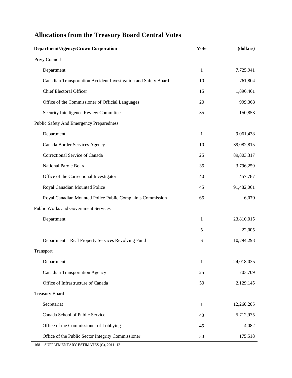| Department/Agency/Crown Corporation                             | <b>Vote</b> | (dollars)  |
|-----------------------------------------------------------------|-------------|------------|
| Privy Council                                                   |             |            |
| Department                                                      | 1           | 7,725,941  |
| Canadian Transportation Accident Investigation and Safety Board | 10          | 761,804    |
| Chief Electoral Officer                                         | 15          | 1,896,461  |
| Office of the Commissioner of Official Languages                | 20          | 999,368    |
| Security Intelligence Review Committee                          | 35          | 150,853    |
| Public Safety And Emergency Preparedness                        |             |            |
| Department                                                      | 1           | 9,061,438  |
| Canada Border Services Agency                                   | 10          | 39,082,815 |
| Correctional Service of Canada                                  | 25          | 89,803,317 |
| National Parole Board                                           | 35          | 3,796,259  |
| Office of the Correctional Investigator                         | 40          | 457,787    |
| Royal Canadian Mounted Police                                   | 45          | 91,482,061 |
| Royal Canadian Mounted Police Public Complaints Commission      | 65          | 6,070      |
| Public Works and Government Services                            |             |            |
| Department                                                      | 1           | 23,810,015 |
|                                                                 | $\sqrt{5}$  | 22,005     |
| Department - Real Property Services Revolving Fund              | ${\bf S}$   | 10,794,293 |
| Transport                                                       |             |            |
| Department                                                      | 1           | 24,018,035 |
| <b>Canadian Transportation Agency</b>                           | 25          | 703,709    |
| Office of Infrastructure of Canada                              | 50          | 2,129,145  |
| <b>Treasury Board</b>                                           |             |            |
| Secretariat                                                     | 1           | 12,260,205 |
| Canada School of Public Service                                 | 40          | 5,712,975  |
| Office of the Commissioner of Lobbying                          | 45          | 4,082      |
| Office of the Public Sector Integrity Commissioner              | 50          | 175,518    |

168 SUPPLEMENTARY ESTIMATES (C), 2011–12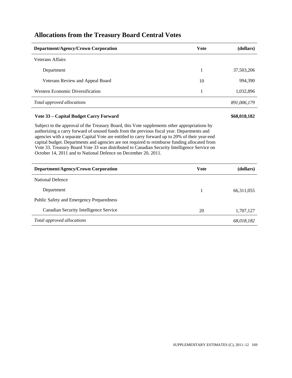| Department/Agency/Crown Corporation     | <b>Vote</b> | (dollars)   |
|-----------------------------------------|-------------|-------------|
| Veterans Affairs                        |             |             |
| Department                              | 1           | 37,503,206  |
| Veterans Review and Appeal Board        | 10          | 994,390     |
| <b>Western Economic Diversification</b> | 1           | 1,032,896   |
| Total approved allocations              |             | 891,006,179 |
|                                         |             |             |

### Vote 33 – Capital Budget Carry Forward **\$68,018,182**

Subject to the approval of the Treasury Board, this Vote supplements other appropriations by authorizing a carry forward of unused funds from the previous fiscal year. Departments and agencies with a separate Capital Vote are entitled to carry forward up to 20% of their year-end capital budget. Departments and agencies are not required to reimburse funding allocated from Vote 33. Treasury Board Vote 33 was distributed to Canadian Security Intelligence Service on October 14, 2011 and to National Defence on December 20, 2011.

| Department/Agency/Crown Corporation             | <b>Vote</b> | (dollars)    |
|-------------------------------------------------|-------------|--------------|
| <b>National Defence</b>                         |             |              |
| Department                                      |             | 66, 311, 055 |
| <b>Public Safety and Emergency Preparedness</b> |             |              |
| Canadian Security Intelligence Service          | 20          | 1,707,127    |
| Total approved allocations                      |             | 68,018,182   |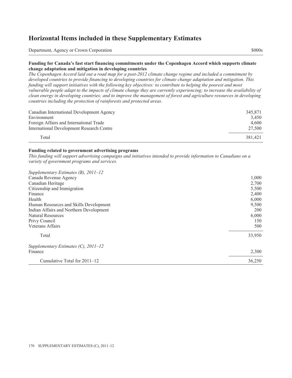### **Horizontal Items included in these Supplementary Estimates**

Department, Agency or Crown Corporation \$000s

#### **Funding for Canada's fast start financing commitments under the Copenhagen Accord which supports climate change adaptation and mitigation in developing countries**

*The Copenhagen Accord laid out a road map for a post-2012 climate change regime and included a commitment by developed countries to provide financing to developing countries for climate change adaptation and mitigation. This funding will support initiatives with the following key objectives: to contribute to helping the poorest and most vulnerable people adapt to the impacts of climate change they are currently experiencing; to increase the availability of clean energy in developing countries; and to improve the management of forest and agriculture resources in developing countries including the protection of rainforests and protected areas.*

| Canadian International Development Agency | 345,871 |
|-------------------------------------------|---------|
| Environment                               | 3.450   |
| Foreign Affairs and International Trade   | 4.600   |
| International Development Research Centre | 27.500  |
| Total                                     | 381.421 |

#### **Funding related to government advertising programs**

*This funding will support advertising campaigns and initiatives intended to provide information to Canadians on a variety of government programs and services.*

| Supplementary Estimates $(B)$ , 2011–12 |        |
|-----------------------------------------|--------|
| Canada Revenue Agency                   | 1,000  |
| Canadian Heritage                       | 2,700  |
| Citizenship and Immigration             | 5,500  |
| Finance                                 | 2,400  |
| Health                                  | 6,000  |
| Human Resources and Skills Development  | 9,500  |
| Indian Affairs and Northern Development | 200    |
| <b>Natural Resources</b>                | 6,000  |
| Privy Council                           | 150    |
| Veterans Affairs                        | 500    |
| Total                                   | 33,950 |
| Supplementary Estimates $(C)$ , 2011–12 |        |
| Finance                                 | 2,300  |
| Cumulative Total for $2011-12$          | 36,250 |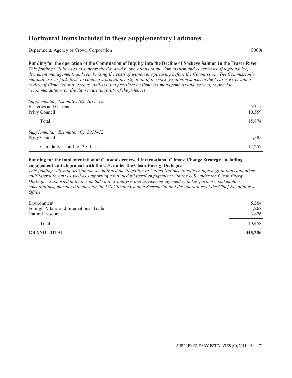### **Horizontal Items included in these Supplementary Estimates**

Department, Agency or Crown Corporation \$000s

### **Funding for the operation of the Commission of Inquiry into the Decline of Sockeye Salmon in the Fraser River**

*This funding will be used to support the day-to-day operations of the Commission and cover costs of legal advice, document management, and reimbursing the costs of witnesses appearing before the Commission. The Commission's mandate is two-fold: first, to conduct a factual investigation of the sockeye salmon stocks in the Fraser River and a review of Fisheries and Oceans' policies and practices on fisheries management; and, second, to provide recommendations on the future sustainability of the fisheries.*

*Supplementary Estimates (B), 2011–12* Fisheries and Oceans 5,315 Privy Council 10,559 Total 15,874 *Supplementary Estimates (C), 2011–12* Privy Council 2,383 Cumulative Total for  $2011-12$  17,257

#### **Funding for the implementation of Canada's renewed International Climate Change Strategy, including engagement and alignment with the U.S. under the Clean Energy Dialogue**

*This funding will support Canada's continued participation in United Nations climate change negotiations and other multilateral forums as well as supporting continued bilateral engagement with the U.S. under the Clean Energy Dialogue. Supported activities include policy analysis and advice, engagement with key partners, stakeholder consultations, membership dues for the UN Climate Change Secretariat and the operations of the Chief Negotiator's Office.*

| Environment<br>Foreign Affairs and International Trade<br><b>Natural Resources</b> | 5,364<br>1,268<br>3,826 |
|------------------------------------------------------------------------------------|-------------------------|
| Total                                                                              | 10.458                  |
| <b>GRAND TOTAL</b>                                                                 | 445,386                 |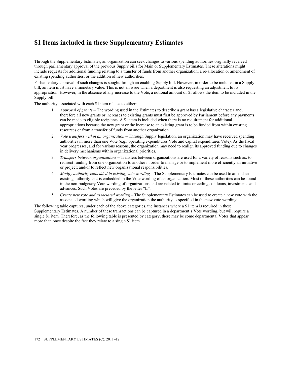Through the Supplementary Estimates, an organization can seek changes to various spending authorities originally received through parliamentary approval of the previous Supply bills for Main or Supplementary Estimates. These alterations might include requests for additional funding relating to a transfer of funds from another organization, a re-allocation or amendment of existing spending authorities, or the addition of new authorities.

Parliamentary approval of such changes is sought through an enabling Supply bill. However, in order to be included in a Supply bill, an item must have a monetary value. This is not an issue when a department is also requesting an adjustment to its appropriation. However, in the absence of any increase to the Vote, a notional amount of \$1 allows the item to be included in the Supply bill.

The authority associated with each \$1 item relates to either:

- 1. *Approval of grants* The wording used in the Estimates to describe a grant has a legislative character and, therefore all new grants or increases to existing grants must first be approved by Parliament before any payments can be made to eligible recipients. A \$1 item is included when there is no requirement for additional appropriations because the new grant or the increase to an existing grant is to be funded from within existing resources or from a transfer of funds from another organization.
- 2. *Vote transfers within an organization* Through Supply legislation, an organization may have received spending authorities in more than one Vote (e.g., operating expenditures Vote and capital expenditures Vote). As the fiscal year progresses, and for various reasons, the organization may need to realign its approved funding due to changes in delivery mechanisms within organizational priorities.
- 3. *Transfers between organizations* Transfers between organizations are used for a variety of reasons such as: to redirect funding from one organization to another in order to manage or to implement more efficiently an initiative or project; and/or to reflect new organizational responsibilities.
- 4. *Modify authority embedded in existing vote wording* The Supplementary Estimates can be used to amend an existing authority that is embedded in the Vote wording of an organization. Most of these authorities can be found in the non-budgetary Vote wording of organizations and are related to limits or ceilings on loans, investments and advances. Such Votes are preceded by the letter "L".
- 5. *Create new vote and associated wording* The Supplementary Estimates can be used to create a new vote with the associated wording which will give the organization the authority as specified in the new vote wording.

The following table captures, under each of the above categories, the instances where a \$1 item is required in these Supplementary Estimates. A number of these transactions can be captured in a department's Vote wording, but will require a single \$1 item. Therefore, as the following table is presented by category, there may be some departmental Votes that appear more than once despite the fact they relate to a single \$1 item.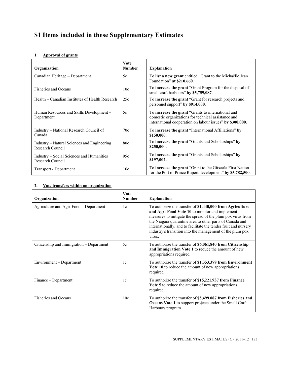### **1. Approval of grants**

| Organization                                                    | <b>Vote</b><br><b>Number</b> | <b>Explanation</b>                                                                                                                                                            |
|-----------------------------------------------------------------|------------------------------|-------------------------------------------------------------------------------------------------------------------------------------------------------------------------------|
| Canadian Heritage – Department                                  | 5c                           | To list a new grant entitled "Grant to the Michaëlle Jean<br>Foundation" at \$210,660.                                                                                        |
| <b>Fisheries and Oceans</b>                                     | 10c                          | To <b>increase the grant</b> "Grant Program for the disposal of<br>small craft harbours" by \$5,759,087.                                                                      |
| Health – Canadian Institutes of Health Research                 | 25c                          | To <b>increase the grant</b> "Grant for research projects and<br>personnel support" by \$914,000.                                                                             |
| Human Resources and Skills Development –<br>Department          | 5c                           | To <b>increase the grant</b> "Grants to international and<br>domestic organizations for technical assistance and<br>international cooperation on labour issues" by \$300,000. |
| Industry – National Research Council of<br>Canada               | 70c                          | To <b>increase the grant</b> "International Affiliations" by<br>\$150,000.                                                                                                    |
| Industry – Natural Sciences and Engineering<br>Research Council | 80c                          | To <b>increase the grant</b> "Grants and Scholarships" by<br>\$250,000.                                                                                                       |
| Industry – Social Sciences and Humanities<br>Research Council   | 95c                          | To increase the grant "Grants and Scholarships" by<br>\$197,002.                                                                                                              |
| Transport - Department                                          | 10c                          | To increase the grant "Grant to the Gitxaala First Nation<br>for the Port of Prince Rupert development" by \$5,782,500.                                                       |

### **2. Vote transfers within an organization**

| Organization                             | Vote<br><b>Number</b> | <b>Explanation</b>                                                                                                                                                                                                                                                                                                                                                              |
|------------------------------------------|-----------------------|---------------------------------------------------------------------------------------------------------------------------------------------------------------------------------------------------------------------------------------------------------------------------------------------------------------------------------------------------------------------------------|
| Agriculture and Agri-Food – Department   | 1c                    | To authorize the transfer of \$1,440,000 from Agriculture<br>and Agri-Food Vote 10 to monitor and implement<br>measures to mitigate the spread of the plum pox virus from<br>the Niagara quarantine area to other parts of Canada and<br>internationally, and to facilitate the tender fruit and nursery<br>industry's transition into the management of the plum pox<br>VIIUS. |
| Citizenship and Immigration - Department | 5c                    | To authorize the transfer of \$6,061,840 from Citizenship<br>and Immigration Vote 1 to reduce the amount of new<br>appropriations required.                                                                                                                                                                                                                                     |
| Environment – Department                 | 1c                    | To authorize the transfer of \$1,353,378 from Environment<br>Vote 10 to reduce the amount of new appropriations<br>required.                                                                                                                                                                                                                                                    |
| Finance - Department                     | 1c                    | To authorize the transfer of \$15,221,937 from Finance<br>Vote 5 to reduce the amount of new appropriations<br>required.                                                                                                                                                                                                                                                        |
| <b>Fisheries and Oceans</b>              | 10c                   | To authorize the transfer of \$5,499,087 from Fisheries and<br><b>Oceans Vote 1</b> to support projects under the Small Craft<br>Harbours program.                                                                                                                                                                                                                              |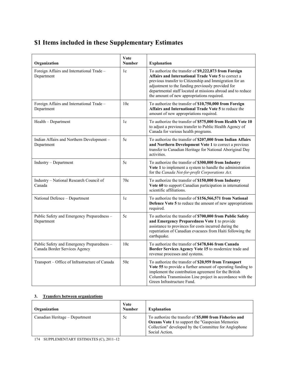| Organization                                                                | Vote<br><b>Number</b> | <b>Explanation</b>                                                                                                                                                                                                                                                                                                                        |
|-----------------------------------------------------------------------------|-----------------------|-------------------------------------------------------------------------------------------------------------------------------------------------------------------------------------------------------------------------------------------------------------------------------------------------------------------------------------------|
| Foreign Affairs and International Trade -<br>Department                     | 1c                    | To authorize the transfer of \$9,222,873 from Foreign<br>Affairs and International Trade Vote 5 to correct a<br>previous transfer to Citizenship and Immigration for an<br>adjustment to the funding previously provided for<br>departmental staff located at missions abroad and to reduce<br>the amount of new appropriations required. |
| Foreign Affairs and International Trade -<br>Department                     | 10 <sub>c</sub>       | To authorize the transfer of \$10,750,000 from Foreign<br>Affairs and International Trade Vote 5 to reduce the<br>amount of new appropriations required.                                                                                                                                                                                  |
| Health - Department                                                         | 1c                    | To authorize the transfer of \$575,000 from Health Vote 10<br>to adjust a previous transfer to Public Health Agency of<br>Canada for various health programs.                                                                                                                                                                             |
| Indian Affairs and Northern Development-<br>Department                      | 5c                    | To authorize the transfer of \$207,000 from Indian Affairs<br>and Northern Development Vote 1 to correct a previous<br>transfer to Canadian Heritage for National Aboriginal Day<br>activities.                                                                                                                                           |
| Industry - Department                                                       | 5c                    | To authorize the transfer of \$300,000 from Industry<br>Vote 1 to implement a system to handle the administration<br>for the Canada Not-for-profit Corporations Act.                                                                                                                                                                      |
| Industry - National Research Council of<br>Canada                           | 70c                   | To authorize the transfer of \$150,000 from Industry<br>Vote 60 to support Canadian participation in international<br>scientific affiliations.                                                                                                                                                                                            |
| National Defence - Department                                               | 1c                    | To authorize the transfer of \$156,566,571 from National<br><b>Defence Vote 5</b> to reduce the amount of new appropriations<br>required.                                                                                                                                                                                                 |
| Public Safety and Emergency Preparedness -<br>Department                    | 5c                    | To authorize the transfer of \$700,000 from Public Safety<br>and Emergency Preparedness Vote 1 to provide<br>assistance to provinces for costs incurred during the<br>repatriation of Canadian evacuees from Haiti following the<br>earthquake.                                                                                           |
| Public Safety and Emergency Preparedness -<br>Canada Border Services Agency | 10 <sub>c</sub>       | To authorize the transfer of \$478,846 from Canada<br>Border Services Agency Vote 15 to modernize trade and<br>revenue processes and systems.                                                                                                                                                                                             |
| Transport - Office of Infrastructure of Canada                              | 50c                   | To authorize the transfer of \$20,959 from Transport<br>Vote 55 to provide a further amount of operating funding to<br>implement the contribution agreement for the British<br>Columbia Transmission Line project in accordance with the<br>Green Infrastructure Fund.                                                                    |

### **3. Transfers between organizations**

| Organization                   | Vote<br><b>Number</b> | <b>Explanation</b>                                                                                                                                                                             |
|--------------------------------|-----------------------|------------------------------------------------------------------------------------------------------------------------------------------------------------------------------------------------|
| Canadian Heritage – Department | 5c                    | To authorize the transfer of \$5,000 from Fisheries and<br><b>Oceans Vote 1</b> to support the "Gaspesian Memories"<br>Collection" developed by the Committee for Anglophone<br>Social Action. |

174 SUPPLEMENTARY ESTIMATES (C), 2011–12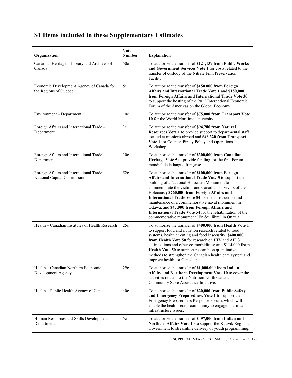| Organization                                                             | Vote<br><b>Number</b> | <b>Explanation</b>                                                                                                                                                                                                                                                                                                                                                                                                                                                                                                                                          |
|--------------------------------------------------------------------------|-----------------------|-------------------------------------------------------------------------------------------------------------------------------------------------------------------------------------------------------------------------------------------------------------------------------------------------------------------------------------------------------------------------------------------------------------------------------------------------------------------------------------------------------------------------------------------------------------|
| Canadian Heritage - Library and Archives of<br>Canada                    | 50c                   | To authorize the transfer of \$121,137 from Public Works<br>and Government Services Vote 1 for costs related to the<br>transfer of custody of the Nitrate Film Preservation<br>Facility.                                                                                                                                                                                                                                                                                                                                                                    |
| Economic Development Agency of Canada for<br>the Regions of Quebec       | 5c                    | To authorize the transfer of \$150,000 from Foreign<br>Affairs and International Trade Vote 1 and \$150,000<br>from Foreign Affairs and International Trade Vote 30<br>to support the hosting of the 2012 International Economic<br>Forum of the Americas on the Global Economy.                                                                                                                                                                                                                                                                            |
| Environment – Department                                                 | 10 <sub>c</sub>       | To authorize the transfer of \$75,000 from Transport Vote<br>10 for the World Maritime University.                                                                                                                                                                                                                                                                                                                                                                                                                                                          |
| Foreign Affairs and International Trade -<br>Department                  | 1c                    | To authorize the transfer of \$94,200 from Natural<br>Resources Vote 1 to provide support to departmental staff<br>located at missions abroad and \$46,320 from Transport<br>Vote 1 for Counter-Piracy Policy and Operations<br>Workshop.                                                                                                                                                                                                                                                                                                                   |
| Foreign Affairs and International Trade -<br>Department                  | 10c                   | To authorize the transfer of \$300,000 from Canadian<br>Heritage Vote 5 to provide funding for the first Forum<br>mondial de la langue française.                                                                                                                                                                                                                                                                                                                                                                                                           |
| Foreign Affairs and International Trade -<br>National Capital Commission | 52c                   | To authorize the transfer of \$100,000 from Foreign<br>Affairs and International Trade Vote 5 to support the<br>building of a National Holocaust Monument to<br>commemorate the victims and Canadian survivors of the<br>Holocaust; \$760,000 from Foreign Affairs and<br><b>International Trade Vote 54</b> for the construction and<br>maintenance of a commemorative naval monument in<br>Ottawa; and \$47,000 from Foreign Affairs and<br>International Trade Vote 54 for the rehabilitation of the<br>commemorative monument "En équilibre" in Ottawa. |
| Health - Canadian Institutes of Health Research                          | 25c                   | To authorize the transfer of \$400,000 from Health Vote 1<br>to support food and nutrition research related to food<br>systems, healthier eating and food Insecurity; \$400,000<br>from Health Vote 50 for research on HIV and AIDS<br>co-infections and other co-morbidities; and \$114,000 from<br>Health Vote 50 to support research on quantitative<br>methods to strengthen the Canadian health care system and<br>improve health for Canadians.                                                                                                       |
| Health – Canadian Northern Economic<br>Development Agency                | 29c                   | To authorize the transfer of \$1,000,000 from Indian<br>Affairs and Northern Development Vote 10 to cover the<br>activities related to the Nutrition North Canada<br>Community Store Assistance Initiative.                                                                                                                                                                                                                                                                                                                                                 |
| Health – Public Health Agency of Canada                                  | 40c                   | To authorize the transfer of \$20,000 from Public Safety<br>and Emergency Preparedness Vote 1 to support the<br>Emergency Preparedness Response Forum, which will<br>enable the health sector community to engage in critical<br>infrastructure issues.                                                                                                                                                                                                                                                                                                     |
| Human Resources and Skills Development -<br>Department                   | 5c                    | To authorize the transfer of \$497,000 from Indian and<br>Northern Affairs Vote 10 to support the Kativik Regional<br>Government to streamline delivery of youth programming.                                                                                                                                                                                                                                                                                                                                                                               |

SUPPLEMENTARY ESTIMATES (C), 2011–12 175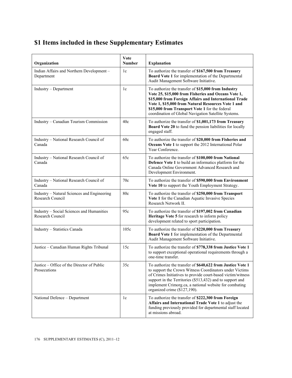| Organization                                                    | Vote<br><b>Number</b> | <b>Explanation</b>                                                                                                                                                                                                                                                                                                                          |
|-----------------------------------------------------------------|-----------------------|---------------------------------------------------------------------------------------------------------------------------------------------------------------------------------------------------------------------------------------------------------------------------------------------------------------------------------------------|
| Indian Affairs and Northern Development-<br>Department          | 1c                    | To authorize the transfer of \$167,500 from Treasury<br>Board Vote 1 for implementation of the Departmental<br>Audit Management Software Initiative.                                                                                                                                                                                        |
| Industry – Department                                           | 1c                    | To authorize the transfer of \$15,000 from Industry<br>Vote 25, \$15,000 from Fisheries and Oceans Vote 1,<br>\$15,000 from Foreign Affairs and International Trade<br>Vote 1, \$15,000 from Natural Resources Vote 1 and<br>\$15,000 from Transport Vote 1 for the federal<br>coordination of Global Navigation Satellite Systems.         |
| Industry - Canadian Tourism Commission                          | 40c                   | To authorize the transfer of \$1,001,173 from Treasury<br>Board Vote 20 to fund the pension liabilities for locally<br>engaged staff.                                                                                                                                                                                                       |
| Industry - National Research Council of<br>Canada               | 60c                   | To authorize the transfer of \$20,000 from Fisheries and<br>Oceans Vote 1 to support the 2012 International Polar<br>Year Conference.                                                                                                                                                                                                       |
| Industry - National Research Council of<br>Canada               | 65c                   | To authorize the transfer of \$100,000 from National<br>Defence Vote 1 to build an informatics platform for the<br>Canada Online Government Advanced Research and<br>Development Environment.                                                                                                                                               |
| Industry - National Research Council of<br>Canada               | 70c                   | To authorize the transfer of \$590,000 from Environment<br>Vote 10 to support the Youth Employment Strategy.                                                                                                                                                                                                                                |
| Industry - Natural Sciences and Engineering<br>Research Council | 80c                   | To authorize the transfer of \$250,000 from Transport<br>Vote 1 for the Canadian Aquatic Invasive Species<br>Research Network II.                                                                                                                                                                                                           |
| Industry - Social Sciences and Humanities<br>Research Council   | 95c                   | To authorize the transfer of \$197,002 from Canadian<br>Heritage Vote 5 for research to inform policy<br>development related to sport participation.                                                                                                                                                                                        |
| Industry - Statistics Canada                                    | 105c                  | To authorize the transfer of \$220,000 from Treasury<br>Board Vote 1 for implementation of the Departmental<br>Audit Management Software Initiative.                                                                                                                                                                                        |
| Justice - Canadian Human Rights Tribunal                        | 15c                   | To authorize the transfer of \$778,338 from Justice Vote 1<br>to support exceptional operational requirements through a<br>one-time transfer.                                                                                                                                                                                               |
| Justice – Office of the Director of Public<br>Prosecutions      | 35c                   | To authorize the transfer of \$640,622 from Justice Vote 1<br>to support the Crown Witness Coordinators under Victims<br>of Crimes Initiatives to provide court-based victim/witness<br>support in the Territories (\$513,432) and to support and<br>implement Crimorg.ca, a national website for combating<br>organized crime (\$127,190). |
| National Defence - Department                                   | 1c                    | To authorize the transfer of \$222,300 from Foreign<br>Affairs and International Trade Vote 1 to adjust the<br>funding previously provided for departmental staff located<br>at missions abroad.                                                                                                                                            |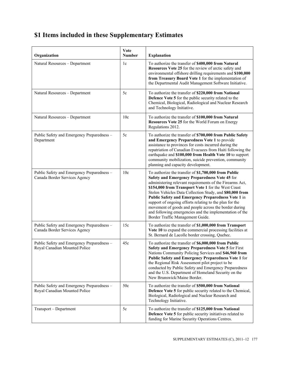| Organization                                                                | Vote<br><b>Number</b> | <b>Explanation</b>                                                                                                                                                                                                                                                                                                                                                                                                                                                                                                                                           |
|-----------------------------------------------------------------------------|-----------------------|--------------------------------------------------------------------------------------------------------------------------------------------------------------------------------------------------------------------------------------------------------------------------------------------------------------------------------------------------------------------------------------------------------------------------------------------------------------------------------------------------------------------------------------------------------------|
| Natural Resources - Department                                              | 1c                    | To authorize the transfer of \$400,000 from Natural<br>Resources Vote 25 for the review of arctic safety and<br>environmental offshore drilling requirements and \$100,000<br>from Treasury Board Vote 1 for the implementation of<br>the Departmental Audit Management Software Initiative.                                                                                                                                                                                                                                                                 |
| Natural Resources - Department                                              | 5c                    | To authorize the transfer of \$220,000 from National<br>Defence Vote 5 for the public security related to the<br>Chemical, Biological, Radiological and Nuclear Research<br>and Technology Initiative.                                                                                                                                                                                                                                                                                                                                                       |
| Natural Resources - Department                                              | 10c                   | To authorize the transfer of \$100,000 from Natural<br>Resources Vote 25 for the World Forum on Energy<br>Regulations 2012.                                                                                                                                                                                                                                                                                                                                                                                                                                  |
| Public Safety and Emergency Preparedness -<br>Department                    | 5c                    | To authorize the transfer of \$700,000 from Public Safety<br>and Emergency Preparedness Vote 1 to provide<br>assistance to provinces for costs incurred during the<br>repatriation of Canadian Evacuees from Haiti following the<br>earthquake and \$100,000 from Health Vote 10 to support<br>community mobilization, suicide prevention, community<br>planning and capacity development.                                                                                                                                                                   |
| Public Safety and Emergency Preparedness -<br>Canada Border Services Agency | 10c                   | To authorize the transfer of \$1,700,000 from Public<br>Safety and Emergency Preparedness Vote 45 for<br>administering relevant requirements of the Firearms Act,<br>\$154,000 from Transport Vote 1 for the West Coast<br>Stolen Vehicles Data Collection Study, and \$80,000 from<br>Public Safety and Emergency Preparedness Vote 1 in<br>support of ongoing efforts relating to the plan for the<br>movement of goods and people across the border during<br>and following emergencies and the implementation of the<br>Border Traffic Management Guide. |
| Public Safety and Emergency Preparedness -<br>Canada Border Services Agency | 15c                   | To authorize the transfer of \$1,000,000 from Transport<br>Vote 10 to expand the commercial processing facilities at<br>St. Bernard de Lacolle border crossing, Quebec.                                                                                                                                                                                                                                                                                                                                                                                      |
| Public Safety and Emergency Preparedness -<br>Royal Canadian Mounted Police | 45c                   | To authorize the transfer of \$6,000,000 from Public<br>Safety and Emergency Preparedness Vote 5 for First<br>Nations Community Policing Services and \$46,960 from<br>Public Safety and Emergency Preparedness Vote 1 for<br>the Regional Risk Assessment pilot project to be<br>conducted by Public Safety and Emergency Preparedness<br>and the U.S. Department of Homeland Security on the<br>New Brunswick/Maine Border.                                                                                                                                |
| Public Safety and Emergency Preparedness -<br>Royal Canadian Mounted Police | 50c                   | To authorize the transfer of \$500,000 from National<br>Defence Vote 5 for public security related to the Chemical,<br>Biological, Radiological and Nuclear Research and<br>Technology Initiative.                                                                                                                                                                                                                                                                                                                                                           |
| Transport - Department                                                      | 5c                    | To authorize the transfer of \$125,000 from National<br>Defence Vote 5 for public security initiatives related to<br>funding for Marine Security Operations Centres.                                                                                                                                                                                                                                                                                                                                                                                         |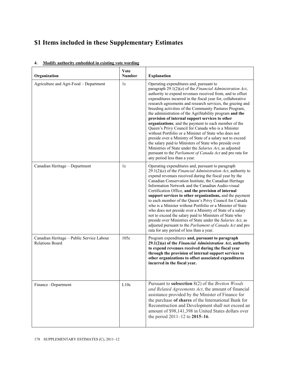| Organization                                                        | Vote<br><b>Number</b> | <b>Explanation</b>                                                                                                                                                                                                                                                                                                                                                                                                                                                                                                                                                                                                                                                                                                                                                                                                                                                                                                                      |
|---------------------------------------------------------------------|-----------------------|-----------------------------------------------------------------------------------------------------------------------------------------------------------------------------------------------------------------------------------------------------------------------------------------------------------------------------------------------------------------------------------------------------------------------------------------------------------------------------------------------------------------------------------------------------------------------------------------------------------------------------------------------------------------------------------------------------------------------------------------------------------------------------------------------------------------------------------------------------------------------------------------------------------------------------------------|
| Agriculture and Agri-Food - Department                              | 1c                    | Operating expenditures and, pursuant to<br>paragraph $29.1(2)(a)$ of the <i>Financial Administration Act</i> ,<br>authority to expend revenues received from, and to offset<br>expenditures incurred in the fiscal year for, collaborative<br>research agreements and research services, the grazing and<br>breeding activities of the Community Pastures Program,<br>the administration of the AgriStability program and the<br>provision of internal support services to other<br>organizations; and the payment to each member of the<br>Queen's Privy Council for Canada who is a Minister<br>without Portfolio or a Minister of State who does not<br>preside over a Ministry of State of a salary not to exceed<br>the salary paid to Ministers of State who preside over<br>Ministries of State under the Salaries Act, as adjusted<br>pursuant to the Parliament of Canada Act and pro rata for<br>any period less than a year. |
| Canadian Heritage - Department                                      | 1c                    | Operating expenditures and, pursuant to paragraph<br>$29.1(2)(a)$ of the <i>Financial Administration Act</i> , authority to<br>expend revenues received during the fiscal year by the<br>Canadian Conservation Institute, the Canadian Heritage<br>Information Network and the Canadian Audio-visual<br>Certification Office, and the provision of internal<br>support services to other organizations, and the payment<br>to each member of the Queen's Privy Council for Canada<br>who is a Minister without Portfolio or a Minister of State<br>who does not preside over a Ministry of State of a salary<br>not to exceed the salary paid to Ministers of State who<br>preside over Ministries of State under the Salaries Act, as<br>adjusted pursuant to the Parliament of Canada Act and pro<br>rata for any period of less than a year.                                                                                         |
| Canadian Heritage - Public Service Labour<br><b>Relations Board</b> | 105c                  | Program expenditures and, pursuant to paragraph<br>$29.1(2)(a)$ of the Financial Administration Act, authority<br>to expend revenues received during the fiscal year<br>through the provision of internal support services to<br>other organizations to offset associated expenditures<br>incurred in the fiscal year.                                                                                                                                                                                                                                                                                                                                                                                                                                                                                                                                                                                                                  |
| Finance-Department                                                  | L10c                  | Pursuant to subsection 8(2) of the Bretton Woods<br>and Related Agreements Act, the amount of financial<br>assistance provided by the Minister of Finance for<br>the purchase of shares of the International Bank for<br>Reconstruction and Development shall not exceed an<br>amount of \$98,141,398 in United States dollars over<br>the period $2011-12$ to $2015-16$ .                                                                                                                                                                                                                                                                                                                                                                                                                                                                                                                                                              |

### **4. Modify authority embedded in existing vote wording**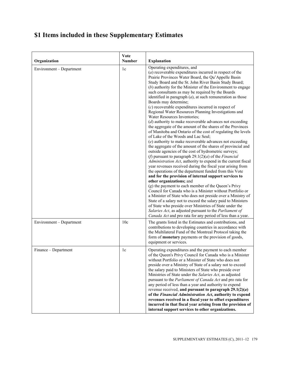| Organization             | <b>Vote</b><br><b>Number</b> | <b>Explanation</b>                                                                                                                                                                                                                                                                                                                                                                                                                                                                                                                                                                                                                                                                                                                                                                                                                                                                                                                                                                                                                                                                                                                                                                                                                                                                                                                                                                                                                                                                                                                                                                                                                                                                                                                                                                            |
|--------------------------|------------------------------|-----------------------------------------------------------------------------------------------------------------------------------------------------------------------------------------------------------------------------------------------------------------------------------------------------------------------------------------------------------------------------------------------------------------------------------------------------------------------------------------------------------------------------------------------------------------------------------------------------------------------------------------------------------------------------------------------------------------------------------------------------------------------------------------------------------------------------------------------------------------------------------------------------------------------------------------------------------------------------------------------------------------------------------------------------------------------------------------------------------------------------------------------------------------------------------------------------------------------------------------------------------------------------------------------------------------------------------------------------------------------------------------------------------------------------------------------------------------------------------------------------------------------------------------------------------------------------------------------------------------------------------------------------------------------------------------------------------------------------------------------------------------------------------------------|
| Environment - Department | 1c                           | Operating expenditures, and<br>$(a)$ recoverable expenditures incurred in respect of the<br>Prairie Provinces Water Board, the Qu'Appelle Basin<br>Study Board and the St. John River Basin Study Board;<br>$(b)$ authority for the Minister of the Environment to engage<br>such consultants as may be required by the Boards<br>identified in paragraph $(a)$ , at such remuneration as those<br>Boards may determine;<br>$(c)$ recoverable expenditures incurred in respect of<br>Regional Water Resources Planning Investigations and<br>Water Resources Inventories;<br>(d) authority to make recoverable advances not exceeding<br>the aggregate of the amount of the shares of the Provinces<br>of Manitoba and Ontario of the cost of regulating the levels<br>of Lake of the Woods and Lac Seul;<br>(e) authority to make recoverable advances not exceeding<br>the aggregate of the amount of the shares of provincial and<br>outside agencies of the cost of hydrometric surveys;<br>(f) pursuant to paragraph $29.1(2)(a)$ of the <i>Financial</i><br>Administration Act, authority to expend in the current fiscal<br>year revenues received during the fiscal year arising from<br>the operations of the department funded from this Vote<br>and for the provision of internal support services to<br>other organizations; and<br>$(g)$ the payment to each member of the Queen's Privy<br>Council for Canada who is a Minister without Portfolio or<br>a Minister of State who does not preside over a Ministry of<br>State of a salary not to exceed the salary paid to Ministers<br>of State who preside over Ministries of State under the<br>Salaries Act, as adjusted pursuant to the Parliament of<br><i>Canada Act</i> and pro rata for any period of less than a year. |
| Environment - Department | 10c                          | The grants listed in the Estimates and contributions, and<br>contributions to developing countries in accordance with<br>the Multilateral Fund of the Montreal Protocol taking the<br>form of <b>monetary</b> payments or the provision of goods,<br>equipment or services.                                                                                                                                                                                                                                                                                                                                                                                                                                                                                                                                                                                                                                                                                                                                                                                                                                                                                                                                                                                                                                                                                                                                                                                                                                                                                                                                                                                                                                                                                                                   |
| Finance - Department     | 1c                           | Operating expenditures and the payment to each member<br>of the Queen's Privy Council for Canada who is a Minister<br>without Portfolio or a Minister of State who does not<br>preside over a Ministry of State of a salary not to exceed<br>the salary paid to Ministers of State who preside over<br>Ministries of State under the Salaries Act, as adjusted<br>pursuant to the Parliament of Canada Act and pro rata for<br>any period of less than a year and authority to expend<br>revenue received, and pursuant to paragraph $29.1(2)(a)$<br>of the Financial Administration Act, authority to expend<br>revenues received in a fiscal year to offset expenditures<br>incurred in that fiscal year arising from the provision of<br>internal support services to other organizations.                                                                                                                                                                                                                                                                                                                                                                                                                                                                                                                                                                                                                                                                                                                                                                                                                                                                                                                                                                                                 |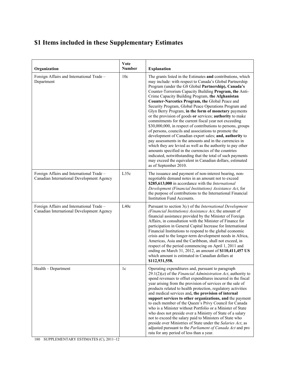| Organization                                                                           | Vote<br><b>Number</b> | <b>Explanation</b>                                                                                                                                                                                                                                                                                                                                                                                                                                                                                                                                                                                                                                                                                                                                                                                                                                                                                                                                                                                                                                                                                            |
|----------------------------------------------------------------------------------------|-----------------------|---------------------------------------------------------------------------------------------------------------------------------------------------------------------------------------------------------------------------------------------------------------------------------------------------------------------------------------------------------------------------------------------------------------------------------------------------------------------------------------------------------------------------------------------------------------------------------------------------------------------------------------------------------------------------------------------------------------------------------------------------------------------------------------------------------------------------------------------------------------------------------------------------------------------------------------------------------------------------------------------------------------------------------------------------------------------------------------------------------------|
| Foreign Affairs and International Trade -<br>Department                                | 10 <sub>c</sub>       | The grants listed in the Estimates and contributions, which<br>may include: with respect to Canada's Global Partnership<br>Program (under the G8 Global Partnership), Canada's<br>Counter-Terrorism Capacity Building Program, the Anti-<br>Crime Capacity Building Program, the Afghanistan<br>Counter-Narcotics Program, the Global Peace and<br>Security Program, Global Peace Operations Program and<br>Glyn Berry Program, in the form of monetary payments<br>or the provision of goods or services; authority to make<br>commitments for the current fiscal year not exceeding<br>\$30,000,000, in respect of contributions to persons, groups<br>of persons, councils and associations to promote the<br>development of Canadian export sales; and, authority to<br>pay assessments in the amounts and in the currencies in<br>which they are levied as well as the authority to pay other<br>amounts specified in the currencies of the countries<br>indicated, notwithstanding that the total of such payments<br>may exceed the equivalent in Canadian dollars, estimated<br>as of September 2010. |
| Foreign Affairs and International Trade -<br>Canadian International Development Agency | L35c                  | The issuance and payment of non-interest bearing, non-<br>negotiable demand notes in an amount not to exceed<br>\$285,613,000 in accordance with the International<br>Development (Financial Institutions) Assistance Act, for<br>the purpose of contributions to the International Financial<br><b>Institution Fund Accounts.</b>                                                                                                                                                                                                                                                                                                                                                                                                                                                                                                                                                                                                                                                                                                                                                                            |
| Foreign Affairs and International Trade -<br>Canadian International Development Agency | L40c                  | Pursuant to section $3(c)$ of the <i>International Development</i><br>(Financial Institutions) Assistance Act, the amount of<br>financial assistance provided by the Minister of Foreign<br>Affairs, in consultation with the Minister of Finance for<br>participation in General Capital Increase for International<br>Financial Institutions to respond to the global economic<br>crisis and to the longer-term development needs in Africa,<br>Americas, Asia and the Caribbean, shall not exceed, in<br>respect of the period commencing on April 1, 2011 and<br>ending on March 31, 2012, an amount of \$110,411,457 US<br>which amount is estimated in Canadian dollars at<br>\$112,931,558.                                                                                                                                                                                                                                                                                                                                                                                                            |
| Health – Department                                                                    | 1c                    | Operating expenditures and, pursuant to paragraph<br>$29.1(2)(a)$ of the <i>Financial Administration Act</i> , authority to<br>spend revenues to offset expenditures incurred in the fiscal<br>year arising from the provision of services or the sale of<br>products related to health protection, regulatory activities<br>and medical services and, the provision of internal<br>support services to other organizations, and the payment<br>to each member of the Queen's Privy Council for Canada<br>who is a Minister without Portfolio or a Minister of State<br>who does not preside over a Ministry of State of a salary<br>not to exceed the salary paid to Ministers of State who<br>preside over Ministries of State under the Salaries Act, as<br>adjusted pursuant to the Parliament of Canada Act and pro<br>rata for any period of less than a year.                                                                                                                                                                                                                                          |

180 SUPPLEMENTARY ESTIMATES (C), 2011–12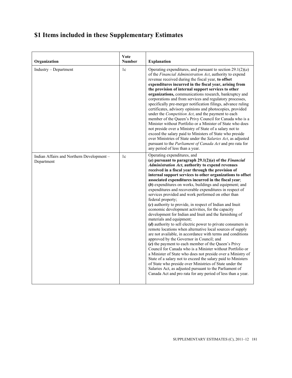| Organization                                            | Vote<br><b>Number</b> | <b>Explanation</b>                                                                                                                                                                                                                                                                                                                                                                                                                                                                                                                                                                                                                                                                                                                                                                                                                                                                                                                                                                                                                                                                                                                                                                                                                                                                                                                                                                                                     |
|---------------------------------------------------------|-----------------------|------------------------------------------------------------------------------------------------------------------------------------------------------------------------------------------------------------------------------------------------------------------------------------------------------------------------------------------------------------------------------------------------------------------------------------------------------------------------------------------------------------------------------------------------------------------------------------------------------------------------------------------------------------------------------------------------------------------------------------------------------------------------------------------------------------------------------------------------------------------------------------------------------------------------------------------------------------------------------------------------------------------------------------------------------------------------------------------------------------------------------------------------------------------------------------------------------------------------------------------------------------------------------------------------------------------------------------------------------------------------------------------------------------------------|
| Industry - Department                                   | 1c                    | Operating expenditures, and pursuant to section $29.1(2)(a)$<br>of the Financial Administration Act, authority to expend<br>revenue received during the fiscal year, to offset<br>expenditures incurred in the fiscal year, arising from<br>the provision of internal support services to other<br>organizations, communications research, bankruptcy and<br>corporations and from services and regulatory processes,<br>specifically pre-merger notification filings, advance ruling<br>certificates, advisory opinions and photocopies, provided<br>under the Competition Act, and the payment to each<br>member of the Queen's Privy Council for Canada who is a<br>Minister without Portfolio or a Minister of State who does<br>not preside over a Ministry of State of a salary not to<br>exceed the salary paid to Ministers of State who preside<br>over Ministries of State under the Salaries Act, as adjusted<br>pursuant to the Parliament of Canada Act and pro rata for<br>any period of less than a year.                                                                                                                                                                                                                                                                                                                                                                                               |
| Indian Affairs and Northern Development -<br>Department | 1c                    | Operating expenditures, and<br>(a) pursuant to paragraph $29.1(2)(a)$ of the <i>Financial</i><br>Administration Act, authority to expend revenues<br>received in a fiscal year through the provision of<br>internal support services to other organizations to offset<br>associated expenditures incurred in the fiscal year;<br>(b) expenditures on works, buildings and equipment; and<br>expenditures and recoverable expenditures in respect of<br>services provided and work performed on other than<br>federal property;<br>(c) authority to provide, in respect of Indian and Inuit<br>economic development activities, for the capacity<br>development for Indian and Inuit and the furnishing of<br>materials and equipment;<br>(d) authority to sell electric power to private consumers in<br>remote locations when alternative local sources of supply<br>are not available, in accordance with terms and conditions<br>approved by the Governor in Council; and<br>$(e)$ the payment to each member of the Queen's Privy<br>Council for Canada who is a Minister without Portfolio or<br>a Minister of State who does not preside over a Ministry of<br>State of a salary not to exceed the salary paid to Ministers<br>of State who preside over Ministries of State under the<br>Salaries Act, as adjusted pursuant to the Parliament of<br>Canada Act and pro rata for any period of less than a year. |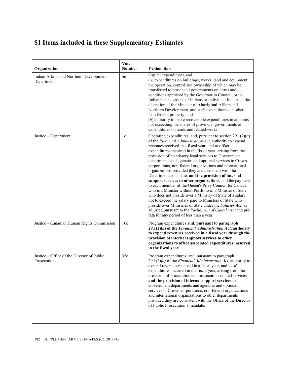| Organization                                               | Vote<br><b>Number</b> | <b>Explanation</b>                                                                                                                                                                                                                                                                                                                                                                                                                                                                                                                                                                                                                                                                                                                                                                                                                                                                                                                                                                                                            |
|------------------------------------------------------------|-----------------------|-------------------------------------------------------------------------------------------------------------------------------------------------------------------------------------------------------------------------------------------------------------------------------------------------------------------------------------------------------------------------------------------------------------------------------------------------------------------------------------------------------------------------------------------------------------------------------------------------------------------------------------------------------------------------------------------------------------------------------------------------------------------------------------------------------------------------------------------------------------------------------------------------------------------------------------------------------------------------------------------------------------------------------|
| Indian Affairs and Northern Development-<br>Department     | 5c                    | Capital expenditures, and<br>$(a)$ expenditures on buildings, works, land and equipment,<br>the operation, control and ownership of which may be<br>transferred to provincial governments on terms and<br>conditions approved by the Governor in Council, or to<br>Indian bands, groups of Indians or individual Indians at the<br>discretion of the Minister of Aboriginal Affairs and<br>Northern Development, and such expenditures on other<br>than federal property; and<br>$(b)$ authority to make recoverable expenditures in amounts<br>not exceeding the shares of provincial governments of<br>expenditures on roads and related works.                                                                                                                                                                                                                                                                                                                                                                             |
| Justice – Department                                       | 1c                    | Operating expenditures, and, pursuant to section $29.1(2)(a)$<br>of the Financial Administration Act, authority to expend<br>revenues received in a fiscal year, and to offset<br>expenditures incurred in the fiscal year, arising from the<br>provision of mandatory legal services to Government<br>departments and agencies and optional services to Crown<br>corporations, non-federal organizations and international<br>organizations provided they are consistent with the<br>Department's mandate, and the provision of internal<br>support services to other organizations, and the payment<br>to each member of the Queen's Privy Council for Canada<br>who is a Minister without Portfolio of a Minister of State<br>who does not preside over a Ministry of State of a salary<br>not to exceed the salary paid to Ministers of State who<br>preside over Ministries of State under the Salaries Act, as<br>adjusted pursuant to the Parliament of Canada Act and pro<br>rata for any period of less than a year. |
| Justice - Canadian Human Rights Commission                 | 10 <sub>c</sub>       | Program expenditures and, pursuant to paragraph<br>$29.1(2)(a)$ of the Financial Administration Act, authority<br>to expend revenues received in a fiscal year through the<br>provision of internal support services to other<br>organizations to offset associated expenditures incurred<br>in the fiscal year.                                                                                                                                                                                                                                                                                                                                                                                                                                                                                                                                                                                                                                                                                                              |
| Justice – Office of the Director of Public<br>Prosecutions | 35c                   | Program expenditures, and, pursuant to paragraph<br>$29.1(2)(a)$ of the <i>Financial Administration Act</i> , authority to<br>expend revenues received in a fiscal year, and to offset<br>expenditures incurred in the fiscal year, arising from the<br>provision of prosecution and prosecution-related services<br>and the provision of internal support services to<br>Government departments and agencies and optional<br>services to Crown corporations, non-federal organizations<br>and international organizations to other departments<br>provided they are consistent with the Office of the Director<br>of Public Prosecution's mandate.                                                                                                                                                                                                                                                                                                                                                                           |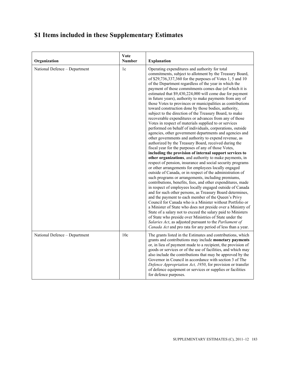| Organization                  | Vote<br><b>Number</b> | <b>Explanation</b>                                                                                                                                                                                                                                                                                                                                                                                                                                                                                                                                                                                                                                                                                                                                                                                                                                                                                                                                                                                                                                                                                                                                                                                                                                                                                                                                                                                                                                                                                                                                                                                                                                                                                                                                                                                                                                                                                                                                                                                                      |
|-------------------------------|-----------------------|-------------------------------------------------------------------------------------------------------------------------------------------------------------------------------------------------------------------------------------------------------------------------------------------------------------------------------------------------------------------------------------------------------------------------------------------------------------------------------------------------------------------------------------------------------------------------------------------------------------------------------------------------------------------------------------------------------------------------------------------------------------------------------------------------------------------------------------------------------------------------------------------------------------------------------------------------------------------------------------------------------------------------------------------------------------------------------------------------------------------------------------------------------------------------------------------------------------------------------------------------------------------------------------------------------------------------------------------------------------------------------------------------------------------------------------------------------------------------------------------------------------------------------------------------------------------------------------------------------------------------------------------------------------------------------------------------------------------------------------------------------------------------------------------------------------------------------------------------------------------------------------------------------------------------------------------------------------------------------------------------------------------------|
| National Defence - Department | 1c                    | Operating expenditures and authority for total<br>commitments, subject to allotment by the Treasury Board,<br>of \$29,736,337,360 for the purposes of Votes 1, 5 and 10<br>of the Department regardless of the year in which the<br>payment of those commitments comes due (of which it is<br>estimated that \$9,430,224,000 will come due for payment<br>in future years), authority to make payments from any of<br>those Votes to provinces or municipalities as contributions<br>toward construction done by those bodies, authority,<br>subject to the direction of the Treasury Board, to make<br>recoverable expenditures or advances from any of those<br>Votes in respect of materials supplied to or services<br>performed on behalf of individuals, corporations, outside<br>agencies, other government departments and agencies and<br>other governments and authority to expend revenue, as<br>authorized by the Treasury Board, received during the<br>fiscal year for the purposes of any of those Votes,<br>including the provision of internal support services to<br>other organizations, and authority to make payments, in<br>respect of pension, insurance and social security programs<br>or other arrangements for employees locally engaged<br>outside of Canada, or in respect of the administration of<br>such programs or arrangements, including premiums,<br>contributions, benefits, fees, and other expenditures, made<br>in respect of employees locally engaged outside of Canada<br>and for such other persons, as Treasury Board determines,<br>and the payment to each member of the Queen's Privy<br>Council for Canada who is a Minister without Portfolio or<br>a Minister of State who does not preside over a Ministry of<br>State of a salary not to exceed the salary paid to Ministers<br>of State who preside over Ministries of State under the<br>Salaries Act, as adjusted pursuant to the Parliament of<br>Canada Act and pro rata for any period of less than a year. |
| National Defence - Department | 10c                   | The grants listed in the Estimates and contributions, which<br>grants and contributions may include monetary payments<br>or, in lieu of payment made to a recipient, the provision of<br>goods or services or of the use of facilities, and which may<br>also include the contributions that may be approved by the<br>Governor in Council in accordance with section 3 of The<br>Defence Appropriation Act, 1950, for provision or transfer<br>of defence equipment or services or supplies or facilities<br>for defence purposes.                                                                                                                                                                                                                                                                                                                                                                                                                                                                                                                                                                                                                                                                                                                                                                                                                                                                                                                                                                                                                                                                                                                                                                                                                                                                                                                                                                                                                                                                                     |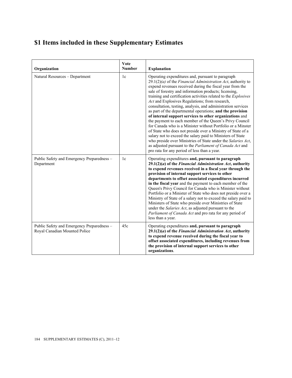| Organization                                                                | Vote<br><b>Number</b> | <b>Explanation</b>                                                                                                                                                                                                                                                                                                                                                                                                                                                                                                                                                                                                                                                                                                                                                                                                                                                                                                                                                                       |
|-----------------------------------------------------------------------------|-----------------------|------------------------------------------------------------------------------------------------------------------------------------------------------------------------------------------------------------------------------------------------------------------------------------------------------------------------------------------------------------------------------------------------------------------------------------------------------------------------------------------------------------------------------------------------------------------------------------------------------------------------------------------------------------------------------------------------------------------------------------------------------------------------------------------------------------------------------------------------------------------------------------------------------------------------------------------------------------------------------------------|
| Natural Resources - Department                                              | 1c                    | Operating expenditures and, pursuant to paragraph<br>$29.1(2)(a)$ of the Financial Administration Act, authority to<br>expend revenues received during the fiscal year from the<br>sale of forestry and information products; licensing,<br>training and certification activities related to the Explosives<br>Act and Explosives Regulations; from research,<br>consultation, testing, analysis, and administration services<br>as part of the departmental operations; and the provision<br>of internal support services to other organizations and<br>the payment to each member of the Queen's Privy Council<br>for Canada who is a Minister without Portfolio or a Minster<br>of State who does not preside over a Ministry of State of a<br>salary not to exceed the salary paid to Ministers of State<br>who preside over Ministries of State under the Salaries Act,<br>as adjusted pursuant to the Parliament of Canada Act and<br>pro rata for any period of less than a year. |
| Public Safety and Emergency Preparedness -<br>Department                    | 1c                    | Operating expenditures and, pursuant to paragraph<br>$29.1(2)(a)$ of the Financial Administration Act, authority<br>to expend revenues received in a fiscal year through the<br>provision of internal support services to other<br>departments to offset associated expenditures incurred<br>in the fiscal year and the payment to each member of the<br>Queen's Privy Council for Canada who is Minister without<br>Portfolio or a Minister of State who does not preside over a<br>Ministry of State of a salary not to exceed the salary paid to<br>Ministers of State who preside over Ministries of State<br>under the Salaries Act, as adjusted pursuant to the<br>Parliament of Canada Act and pro rata for any period of<br>less than a year.                                                                                                                                                                                                                                    |
| Public Safety and Emergency Preparedness -<br>Royal Canadian Mounted Police | 45c                   | Operating expenditures and, pursuant to paragraph<br>$29.1(2)(a)$ of the Financial Administration Act, authority<br>to expend revenue received during the fiscal year to<br>offset associated expenditures, including revenues from<br>the provision of internal support services to other<br>organizations.                                                                                                                                                                                                                                                                                                                                                                                                                                                                                                                                                                                                                                                                             |